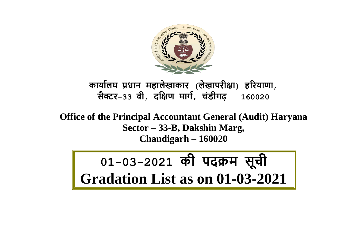

**कार्ाालर् प्रधान महालेखाकार (लेखापरीक्षा) हररर्ाणा**, **सैक्टर-33 बी**, **दक्षक्षण मार्ा**, **चंडीर्ढ़** – **160020**

**Office of the Principal Accountant General (Audit) Haryana Sector – 33-B, Dakshin Marg, Chandigarh – 160020**

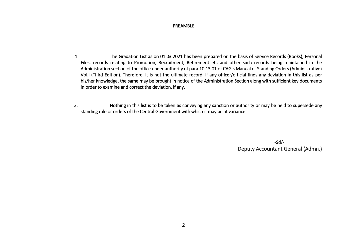# PREAMBLE

- 1.The Gradation List as on 01.03.2021 has been prepared on the basis of Service Records (Books), Personal Files, records relating to Promotion, Recruitment, Retirement etc and other such records being maintained in the Administration section of the office under authority of para 10.13.01 of CAG's Manual of Standing Orders (Administrative) Vol.I (Third Edition). Therefore, it is not the ultimate record. If any officer/official finds any deviation in this list as per his/her knowledge, the same may be brought in notice of the Administration Section along with sufficient key documents in order to examine and correct the deviation, if any.
- 2.Nothing in this list is to be taken as conveying any sanction or authority or may be held to supersede any standing rule or orders of the Central Government with which it may be at variance.

 -Sd/- Deputy Accountant General (Admn.)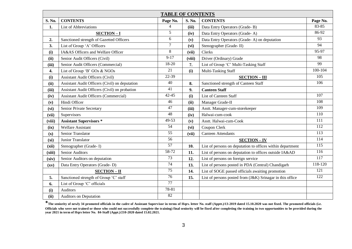|        | <b>TABLE OF CONTENTS</b>                       |                 |        |                                                            |                  |  |  |  |  |  |  |  |
|--------|------------------------------------------------|-----------------|--------|------------------------------------------------------------|------------------|--|--|--|--|--|--|--|
| S. No. | <b>CONTENTS</b>                                | Page No.        | S. No. | <b>CONTENTS</b>                                            | Page No.         |  |  |  |  |  |  |  |
| 1.     | List of Abbreviations                          | $\overline{4}$  | (iii)  | Data Entry Operators (Grade-B)                             | 83-85            |  |  |  |  |  |  |  |
|        | SECTION-I                                      | 5               | (iv)   | Data Entry Operators (Grade-A)                             | 86-92            |  |  |  |  |  |  |  |
| 2.     | Sanctioned strength of Gazetted Officers       | 6               | (v)    | Data Entry Operators (Grade-A) on deputation               | 93               |  |  |  |  |  |  |  |
| 3.     | List of Group 'A' Officers                     | 7               | (vi)   | Stenographer (Grade-II)                                    | 94               |  |  |  |  |  |  |  |
| (i)    | IA&AS Officers and Welfare Officer             | 8               | (vii)  | Clerks                                                     | 95-97            |  |  |  |  |  |  |  |
| (ii)   | Senior Audit Officers (Civil)                  | $9-17$          | (viii) | Driver (Ordinary) Grade                                    | 98               |  |  |  |  |  |  |  |
| (iii)  | Senior Audit Officers (Commercial)             | 18-20           | 7.     | List of Group 'C' Multi-Tasking Staff                      | 99               |  |  |  |  |  |  |  |
| 4.     | List of Group 'B' GOs & NGOs                   | 21              | (i)    | Multi-Tasking Staff                                        | $100 - 104$      |  |  |  |  |  |  |  |
| (i)    | <b>Assistant Audit Officers (Civil)</b>        | 22-39           |        | <b>SECTION-III</b>                                         | 105              |  |  |  |  |  |  |  |
| (ii)   | Assistant Audit Officers (Civil) on deputation | 40              | 8.     | Sanctioned strength of Canteen Staff                       | 106              |  |  |  |  |  |  |  |
| (iii)  | Assistant Audit Officers (Civil) on probation  | 41              | 9.     | <b>Canteen Staff</b>                                       |                  |  |  |  |  |  |  |  |
| (iv)   | <b>Assistant Audit Officers (Commercial)</b>   | $42 - 45$       | (i)    | List of Canteen Staff                                      | $\overline{107}$ |  |  |  |  |  |  |  |
| (v)    | Hindi Officer                                  | 46              | (ii)   | Manager Grade-II                                           | 108              |  |  |  |  |  |  |  |
| (vi)   | Senior Private Secretary                       | 47              | (iii)  | Asstt. Manager-cum-storekeeper                             | 109              |  |  |  |  |  |  |  |
| (vii)  | Supervisors                                    | 48              | (iv)   | Halwai-cum-cook                                            | 110              |  |  |  |  |  |  |  |
| (viii) | <b>Assistant Supervisors *</b>                 | 49-53           | (v)    | Asstt. Halwai-cum-Cook                                     | 111              |  |  |  |  |  |  |  |
| (ix)   | <b>Welfare Assistant</b>                       | 54              | (vi)   | Coupon Clerk                                               | 112              |  |  |  |  |  |  |  |
| (x)    | Senior Translator                              | $\overline{55}$ | (vii)  | Canteen Attendants                                         | $\overline{113}$ |  |  |  |  |  |  |  |
| (xi)   | Junior Translator                              | 56              |        | <b>SECTION-IV</b>                                          | 114              |  |  |  |  |  |  |  |
| (xii)  | Stenographer (Grade-I)                         | 57              | 10.    | List of persons on deputation to offices within department | 115              |  |  |  |  |  |  |  |
| (xiii) | <b>Senior Auditors</b>                         | 58-72           | 11.    | List of persons on deputation to offices outside IA&AD     | 116              |  |  |  |  |  |  |  |
| (xiv)  | Senior Auditors on deputation                  | 73              | 12.    | List of persons on foreign service                         | 117              |  |  |  |  |  |  |  |
| (xv)   | Data Entry Operators (Grade-D)                 | $\overline{74}$ | 13.    | List of persons posted in PDA (Central) Chandigarh         | 118-120          |  |  |  |  |  |  |  |
|        | <b>SECTION-II</b>                              | 75              | 14.    | List of SOGE passed officials awaiting promotion           | 121              |  |  |  |  |  |  |  |
| 5.     | Sanctioned strength of Group 'C' staff         | 76              | 15.    | List of persons posted from (J&K) Srinagar in this office  | 122              |  |  |  |  |  |  |  |
| 6.     | List of Group 'C' officials                    | 77              |        |                                                            |                  |  |  |  |  |  |  |  |
| (i)    | <b>Auditors</b>                                | 78-81           |        |                                                            |                  |  |  |  |  |  |  |  |
| (ii)   | Auditors on Deputation                         | 82              |        |                                                            |                  |  |  |  |  |  |  |  |

\***The seniority of newly 34 promoted officials in the cadre of Assistant Supervisor in terms of Hqrs. letter No. staff (Apptt.)/13-2019 dated 15.10.2020 was not fixed. The promoted officials (i.e. Officials who were not trained or those who could not successfully complete the training) final seniority will be fixed after completing the training in two opportunities to be provided during the year 2021 in term of Hqrs letter No. 84-Staff (Appt.)/210-2020 dated 15.02.2021.**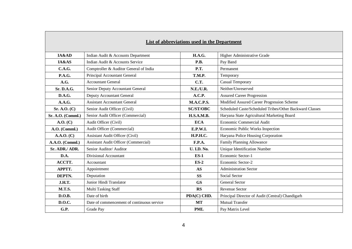|                   |                                             | List of abbreviations used in the Department |                                                         |
|-------------------|---------------------------------------------|----------------------------------------------|---------------------------------------------------------|
| IA&AD             | Indian Audit & Accounts Department          | <b>H.A.G.</b>                                | Higher Administrative Grade                             |
| IA&AS             | Indian Audit & Accounts Service             | <b>P.B.</b>                                  | Pay Band                                                |
| <b>C.A.G.</b>     | Comptroller & Auditor General of India      | <b>P.T.</b>                                  | Permanent                                               |
| <b>P.A.G.</b>     | Principal Accountant General                | <b>T.M.P.</b>                                | Temporary                                               |
| A.G.              | <b>Accountant General</b>                   | <b>C.T.</b>                                  | Casual Temporary                                        |
| Sr. D.A.G.        | Senior Deputy Accountant General            | <b>N.E./U.R.</b>                             | Neither/Unreserved                                      |
| D.A.G.            | Deputy Accountant General                   | A.C.P.                                       | <b>Assured Career Progression</b>                       |
| A.A.G.            | <b>Assistant Accountant General</b>         | <b>M.A.C.P.S.</b>                            | Modified Assured Career Progression Scheme              |
| Sr. A. O. (C)     | Senior Audit Officer (Civil)                | <b>SC/ST/OBC</b>                             | Scheduled Caste/Scheduled Tribes/Other Backward Classes |
| Sr. A.O. (Comml.) | Senior Audit Officer (Commercial)           | <b>H.S.A.M.B.</b>                            | Haryana State Agricultural Marketing Board              |
| A.O. (C)          | Audit Officer (Civil)                       | <b>ECA</b>                                   | Economic Commercial Audit                               |
| A.O. (Comml.)     | Audit Officer (Commercial)                  | E.P.W.I.                                     | Economic Public Works Inspection                        |
| A.A.O. (C)        | <b>Assistant Audit Officer (Civil)</b>      | <b>H.P.H.C.</b>                              | Haryana Police Housing Corporation                      |
| A.A.O. (Comml.)   | <b>Assistant Audit Officer (Commercial)</b> | F.P.A.                                       | Family Planning Allowance                               |
| Sr. ADR./ ADR.    | Senior Auditor/Auditor                      | <b>U. I.D. No.</b>                           | <b>Unique Identification Number</b>                     |
| D.A.              | Divisional Accountant                       | $ES-1$                                       | Economic Sector-1                                       |
| ACCTT.            | Accountant                                  | $ES-2$                                       | Economic Sector-2                                       |
| APPTT.            | Appointment                                 | <b>AS</b>                                    | <b>Administration Sector</b>                            |
| DEPTN.            | Deputation                                  | <b>SS</b>                                    | Social Sector                                           |
| <b>J.H.T.</b>     | Junior Hindi Translator                     | <b>GS</b>                                    | <b>General Sector</b>                                   |
| <b>M.T.S.</b>     | Multi Tasking Staff                         | <b>RS</b>                                    | <b>Revenue Sector</b>                                   |
| D.O.B.            | Date of birth                               | PDA(C) CHD.                                  | Principal Director of Audit (Central) Chandigarh        |
| <b>D.O.C.</b>     | Date of commencement of continuous service  | <b>MT</b>                                    | <b>Mutual Transfer</b>                                  |
| G.P.              | Grade Pay                                   | <b>PML</b>                                   | Pay Matrix Level                                        |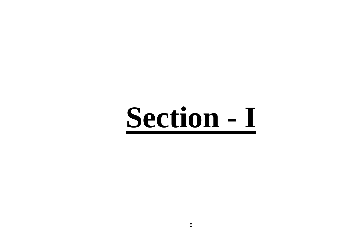# **Section - I**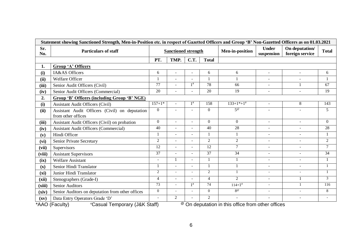|                          | Statement showing Sanctioned Strength, Men-in-Position etc. in respect of Gazetted Officers and Group 'B' Non-Gazetted Officers as on 01.03.2021 |                 |                            |                |                |                                                                                    |                            |                                   |                          |
|--------------------------|--------------------------------------------------------------------------------------------------------------------------------------------------|-----------------|----------------------------|----------------|----------------|------------------------------------------------------------------------------------|----------------------------|-----------------------------------|--------------------------|
| Sr.<br>No.               | <b>Particulars of staff</b>                                                                                                                      |                 | <b>Sanctioned strength</b> |                |                | Men-in-position                                                                    | <b>Under</b><br>suspension | On deputation/<br>foreign service | <b>Total</b>             |
|                          |                                                                                                                                                  | PT.             | TMP.                       | C.T.           | <b>Total</b>   |                                                                                    |                            |                                   |                          |
| 1.                       | Group 'A' Officers                                                                                                                               |                 |                            |                |                |                                                                                    |                            |                                   |                          |
| (i)                      | <b>IA&amp;AS</b> Officers                                                                                                                        | 6               |                            |                | 6              | 6                                                                                  | $\blacksquare$             | $\blacksquare$                    | 6                        |
| (ii)                     | <b>Welfare Officer</b>                                                                                                                           |                 |                            |                |                |                                                                                    | $\overline{\phantom{a}}$   |                                   | $\mathbf{1}$             |
| (iii)                    | Senior Audit Officers (Civil)                                                                                                                    | 77              | $\sim$                     | $1^{\#}$       | 78             | 66                                                                                 | $\blacksquare$             | $\mathbf{1}$                      | 67                       |
| (iv)                     | Senior Audit Officers (Commercial)                                                                                                               | 20              |                            |                | 20             | 19                                                                                 | $\blacksquare$             | $\blacksquare$                    | 19                       |
| 2.                       | <b>Group 'B' Officers (including Group 'B' NGE)</b>                                                                                              |                 |                            |                |                |                                                                                    |                            |                                   |                          |
| (i)                      | <b>Assistant Audit Officers (Civil)</b>                                                                                                          | $157 + 1*$      |                            | $1^{\#}$       | 158            | $133+1*+1*$                                                                        | $\blacksquare$             | 8                                 | 143                      |
| (ii)                     | Assistant Audit Officers (Civil) on deputation<br>from other offices                                                                             | $\mathbf{0}$    |                            |                | $\Omega$       | $5^\omega$                                                                         |                            |                                   | 5 <sup>5</sup>           |
| (iii)                    | Assistant Audit Officers (Civil) on probation                                                                                                    | $\mathbf{0}$    | $\sim$                     | $\sim$         | $\Omega$       | $\overline{0}$                                                                     | $\overline{\phantom{a}}$   | $\blacksquare$                    | $\Omega$                 |
| (iv)                     | <b>Assistant Audit Officers (Commercial)</b>                                                                                                     | 40              | $\overline{a}$             |                | 40             | $\overline{28}$                                                                    |                            |                                   | 28                       |
| (v)                      | Hindi Officer                                                                                                                                    |                 | $\omega$                   | $\sim$         | 1              | 1                                                                                  | $\blacksquare$             | $\blacksquare$                    | 1                        |
| (vi)                     | Senior Private Secretary                                                                                                                         | $\overline{2}$  | $\sim$                     | $\sim$         | $\overline{2}$ | $\overline{2}$                                                                     | $\overline{\phantom{a}}$   | $\blacksquare$                    | $\overline{2}$           |
| (vii)                    | Supervisors                                                                                                                                      | 12              | $\sim$                     | $\sim$         | 12             | $\tau$                                                                             | $\blacksquare$             |                                   | $\tau$                   |
| (viii)                   | <b>Assistant Supervisors</b>                                                                                                                     | 37              |                            |                | 37             | 34                                                                                 |                            | $\overline{\phantom{a}}$          | 34                       |
| (ix)                     | <b>Welfare Assistant</b>                                                                                                                         | L.              | 1                          | $\overline{a}$ | 1              | $\mathbf{1}$                                                                       | $\sim$                     | $\sim$                            | $\mathbf{1}$             |
| $(\mathbf{x})$           | Senior Hindi Translator                                                                                                                          |                 | $\omega$                   | $\sim$         | 1              |                                                                                    | $\overline{\phantom{a}}$   | $\blacksquare$                    | 1                        |
| (xi)                     | Junior Hindi Translator                                                                                                                          | 2               | $\overline{\phantom{a}}$   | $\blacksquare$ | 2              | $\mathbf{1}$                                                                       | $\overline{\phantom{a}}$   | $\overline{\phantom{a}}$          | $\mathbf{1}$             |
| (xii)                    | Stenographers (Grade-I)                                                                                                                          | $\overline{4}$  |                            |                | $\overline{4}$ | $\overline{2}$                                                                     | $\blacksquare$             | $\mathbf{1}$                      | 3                        |
| (xiii)                   | Senior Auditors                                                                                                                                  | $\overline{73}$ |                            | $1^{\#}$       | 74             | $114 + 1^{\#}$                                                                     | $\overline{\phantom{a}}$   | $\mathbf{1}$                      | 116                      |
| (xiv)                    | Senior Auditors on deputation from other offices                                                                                                 | $\mathbf{0}$    |                            |                | $\Omega$       | $8^\omega$                                                                         |                            |                                   | 8                        |
| $(\mathbf{x}\mathbf{v})$ | Data Entry Operators Grade 'D'                                                                                                                   | $\sim$          | $\overline{2}$             |                | 2              | $\sim$                                                                             | $\blacksquare$             | $\overline{\phantom{a}}$          | $\overline{\phantom{a}}$ |
|                          | *AAO (Faculty)<br><i>*</i> Casual Temporary (J&K Staff)                                                                                          |                 |                            |                |                | $\sqrt[\boxtimes]{\hspace{0.1cm}}$ On deputation in this office from other offices |                            |                                   |                          |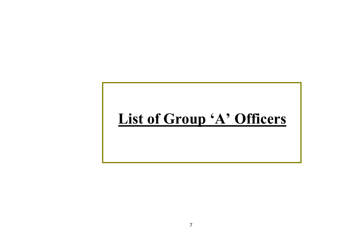# **List of Group 'A' Officers**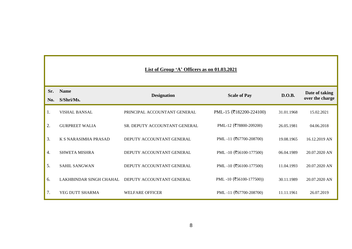|            |                             | List of Group 'A' Officers as on 01.03.2021 |                         |            |                                   |
|------------|-----------------------------|---------------------------------------------|-------------------------|------------|-----------------------------------|
| Sr.<br>No. | <b>Name</b><br>S/Shri/Ms.   | <b>Designation</b>                          | <b>Scale of Pay</b>     | D.O.B.     | Date of taking<br>over the charge |
|            |                             |                                             |                         |            |                                   |
| 1.         | <b>VISHAL BANSAL</b>        | PRINCIPAL ACCOUNTANT GENERAL                | PML-15 (₹182200-224100) | 31.01.1968 | 15.02.2021                        |
| 2.         | <b>GURPREET WALIA</b>       | SR. DEPUTY ACCOUNTANT GENERAL               | PML-12 (₹78800-209200)  | 26.05.1981 | 04.06.2018                        |
| 3.         | <b>K S NARASIMHA PRASAD</b> | DEPUTY ACCOUNTANT GENERAL                   | PML-11 (₹67700-208700)  | 19.08.1965 | 16.12.2019 AN                     |
| 4.         | SHWETA MISHRA               | DEPUTY ACCOUNTANT GENERAL                   | PML-10 (₹56100-177500)  | 06.04.1989 | 20.07.2020 AN                     |
| 5.         | <b>SAHIL SANGWAN</b>        | DEPUTY ACCOUNTANT GENERAL                   | PML-10 (₹56100-177500)  | 11.04.1993 | 20.07.2020 AN                     |
| 6.         | LAKHBINDAR SINGH CHAHAL     | DEPUTY ACCOUNTANT GENERAL                   | PML-10 (₹56100-177500)) | 30.11.1989 | 20.07.2020 AN                     |
| 7.         | YEG DUTT SHARMA             | <b>WELFARE OFFICER</b>                      | PML-11 (₹67700-208700)  | 11.11.1961 | 26.07.2019                        |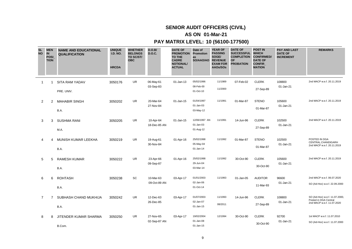# **AS ON 01-Mar-21**

| <b>SL</b><br><b>NO</b> | <b>MEN</b><br>IN<br><b>POSI</b><br><b>TION</b> | <b>NAME AND EDUCATIONAL</b><br><b>QUALIFICATION</b> | <b>UNIQUE</b><br><b>I.D. NO.</b><br><b>HRCDA</b> | <b>WHETHER</b><br><b>BELONGS</b><br>TO SC/ST/<br><b>OBC</b> | D.O.B/<br><b>D.O.C.</b>   | <b>DATE OF</b><br><b>PROMOTION Promotion</b><br><b>TO THE</b><br><b>CADRE</b><br><b>NOTIONAL/</b><br><b>ACTUAL</b> | Date of<br>as<br>SO/AAO/AO              | <b>YEAR OF</b><br><b>PASSING</b><br>SOGE/<br><b>REVENUE</b><br><b>EXAM FOR</b><br>AAOs/SOs | <b>DATE OF</b><br><b>SUCCESSFUL</b><br><b>COMPLETION</b><br><b>OF</b><br><b>PROBATION</b> | <b>POST IN</b><br><b>WHICH</b><br><b>CONFIRMED/</b><br><b>DATE OF</b><br><b>CONFIR</b><br><b>MATION</b> | <b>PAY AND LAST</b><br><b>DATE OF</b><br><b>INCREMENT</b> | <b>REMARKS</b>                                                                        |
|------------------------|------------------------------------------------|-----------------------------------------------------|--------------------------------------------------|-------------------------------------------------------------|---------------------------|--------------------------------------------------------------------------------------------------------------------|-----------------------------------------|--------------------------------------------------------------------------------------------|-------------------------------------------------------------------------------------------|---------------------------------------------------------------------------------------------------------|-----------------------------------------------------------|---------------------------------------------------------------------------------------|
| $\overline{1}$         | 1                                              | SITA RAM YADAV<br>PRE. UNIV.                        | 3050176                                          | UR                                                          | 06-May-61<br>03-Sep-83    | 01-Jan-13                                                                                                          | 05/02/1996<br>08-Feb-00<br>01-Oct-10    | 11/1989<br>11/2000                                                                         | 07-Feb-02                                                                                 | <b>CLERK</b><br>27-Sep-89                                                                               | 108800<br>01-Jan-21                                       | 2nd MACP w.e.f. 20.11.2019                                                            |
| 2                      | 2                                              | <b>MAHABIR SINGH</b><br>B.A.                        | 3050202                                          | UR                                                          | 20-Mar-64<br>27-Nov-84    | 01-Jan-15                                                                                                          | 01/04/1997<br>$01$ -Jan-03<br>03-May-12 | 11/1991                                                                                    | 01-Mar-87                                                                                 | <b>STENO</b><br>01-Mar-87                                                                               | 105600<br>01-Jan-21                                       | 2nd MACP w.e.f. 20.11.2019                                                            |
| 3                      | 3                                              | <b>SUSHMA RANI</b><br>M.A.                          | 3050205                                          | UR.                                                         | 10-Apr-64<br>18-Dec-85 AN | 01-Jan-15                                                                                                          | 12/06/1997 AN<br>01-Jan-03<br>01-Aug-12 | 11/1991                                                                                    | 14-Jun-96                                                                                 | <b>CLERK</b><br>27-Sep-89                                                                               | 102500<br>01-Jan-21                                       | 2nd MACP w.e.f. 20.11.2019                                                            |
| 4                      | 4                                              | MUNISH KUMAR LEEKHA<br>B.A.                         | 3050219                                          | UR                                                          | 19-Aug-61<br>30-Nov-84    | 01-Apr-16                                                                                                          | 25/02/1998<br>05-May-04<br>01-Jan-14    | 11/1992                                                                                    | 01-Mar-87                                                                                 | <b>STENO</b><br>01-Mar-87                                                                               | 102500<br>01-Jan-21                                       | POSTED IN DGA<br>CENTRAL, CHANDIGARH<br>2nd MACP w.e.f. 20.11.2019                    |
| 5                      | 5                                              | <b>RAMESH KUMAR</b><br>B.A.                         | 3050222                                          | UR                                                          | 23-Apr-66<br>09-Sep-87    | 01-Apr-16                                                                                                          | 25/02/1998<br>29-Jun-04<br>03-Mar-14    | 11/1992                                                                                    | 30-Oct-90                                                                                 | <b>CLERK</b><br>30-Oct-90                                                                               | 105600<br>01-Jan-21                                       | 2nd MACP w.e.f. 20.11.2019                                                            |
| 6                      | 6                                              | <b>ROHTASH</b><br>B.A.                              | 3050238                                          | SC                                                          | 10-Mar-63<br>09-Oct-89 AN | 03-Apr-17                                                                                                          | 01/01/2003<br>02-Jan-06<br>01-Oct-14    | 11/1993                                                                                    | 01-Jan-05                                                                                 | <b>AUDITOR</b><br>11-Mar-93                                                                             | 96600<br>01-Jan-21                                        | 2nd MACP w.e.f. 06.07.2020<br>SO (Ad-Hoc) w.e.f. 22.09.2000                           |
| $\overline{7}$         | 7                                              | SUBHASH CHAND MUKHIJA<br>B.A.                       | 3050242                                          | UR                                                          | 12-Dec-63<br>26-Dec-85    | 03-Apr-17                                                                                                          | 01/07/2003<br>02-Jan-07<br>01-Jan-15    | 11/1993<br>08/2011                                                                         | 14-Jun-96                                                                                 | <b>CLERK</b><br>27-Sep-89                                                                               | 108800<br>01-Jan-21                                       | SO (Ad-Hoc) w.e.f. 11.07.2000,<br>Posted in DGA Central<br>2nd MACP w.e.f. 11.07.2020 |
| 8                      | 8                                              | JITENDER KUMAR SHARMA<br>B.Com.                     | 3050250                                          | <b>UR</b>                                                   | 27-Nov-65<br>02-Sep-87 AN | 03-Apr-17                                                                                                          | 19/02/2004<br>01-Jan-08<br>01-Jan-15    | 12/1994                                                                                    | 30-Oct-90                                                                                 | <b>CLERK</b><br>30-Oct-90                                                                               | 92700<br>01-Jan-21                                        | 1st MACP w.e.f. 11.07.2010<br>SO (Ad-Hoc) w.e.f. 11.07.2000                           |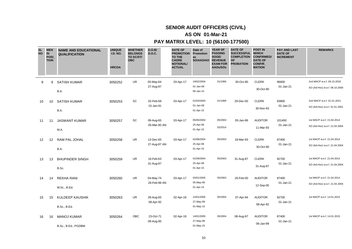# **AS ON 01-Mar-21**

| <b>SL</b><br><b>NO</b> | <b>MEN</b><br>IN<br><b>POSI</b><br><b>TION</b> | <b>NAME AND EDUCATIONAL</b><br><b>QUALIFICATION</b> | <b>UNIQUE</b><br><b>I.D. NO.</b><br><b>HRCDA</b> | <b>WHETHER</b><br><b>BELONGS</b><br>TO SC/ST/<br><b>OBC</b> | D.O.B/<br><b>D.O.C.</b>   | <b>DATE OF</b><br><b>PROMOTION</b><br>TO THE<br><b>CADRE</b><br><b>NOTIONAL/</b><br><b>ACTUAL</b> | Date of<br>Promotion<br>as<br>SO/AAO/AO | <b>YEAR OF</b><br><b>PASSING</b><br>SOGE/<br><b>REVENUE</b><br><b>EXAM FOR</b><br>AAOs/SOs | <b>DATE OF</b><br><b>SUCCESSFUL</b><br><b>COMPLETION</b><br><b>OF</b><br><b>PROBATION</b> | <b>POST IN</b><br><b>WHICH</b><br><b>CONFIRMED/</b><br><b>DATE OF</b><br><b>CONFIR</b><br><b>MATION</b> | <b>PAY AND LAST</b><br><b>DATE OF</b><br><b>INCREMENT</b> | <b>REMARKS</b>                                              |
|------------------------|------------------------------------------------|-----------------------------------------------------|--------------------------------------------------|-------------------------------------------------------------|---------------------------|---------------------------------------------------------------------------------------------------|-----------------------------------------|--------------------------------------------------------------------------------------------|-------------------------------------------------------------------------------------------|---------------------------------------------------------------------------------------------------------|-----------------------------------------------------------|-------------------------------------------------------------|
| 9                      | 9                                              | <b>SATISH KUMAR</b><br>B.A.                         | 3050252                                          | <b>UR</b>                                                   | 05-May-64<br>27-Aug-87    | 03-Apr-17                                                                                         | 19/02/2004<br>01-Jan-08<br>06-Jan-15    | 01/1996                                                                                    | 30-Oct-90                                                                                 | <b>CLERK</b><br>30-Oct-90                                                                               | 96600<br>01-Jan-21                                        | 2nd MACP w.e.f. 09.10.2020<br>SO (Ad-Hoc) w.e.f. 09.10.2000 |
| 10                     | 10                                             | <b>SATISH KUMAR</b><br>B.A.                         | 3050253                                          | SC                                                          | 02-Feb-69<br>15-Jan-91    | 03-Apr-17                                                                                         | 01/03/2004<br>01-Jan-08<br>01-Apr-15    | 01/1996                                                                                    | 29-Dec-00                                                                                 | <b>CLERK</b><br>30-Nov-93                                                                               | 93800<br>01-Jan-21                                        | 2nd MACP w.e.f. 01.01.2021<br>SO (Ad-Hoc) w.e.f. 01.01.2001 |
| 11                     | 11                                             | <b>JASWANT KUMAR</b><br>M.A.                        | 3050257                                          | SC                                                          | 09-Aug-65<br>05-Mar-90 AN | 03-Apr-17                                                                                         | 05/05/2004<br>25-Apr-08<br>01-Apr-15    | 05/2003<br>02/2014                                                                         | 05-Jan-96                                                                                 | <b>AUDITOR</b><br>11-Mar-93                                                                             | 101400<br>01-Jan-21                                       | 1st MACP w.e.f. 21.04.2014<br>SO (Ad-Hoc) w.e.f. 21.04.2004 |
| 12                     | 12                                             | RAM PAL JOHAL<br>B.A.                               | 3050258                                          | <b>UR</b>                                                   | 13-Dec-65<br>27-Aug-87 AN | 03-Apr-17                                                                                         | 02/08/2004<br>25-Apr-08<br>01-Apr-15    | 05/2003                                                                                    | 18-Mar-93                                                                                 | <b>CLERK</b><br>30-Oct-90                                                                               | 87400<br>01-Jan-21                                        | 1st MACP w.e.f. 21.04.2014<br>SO (Ad-Hoc) w.e.f. 21.04.2004 |
| 13                     | 13                                             | <b>BHUPINDER SINGH</b><br>B.Sc.                     | 3050259                                          | UR                                                          | 16-Feb-63<br>31-Aug-87    | 03-Apr-17                                                                                         | 01/09/2004<br>25-Apr-08<br>01-Apr-15    | 05/2003                                                                                    | 31-Aug-87                                                                                 | <b>CLERK</b><br>31-Aug-87                                                                               | 92700<br>01-Jan-21                                        | 1st MACP w.e.f. 21.04.2014<br>SO (Ad-Hoc) w.e.f. 21.04.2004 |
| 14                     | 14                                             | <b>REKHA RANI</b><br>M.Sc., B.Ed.                   | 3050260                                          | <b>UR</b>                                                   | 04-May-74<br>26-Feb-98 AN | 03-Apr-17                                                                                         | 03/01/2005<br>05-May-08<br>01-Apr-15    | 05/2003                                                                                    | 26-Feb-00                                                                                 | <b>AUDITOR</b><br>12-Sep-00                                                                             | 87400<br>01-Jan-21                                        | 1st MACP w.e.f. 21.04.2014<br>SO (Ad-Hoc) w.e.f. 21.04.2004 |
| 15                     | 15                                             | KULDEEP KAUSHIK<br><b>B.Sc., B.Ed.</b>              | 3050263                                          | <b>UR</b>                                                   | 28-Aug-65<br>08-Apr-92    | 02-Apr-18                                                                                         | 14/01/2005<br>27-May-08<br>01-May-15    | 05/2004                                                                                    | 07-Apr-94                                                                                 | <b>AUDITOR</b><br>08-Apr-92                                                                             | 92700<br>01-Jan-21                                        | 1st MACP w.e.f. 14.01.2015                                  |
| 16                     | 16                                             | <b>MANOJ KUMAR</b><br>B.Sc., B.Ed., PGDBM           | 3050264                                          | OBC                                                         | 23-Oct-71<br>09-Aug-95    | 02-Apr-18                                                                                         | 14/01/2005<br>27-May-08<br>01-May-15    | 05/2004                                                                                    | 08-Aug-97                                                                                 | <b>AUDITOR</b><br>06-Jan-99                                                                             | 87400<br>01-Jan-21                                        | 1st MACP w.e.f. 14.01.2015                                  |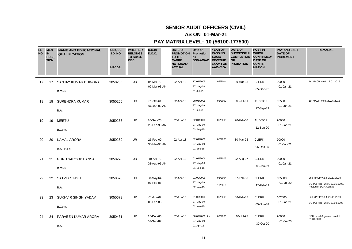# **AS ON 01-Mar-21**

| <b>SL</b><br><b>NO</b> | <b>MEN</b><br>IN<br><b>POSI</b><br><b>TION</b> | <b>NAME AND EDUCATIONAL</b><br><b>QUALIFICATION</b> | <b>UNIQUE</b><br><b>I.D. NO.</b><br><b>HRCDA</b> | <b>WHETHER</b><br><b>BELONGS</b><br>TO SC/ST/<br><b>OBC</b> | D.O.B/<br><b>D.O.C.</b>   | <b>DATE OF</b><br><b>PROMOTION</b><br>TO THE<br><b>CADRE</b><br><b>NOTIONAL/</b><br><b>ACTUAL</b> | Date of<br>Promotion<br>as<br>SO/AAO/AO | <b>YEAR OF</b><br><b>PASSING</b><br>SOGE/<br><b>REVENUE</b><br><b>EXAM FOR</b><br>AAOs/SOs | <b>DATE OF</b><br><b>SUCCESSFUL</b><br><b>COMPLETION</b><br><b>OF</b><br><b>PROBATION</b> | <b>POST IN</b><br><b>WHICH</b><br><b>CONFIRMED/</b><br><b>DATE OF</b><br><b>CONFIR</b><br><b>MATION</b> | <b>PAY AND LAST</b><br><b>DATE OF</b><br><b>INCREMENT</b> | <b>REMARKS</b>                                                                        |
|------------------------|------------------------------------------------|-----------------------------------------------------|--------------------------------------------------|-------------------------------------------------------------|---------------------------|---------------------------------------------------------------------------------------------------|-----------------------------------------|--------------------------------------------------------------------------------------------|-------------------------------------------------------------------------------------------|---------------------------------------------------------------------------------------------------------|-----------------------------------------------------------|---------------------------------------------------------------------------------------|
| 17                     | 17                                             | SANJAY KUMAR DHINGRA<br>B.Com.                      | 3050265                                          | <b>UR</b>                                                   | 04-Mar-72<br>09-Mar-93 AN | 02-Apr-18                                                                                         | 17/01/2005<br>27-May-08<br>01-Jul-15    | 05/2004                                                                                    | 09-Mar-95                                                                                 | <b>CLERK</b><br>05-Dec-95                                                                               | 90000<br>01-Jan-21                                        | 1st MACP w.e.f. 17.01.2015                                                            |
| 18                     | 18                                             | <b>SURENDRA KUMAR</b><br>B.A.                       | 3050266                                          | <b>UR</b>                                                   | 01-Oct-61<br>06-Jan-83 AN | 02-Apr-18                                                                                         | 20/06/2005<br>27-May-09<br>01-Jul-15    | 05/2003                                                                                    | 06-Jul-91                                                                                 | <b>AUDITOR</b><br>27-Sep-89                                                                             | 95500<br>01-Jan-21                                        | 1st MACP w.e.f. 20.06.2015                                                            |
| 19                     | 19                                             | <b>MEETU</b><br>B.Com.                              | 3050268                                          | <b>UR</b>                                                   | 26-Sep-75<br>20-Feb-98 AN | 02-Apr-18                                                                                         | 02/01/2006<br>27-May-09<br>03-Aug-15    | 05/2005                                                                                    | 20-Feb-00                                                                                 | <b>AUDITOR</b><br>12-Sep-00                                                                             | 90000<br>01-Jan-21                                        |                                                                                       |
| 20                     | 20                                             | <b>KAMAL ARORA</b><br>B.A., B.Ed.                   | 3050269                                          | <b>UR</b>                                                   | 25-Feb-69<br>30-Mar-93 AN | 02-Apr-18                                                                                         | 02/01/2006<br>27-May-09<br>01-Sep-15    | 05/2005                                                                                    | 30-Mar-95                                                                                 | <b>CLERK</b><br>05-Dec-95                                                                               | 90000<br>01-Jan-21                                        |                                                                                       |
| 21                     | 21                                             | <b>GURU SAROOP BANSAL</b><br>B.Com.                 | 3050270                                          | UR                                                          | 19-Apr-72<br>02-Aug-95 AN | 02-Apr-18                                                                                         | 02/01/2006<br>27-May-09<br>01-Sep-15    | 05/2005                                                                                    | 02-Aug-97                                                                                 | <b>CLERK</b><br>06-Jan-99                                                                               | 90000<br>01-Jan-21                                        |                                                                                       |
| 22                     | 22                                             | <b>SATVIR SINGH</b><br>B.A.                         | 3050678                                          | UR                                                          | 08-May-64<br>07-Feb-86    | 02-Apr-18                                                                                         | 01/09/2006<br>27-May-09<br>02-Nov-15    | 06/2004<br>11/2010                                                                         | 07-Feb-88                                                                                 | <b>CLERK</b><br>17-Feb-89                                                                               | 105600<br>01-Jul-20                                       | 2nd MACP w.e.f. 20.11.2019<br>SO (Ad-Hoc) w.e.f. 29.05.1998,<br>Posted in DGA Central |
| 23                     | 23                                             | SUKHVIR SINGH YADAV<br>B.Com.                       | 3050679                                          | UR                                                          | 01-Apr-62<br>06-Feb-86    | 02-Apr-18                                                                                         | 01/09/2006<br>27-May-09<br>02-Nov-15    | 05/2005                                                                                    | 06-Feb-88                                                                                 | <b>CLERK</b><br>05-Nov-88                                                                               | 102500<br>01-Jan-21                                       | 2nd MACP w.e.f. 20.11.2019<br>SO (Ad-Hoc) w.e.f. 27.04.1998                           |
| 24                     | 24                                             | PARVEEN KUMAR ARORA<br>B.A.                         | 3050431                                          | <b>UR</b>                                                   | 15-Dec-66<br>03-Sep-87    | 02-Apr-18                                                                                         | 08/09/2006 AN<br>27-May-09<br>01-Apr-16 | 03/2006                                                                                    | 04-Jul-97                                                                                 | <b>CLERK</b><br>30-Oct-90                                                                               | 90000<br>01-Jul-20                                        | NFU Level-9 granted on dtd<br>01.01.2016                                              |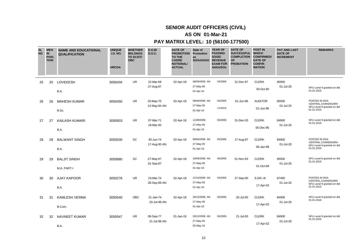# **AS ON 01-Mar-21**

| <b>SL</b><br><b>NO</b> | <b>MEN</b><br>$\overline{\mathbf{N}}$<br><b>POSI</b><br><b>TION</b> | <b>NAME AND EDUCATIONAL</b><br><b>QUALIFICATION</b> | <b>UNIQUE</b><br><b>I.D. NO.</b><br><b>HRCDA</b> | <b>WHETHER</b><br><b>BELONGS</b><br>TO SC/ST/<br><b>OBC</b> | D.O.B/<br><b>D.O.C.</b>   | <b>DATE OF</b><br><b>PROMOTION</b><br><b>TO THE</b><br><b>CADRE</b><br><b>NOTIONAL/</b><br><b>ACTUAL</b> | Date of<br><b>Promotion</b><br>as<br>SO/AAO/AO REVENUE | <b>YEAR OF</b><br><b>PASSING</b><br>SOGE/<br><b>EXAM FOR</b><br>AAOs/SOs | <b>DATE OF</b><br>SUCCESSFUL WHICH<br><b>COMPLETION CONFIRMED/</b><br><b>OF</b><br><b>PROBATION</b> | <b>POST IN</b><br><b>DATE OF</b><br><b>CONFIR</b><br><b>MATION</b> | <b>PAY AND LAST</b><br><b>DATE OF</b><br><b>INCREMENT</b> | <b>REMARKS</b>                                                                   |
|------------------------|---------------------------------------------------------------------|-----------------------------------------------------|--------------------------------------------------|-------------------------------------------------------------|---------------------------|----------------------------------------------------------------------------------------------------------|--------------------------------------------------------|--------------------------------------------------------------------------|-----------------------------------------------------------------------------------------------------|--------------------------------------------------------------------|-----------------------------------------------------------|----------------------------------------------------------------------------------|
| 25                     | 25                                                                  | <b>LOVEKESH</b><br>B.A.                             | 3050434                                          | <b>UR</b>                                                   | 22-Mar-68<br>27-Aug-87    | 02-Apr-18                                                                                                | 08/09/2006 AN<br>27-May-09<br>01-Apr-16                | 03/2006                                                                  | 31-Dec-97                                                                                           | <b>CLERK</b><br>30-Oct-90                                          | 90000<br>01-Jul-20                                        | NFU Level-9 granted on dtd<br>01.01.2016                                         |
| 26                     | 26                                                                  | <b>MAHESH KUMAR</b><br>B.Sc.                        | 3050450                                          | <b>UR</b>                                                   | 20-May-70<br>12-May-94 AN | 02-Apr-18                                                                                                | 08/09/2006 AN<br>27-May-09<br>01-Apr-16                | 03/2006<br>11/2010                                                       | 01-Jun-96                                                                                           | <b>AUDITOR</b><br>01-Jun-96                                        | 95500<br>01-Jul-20                                        | POSTED IN DGA<br>CENTRAL, CHANDIGARH<br>NFU Level-9 granted on dtd<br>01.01.2016 |
| 27                     | 27                                                                  | <b>KAILASH KUMARI</b><br>B.A.                       | 3050503                                          | UR.                                                         | 07-Mar-71<br>18-Mar-93    | 02-Apr-18                                                                                                | 11/09/2006<br>27-May-09<br>01-Apr-16                   | 03/2006                                                                  | 31-Dec-03                                                                                           | <b>CLERK</b><br>05-Dec-95                                          | 84900<br>01-Jul-20                                        | NFU Level-9 granted on dtd<br>01.01.2016                                         |
| 28                     | 28                                                                  | <b>BALWANT SINGH</b><br>B.A.                        | 3050530                                          | SC                                                          | 30-Jun-74<br>17-Aug-95 AN | 02-Apr-18                                                                                                | 08/09/2006 AN<br>27-May-09<br>01-Apr-16                | 03/2006                                                                  | 17-Aug-97                                                                                           | <b>CLERK</b><br>06-Jan-99                                          | 84900<br>01-Jul-20                                        | POSTED IN DGA<br>CENTRAL, CHANDIGARH<br>NFU Level-9 granted on dtd<br>01.01.2016 |
| 29                     | 29                                                                  | <b>BALJIT SINGH</b><br>M.A. PART-I                  | 3050680                                          | SC                                                          | 27-May-67<br>01-Sep-87    | 02-Apr-18                                                                                                | 29/09/2006 AN<br>27-May-09<br>01-Apr-16                | 05/2005                                                                  | 01-Nov-93                                                                                           | <b>CLERK</b><br>01-Oct-89                                          | 95500<br>01-Jul-20                                        | NFU Level-9 granted on dtd<br>01.01.2016                                         |
| 30                     | 30                                                                  | <b>AJAY KAPOOR</b><br>B.A.                          | 3050278                                          | UR.                                                         | 23-Mar-74<br>28-Sep-98 AN | 02-Apr-18                                                                                                | 12/10/2006 AN<br>27-May-09<br>01-Apr-16                | 03/2006                                                                  | 27-Sep-00                                                                                           | S.GR.-III<br>17-Apr-02                                             | 87400<br>01-Jul-20                                        | POSTED IN DGA<br>CENTRAL, CHANDIGARH<br>NFU Level-9 granted on dtd<br>01.01.2016 |
| 31                     | 31                                                                  | <b>KAMLESH VERMA</b><br>B.Com.                      | 3050540                                          | <b>OBC</b>                                                  | 21-Jan-74<br>20-Jul-98 AN | 02-Apr-18                                                                                                | 29/12/2006 AN<br>27-May-09<br>01-Apr-16                | 03/2006                                                                  | 20-Jul-00                                                                                           | <b>CLERK</b><br>17-Apr-02                                          | 84900<br>01-Jul-20                                        | NFU Level-9 granted on dtd<br>01.01.2016                                         |
| 32                     | 32                                                                  | <b>NAVNEET KUMAR</b><br>B.A.                        | 3050547                                          | <b>UR</b>                                                   | 08-Sep-77<br>21-Jul-98 AN | 01-Jan-19                                                                                                | 29/12/2006 AN<br>27-May-09<br>02-May-16                | 03/2006                                                                  | 21-Jul-00                                                                                           | <b>CLERK</b><br>17-Apr-02                                          | 84900<br>01-Jul-20                                        | NFU Level-9 granted on dtd<br>01.01.2016                                         |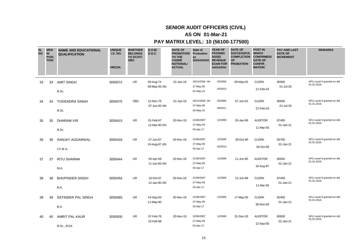# **AS ON 01-Mar-21**

| <b>SL</b><br><b>NO</b> | <b>MEN</b><br>$\overline{\mathbf{N}}$<br><b>POSI</b><br><b>TION</b> | <b>NAME AND EDUCATIONAL</b><br><b>QUALIFICATION</b> | <b>UNIQUE</b><br><b>I.D. NO.</b><br><b>HRCDA</b> | <b>WHETHER</b><br><b>BELONGS</b><br>TO SC/ST/<br><b>OBC</b> | D.O.B/<br><b>D.O.C.</b>   | <b>DATE OF</b><br><b>PROMOTION</b><br><b>TO THE</b><br><b>CADRE</b><br><b>NOTIONAL/</b><br><b>ACTUAL</b> | Date of<br><b>Promotion</b><br>as<br>SO/AAO/AO REVENUE | <b>YEAR OF</b><br><b>PASSING</b><br>SOGE/<br><b>EXAM FOR</b><br>AAOs/SOs | <b>DATE OF</b><br>SUCCESSFUL WHICH<br><b>COMPLETION CONFIRMED/</b><br><b>OF</b><br><b>PROBATION</b> | <b>POST IN</b><br><b>DATE OF</b><br><b>CONFIR</b><br><b>MATION</b> | <b>PAY AND LAST</b><br><b>DATE OF</b><br><b>INCREMENT</b> | <b>REMARKS</b>                           |
|------------------------|---------------------------------------------------------------------|-----------------------------------------------------|--------------------------------------------------|-------------------------------------------------------------|---------------------------|----------------------------------------------------------------------------------------------------------|--------------------------------------------------------|--------------------------------------------------------------------------|-----------------------------------------------------------------------------------------------------|--------------------------------------------------------------------|-----------------------------------------------------------|------------------------------------------|
| 33                     | 33                                                                  | <b>AMIT SINGH</b><br>B.Sc.                          | 3050572                                          | <b>UR</b>                                                   | 05-Aug-74<br>09-May-00 AN | 01-Jan-19                                                                                                | 29/12/2006 AN<br>27-May-09<br>02-May-16                | 03/2006<br>03/2015                                                       | 09-May-02                                                                                           | <b>CLERK</b><br>21-Feb-03                                          | 90000<br>01-Jul-20                                        | NFU Level-9 granted on dtd<br>01.01.2016 |
| 34                     | 34                                                                  | YOGENDRA SINGH<br>B.Sc.                             | 3050575                                          | <b>OBC</b>                                                  | 12-Nov-76<br>07-Jun-00 AN | 01-Jan-19                                                                                                | 29/12/2006 AN<br>27-May-09<br>02-May-16                | 03/2006<br>08/2011                                                       | 07-Jun-02                                                                                           | <b>CLERK</b><br>21-Feb-03                                          | 90000<br>01-Jul-20                                        | NFU Level-9 granted on dtd<br>01.01.2016 |
| 35                     | 35                                                                  | DHARAM VIR<br>B.Sc.                                 | 3050415                                          | <b>UR</b>                                                   | 01-Feb-67<br>12-Mar-90 AN | 20-Nov-19                                                                                                | 21/06/2007<br>27-May-09<br>03-Apr-17                   | 12/2006                                                                  | 03-Jan-96                                                                                           | <b>AUDITOR</b><br>11-Mar-93                                        | 87400<br>01-Jan-21                                        | NFU Level-9 granted on dtd<br>01.01.2016 |
| 36                     | 36                                                                  | SANJAY AGGARWAL<br>I.C.W.A.                         | 3050433                                          | <b>UR</b>                                                   | 27-Jun-67<br>24-Aug-87 AN | 20-Nov-19                                                                                                | 21/06/2007<br>27-May-09<br>03-Apr-17                   | 12/2006<br>02/2014                                                       | 30-Oct-90                                                                                           | <b>CLERK</b><br>30-Oct-90                                          | 92700<br>01-Jan-21                                        | NFU Level-9 granted on dtd<br>01.01.2016 |
| 37                     | 37                                                                  | <b>RITU SHARMA</b><br>M.A.                          | 3050444                                          | <b>UR</b>                                                   | 05-Apr-69<br>11-Jun-93 AN | 20-Nov-19                                                                                                | 21/06/2007<br>27-May-09<br>03-Apr-17                   | 12/2006                                                                  | 11-Jun-95                                                                                           | <b>AUDITOR</b><br>18-Aug-97                                        | 90000<br>01-Jan-21                                        | NFU Level-9 granted on dtd<br>01.01.2016 |
| 38                     | 38                                                                  | <b>BHUPINDER SINGH</b><br>B.A.                      | 3050454                                          | UR                                                          | 10-Oct-67<br>12-Jan-90 AN | 20-Nov-19                                                                                                | 21/06/2007<br>27-May-09<br>03-Apr-17                   | 12/2006                                                                  | 12-Jun-99                                                                                           | <b>CLERK</b><br>11-Mar-93                                          | 87400<br>01-Jan-21                                        | NFU Level-9 granted on dtd<br>01.01.2016 |
| 39                     | 39                                                                  | SATINDER PAL SINGH<br>B.A.                          | 3050465                                          | <b>UR</b>                                                   | 14-Sep-64<br>11-May-90    | 20-Nov-19                                                                                                | 21/06/2007<br>27-May-09<br>03-Apr-17                   | 12/2006                                                                  | 17-May-00                                                                                           | <b>CLERK</b><br>30-Nov-93                                          | 82400<br>01-Jan-21                                        | NFU Level-9 granted on dtd<br>01.01.2016 |
| 40                     | 40                                                                  | <b>AMRIT PAL KAUR</b><br><b>B.Sc., B.Ed.</b>        | 3050500                                          | <b>UR</b>                                                   | 07-Feb-76<br>10-Feb-98    | 20-Nov-19                                                                                                | 22/06/2007<br>27-May-09<br>03-Apr-17                   | 12/2006                                                                  | 31-Dec-03                                                                                           | <b>AUDITOR</b><br>12-Sep-00                                        | 80000<br>01-Jan-21                                        | NFU Level-9 granted on dtd<br>01.01.2016 |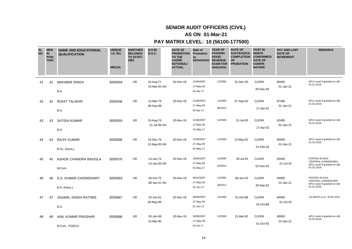# **AS ON 01-Mar-21**

| <b>SL</b><br><b>NO</b> | <b>MEN</b><br>$\overline{\mathbf{N}}$<br><b>POSI</b><br><b>TION</b> | <b>NAME AND EDUCATIONAL</b><br><b>QUALIFICATION</b> | <b>UNIQUE</b><br><b>I.D. NO.</b><br><b>HRCDA</b> | <b>WHETHER</b><br><b>BELONGS</b><br>TO SC/ST/<br><b>OBC</b> | D.O.B/<br><b>D.O.C.</b>   | <b>DATE OF</b><br><b>PROMOTION</b><br><b>TO THE</b><br><b>CADRE</b><br><b>NOTIONAL/</b><br><b>ACTUAL</b> | Date of<br><b>Promotion</b><br>as<br>SO/AAO/AO REVENUE | <b>YEAR OF</b><br><b>PASSING</b><br>SOGE/<br><b>EXAM FOR</b><br>AAOs/SOs | <b>DATE OF</b><br>SUCCESSFUL WHICH<br><b>COMPLETION CONFIRMED/</b><br><b>OF</b><br><b>PROBATION</b> | <b>POST IN</b><br><b>DATE OF</b><br><b>CONFIR</b><br><b>MATION</b> | <b>PAY AND LAST</b><br><b>DATE OF</b><br><b>INCREMENT</b> | <b>REMARKS</b>                                                                   |
|------------------------|---------------------------------------------------------------------|-----------------------------------------------------|--------------------------------------------------|-------------------------------------------------------------|---------------------------|----------------------------------------------------------------------------------------------------------|--------------------------------------------------------|--------------------------------------------------------------------------|-----------------------------------------------------------------------------------------------------|--------------------------------------------------------------------|-----------------------------------------------------------|----------------------------------------------------------------------------------|
| 41                     | 41                                                                  | <b>MAHABIR SINGH</b><br>B.A.                        | 3050504                                          | <b>UR</b>                                                   | 10-Aug-71<br>15-Mar-93 AN | 20-Nov-19                                                                                                | 21/06/2007<br>27-May-09<br>03-Apr-17                   | 12/2006                                                                  | 31-Dec-03                                                                                           | <b>CLERK</b><br>05-Dec-95                                          | 80000<br>01-Jan-21                                        | NFU Level-9 granted on dtd<br>01.01.2016                                         |
| 42                     | 42                                                                  | <b>ROHIT TALWAR</b><br>B.A.                         | 3050546                                          | UR.                                                         | 12-Mar-75<br>08-Sep-98    | 20-Nov-19                                                                                                | 21/06/2007<br>27-May-09<br>03-Apr-17                   | 12/2006<br>08/2013                                                       | 07-Sep-00                                                                                           | <b>CLERK</b><br>17-Apr-02                                          | 87400<br>01-Jan-21                                        | NFU Level-9 granted on dtd<br>01.01.2016                                         |
| 43                     | 43                                                                  | <b>SATISH KUMAR</b><br>B.A.                         | 3050555                                          | <b>UR</b>                                                   | 10-Aug-76<br>21-Jul-98 AN | 20-Nov-19                                                                                                | 21/06/2007<br>27-May-09<br>01-May-17                   | 12/2006                                                                  | 21-Jul-00                                                                                           | <b>CLERK</b><br>17-Apr-02                                          | 82400<br>01-Jan-21                                        | NFU Level-9 granted on dtd<br>01.01.2016                                         |
| 44                     | 44                                                                  | <b>RAJIV KUMAR</b><br>B.Sc. (Hons.)                 | 3050566                                          | <b>UR</b>                                                   | 15-Dec-76<br>12-May-00 AN | 20-Nov-19                                                                                                | 21/06/2007<br>27-May-09<br>01-May-17                   | 12/2006                                                                  | 12-May-02                                                                                           | <b>CLERK</b><br>21-Feb-03                                          | 80000<br>01-Jan-21                                        | NFU Level-9 granted on dtd<br>01.01.2016                                         |
| 45                     | 45                                                                  | ASHOK CHANDRA BINJOLA<br>M.Com.                     | 3050576                                          | <b>UR</b>                                                   | 13-Jan-74<br>13-Jun-00 AN | 20-Nov-19                                                                                                | 25/06/2007<br>27-May-09<br>01-May-17                   | 12/2006<br>02/2014                                                       | 29-Jul-04                                                                                           | <b>CLERK</b><br>02-Nov-04                                          | 82400<br>01-Jul-20                                        | POSTED IN DGA<br>CENTRAL, CHANDIGARH<br>NFU Level-9 granted on dtd<br>01.01.2016 |
| 46                     | 46                                                                  | S.S. KUMAR CHOWDHARY<br>B.A. (Hons.)                | 3050583                                          | UR                                                          | 05-Oct-75<br>08-Jan-01 AN | 20-Nov-19                                                                                                | 08/10/2007<br>27-May-09<br>01-Jun-17                   | 12/2006<br>09/2012                                                       | 08-Jan-03                                                                                           | <b>CLERK</b><br>29-Sep-03                                          | 84900<br>01-Jan-21                                        | POSTED IN DGA<br>CENTRAL, CHANDIGARH<br>NFU Level-9 granted on dtd<br>01.01.2016 |
| 47                     | 47                                                                  | JAGMAL SINGH RATHEE<br>B.A.                         | 3050687                                          | <b>UR</b>                                                   | 20-Jun-61<br>30-May-86    | 20-Nov-19                                                                                                | 28/09/2007<br>27-May-09<br>01-Jun-17                   | 12/2006                                                                  | 01-Oct-88                                                                                           | <b>CLERK</b><br>01-Oct-88                                          | 84900<br>01-Jul-20                                        | 1st MACP w.e.f. 30.05.2011                                                       |
| 48                     | 48                                                                  | ANIL KUMAR PRASHAR<br>B.Com., PGDCA                 | 3050688                                          | <b>UR</b>                                                   | 20-Jan-68<br>22-Mar-90    | 20-Nov-19                                                                                                | 28/09/2007<br>27-May-09<br>03-Jul-17                   | 12/2006                                                                  | 21-Mar-92                                                                                           | <b>CLERK</b><br>01-Oct-92                                          | 80000<br>01-Jan-21                                        | NFU Level-9 granted on dtd<br>01.01.2016                                         |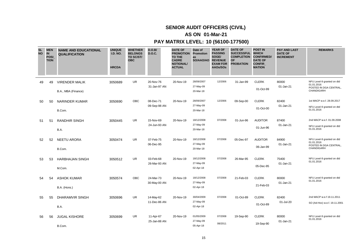# **AS ON 01-Mar-21**

| <b>SL</b><br><b>NO</b> | <b>IN</b> | <b>MEN</b><br><b>POSI</b><br><b>TION</b> | <b>NAME AND EDUCATIONAL</b><br><b>QUALIFICATION</b> | <b>UNIQUE</b><br><b>I.D. NO.</b><br><b>HRCDA</b> | <b>WHETHER</b><br><b>BELONGS</b><br>TO SC/ST/<br><b>OBC</b> | D.O.B/<br><b>D.O.C.</b>   | <b>DATE OF</b><br><b>PROMOTION</b><br><b>TO THE</b><br><b>CADRE</b><br><b>NOTIONAL/</b><br><b>ACTUAL</b> | Date of<br>Promotion<br>as<br>SO/AAO/AO REVENUE | <b>YEAR OF</b><br><b>PASSING</b><br>SOGE/<br><b>EXAM FOR</b><br>AAOs/SOs | <b>DATE OF</b><br>SUCCESSFUL WHICH<br><b>COMPLETION</b><br><b>OF</b><br><b>PROBATION</b> | <b>POST IN</b><br><b>CONFIRMED/</b><br><b>DATE OF</b><br><b>CONFIR</b><br><b>MATION</b> | <b>PAY AND LAST</b><br><b>DATE OF</b><br><b>INCREMENT</b> | <b>REMARKS</b>                                                                   |
|------------------------|-----------|------------------------------------------|-----------------------------------------------------|--------------------------------------------------|-------------------------------------------------------------|---------------------------|----------------------------------------------------------------------------------------------------------|-------------------------------------------------|--------------------------------------------------------------------------|------------------------------------------------------------------------------------------|-----------------------------------------------------------------------------------------|-----------------------------------------------------------|----------------------------------------------------------------------------------|
|                        | 49        | 49                                       | <b>VIRENDER MALIK</b><br>B.A., MBA (Finance)        | 3050689                                          | <b>UR</b>                                                   | 20-Nov-76<br>31-Jan-97 AN | 20-Nov-19                                                                                                | 28/09/2007<br>27-May-09<br>20-Mar-18            | 12/2006                                                                  | 31-Jan-99                                                                                | <b>CLERK</b><br>01-Oct-99                                                               | 80000<br>01-Jan-21                                        | NFU Level-9 granted on dtd<br>01.01.2016<br>POSTED IN DGA CENTRAL,<br>CHANDIGARH |
|                        | 50        | 50                                       | NARINDER KUMAR<br>B.Com.                            | 3050690                                          | OBC                                                         | 08-Dec-71<br>09-Sep-98 AN | 20-Nov-19                                                                                                | 28/09/2007<br>27-May-09<br>20-Mar-18            | 12/2006                                                                  | 09-Sep-00                                                                                | <b>CLERK</b><br>01-Oct-00                                                               | 82400<br>01-Jan-21                                        | 1st MACP w.e.f. 28.09.2017<br>NFU Level-9 granted on dtd<br>01.01.2016           |
|                        | 51        | 51                                       | <b>RANDHIR SINGH</b><br>B.A.                        | 3050445                                          | <b>UR</b>                                                   | 15-Nov-69<br>24-Jun-93 AN | 20-Nov-19                                                                                                | 18/12/2008<br>27-May-09<br>20-Mar-18            | 07/2008                                                                  | 01-Jun-96                                                                                | <b>AUDITOR</b><br>01-Jun-96                                                             | 87400<br>01-Jan-21                                        | 2nd MACP w.e.f. 01.09.2008<br>NFU Level-9 granted on dtd<br>01.01.2016           |
|                        | 52        | 52                                       | <b>NEETU ARORA</b><br>B.Com.                        | 3050474                                          | UR                                                          | 07-Feb-75<br>06-Dec-95    | 20-Nov-19                                                                                                | 18/12/2008<br>27-May-09<br>20-Mar-18            | 07/2008                                                                  | 05-Dec-97                                                                                | <b>AUDITOR</b><br>06-Jan-99                                                             | 84900<br>01-Jan-21                                        | NFU Level-9 granted on dtd<br>01.01.2016<br>POSTED IN DGA CENTRAL,<br>CHANDIGARH |
|                        | 53        | 53                                       | <b>HARBHAJAN SINGH</b><br>M.Com.                    | 3050512                                          | <b>UR</b>                                                   | 03-Feb-68<br>26-Mar-93 AN | 20-Nov-19                                                                                                | 18/12/2008<br>27-May-09<br>02-Apr-18            | 07/2008                                                                  | 26-Mar-95                                                                                | <b>CLERK</b><br>05-Dec-95                                                               | 75400<br>01-Jan-21                                        | NFU Level-9 granted on dtd<br>01.01.2016                                         |
|                        | 54        | 54                                       | <b>ASHOK KUMAR</b><br>B.A. (Hons.)                  | 3050574                                          | <b>OBC</b>                                                  | 24-Mar-73<br>30-May-00 AN | 20-Nov-19                                                                                                | 18/12/2008<br>27-May-09<br>02-Apr-18            | 07/2008                                                                  | 21-Feb-03                                                                                | <b>CLERK</b><br>21-Feb-03                                                               | 80000<br>01-Jan-21                                        | NFU Level-9 granted on dtd<br>01.01.2016                                         |
|                        | 55        | 55                                       | <b>DHARAMVIR SINGH</b><br>B.A.                      | 3050696                                          | UR                                                          | 14-May-62<br>11-Dec-86 AN | 20-Nov-19                                                                                                | 30/04/2009<br>27-May-09<br>02-Apr-18            | 07/2008                                                                  | 01-Oct-89                                                                                | <b>CLERK</b><br>01-Oct-89                                                               | 82400<br>01-Jul-20                                        | 2nd MACP w.e.f 19.11.2011<br>SO (Ad-Hoc) w.e.f. 19.11.2001                       |
|                        | 56        | 56                                       | <b>JUGAL KISHORE</b><br>B.Com.                      | 3050699                                          | UR                                                          | 11-Apr-67<br>25-Jan-88 AN | 20-Nov-19                                                                                                | 01/05/2009<br>27-May-09<br>05-Apr-18            | 07/2008<br>08/2011                                                       | 19-Sep-90                                                                                | <b>CLERK</b><br>19-Sep-90                                                               | 80000<br>01-Jan-21                                        | NFU Level-9 granted on dtd<br>01.01.2016                                         |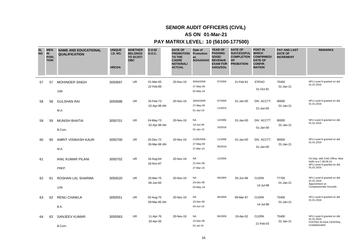# **AS ON 01-Mar-21**

| <b>SL</b><br><b>NO</b> | <b>MEN</b><br><b>IN</b><br><b>POSI</b><br><b>TION</b> | <b>NAME AND EDUCATIONAL</b><br><b>QUALIFICATION</b> | <b>UNIQUE</b><br><b>I.D. NO.</b><br><b>HRCDA</b> | <b>WHETHER</b><br><b>BELONGS</b><br>TO SC/ST/<br><b>OBC</b> | D.O.B/<br><b>D.O.C.</b>   | <b>DATE OF</b><br><b>PROMOTION</b><br>TO THE<br><b>CADRE</b><br><b>NOTIONAL/</b><br><b>ACTUAL</b> | Date of<br>Promotion<br>as<br>SO/AAO/AO REVENUE | <b>YEAR OF</b><br><b>PASSING</b><br>SOGE/<br><b>EXAM FOR</b><br>AAOs/SOs | <b>DATE OF</b><br>SUCCESSFUL WHICH<br><b>COMPLETION</b><br><b>OF</b><br><b>PROBATION</b> | <b>POST IN</b><br><b>CONFIRMED/</b><br><b>DATE OF</b><br><b>CONFIR</b><br><b>MATION</b> | <b>PAY AND LAST</b><br><b>DATE OF</b><br><b>INCREMENT</b> | <b>REMARKS</b>                                                                                    |
|------------------------|-------------------------------------------------------|-----------------------------------------------------|--------------------------------------------------|-------------------------------------------------------------|---------------------------|---------------------------------------------------------------------------------------------------|-------------------------------------------------|--------------------------------------------------------------------------|------------------------------------------------------------------------------------------|-----------------------------------------------------------------------------------------|-----------------------------------------------------------|---------------------------------------------------------------------------------------------------|
| 57                     | 57                                                    | <b>MOHINDER SINGH</b><br>10th                       | 3050697                                          | <b>UR</b>                                                   | 01-Mar-65<br>22-Feb-89    | 20-Nov-19                                                                                         | 30/04/2009<br>27-May-09<br>02-May-18            | 07/2008                                                                  | 21-Feb-91                                                                                | <b>STENO</b><br>01-Oct-91                                                               | 75400<br>$01$ -Jan-21                                     | NFU Level-9 granted on dtd<br>01.01.2016                                                          |
| 58                     | 58                                                    | <b>GULSHAN RAI</b><br>M.A.                          | 3050698                                          | <b>UR</b>                                                   | 25-Feb-73<br>02-Apr-98 AN | 20-Nov-19                                                                                         | 30/04/2009<br>27-May-09<br>$01$ -Jan-19         | 07/2008<br>11/2019                                                       | 01-Jan-00                                                                                | DIV. ACCTT.<br>01-Jan-00                                                                | 90000<br>01-Jan-21                                        | NFU Level-9 granted on dtd<br>01.01.2016                                                          |
| 59                     | 59                                                    | <b>MUNISH BHATIA</b><br>B.Com.                      | 3050701                                          | <b>UR</b>                                                   | 24-May-73<br>02-Apr-98 AN | 20-Nov-19                                                                                         | <b>NA</b><br>10-Jun-09<br>01-Jan-19             | 12/2006<br>10/2018                                                       | 01-Jan-00                                                                                | DIV. ACCTT.<br>$01$ -Jan- $00$                                                          | 90000<br>01-Jan-21                                        | NFU Level-9 granted on dtd<br>01.01.2016                                                          |
| 60                     | 60                                                    | AMRIT VISWASH KAUR<br>M.A.                          | 3050700                                          | <b>UR</b>                                                   | 20-Dec-72<br>30-Mar-98 AN | 20-Nov-19                                                                                         | 21/05/2009<br>27-May-09<br>27-Mar-19            | 11/2008<br>05/2018                                                       | 01-Jan-00                                                                                | DIV. ACCTT.<br>$01$ -Jan- $00$                                                          | 90000<br>01-Jan-21                                        | NFU Level-9 granted on dtd<br>01.01.2016                                                          |
| 61                     |                                                       | ANIL KUMAR PILANI<br>PREP.                          | 3050702                                          | <b>UR</b>                                                   | 16-Aug-64<br>18-Nov-87    | 20-Nov-19                                                                                         | <b>NA</b><br>21-Dec-09<br>27-Mar-19             | 12/2006                                                                  |                                                                                          |                                                                                         |                                                           | On Dep. with CAG Office, New<br>Delhi w.e.f. 06.09.10<br>NFU Level-9 granted on dtd<br>01.01.2016 |
| 62                     | 61                                                    | ROSHAN LAL SHARMA<br>12th                           | 3050520                                          | <b>UR</b>                                                   | 20-Mar-75<br>06-Jun-94    | 20-Nov-19                                                                                         | <b>NA</b><br>23-Dec-09<br>03-May-19             | 06/2009                                                                  | 05-Jun-96                                                                                | <b>CLERK</b><br>14-Jul-98                                                               | 77700<br>01-Jan-21                                        | NFU Level-9 granted on dtd<br>01.01.2016<br>Appointment on<br>Compassionate Grounds               |
| 63                     | 62                                                    | <b>RENU CHAWLA</b><br>B.A.                          | 3050551                                          | <b>UR</b>                                                   | 02-Aug-75<br>09-Mar-95 AN | 20-Nov-19                                                                                         | <b>NA</b><br>23-Dec-09<br>03-Jun-19             | 06/2009                                                                  | 09-Mar-97                                                                                | <b>CLERK</b><br>14-Jul-98                                                               | 75400<br>01-Jan-21                                        | NFU Level-9 granted on dtd<br>01.01.2016                                                          |
| 64                     | 63                                                    | SANJEEV KUMAR<br>B.Com.                             | 3050563                                          | UR                                                          | 11-Apr-76<br>20-Apr-00    | 20-Nov-19                                                                                         | <b>NA</b><br>23-Dec-09<br>01-Jul-19             | 06/2009                                                                  | 19-Apr-02                                                                                | <b>CLERK</b><br>21-Feb-03                                                               | 75400<br>01-Jan-21                                        | NFU Level-9 granted on dtd<br>01.01.2016<br>POSTED IN DGA CENTRAL,<br>CHANDIGARH                  |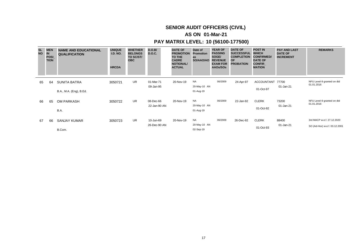# **AS ON 01-Mar-21**

| <b>SL</b><br><b>NO</b> | <b>MEN</b><br><b>IN</b><br><b>POSI</b><br><b>TION</b> | <b>NAME AND EDUCATIONAL</b><br><b>QUALIFICATION</b> | <b>UNIQUE</b><br><b>I.D. NO.</b><br><b>HRCDA</b> | <b>WHETHER</b><br><b>BELONGS</b><br>TO SC/ST/<br><b>OBC</b> | D.O.B/<br>D.O.C.          | <b>DATE OF</b><br><b>PROMOTION</b><br>TO THE<br><b>CADRE</b><br><b>NOTIONAL/</b><br><b>ACTUAL</b> | Date of<br><b>Promotion</b><br>as<br>SO/AAO/AO | <b>YEAR OF</b><br><b>PASSING</b><br>SOGE/<br><b>REVENUE</b><br><b>EXAM FOR</b><br>AAOs/SOs | <b>DATE OF</b><br><b>SUCCESSFUL</b><br><b>COMPLETION</b><br><b>OF</b><br><b>PROBATION</b> | <b>POST IN</b><br><b>WHICH</b><br><b>CONFIRMED/</b><br><b>DATE OF</b><br><b>CONFIR</b><br><b>MATION</b> | <b>PAY AND LAST</b><br><b>DATE OF</b><br><b>INCREMENT</b> | <b>REMARKS</b>                                              |
|------------------------|-------------------------------------------------------|-----------------------------------------------------|--------------------------------------------------|-------------------------------------------------------------|---------------------------|---------------------------------------------------------------------------------------------------|------------------------------------------------|--------------------------------------------------------------------------------------------|-------------------------------------------------------------------------------------------|---------------------------------------------------------------------------------------------------------|-----------------------------------------------------------|-------------------------------------------------------------|
| 65                     | 64                                                    | <b>SUNITA BATRA</b><br>B.A., M.A. (Eng), B.Ed.      | 3050721                                          | UR.                                                         | 01-Mar-71<br>09-Jan-95    | 20-Nov-19                                                                                         | NA<br>20-May-10 AN<br>01-Aug-19                | 06/2009                                                                                    | 24-Apr-97                                                                                 | <b>ACCOUNTANT</b><br>01-Oct-97                                                                          | 77700<br>01-Jan-21                                        | NFU Level-9 granted on dtd<br>01.01.2016                    |
| 66                     | 65                                                    | <b>OM PARKASH</b><br>B.A.                           | 3050722                                          | <b>UR</b>                                                   | 08-Dec-66<br>22-Jan-90 AN | 20-Nov-19                                                                                         | NA<br>20-May-10 AN<br>01-Aug-19                | 06/2009                                                                                    | 22-Jan-92                                                                                 | <b>CLERK</b><br>01-Oct-92                                                                               | 73200<br>01-Jan-21                                        | NFU Level-9 granted on dtd<br>01.01.2016                    |
| 67                     | 66                                                    | <b>SANJAY KUMAR</b><br>B.Com.                       | 3050723                                          | UR.                                                         | 10-Jun-69<br>26-Dec-90 AN | 20-Nov-19                                                                                         | <b>NA</b><br>20-May-10 AN<br>02-Sep-19         | 06/2009                                                                                    | 26-Dec-92                                                                                 | <b>CLERK</b><br>01-Oct-93                                                                               | 88400<br>01-Jan-21                                        | 3rd MACP w.e.f. 27.12.2020<br>SO (Ad-Hoc) w.e.f. 03.12.2001 |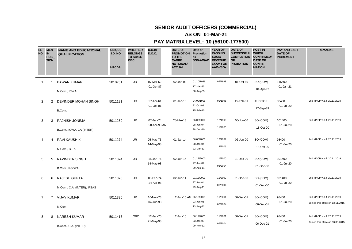# **SENIOR AUDIT OFFICERS (COMMERCIAL)**

# **AS ON 01-Mar-21**

| <b>SL</b><br><b>NO</b> | <b>MEN</b><br><b>IN</b><br>POSI_<br><b>TION</b> |                | <b>NAME AND EDUCATIONAL</b><br><b>QUALIFICATION</b> | <b>UNIQUE</b><br><b>I.D. NO.</b><br><b>HRCDA</b> | <b>WHETHER</b><br><b>BELONGS</b><br>TO SC/ST/<br><b>OBC</b> | D.O.B/<br><b>D.O.C.</b>   | <b>DATE OF</b><br><b>PROMOTION Promotion</b><br><b>TO THE</b><br><b>CADRE</b><br><b>NOTIONAL/</b><br><b>ACTUAL</b> | Date of<br>as<br>SO/AAO/AO           | <b>YEAR OF</b><br><b>PASSING</b><br>SOGE/<br><b>REVENUE</b><br><b>EXAM FOR</b><br>AAOs/SOs | <b>DATE OF</b><br><b>SUCCESSFUL</b><br><b>COMPLETION</b><br><b>OF</b><br><b>PROBATION</b> | <b>POST IN</b><br><b>WHICH</b><br><b>CONFIRMED/</b><br><b>DATE OF</b><br><b>CONFIR</b><br><b>MATION</b> | <b>PAY AND LAST</b><br><b>DATE OF</b><br><b>INCREMENT</b> | <b>REMARKS</b>                                                 |
|------------------------|-------------------------------------------------|----------------|-----------------------------------------------------|--------------------------------------------------|-------------------------------------------------------------|---------------------------|--------------------------------------------------------------------------------------------------------------------|--------------------------------------|--------------------------------------------------------------------------------------------|-------------------------------------------------------------------------------------------|---------------------------------------------------------------------------------------------------------|-----------------------------------------------------------|----------------------------------------------------------------|
| $\overline{1}$         |                                                 |                | PAWAN KUMAR<br>M.Com., ICWA                         | 5010751                                          | UR.                                                         | 07-Mar-62<br>01-Oct-87    | 02-Jan-08                                                                                                          | 01/10/1989<br>17-Mar-93<br>30-Aug-05 | 05/1988                                                                                    | 01-Oct-89                                                                                 | SO (COM)<br>01-Apr-92                                                                                   | 115500<br>01-Jan-21                                       |                                                                |
|                        | 2                                               | 2              | DEVINDER MOHAN SINGH<br>B.Com.                      | 5011121                                          | <b>UR</b>                                                   | 27-Apr-61<br>01-Oct-81    | 01-Jan-13                                                                                                          | 24/09/1996<br>22-Oct-99<br>15-Feb-10 | 01/1996                                                                                    | 15-Feb-91                                                                                 | <b>AUDITOR</b><br>27-Sep-89                                                                             | 98400<br>01-Jul-20                                        | 2nd MACP w.e.f. 20.11.2019                                     |
| 3                      |                                                 | 3              | RAJNISH JONEJA<br>B.Com., ICWA, CA (INTER)          | 5011259                                          | <b>UR</b>                                                   | 07-Jan-74<br>20-Apr-98 AN | 28-Mar-13                                                                                                          | 06/06/2000<br>28-Jan-04<br>28-Dec-10 | 12/1999<br>11/2000                                                                         | 06-Jun-00                                                                                 | SO (COM)<br>18-Oct-00                                                                                   | 101400<br>01-Jul-20                                       | 2nd MACP w.e.f. 20.11.2019                                     |
|                        | 4                                               | 4              | <b>RAVI KAUSHIK</b><br>M.Com., B.Ed.                | 5011274                                          | UR                                                          | 05-May-73<br>14-May-98    | 01-Jan-14                                                                                                          | 06/06/2000<br>28-Jan-04<br>22-Mar-11 | 12/1999<br>12/2006                                                                         | 06-Jun-00                                                                                 | SO (COM)<br>18-Oct-00                                                                                   | 98400<br>01-Jul-20                                        | 2nd MACP w.e.f. 20.11.2019                                     |
|                        | 5                                               | 5              | <b>RAVINDER SINGH</b><br>B.Com., PGDPA              | 5011324                                          | <b>UR</b>                                                   | 15-Jan-76<br>14-May-98    | 02-Jun-14                                                                                                          | 01/12/2000<br>27-Jan-04<br>29-Aug-11 | 11/2000<br>06/2004                                                                         | 01-Dec-00                                                                                 | SO (COM)<br>01-Dec-00                                                                                   | 101400<br>01-Jul-20                                       | 2nd MACP w.e.f. 20.11.2019                                     |
| 6                      |                                                 | 6              | RAJESH GUPTA<br>M.Com., C.A. (INTER), IPSAS         | 5011328                                          | UR                                                          | 08-Feb-74<br>24-Apr-98    | 02-Jun-14                                                                                                          | 01/12/2000<br>27-Jan-04<br>29-Aug-11 | 11/2000<br>06/2004                                                                         | 01-Dec-00                                                                                 | SO (COM)<br>01-Dec-00                                                                                   | 101400<br>01-Jul-20                                       | 2nd MACP w.e.f. 20.11.2019                                     |
| 7                      |                                                 | $\overline{7}$ | <b>VIJAY KUMAR</b><br>M.Com.                        | 5011396                                          | UR                                                          | 16-Nov-73<br>04-Jun-98    | 12-Jun-15 AN 06/12/2001                                                                                            | 03-Jan-05<br>13-Aug-12               | 11/2001<br>06/2004                                                                         | 06-Dec-01                                                                                 | SO (COM)<br>06-Dec-01                                                                                   | 98400<br>01-Jul-20                                        | 2nd MACP w.e.f. 20.11.2019<br>Joined this office on 13.11.2015 |
| 8                      |                                                 | 8              | <b>NARESH KUMAR</b><br>B.Com., C.A. (INTER)         | 5011413                                          | <b>OBC</b>                                                  | 12-Jan-75<br>21-May-98    | 12-Jun-15                                                                                                          | 06/12/2001<br>03-Jan-05<br>09-Nov-12 | 11/2001<br>06/2004                                                                         | 06-Dec-01                                                                                 | SO (COM)<br>06-Dec-01                                                                                   | 98400<br>01-Jul-20                                        | 2nd MACP w.e.f. 20.11.2019<br>Joined this office on 03.08.2015 |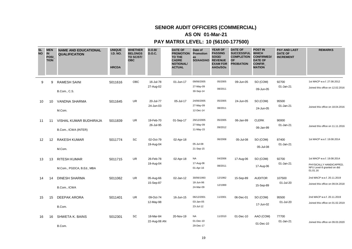# **SENIOR AUDIT OFFICERS (COMMERCIAL)**

# **AS ON 01-Mar-21**

| <b>SL</b><br><b>NO</b> | <b>MEN</b><br><b>IN</b><br><b>POSI</b><br><b>TION</b> | <b>NAME AND EDUCATIONAL</b><br><b>QUALIFICATION</b> | <b>UNIQUE</b><br><b>I.D. NO.</b><br><b>HRCDA</b> | <b>WHETHER</b><br><b>BELONGS</b><br>TO SC/ST/<br><b>OBC</b> | D.O.B/<br><b>D.O.C.</b> | <b>DATE OF</b><br><b>PROMOTION</b><br><b>TO THE</b><br><b>CADRE</b><br><b>NOTIONAL/</b><br><b>ACTUAL</b> | Date of<br>Promotion<br>as<br>SO/AAO/AO | <b>YEAR OF</b><br><b>PASSING</b><br>SOGE/<br><b>REVENUE</b><br><b>EXAM FOR</b><br>AAOs/SOs | <b>DATE OF</b><br><b>SUCCESSFUL</b><br><b>COMPLETION</b><br><b>OF</b><br><b>PROBATION</b> | <b>POST IN</b><br><b>WHICH</b><br><b>CONFIRMED/</b><br><b>DATE OF</b><br><b>CONFIR</b><br><b>MATION</b> | <b>PAY AND LAST</b><br><b>DATE OF</b><br><b>INCREMENT</b> | <b>REMARKS</b>                                                    |
|------------------------|-------------------------------------------------------|-----------------------------------------------------|--------------------------------------------------|-------------------------------------------------------------|-------------------------|----------------------------------------------------------------------------------------------------------|-----------------------------------------|--------------------------------------------------------------------------------------------|-------------------------------------------------------------------------------------------|---------------------------------------------------------------------------------------------------------|-----------------------------------------------------------|-------------------------------------------------------------------|
| 9                      | 9                                                     | <b>RAMESH SAINI</b>                                 | 5011616                                          | OBC                                                         | 16-Jul-78               | 01-Jun-17                                                                                                | 09/06/2005                              | 05/2005                                                                                    | 09-Jun-05                                                                                 | SO (COM)                                                                                                | 92700                                                     | 1st MACP w.e.f. 27.08.2012                                        |
|                        |                                                       | <b>B.Com., C.S.</b>                                 |                                                  |                                                             | 27-Aug-02               |                                                                                                          | 27-May-09<br>30-Sep-14                  | 08/2011                                                                                    |                                                                                           | 09-Jun-05                                                                                               | 01-Jan-21                                                 | Joined this office on 12.02.2016                                  |
| 10                     | 10                                                    | <b>VANDNA SHARMA</b>                                | 5011645                                          | UR.                                                         | 20-Jul-77               | 05-Jul-17                                                                                                | 24/06/2005                              | 05/2005                                                                                    | 24-Jun-05                                                                                 | SO (COM)                                                                                                | 95500                                                     |                                                                   |
|                        |                                                       | M.Com.                                              |                                                  |                                                             | 24-Jun-03               |                                                                                                          | 27-May-09<br>12-Dec-14                  | 08/2011                                                                                    |                                                                                           | 24-Jun-05                                                                                               | 01-Jan-21                                                 | Joined this office on 18.04.2016                                  |
| 11                     | 11                                                    | VISHAL KUMAR BUDHIRAJA                              | 5011839                                          | UR                                                          | 19-Feb-70<br>26-Jul-95  | 01-Sep-17                                                                                                | 29/12/2005<br>27-May-09                 | 05/2005                                                                                    | 06-Jan-99                                                                                 | <b>CLERK</b>                                                                                            | 90000<br>01-Jan-21                                        |                                                                   |
|                        |                                                       | B.Com., ICWA (INTER)                                |                                                  |                                                             |                         |                                                                                                          | 11-May-15                               | 09/2012                                                                                    |                                                                                           | 06-Jan-99                                                                                               |                                                           | Joined this office on 11.11.2016                                  |
| 12                     | 12                                                    | <b>RAKESH KUMAR</b>                                 | 5011774                                          | SC                                                          | 02-Oct-79<br>19-Aug-04  | 02-Apr-18                                                                                                | 05-Jul-08                               | 06/2008                                                                                    | 05-Jul-08                                                                                 | SO (COM)                                                                                                | 87400<br>01-Jan-21                                        | 1st MACP w.e.f. 19.08.2014                                        |
|                        |                                                       | M.Com.                                              |                                                  |                                                             |                         |                                                                                                          | 21-Sep-15                               |                                                                                            |                                                                                           | 05-Jul-08                                                                                               |                                                           |                                                                   |
| 13                     | 13                                                    | <b>RITESH KUMAR</b>                                 | 5011715                                          | UR                                                          | 26-Feb-78               | 02-Apr-18                                                                                                | <b>NA</b><br>17-Aug-06                  | 04/2006                                                                                    | 17-Aug-06                                                                                 | SO (COM)                                                                                                | 92700<br>01-Jan-21                                        | 1st MACP w.e.f. 19.08.2014                                        |
|                        |                                                       | M.Com., PGDCA, B.Ed., MBA                           |                                                  |                                                             | 19-Aug-04               |                                                                                                          | 01-Apr-16                               | 08/2011                                                                                    |                                                                                           | 17-Aug-06                                                                                               |                                                           | PHYSICALLY HANDICAPPED,<br>NFU Level-9 granted on dtd<br>01.01.16 |
| 14                     | 14                                                    | <b>DINESH SHARMA</b>                                | 5011062                                          | UR.                                                         | 05-Aug-66               | 02-Jan-12                                                                                                | 30/06/1993<br>18-Jun-96                 | 12/1992                                                                                    | 15-Sep-89                                                                                 | <b>AUDITOR</b>                                                                                          | 107500<br>01-Jul-20                                       | 2nd MACP w.e.f. 20.11.2019                                        |
|                        |                                                       | B.Com., ICWA                                        |                                                  |                                                             | 15-Sep-87               |                                                                                                          | 24-Mar-09                               | 12/1999                                                                                    |                                                                                           | 15-Sep-89                                                                                               |                                                           | Joined this office on 09.04.2018                                  |
| 15                     | 15                                                    | DEEPAK ARORA                                        | 5011401                                          | UR                                                          | 09-Oct-74               | 16-Jun-15                                                                                                | 06/12/2001                              | 11/2001                                                                                    | 06-Dec-01                                                                                 | SO (COM)                                                                                                | 95500                                                     | 2nd MACP w.e.f. 20.11.2019                                        |
|                        |                                                       | B.Com.                                              |                                                  |                                                             | 12-May-98               |                                                                                                          | 03-Jan-05<br>23-Jul-12                  |                                                                                            |                                                                                           | 17-Jun-02                                                                                               | 01-Jul-20                                                 | Joined this office on 01.02.2019                                  |
| 16                     | 16                                                    | <b>SHWETA K. BAINS</b>                              | 5012301                                          | SC                                                          | 18-Mar-84               | 20-Nov-19                                                                                                | <b>NA</b>                               | 11/2010                                                                                    | 01-Dec-10                                                                                 | AAO (COM)                                                                                               | 77700                                                     |                                                                   |
|                        |                                                       | B.Com.                                              |                                                  |                                                             | 22-Aug-08 AN            |                                                                                                          | 01-Dec-10<br>29-Dec-17                  |                                                                                            |                                                                                           | 01-Dec-10                                                                                               | 01-Jan-21                                                 | Joined this office on 09.03.2020                                  |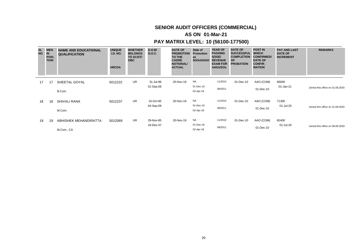# **SENIOR AUDIT OFFICERS (COMMERCIAL)**

# **AS ON 01-Mar-21**

| <b>SL</b><br><b>NO</b> | <b>MEN</b><br><b>IN</b><br><b>POSI</b><br><b>TION</b> | <b>NAME AND EDUCATIONAL</b><br><b>QUALIFICATION</b> | <b>UNIQUE</b><br><b>I.D. NO.</b><br><b>HRCDA</b> | <b>WHETHER</b><br><b>BELONGS</b><br>TO SC/ST/<br><b>OBC</b> | D.O.B/<br>D.O.C.       | <b>DATE OF</b><br><b>PROMOTION</b><br>TO THE<br><b>CADRE</b><br><b>NOTIONAL/</b><br><b>ACTUAL</b> | Date of<br><b>Promotion</b><br>as<br>SO/AAO/AO | <b>YEAR OF</b><br><b>PASSING</b><br>SOGE/<br><b>REVENUE</b><br><b>EXAM FOR</b><br>AAOs/SOs | <b>DATE OF</b><br><b>SUCCESSFUL</b><br><b>COMPLETION</b><br><b>OF</b><br><b>PROBATION</b> | <b>POST IN</b><br><b>WHICH</b><br><b>CONFIRMED/</b><br><b>DATE OF</b><br><b>CONFIR</b><br><b>MATION</b> | <b>PAY AND LAST</b><br><b>DATE OF</b><br><b>INCREMENT</b> | <b>REMARKS</b>                   |
|------------------------|-------------------------------------------------------|-----------------------------------------------------|--------------------------------------------------|-------------------------------------------------------------|------------------------|---------------------------------------------------------------------------------------------------|------------------------------------------------|--------------------------------------------------------------------------------------------|-------------------------------------------------------------------------------------------|---------------------------------------------------------------------------------------------------------|-----------------------------------------------------------|----------------------------------|
| 17                     | 17                                                    | SHEETAL GOYAL                                       | 5012222                                          | <b>UR</b>                                                   | 31-Jul-86<br>01-Sep-08 | 20-Nov-19                                                                                         | NA<br>01-Dec-10                                | 11/2010                                                                                    | 01-Dec-10                                                                                 | AAO (COM)                                                                                               | 80000<br>01-Jan-21                                        |                                  |
|                        |                                                       | B.Com.                                              |                                                  |                                                             |                        |                                                                                                   | 02-Apr-18                                      | 08/2011                                                                                    |                                                                                           | 01-Dec-10                                                                                               |                                                           | Joined this office on 31.08.2020 |
| 18                     | 18                                                    | SHIVALI RANA                                        | 5012237                                          | <b>UR</b>                                                   | 10-Oct-85              | 20-Nov-19                                                                                         | NA<br>01-Dec-10                                | 11/2010                                                                                    | 01-Dec-10                                                                                 | AAO (COM)                                                                                               | 71300                                                     |                                  |
|                        |                                                       | M.Com.                                              |                                                  |                                                             | 04-Sep-08              |                                                                                                   | 02-Apr-18                                      | 08/2011                                                                                    |                                                                                           | 01-Dec-10                                                                                               | 01-Jul-20                                                 | Joined this office on 31,08,2020 |
| 19                     | 19                                                    | ABHISHEK MEHANDIRATTA                               | 5012069                                          | <b>UR</b>                                                   | 29-Nov-85              | 20-Nov-19                                                                                         | NA                                             | 11/2010                                                                                    | 01-Dec-10                                                                                 | AAO (COM)                                                                                               | 82400                                                     |                                  |
|                        |                                                       | M.Com., CA                                          |                                                  |                                                             | 18-Dec-07              |                                                                                                   | 01-Dec-10<br>02-Apr-18                         | 08/2011                                                                                    |                                                                                           | 01-Dec-10                                                                                               | 01-Jul-20                                                 | Joined this office on 08.09.2020 |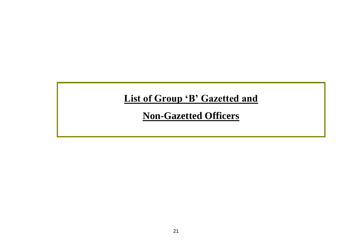# List of Group 'B' Gazetted and

**Non-Gazetted Officers**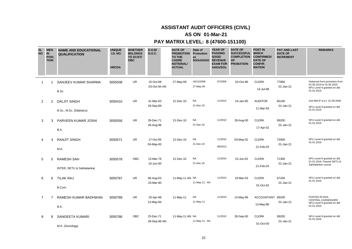# **AS ON 01-Mar-21**

| <b>SL</b><br><b>NO</b> | <b>IN</b>      | <b>MEN</b><br><b>POSI</b><br><b>TION</b> | <b>NAME AND EDUCATIONAL</b><br><b>QUALIFICATION</b> | <b>UNIQUE</b><br><b>I.D. NO.</b><br><b>HRCDA</b> | <b>WHETHER</b><br><b>BELONGS</b><br>TO SC/ST/<br><b>OBC</b> | D.O.B/<br><b>D.O.C.</b>   | <b>DATE OF</b><br><b>PROMOTION</b><br><b>TO THE</b><br><b>CADRE</b><br><b>NOTIONAL/</b><br><b>ACTUAL</b> | Date of<br><b>Promotion</b><br>as<br>SO/AAO/AO REVENUE | <b>YEAR OF</b><br><b>PASSING</b><br>SOGE/<br><b>EXAM FOR</b><br>AAOs/SOs | <b>DATE OF</b><br>SUCCESSFUL WHICH<br><b>COMPLETION</b><br><b>OF</b><br><b>PROBATION</b> | <b>POST IN</b><br><b>CONFIRMED/</b><br><b>DATE OF</b><br><b>CONFIR</b><br><b>MATION</b> | <b>PAY AND LAST</b><br><b>DATE OF</b><br><b>INCREMENT</b> | <b>REMARKS</b>                                                                                       |
|------------------------|----------------|------------------------------------------|-----------------------------------------------------|--------------------------------------------------|-------------------------------------------------------------|---------------------------|----------------------------------------------------------------------------------------------------------|--------------------------------------------------------|--------------------------------------------------------------------------|------------------------------------------------------------------------------------------|-----------------------------------------------------------------------------------------|-----------------------------------------------------------|------------------------------------------------------------------------------------------------------|
|                        | -1             |                                          | SANJEEV KUMAR SHARMA<br>B.Sc.                       | 3050508                                          | <b>UR</b>                                                   | 15-Oct-68<br>03-Oct-94 AN | 27-May-09                                                                                                | 18/12/2008<br>27-May-09                                | 07/2008                                                                  | 03-Oct-96                                                                                | <b>CLERK</b><br>14-Jul-98                                                               | 77900<br>01-Jan-21                                        | Debarred from promotion from<br>02.05.2019 to 01.05.2020<br>NFU Level-9 granted on dtd<br>01.01.2016 |
|                        | 2              | 2                                        | <b>DALJIT SINGH</b><br>B.Sc., M.Sc. (Statistics)    | 3050410                                          | <b>UR</b>                                                   | 31-Mar-63<br>29-Sep-89    | 21-Dec-10                                                                                                | <b>NA</b><br>21-Dec-10                                 | 11/2010                                                                  | 24-Jan-95                                                                                | <b>AUDITOR</b><br>11-Mar-93                                                             | 85100<br>01-Jan-21                                        | 2nd MACP w.e.f. 01.09.2008<br>NFU Level-9 granted on dtd<br>01.01.2016                               |
|                        | 3              | 3                                        | PARVEEN KUMAR JOSHI<br>B.A.                         | 3050556                                          | <b>UR</b>                                                   | 28-Dec-71<br>28-Aug-98    | 21-Dec-10                                                                                                | <b>NA</b><br>21-Dec-10                                 | 11/2010                                                                  | 28-Aug-00                                                                                | <b>CLERK</b><br>17-Apr-02                                                               | 69200<br>01-Jan-21                                        | NFU Level-9 granted on dtd<br>01.01.2016                                                             |
|                        | 4              | 4                                        | <b>RANJIT SINGH</b><br>M.A.                         | 3050571                                          | <b>UR</b>                                                   | 17-Oct-65<br>04-May-00    | 21-Dec-10                                                                                                | <b>NA</b><br>21-Dec-10                                 | 11/2010<br>08/2013                                                       | 03-May-02                                                                                | <b>CLERK</b><br>21-Feb-03                                                               | 73400<br>01-Jan-21                                        | NFU Level-9 granted on dtd<br>01.01.2016                                                             |
|                        | 5              | 5                                        | <b>RAMESH SAH</b><br>INTER, SETU & Sahitalankar     | 3050578                                          | OBC                                                         | 15-Mar-78<br>16-Jun-00    | 21-Dec-10                                                                                                | <b>NA</b><br>21-Dec-10                                 | 11/2010                                                                  | 15-Jun-02                                                                                | <b>CLERK</b><br>21-Feb-03                                                               | 71300<br>01-Jan-21                                        | NFU Level-9 granted on dtd<br>01.01.2016, Passed SETU &<br>Sahitalankar course                       |
|                        | 6              | 6                                        | <b>TILAK RAJ</b><br>B.Com.                          | 3050787                                          | <b>UR</b>                                                   | 06-Aug-63<br>20-Mar-90    | 11-May-11 AN NA                                                                                          | 11-May-11 AN                                           | 11/2010                                                                  | 19-Mar-03                                                                                | <b>CLERK</b><br>01-Oct-92                                                               | 67200<br>01-Jan-21                                        | NFU Level-9 granted on dtd<br>01.01.2016                                                             |
|                        | $\overline{7}$ | $\overline{7}$                           | RAMESH KUMAR BADHWAN<br>B.A.                        | 3050788                                          | <b>UR</b>                                                   | 20-Apr-68<br>13-May-94    | 11-May-11                                                                                                | <b>NA</b><br>11-May-11                                 | 11/2010                                                                  | 13-May-96                                                                                | <b>ACCOUNTANT</b><br>13-May-96                                                          | 69200<br>01-Jan-21                                        | POSTED IN DGA<br>CENTRAL, CHANDIGARH<br>NFU Level-9 granted on dtd<br>01.01.2016                     |
|                        | 8              | 8                                        | <b>SANGEETA KUMARI</b><br>M.A. (Sociology)          | 3050786                                          | <b>OBC</b>                                                  | 23-Dec-71<br>28-Sep-98 AN | 11-May-11 AN NA                                                                                          | 11-May-11 AN                                           | 11/2010                                                                  | 28-Sep-00                                                                                | <b>CLERK</b><br>01-Oct-00                                                               | 69200<br>01-Jan-21                                        | NFU Level-9 granted on dtd<br>01.01.2016                                                             |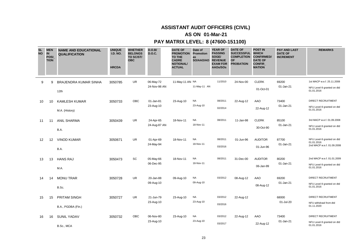# **AS ON 01-Mar-21**

| <b>SL</b><br><b>NO</b> | <b>MEN</b><br><b>IN</b><br><b>POSI</b><br><b>TION</b> | <b>NAME AND EDUCATIONAL</b><br><b>QUALIFICATION</b> | <b>UNIQUE</b><br><b>I.D. NO.</b><br><b>HRCDA</b> | <b>WHETHER</b><br><b>BELONGS</b><br>TO SC/ST/<br><b>OBC</b> | D.O.B/<br><b>D.O.C.</b>   | <b>DATE OF</b><br><b>PROMOTION</b><br><b>TO THE</b><br><b>CADRE</b><br><b>NOTIONAL/</b><br><b>ACTUAL</b> | Date of<br><b>Promotion</b><br>as<br>SO/AAO/AO REVENUE | <b>YEAR OF</b><br><b>PASSING</b><br>SOGE/<br><b>EXAM FOR</b><br>AAOs/SOs | <b>DATE OF</b><br>SUCCESSFUL WHICH<br><b>COMPLETION CONFIRMED/</b><br><b>OF</b><br><b>PROBATION</b> | <b>POST IN</b><br><b>DATE OF</b><br><b>CONFIR</b><br><b>MATION</b> | <b>PAY AND LAST</b><br><b>DATE OF</b><br><b>INCREMENT</b> | <b>REMARKS</b>                                                         |
|------------------------|-------------------------------------------------------|-----------------------------------------------------|--------------------------------------------------|-------------------------------------------------------------|---------------------------|----------------------------------------------------------------------------------------------------------|--------------------------------------------------------|--------------------------------------------------------------------------|-----------------------------------------------------------------------------------------------------|--------------------------------------------------------------------|-----------------------------------------------------------|------------------------------------------------------------------------|
| 9                      | 9                                                     | <b>BRAJENDRA KUMAR SINHA</b><br>12th                | 3050785                                          | <b>UR</b>                                                   | 06-May-72<br>24-Nov-98 AN | 11-May-11 AN NA                                                                                          | 11-May-11 AN                                           | 11/2010                                                                  | 24-Nov-00                                                                                           | <b>CLERK</b><br>01-Oct-01                                          | 69200<br>01-Jan-21                                        | 1st MACP w.e.f. 25.11.2008<br>NFU Level-9 granted on dtd<br>01.01.2016 |
| 10                     | 10                                                    | <b>KAMLESH KUMAR</b><br>M.A. (History)              | 3050733                                          | OBC                                                         | 01-Jan-81<br>23-Aug-10    | 23-Aug-10                                                                                                | <b>NA</b><br>23-Aug-10                                 | 08/2011<br>02/2014                                                       | 22-Aug-12                                                                                           | AAO<br>22-Aug-12                                                   | 73400<br>01-Jan-21                                        | DIRECT RECRUITMENT<br>NFU Level-9 granted on dtd<br>01.01.2016         |
| 11                     | 11                                                    | <b>ANIL SHARMA</b><br>B.A.                          | 3050439                                          | UR                                                          | 24-Apr-65<br>24-Aug-87 AN | 18-Nov-11                                                                                                | <b>NA</b><br>18-Nov-11                                 | 08/2011                                                                  | 11-Jan-98                                                                                           | <b>CLERK</b><br>30-Oct-90                                          | 85100<br>01-Jan-21                                        | 3rd MACP w.e.f. 01.09.2008<br>NFU Level-9 granted on dtd<br>01.01.2016 |
| 12                     | 12                                                    | <b>VINOD KUMAR</b><br>B.A.                          | 3050671                                          | <b>UR</b>                                                   | 01-Apr-69<br>24-May-94    | 18-Nov-11                                                                                                | <b>NA</b><br>18-Nov-11                                 | 08/2011<br>03/2016                                                       | 01-Jun-96                                                                                           | <b>AUDITOR</b><br>01-Jun-96                                        | 87700<br>01-Jan-21                                        | NFU Level-9 granted on dtd<br>01.01.2016<br>2nd MACP w.e.f. 01.09.2008 |
| 13                     | 13                                                    | <b>HANS RAJ</b><br>M.A.                             | 3050473                                          | SC                                                          | 05-May-66<br>06-Dec-95    | 18-Nov-11                                                                                                | <b>NA</b><br>18-Nov-11                                 | 08/2011                                                                  | 31-Dec-00                                                                                           | <b>AUDITOR</b><br>06-Jan-99                                        | 80200<br>01-Jan-21                                        | 2nd MACP w.e.f. 01.01.2009<br>NFU Level-9 granted on dtd<br>01.01.2016 |
| 14                     | 14                                                    | <b>MONU TRAR</b><br>B.Sc.                           | 3050728                                          | <b>UR</b>                                                   | 20-Jan-88<br>09-Aug-10    | 09-Aug-10                                                                                                | <b>NA</b><br>09-Aug-10                                 | 03/2012                                                                  | 08-Aug-12                                                                                           | AAO<br>08-Aug-12                                                   | 69200<br>01-Jan-21                                        | DIRECT RECRUITMENT<br>NFU Level-9 granted on dtd<br>01.01.2016         |
| 15                     | 15                                                    | <b>PRITAM SINGH</b><br>B.A., PGDBA (Fin.)           | 3050727                                          | <b>UR</b>                                                   | 21-Jun-79<br>23-Aug-10    | 23-Aug-10                                                                                                | <b>NA</b><br>23-Aug-10                                 | 03/2012<br>03/2016                                                       | 22-Aug-12                                                                                           |                                                                    | 68000<br>01-Jul-20                                        | <b>DIRECT RECRUITMENT</b><br>NFU withdrawl from dtd<br>01.11.2020      |
| 16                     | 16                                                    | <b>SUNIL YADAV</b><br>B.Sc., MCA                    | 3050732                                          | OBC                                                         | 06-Nov-80<br>23-Aug-10    | 23-Aug-10                                                                                                | <b>NA</b><br>23-Aug-10                                 | 03/2012<br>03/2017                                                       | 22-Aug-12                                                                                           | AAO<br>22-Aug-12                                                   | 73400<br>01-Jan-21                                        | <b>DIRECT RECRUITMENT</b><br>NFU Level-9 granted on dtd<br>01.01.2016  |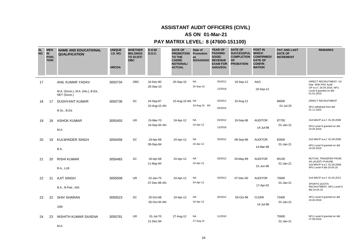# **AS ON 01-Mar-21**

# **PAY MATRIX LEVEL: 8 (47600-151100)**

| <b>SL</b><br><b>NO</b> | <b>MEN</b><br><b>IN</b><br><b>POSI</b><br><b>TION</b> | <b>NAME AND EDUCATIONAL</b><br><b>QUALIFICATION</b>                    | <b>UNIQUE</b><br><b>I.D. NO.</b><br><b>HRCDA</b> | <b>WHETHER</b><br><b>BELONGS</b><br>TO SC/ST/<br><b>OBC</b> | D.O.B/<br><b>D.O.C.</b>   | <b>DATE OF</b><br><b>PROMOTION</b><br><b>TO THE</b><br><b>CADRE</b><br><b>NOTIONAL/</b><br><b>ACTUAL</b> | Date of<br><b>Promotion</b><br>as<br>SO/AAO/AO | <b>YEAR OF</b><br><b>PASSING</b><br>SOGE/<br><b>REVENUE</b><br><b>EXAM FOR</b><br>AAOs/SOs | <b>DATE OF</b><br><b>SUCCESSFUL</b><br><b>COMPLETION</b><br><b>OF</b><br><b>PROBATION</b> | <b>POST IN</b><br><b>WHICH</b><br><b>CONFIRMED/</b><br><b>DATE OF</b><br><b>CONFIR</b><br><b>MATION</b> | <b>PAY AND LAST</b><br><b>DATE OF</b><br><b>INCREMENT</b> | <b>REMARKS</b>                                                                                                     |
|------------------------|-------------------------------------------------------|------------------------------------------------------------------------|--------------------------------------------------|-------------------------------------------------------------|---------------------------|----------------------------------------------------------------------------------------------------------|------------------------------------------------|--------------------------------------------------------------------------------------------|-------------------------------------------------------------------------------------------|---------------------------------------------------------------------------------------------------------|-----------------------------------------------------------|--------------------------------------------------------------------------------------------------------------------|
| 17                     |                                                       | ANIL KUMAR YADAV<br>M.A. (Socio.), M.A. (His.), B.Ed.,<br>NET (Socio.) | 3050734                                          | OBC                                                         | 16-Dec-80<br>20-Sep-10    | 20-Sep-10                                                                                                | <b>NA</b><br>20-Sep-10                         | 03/2012<br>12/2018                                                                         | 19-Sep-12                                                                                 | AAO<br>19-Sep-12                                                                                        |                                                           | DIRECT RECRUITMENT, On<br>Dep. With PAG Audit<br>UP w.e.f. 26.04.2019, NFU<br>Level-9 granted on dtd<br>01.01.2016 |
| 18                     | 17                                                    | <b>DUSHYANT KUMAR</b><br>B.Sc., B.Ed.                                  | 3050736                                          | SC                                                          | 24-Sep-87<br>10-Aug-10 AN | 10-Aug-10 AN NA                                                                                          | 10-Aug-10 AN                                   | 03/2012<br>03/2016                                                                         | 10-Aug-12                                                                                 |                                                                                                         | 68000<br>01-Jul-20                                        | DIRECT RECRUITMENT<br>NFU withdrawl from dtd<br>01.11.2020                                                         |
| 19                     | 18                                                    | <b>ASHOK KUMAR</b><br>M.A.                                             | 3050455                                          | <b>UR</b>                                                   | 15-Mar-70<br>19-Sep-94 AN | 24-Apr-12                                                                                                | NA<br>24-Apr-12                                | 03/2012<br>12/2018                                                                         | 19-Sep-96                                                                                 | <b>AUDITOR</b><br>14-Jul-98                                                                             | 87700<br>01-Jan-21                                        | 2nd MACP w.e.f. 01.09.2008<br>NFU Level-9 granted on dtd<br>24.04.2016                                             |
| 20                     | 19                                                    | <b>KULWINDER SINGH</b><br>B.A.                                         | 3050456                                          | <b>SC</b>                                                   | 19-Apr-69<br>09-Sep-94    | 24-Apr-12                                                                                                | <b>NA</b><br>24-Apr-12                         | 03/2012                                                                                    | 08-Sep-96                                                                                 | <b>AUDITOR</b><br>14-Mar-98                                                                             | 82600<br>01-Jan-21                                        | 2nd MACP w.e.f. 01.09.2008<br>NFU Level-9 granted on dtd<br>24.04.2016                                             |
| 21                     | 20                                                    | <b>RISHI KUMAR</b><br>B.A., LLB                                        | 3050483                                          | SC                                                          | 18-Apr-68<br>11-May-94    | 24-Apr-12                                                                                                | NA<br>24-Apr-12                                | 03/2012                                                                                    | 29-May-99                                                                                 | <b>AUDITOR</b><br>01-Jun-96                                                                             | 85100<br>01-Jan-21                                        | MUTUAL TRANSFER FROM<br>AG (AUDIT) PUNJAB<br>2nd MACP w.e.f. 01.09.2008,<br>NFU Level-9 dtd 24.04.16               |
| 22                     | 21                                                    | <b>AJIT SINGH</b><br>B.A., B.Ped., NIS                                 | 3050509                                          | UR                                                          | 10-Jan-75<br>07-Dec-98 AN | 24-Apr-12                                                                                                | <b>NA</b><br>24-Apr-12                         | 03/2012                                                                                    | 07-Dec-00                                                                                 | <b>AUDITOR</b><br>17-Apr-02                                                                             | 75600<br>01-Jan-21                                        | 2nd MACP w.e.f. 01.04.2012<br><b>SPORTS QUOTA</b><br>RECRUITMENT, NFU Level-9<br>dtd 24.04.16                      |
| 23                     | 22                                                    | <b>SHIV SHARAN</b><br>10th                                             | 3050523                                          | <b>SC</b>                                                   | 20-Oct-68<br>05-Oct-94 AN | 24-Apr-12                                                                                                | NA<br>24-Apr-12                                | 03/2012                                                                                    | 05-Oct-96                                                                                 | <b>CLERK</b><br>14-Jul-98                                                                               | 73400<br>01-Jan-21                                        | NFU Level-9 granted on dtd<br>24.04.2016                                                                           |
| 24                     | 23                                                    | NISHITH KUMAR SAXENA                                                   | 3050791                                          | <b>UR</b>                                                   | 01-Jul-70<br>21-Dec-94    | 27-Aug-12                                                                                                | NA<br>27-Aug-12                                | 11/2010                                                                                    |                                                                                           |                                                                                                         | 75600<br>01-Jan-21                                        | NFU Level-9 granted on dtd<br>27.08.2016                                                                           |

M.A.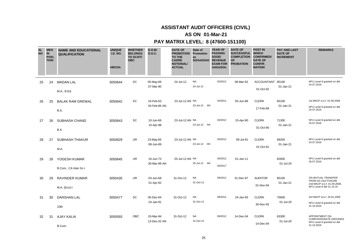# **AS ON 01-Mar-21**

| <b>SL</b><br><b>NO</b> | <b>MEN</b><br><b>IN</b><br><b>POSI</b><br><b>TION</b> | <b>NAME AND EDUCATIONAL</b><br><b>QUALIFICATION</b> | <b>UNIQUE</b><br><b>I.D. NO.</b><br><b>HRCDA</b> | <b>WHETHER</b><br><b>BELONGS</b><br>TO SC/ST/<br><b>OBC</b> | D.O.B/<br><b>D.O.C.</b>   | <b>DATE OF</b><br><b>PROMOTION</b><br><b>TO THE</b><br><b>CADRE</b><br><b>NOTIONAL/</b><br><b>ACTUAL</b> | Date of<br>Promotion<br>as<br>SO/AAO/AO | <b>YEAR OF</b><br><b>PASSING</b><br>SOGE/<br><b>REVENUE</b><br><b>EXAM FOR</b><br>AAOs/SOs | <b>DATE OF</b><br><b>SUCCESSFUL</b><br><b>COMPLETION</b><br><b>OF</b><br><b>PROBATION</b> | <b>POST IN</b><br><b>WHICH</b><br><b>CONFIRMED/</b><br><b>DATE OF</b><br><b>CONFIR</b><br><b>MATION</b> | <b>PAY AND LAST</b><br><b>DATE OF</b><br><b>INCREMENT</b> | <b>REMARKS</b>                                                                                       |
|------------------------|-------------------------------------------------------|-----------------------------------------------------|--------------------------------------------------|-------------------------------------------------------------|---------------------------|----------------------------------------------------------------------------------------------------------|-----------------------------------------|--------------------------------------------------------------------------------------------|-------------------------------------------------------------------------------------------|---------------------------------------------------------------------------------------------------------|-----------------------------------------------------------|------------------------------------------------------------------------------------------------------|
| 25                     | 24                                                    | <b>MADAN LAL</b><br>M.A., B.Ed.                     | 3050844                                          | SC                                                          | 05-May-66<br>07-Mar-90    | 24-Jul-12                                                                                                | <b>NA</b><br>24-Jul-12                  | 03/2012                                                                                    | 08-Mar-92                                                                                 | <b>ACCOUNTANT</b><br>01-Oct-92                                                                          | 85100<br>01-Jan-21                                        | NFU Level-9 granted on dtd<br>24.07.2016                                                             |
| 26                     | 25                                                    | <b>BALAK RAM GREWAL</b><br>B.A.                     | 3050842                                          | SC                                                          | 24-Feb-63<br>04-Feb-86 AN | 23-Jul-12 AN NA                                                                                          | 23-Jul-12 AN                            | 03/2012                                                                                    | 05-Jun-88                                                                                 | <b>CLERK</b><br>17-Feb-89                                                                               | 85100<br>01-Jan-21                                        | 1st MACP w.e.f. 01.09.2008<br>NFU Level-9 granted on dtd<br>24.07.2016                               |
| 27                     | 26                                                    | SUBHASH CHAND<br>B.A.                               | 3050843                                          | SC                                                          | 10-Jun-66<br>15-Apr-88    | 23-Jul-12 AN NA                                                                                          | 23-Jul-12 AN                            | 03/2012                                                                                    | 15-Apr-90                                                                                 | <b>CLERK</b><br>01-Oct-90                                                                               | 71300<br>01-Jan-21                                        | NFU Level-9 granted on dtd<br>24.07.2016                                                             |
| 28                     | 27                                                    | <b>SUBHASH THAKUR</b><br>M.A.                       | 3050829                                          | <b>UR</b>                                                   | 23-May-65<br>08-Jun-89    | 23-Jul-12 AN NA                                                                                          | 23-Jul-12 AN                            | 03/2012                                                                                    | 09-Jul-91                                                                                 | <b>CLERK</b><br>01-Oct-91                                                                               | 69200<br>01-Jan-21                                        | NFU Level-9 granted on dtd<br>24.07.2016                                                             |
| 29                     | 28                                                    | YOGESH KUMAR<br>B.Com., CA Inter Gr-I               | 3050845                                          | <b>UR</b>                                                   | 16-Jun-73<br>30-Mar-98 AN | 25-Jul-12 AN NA                                                                                          | 25-Jul-12 AN                            | 03/2012<br>03/2017                                                                         | 01-Jan-11                                                                                 |                                                                                                         | 82600<br>01-Jul-20                                        | NFU Level-9 granted on dtd<br>26.07.2016                                                             |
| 30                     | 29                                                    | <b>RAVINDER KUMAR</b><br>M.A. (Eco)-I               | 3050435                                          | <b>UR</b>                                                   | 03-Jun-68<br>01-Apr-92    | 31-Oct-12                                                                                                | <b>NA</b><br>31-Oct-12                  | 09/2012                                                                                    | 31-Dec-97                                                                                 | <b>AUDITOR</b><br>01-Nov-94                                                                             | 85100<br>01-Jan-21                                        | ON MUTUAL TRANSFER<br>FROM AG (AU) PUNJAB<br>2nd MACP w.e.f. 01.09.2008,<br>NFU Level-9 dtd 31.10.16 |
| 31                     | 30                                                    | <b>DARSHAN LAL</b><br>10th                          | 3050477                                          | SC                                                          | 05-Dec-64<br>24-Jan-91    | 31-Oct-12                                                                                                | <b>NA</b><br>31-Oct-12                  | 09/2012                                                                                    | 24-Jan-93                                                                                 | <b>CLERK</b><br>30-Nov-93                                                                               | 75600<br>01-Jul-20                                        | 3rd MACP w.e.f. 25.01.2009<br>NFU Level-9 granted on dtd<br>31.10.2016                               |
| 32                     | 31                                                    | <b>AJAY KALIA</b><br>B.Com.                         | 3050593                                          | OBC                                                         | 03-Mar-84<br>13-Dec-02 AN | 31-Oct-12                                                                                                | <b>NA</b><br>31-Oct-12                  | 09/2012                                                                                    | 14-Dec-04                                                                                 | <b>CLERK</b><br>14-Dec-04                                                                               | 63300<br>01-Jul-20                                        | APPOINTMENT ON<br><b>COMPASSIONATE GROUNDS</b><br>NFU Level-9 granted on dtd<br>31.10.2016           |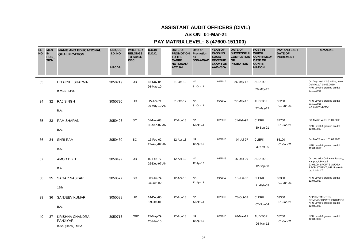# **AS ON 01-Mar-21**

| <b>SL</b><br><b>NO</b> | <b>MEN</b><br><b>IN</b><br><b>POSI</b><br><b>TION</b> | <b>NAME AND EDUCATIONAL</b><br><b>QUALIFICATION</b>      | <b>UNIQUE</b><br><b>I.D. NO.</b><br><b>HRCDA</b> | <b>WHETHER</b><br><b>BELONGS</b><br>TO SC/ST/<br><b>OBC</b> | D.O.B/<br><b>D.O.C.</b>   | <b>DATE OF</b><br><b>PROMOTION</b><br>TO THE<br><b>CADRE</b><br><b>NOTIONAL/</b><br><b>ACTUAL</b> | Date of<br>Promotion<br>as<br>SO/AAO/AO | <b>YEAR OF</b><br><b>PASSING</b><br>SOGE/<br><b>REVENUE</b><br><b>EXAM FOR</b><br>AAOs/SOs | <b>DATE OF</b><br><b>SUCCESSFUL</b><br><b>COMPLETION</b><br><b>OF</b><br><b>PROBATION</b> | <b>POST IN</b><br><b>WHICH</b><br><b>CONFIRMED/</b><br><b>DATE OF</b><br><b>CONFIR</b><br><b>MATION</b> | <b>PAY AND LAST</b><br><b>DATE OF</b><br><b>INCREMENT</b> | <b>REMARKS</b>                                                                                                            |
|------------------------|-------------------------------------------------------|----------------------------------------------------------|--------------------------------------------------|-------------------------------------------------------------|---------------------------|---------------------------------------------------------------------------------------------------|-----------------------------------------|--------------------------------------------------------------------------------------------|-------------------------------------------------------------------------------------------|---------------------------------------------------------------------------------------------------------|-----------------------------------------------------------|---------------------------------------------------------------------------------------------------------------------------|
| 33                     |                                                       | HITAKSHI SHARMA<br>B.Com., MBA                           | 3050719                                          | <b>UR</b>                                                   | 15-Nov-84<br>26-May-10    | 31-Oct-12                                                                                         | <b>NA</b><br>31-Oct-12                  | 09/2012                                                                                    | 26-May-12                                                                                 | <b>AUDITOR</b><br>26-May-12                                                                             |                                                           | On Dep. with CAG office, New<br>Delhi w.e.f. 18.03.2019<br>NFU Level-9 granted on dtd<br>31.10.2016                       |
| 34                     | 32                                                    | <b>RAJ SINGH</b><br>B.A.                                 | 3050720                                          | UR                                                          | 15-Apr-71<br>26-May-10 AN | 31-Oct-12                                                                                         | <b>NA</b><br>31-Oct-12                  | 09/2012                                                                                    | 27-May-12                                                                                 | <b>AUDITOR</b><br>27-May-12                                                                             | 65200<br>01-Jan-21                                        | NFU Level-9 granted on dtd<br>31.10.2016<br><b>EX-SERVICEMAN</b>                                                          |
| 35                     | 33                                                    | <b>RAM SHARAN</b><br>B.A.                                | 3050426                                          | SC                                                          | 01-Nov-63<br>03-Sep-87 AN | 12-Apr-13                                                                                         | <b>NA</b><br>12-Apr-13                  | 03/2013                                                                                    | 01-Feb-97                                                                                 | <b>CLERK</b><br>30-Sep-91                                                                               | 87700<br>01-Jan-21                                        | 3rd MACP w.e.f. 01.09.2008<br>NFU Level-9 granted on dtd<br>12.04.2017                                                    |
| 36                     | 34                                                    | <b>SHRI RAM</b><br>B.A.                                  | 3050430                                          | SC                                                          | 16-Feb-62<br>27-Aug-87 AN | 12-Apr-13                                                                                         | <b>NA</b><br>12-Apr-13                  | 03/2013                                                                                    | 04-Jul-97                                                                                 | <b>CLERK</b><br>30-Oct-90                                                                               | 85100<br>01-Jan-21                                        | 3rd MACP w.e.f. 01.09.2008<br>NFU Level-9 granted on dtd<br>12.04.2017                                                    |
| 37                     |                                                       | <b>AMOD DIXIT</b><br>B.A.                                | 3050492                                          | UR                                                          | 02-Feb-77<br>26-Dec-97 AN | 12-Apr-13                                                                                         | <b>NA</b><br>12-Apr-13                  | 03/2013                                                                                    | 26-Dec-99                                                                                 | <b>AUDITOR</b><br>12-Sep-00                                                                             |                                                           | On dep. with Ordiance Factory,<br>Kanpur, UP w.e.f.<br>23.03.09, SPORTS QUOTA<br>RECRUITMENT, NFU Level-9<br>dtd 12.04.17 |
| 38                     | 35                                                    | <b>SAGAR NASKAR</b><br>12th                              | 3050577                                          | SC                                                          | 08-Jul-74<br>16-Jun-00    | 12-Apr-13                                                                                         | <b>NA</b><br>12-Apr-13                  | 03/2013                                                                                    | 15-Jun-02                                                                                 | <b>CLERK</b><br>21-Feb-03                                                                               | 63300<br>01-Jan-21                                        | NFU Level-9 granted on dtd<br>12.04.2017                                                                                  |
| 39                     | 36                                                    | <b>SANJEEV KUMAR</b><br>B.A.                             | 3050588                                          | UR                                                          | 14-Dec-80<br>29-Oct-01    | 12-Apr-13                                                                                         | <b>NA</b><br>12-Apr-13                  | 03/2013                                                                                    | 28-Oct-03                                                                                 | <b>CLERK</b><br>02-Nov-04                                                                               | 63300<br>01-Jan-21                                        | <b>APPOINTMENT ON</b><br><b>COMPASSIONATE GROUNDS</b><br>NFU Level-9 granted on dtd<br>12.04.2017                         |
| 40                     | 37                                                    | <b>KRISHNA CHANDRA</b><br>PANJIYAR<br>B.Sc. (Hons.), MBA | 3050713                                          | <b>OBC</b>                                                  | 15-May-79<br>26-Mar-10    | 12-Apr-13                                                                                         | <b>NA</b><br>12-Apr-13                  | 03/2013                                                                                    | 26-Mar-12                                                                                 | <b>AUDITOR</b><br>26-Mar-12                                                                             | 65200<br>01-Jan-21                                        | NFU Level-9 granted on dtd<br>12.04.2017                                                                                  |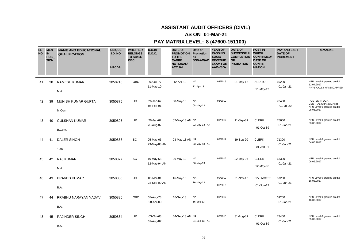# **AS ON 01-Mar-21**

| <b>SL</b><br><b>NO</b> | <b>MEN</b><br><b>IN</b><br><b>POSI</b><br><b>TION</b> | <b>NAME AND EDUCATIONAL</b><br><b>QUALIFICATION</b> | <b>UNIQUE</b><br><b>I.D. NO.</b><br><b>HRCDA</b> | <b>WHETHER</b><br><b>BELONGS</b><br>TO SC/ST/<br><b>OBC</b> | D.O.B/<br><b>D.O.C.</b>   | <b>DATE OF</b><br><b>PROMOTION</b><br><b>TO THE</b><br><b>CADRE</b><br><b>NOTIONAL/</b><br><b>ACTUAL</b> | Date of<br>Promotion<br>as<br>SO/AAO/AO | <b>YEAR OF</b><br><b>PASSING</b><br>SOGE/<br><b>REVENUE</b><br><b>EXAM FOR</b><br>AAOs/SOs | <b>DATE OF</b><br>SUCCESSFUL WHICH<br><b>COMPLETION</b><br><b>OF</b><br><b>PROBATION</b> | <b>POST IN</b><br><b>CONFIRMED/</b><br><b>DATE OF</b><br><b>CONFIR</b><br><b>MATION</b> | <b>PAY AND LAST</b><br><b>DATE OF</b><br><b>INCREMENT</b> | <b>REMARKS</b>                                                                   |
|------------------------|-------------------------------------------------------|-----------------------------------------------------|--------------------------------------------------|-------------------------------------------------------------|---------------------------|----------------------------------------------------------------------------------------------------------|-----------------------------------------|--------------------------------------------------------------------------------------------|------------------------------------------------------------------------------------------|-----------------------------------------------------------------------------------------|-----------------------------------------------------------|----------------------------------------------------------------------------------|
| 41                     | 38                                                    | <b>RAMESH KUMAR</b><br>M.A.                         | 3050718                                          | OBC                                                         | 09-Jul-77<br>11-May-10    | 12-Apr-13                                                                                                | <b>NA</b><br>12-Apr-13                  | 03/2013                                                                                    | 11-May-12                                                                                | <b>AUDITOR</b><br>11-May-12                                                             | 69200<br>01-Jan-21                                        | NFU Level-9 granted on dtd<br>12.04.2017<br>PHYSICALLY HANDICAPPED               |
| 42                     | 39                                                    | MUNISH KUMAR GUPTA<br>M.Com.                        | 3050875                                          | <b>UR</b>                                                   | 26-Jan-67<br>05-Feb-91    | 08-May-13                                                                                                | <b>NA</b><br>08-May-13                  | 03/2012                                                                                    |                                                                                          |                                                                                         | 73400<br>01-Jul-20                                        | POSTED IN DGA<br>CENTRAL, CHANDIGARH<br>NFU Level-9 granted on dtd<br>08.05.2017 |
| 43                     | 40                                                    | <b>GULSHAN KUMAR</b><br>B.Com.                      | 3050895                                          | <b>UR</b>                                                   | 26-Jan-62<br>28-Aug-87    | 02-May-13 AN NA                                                                                          | 02-May-13 AN                            | 09/2012                                                                                    | 11-Sep-89                                                                                | <b>CLERK</b><br>01-Oct-89                                                               | 75600<br>01-Jan-21                                        | NFU Level-9 granted on dtd<br>03.05.2017                                         |
| 44                     | 41                                                    | <b>DALER SINGH</b><br>12th                          | 3050868                                          | SC                                                          | 05-May-66<br>23-May-88 AN | 03-May-13 AN NA                                                                                          | 03-May-13 AN                            | 09/2012                                                                                    | 19-Sep-90                                                                                | <b>CLERK</b><br>01-Jan-91                                                               | 71300<br>01-Jan-21                                        | NFU Level-9 granted on dtd<br>04.05.2017                                         |
| 45                     | 42                                                    | <b>RAJ KUMAR</b><br>M.A.                            | 3050877                                          | SC                                                          | 10-May-68<br>12-May-94 AN | 06-May-13                                                                                                | <b>NA</b><br>06-May-13                  | 09/2012                                                                                    | 12-May-96                                                                                | <b>CLERK</b><br>12-May-96                                                               | 63300<br>01-Jan-21                                        | NFU Level-9 granted on dtd<br>06.05.2017                                         |
| 46                     | 43                                                    | PRAVED KUMAR<br>B.A.                                | 3050880                                          | <b>UR</b>                                                   | 05-Mar-81<br>23-Sep-09 AN | 16-May-13                                                                                                | <b>NA</b><br>16-May-13                  | 09/2012<br>05/2018                                                                         | 01-Nov-12                                                                                | DIV. ACCTT.<br>01-Nov-12                                                                | 67200<br>01-Jan-21                                        | NFU Level-9 granted on dtd<br>16.05.2017                                         |
| 47                     | 44                                                    | PRABHU NARAYAN YADAV<br>B.A.                        | 3050886                                          | OBC                                                         | 07-Aug-73<br>28-Apr-00    | 16-Sep-13                                                                                                | <b>NA</b><br>16-Sep-13                  | 09/2012                                                                                    |                                                                                          |                                                                                         | 69200<br>01-Jan-21                                        | NFU Level-9 granted on dtd<br>16.09.2017                                         |
| 48                     | 45                                                    | <b>RAJINDER SINGH</b><br>B.A.                       | 3050884                                          | UR.                                                         | 03-Oct-63<br>31-Aug-87    | 04-Sep-13 AN NA                                                                                          | 04-Sep-13 AN                            | 03/2013                                                                                    | 31-Aug-89                                                                                | <b>CLERK</b><br>01-Oct-89                                                               | 73400<br>01-Jan-21                                        | NFU Level-9 granted on dtd<br>05.09.2017                                         |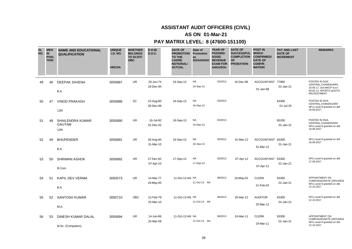# **AS ON 01-Mar-21**

| <b>SL</b><br><b>NO</b> | <b>MEN</b><br><b>IN</b><br><b>POSI</b><br><b>TION</b> | <b>NAME AND EDUCATIONAL</b><br><b>QUALIFICATION</b> | <b>UNIQUE</b><br><b>I.D. NO.</b><br><b>HRCDA</b> | <b>WHETHER</b><br><b>BELONGS</b><br>TO SC/ST/<br><b>OBC</b> | D.O.B/<br><b>D.O.C.</b> | <b>DATE OF</b><br><b>PROMOTION Promotion</b><br><b>TO THE</b><br><b>CADRE</b><br><b>NOTIONAL/</b><br><b>ACTUAL</b> | Date of<br>as<br>SO/AAO/AO | <b>YEAR OF</b><br><b>PASSING</b><br>SOGE/<br><b>REVENUE</b><br><b>EXAM FOR</b><br>AAOs/SOs | <b>DATE OF</b><br>SUCCESSFUL WHICH<br><b>COMPLETION</b><br><b>OF</b><br><b>PROBATION</b> | <b>POST IN</b><br><b>CONFIRMED/</b><br><b>DATE OF</b><br><b>CONFIR</b><br><b>MATION</b> | <b>PAY AND LAST</b><br><b>DATE OF</b><br><b>INCREMENT</b> | <b>REMARKS</b>                                                                                                     |
|------------------------|-------------------------------------------------------|-----------------------------------------------------|--------------------------------------------------|-------------------------------------------------------------|-------------------------|--------------------------------------------------------------------------------------------------------------------|----------------------------|--------------------------------------------------------------------------------------------|------------------------------------------------------------------------------------------|-----------------------------------------------------------------------------------------|-----------------------------------------------------------|--------------------------------------------------------------------------------------------------------------------|
| 49                     | 46                                                    | <b>DEEPAK SAXENA</b><br>B.A.                        | 3050887                                          | <b>UR</b>                                                   | 20-Jun-74<br>19-Dec-94  | 16-Sep-13                                                                                                          | <b>NA</b><br>16-Sep-13     | 03/2013                                                                                    | 16-Dec-96                                                                                | ACCOUNTANT 77900<br>01-Jan-98                                                           | 01-Jan-21                                                 | POSTED IN DGA<br>CENTRAL, CHANDIGARH,<br>16.09.17, 2nd MACP w.e.f.<br>09.05.13, SPORTS QUOTA<br><b>RECRUITMENT</b> |
| 50                     | 47                                                    | <b>VINOD PRAKASH</b><br>12th                        | 3050888                                          | SC                                                          | 15-Aug-80<br>28-Dec-99  | 16-Sep-13                                                                                                          | <b>NA</b><br>16-Sep-13     | 03/2013                                                                                    |                                                                                          |                                                                                         | 63300<br>01-Jul-20                                        | POSTED IN DGA<br>CENTRAL, CHANDIGARH<br>NFU Level-9 granted on dtd<br>16.09.2017                                   |
| 51                     | 48                                                    | <b>SHAILENDRA KUMAR</b><br><b>GAUTAM</b><br>12th    | 3050890                                          | UR.                                                         | 16-Jul-82<br>31-Dec-02  | 16-Sep-13                                                                                                          | <b>NA</b><br>16-Sep-13     | 03/2013                                                                                    |                                                                                          |                                                                                         | 65200<br>01-Jan-21                                        | POSTED IN DGA<br>CENTRAL, CHANDIGARH<br>NFU Level-9 granted on dtd<br>16.09.2017                                   |
| 52                     | 49                                                    | <b>BHUPENDER</b><br>B.A.                            | 3050891                                          | <b>UR</b>                                                   | 28-Aug-84<br>31-Mar-10  | 16-Sep-13                                                                                                          | <b>NA</b><br>16-Sep-13     | 03/2013                                                                                    | 31-Mar-12                                                                                | <b>ACCOUNTANT</b><br>31-Mar-12                                                          | 63300<br>01-Jan-21                                        | NFU Level-9 granted on dtd<br>16.09.2017                                                                           |
| 53                     | 50                                                    | <b>SHRIMAN ASHOK</b><br>B.Com.                      | 3050892                                          | UR                                                          | 27-Dec-82<br>07-Apr-10  | 17-Sep-13                                                                                                          | <b>NA</b><br>17-Sep-13     | 03/2013                                                                                    | 07-Apr-12                                                                                | <b>ACCOUNTANT</b><br>07-Apr-12                                                          | 63300<br>01-Jan-21                                        | NFU Level-9 granted on dtd<br>17.09.2017                                                                           |
| 54                     | 51                                                    | KAPIL DEV VERMA<br>B.A.                             | 3050573                                          | <b>UR</b>                                                   | 14-Mar-77<br>19-May-00  | 11-Oct-13 AN NA                                                                                                    | 11-Oct-13 AN               | 08/2013                                                                                    | 18-May-02                                                                                | <b>CLERK</b><br>21-Feb-03                                                               | 63300<br>01-Jan-21                                        | <b>APPOINTMENT ON</b><br>COMPASSIONATE GROUNDS<br>NFU Level-9 granted on dtd<br>12.10.2017                         |
| 55                     | 52                                                    | <b>SANTOSH KUMAR</b><br>M.A.                        | 3050710                                          | <b>OBC</b>                                                  | 12-Feb-79<br>25-Mar-10  | 11-Oct-13 AN NA                                                                                                    | 11-Oct-13 AN               | 08/2013                                                                                    | 25-Mar-12                                                                                | <b>AUDITOR</b><br>25-Mar-12                                                             | 63300<br>01-Jan-21                                        | NFU Level-9 granted on dtd<br>12.10.2017                                                                           |
| 56                     | 53                                                    | DINESH KUMAR DALAL<br>M.Sc. (Computers)             | 3050694                                          | <b>UR</b>                                                   | 14-Jun-86<br>25-Mar-09  | 11-Oct-13 AN NA                                                                                                    | 11-Oct-13 AN               | 08/2013                                                                                    | 24-Mar-11                                                                                | <b>CLERK</b><br>24-Mar-11                                                               | 63300<br>01-Jan-21                                        | APPOINTMENT ON<br><b>COMPASSIONATE GROUNDS</b><br>NFU Level-9 granted on dtd<br>12.10.2017                         |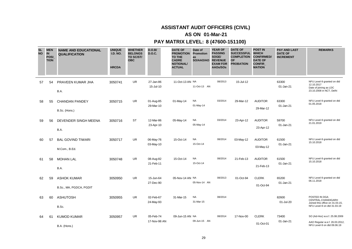# **AS ON 01-Mar-21**

| <b>SL</b><br><b>NO</b> | <b>MEN</b><br>IN<br>POSI_<br><b>TION</b> | <b>NAME AND EDUCATIONAL</b><br><b>QUALIFICATION</b> | <b>UNIQUE</b><br><b>I.D. NO.</b><br><b>HRCDA</b> | <b>WHETHER</b><br><b>BELONGS</b><br>TO SC/ST/<br><b>OBC</b> | D.O.B/<br><b>D.O.C.</b>   | <b>DATE OF</b><br><b>PROMOTION</b><br>TO THE<br><b>CADRE</b><br><b>NOTIONAL/</b><br><b>ACTUAL</b> | Date of<br>Promotion<br>as<br>SO/AAO/AO | <b>YEAR OF</b><br><b>PASSING</b><br>SOGE/<br><b>REVENUE</b><br><b>EXAM FOR</b><br>AAOs/SOs | <b>DATE OF</b><br><b>SUCCESSFUL</b><br><b>COMPLETION</b><br><b>OF</b><br><b>PROBATION</b> | <b>POST IN</b><br><b>WHICH</b><br><b>CONFIRMED/</b><br><b>DATE OF</b><br><b>CONFIR</b><br><b>MATION</b> | <b>PAY AND LAST</b><br><b>DATE OF</b><br><b>INCREMENT</b> | <b>REMARKS</b>                                                                                         |
|------------------------|------------------------------------------|-----------------------------------------------------|--------------------------------------------------|-------------------------------------------------------------|---------------------------|---------------------------------------------------------------------------------------------------|-----------------------------------------|--------------------------------------------------------------------------------------------|-------------------------------------------------------------------------------------------|---------------------------------------------------------------------------------------------------------|-----------------------------------------------------------|--------------------------------------------------------------------------------------------------------|
| 57                     | 54                                       | PRAVEEN KUMAR JHA<br>B.A.                           | 3050741                                          | <b>UR</b>                                                   | 27-Jan-86<br>15-Jul-10    | 11-Oct-13 AN NA                                                                                   | 11-Oct-13 AN                            | 08/2013                                                                                    | 15-Jul-12                                                                                 |                                                                                                         | 63300<br>01-Jan-21                                        | NFU Level-9 granted on dtd<br>12.10.2017<br>Date of joining as LDC<br>23.10.2008 in NCT, Delhi         |
| 58                     | 55                                       | <b>CHANDAN PANDEY</b><br>B.Sc. (Hons.)              | 3050715                                          | <b>UR</b>                                                   | 01-Aug-85<br>29-Mar-10    | 01-May-14                                                                                         | <b>NA</b><br>01-May-14                  | 03/2014                                                                                    | 29-Mar-12                                                                                 | <b>AUDITOR</b><br>29-Mar-12                                                                             | 63300<br>01-Jan-21                                        | NFU Level-9 granted on dtd<br>01.05.2018                                                               |
| 59                     | 56                                       | DEVENDER SINGH MEENA<br>B.A.                        | 3050716                                          | <b>ST</b>                                                   | 12-Mar-86<br>23-Apr-10    | 05-May-14                                                                                         | <b>NA</b><br>05-May-14                  | 03/2014                                                                                    | 23-Apr-12                                                                                 | <b>AUDITOR</b><br>23-Apr-12                                                                             | 59700<br>01-Jan-21                                        | NFU Level-9 granted on dtd<br>21.01.2019                                                               |
| 60                     | 57                                       | <b>BAL GOVIND TIWARI</b><br>M.Com., B.Ed.           | 3050717                                          | UR.                                                         | 06-May-76<br>03-May-10    | 15-Oct-14                                                                                         | <b>NA</b><br>15-Oct-14                  | 08/2014                                                                                    | 03-May-12                                                                                 | <b>AUDITOR</b><br>03-May-12                                                                             | 61500<br>01-Jan-21                                        | NFU Level-9 granted on dtd<br>15.10.2018                                                               |
| 61                     | 58                                       | <b>MOHAN LAL</b><br>B.A.                            | 3050748                                          | UR                                                          | 08-Aug-82<br>21-Feb-11    | 15-Oct-14                                                                                         | <b>NA</b><br>15-Oct-14                  | 08/2014                                                                                    | 21-Feb-13                                                                                 | <b>AUDITOR</b><br>21-Feb-13                                                                             | 61500<br>01-Jan-21                                        | NFU Level-9 granted on dtd<br>15.10.2018                                                               |
| 62                     | 59                                       | <b>ASHOK KUMAR</b><br>B.Sc., MA, PGDCA, PGDIT       | 3050950                                          | <b>UR</b>                                                   | 15-Jun-64<br>27-Dec-90    | 05-Nov-14 AN NA                                                                                   | 05-Nov-14 AN                            | 08/2013                                                                                    | 01-Oct-94                                                                                 | <b>CLERK</b><br>01-Oct-94                                                                               | 65200<br>01-Jan-21                                        | NFU Level-9 granted on dtd<br>06.11.2018                                                               |
| 63                     | 60                                       | <b>ASHUTOSH</b><br>B.Sc.                            | 3050955                                          | <b>UR</b>                                                   | 02-Feb-67<br>24-May-93    | 31-Mar-15                                                                                         | <b>NA</b><br>31-Mar-15                  | 08/2014                                                                                    |                                                                                           |                                                                                                         | 82600<br>01-Jul-20                                        | POSTED IN DGA<br>CENTRAL, CHANDIGARH<br>Joined this office on 31.03.15,<br>NFU Level-9 on dtd 31.03.19 |
| 64                     | 61                                       | <b>KUMOD KUMAR</b><br>B.A. (Hons.)                  | 3050957                                          | UR                                                          | 05-Feb-74<br>17-Nov-98 AN | 09-Jun-15 AN NA                                                                                   | 09-Jun-15 AN                            | 08/2014                                                                                    | 17-Nov-00                                                                                 | <b>CLERK</b><br>01-Oct-01                                                                               | 73400<br>01-Jan-21                                        | SO (Ad-Hoc) w.e.f. 25.08.2009<br>AAO Regular w.e.f. 26.03.2012,<br>NFU Level-9 on dtd 09.06.19         |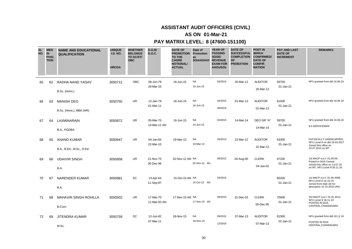# **AS ON 01-Mar-21**

| <b>SL</b><br><b>NO</b> | <b>MEN</b><br><b>IN</b><br><b>POSI</b><br><b>TION</b> | <b>NAME AND EDUCATIONAL</b><br><b>QUALIFICATION</b> | <b>UNIQUE</b><br><b>I.D. NO.</b><br><b>HRCDA</b> | <b>WHETHER</b><br><b>BELONGS</b><br>TO SC/ST/<br><b>OBC</b> | D.O.B/<br><b>D.O.C.</b>   | <b>DATE OF</b><br><b>PROMOTION</b><br>TO THE<br><b>CADRE</b><br><b>NOTIONAL/</b><br><b>ACTUAL</b> | Date of<br>Promotion<br>as<br>SO/AAO/AO | <b>YEAR OF</b><br><b>PASSING</b><br>SOGE/<br><b>REVENUE</b><br><b>EXAM FOR</b><br>AAOs/SOs | <b>DATE OF</b><br><b>SUCCESSFUL</b><br><b>COMPLETION</b><br><b>OF</b><br><b>PROBATION</b> | <b>POST IN</b><br><b>WHICH</b><br><b>CONFIRMED/</b><br><b>DATE OF</b><br>CONFIR_<br><b>MATION</b> | <b>PAY AND LAST</b><br><b>DATE OF</b><br><b>INCREMENT</b> | <b>REMARKS</b>                                                                                                      |
|------------------------|-------------------------------------------------------|-----------------------------------------------------|--------------------------------------------------|-------------------------------------------------------------|---------------------------|---------------------------------------------------------------------------------------------------|-----------------------------------------|--------------------------------------------------------------------------------------------|-------------------------------------------------------------------------------------------|---------------------------------------------------------------------------------------------------|-----------------------------------------------------------|---------------------------------------------------------------------------------------------------------------------|
| 65                     | 62                                                    | RADHA NAND YADAV<br>B.Sc. (Hons.)                   | 3050712                                          | OBC                                                         | 06-Jun-79<br>26-Mar-10    | 16-Jun-15                                                                                         | <b>NA</b><br>16-Jun-15                  | 03/2015                                                                                    | 26-Mar-12                                                                                 | <b>AUDITOR</b><br>26-Mar-12                                                                       | 59700<br>01-Jan-21                                        | NFU granted from dtd 16.06.19                                                                                       |
| 66                     | 63                                                    | <b>MANISH DEO</b><br>B.Sc. (Hons.), MBA (HR)        | 3050750                                          | <b>UR</b>                                                   | 12-Jan-79<br>01-Mar-11    | 16-Jun-15                                                                                         | <b>NA</b><br>16-Jun-15                  | 03/2015<br>06/2019                                                                         | 01-Mar-13                                                                                 | <b>AUDITOR</b><br>01-Mar-13                                                                       | 61500<br>01-Jan-21                                        | NFU granted from dtd 16.06.19                                                                                       |
| 67                     | 64                                                    | LAXMINARAIN<br>B.A., PGDBA                          | 3050872                                          | UR                                                          | 05-Mar-75<br>14-Mar-12 AN | 16-Jun-15                                                                                         | <b>NA</b><br>16-Jun-15                  | 03/2015                                                                                    | 14-Mar-14                                                                                 | DEO GR "A"<br>14-Mar-14                                                                           | 59700<br>01-Jan-21                                        | NFU granted from dtd 16.06.19<br><b>EX-SERVICEMAN</b>                                                               |
| 68                     | 65                                                    | <b>ANAND KUMAR</b><br>B.A., B.Ed., M.Sc., D.Ed.     | 3050947                                          | <b>UR</b>                                                   | 04-Jan-84<br>22-Mar-10    | 19-Mar-13                                                                                         | <b>NA</b><br>19-Mar-13                  | 03/2013                                                                                    | 22-Mar-12                                                                                 | <b>AUDITOR</b><br>22-Mar-12                                                                       | 63300<br>01-Jan-21                                        | PHYSICALLY HANDICAPPED.<br>NFU Level-9 on dtd 19.03.2017<br>Joined this office on<br>10.07.2015 on MT               |
| 69                     | 66                                                    | <b>UDAIVIR SINGH</b><br>B.A.                        | 3050958                                          | <b>UR</b>                                                   | 21-Nov-75<br>30-Dec-96    | 02-Nov-12 AN NA                                                                                   | 02-Nov-12 AN                            | 09/2012                                                                                    | 04-Aug-00                                                                                 | <b>CLERK</b><br>04-Jan-01                                                                         | 67200<br>01-Jan-21                                        | 1st MACP w.e.f. 01.09.08,<br>Posted in DGA Central<br>Joined this office on 13.07.15<br>on MT, NFU Level-9 03.11.16 |
| 70                     | 67                                                    | <b>NARENDER KUMAR</b><br>B.A.                       | 3050981                                          | SC                                                          | 13-Apr-64<br>11-Sep-87    | 15-Oct-15 AN NA                                                                                   | 15-Oct-15 AN                            | 03/2015                                                                                    |                                                                                           |                                                                                                   | 80200<br>01-Jan-21                                        | 1st MACP w.e.f. 01.09.2008,<br>NFU Level-9 16.10.19<br>Joined from A&E ofc for<br>absorption 15.10.2015 (AN)        |
| 71                     | 68                                                    | MAHAVIR SINGH ROHILLA<br>B.Com.                     | 3050502                                          | <b>UR</b>                                                   | 17-Mar-70<br>11-Mar-93 AN | 17-Nov-15 AN NA                                                                                   | 17-Nov-15 AN                            | 09/2015                                                                                    | 31-Dec-03                                                                                 | <b>CLERK</b><br>05-Dec-95                                                                         | 75600<br>01-Jan-21                                        | 3rd MACP w.e.f. 01.01.2012,<br>NFU Level-9 18.11.19<br>POSTED IN DGA<br>CENTRAL, CHANDIGARH                         |
| 72                     | 69                                                    | <b>JITENDRA KUMAR</b><br>M.Sc.                      | 3050759                                          | <b>SC</b>                                                   | 12-Jun-82<br>07-Mar-11    | 18-Nov-15                                                                                         | <b>NA</b><br>18-Nov-15                  | 09/2015<br>12/2018                                                                         | 07-Mar-13                                                                                 | <b>AUDITOR</b><br>07-Mar-13                                                                       | 61500<br>01-Jan-21                                        | NFU granted from dtd 18.11.19<br>POSTED IN DGA<br>CENTRAL, CHANDIGARH                                               |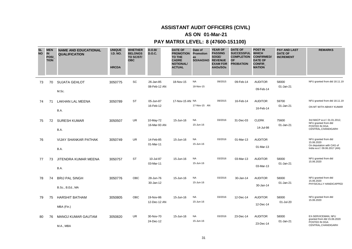# **AS ON 01-Mar-21**

| <b>SL</b><br><b>NO</b> | <b>MEN</b><br>IN<br><b>POSI</b><br><b>TION</b> | <b>NAME AND EDUCATIONAL</b><br><b>QUALIFICATION</b> | <b>UNIQUE</b><br><b>I.D. NO.</b><br><b>HRCDA</b> | <b>WHETHER</b><br><b>BELONGS</b><br>TO SC/ST/<br><b>OBC</b> | D.O.B/<br><b>D.O.C.</b>   | <b>DATE OF</b><br><b>PROMOTION</b><br>TO THE<br><b>CADRE</b><br><b>NOTIONAL/</b><br><b>ACTUAL</b> | Date of<br>Promotion<br>as<br>SO/AAO/AO | <b>YEAR OF</b><br><b>PASSING</b><br>SOGE/<br><b>REVENUE</b><br><b>EXAM FOR</b><br>AAOs/SOs | <b>DATE OF</b><br><b>SUCCESSFUL</b><br><b>COMPLETION</b><br><b>OF</b><br><b>PROBATION</b> | <b>POST IN</b><br><b>WHICH</b><br><b>CONFIRMED/</b><br><b>DATE OF</b><br><b>CONFIR</b><br><b>MATION</b> | <b>PAY AND LAST</b><br><b>DATE OF</b><br><b>INCREMENT</b> | <b>REMARKS</b>                                                                                  |
|------------------------|------------------------------------------------|-----------------------------------------------------|--------------------------------------------------|-------------------------------------------------------------|---------------------------|---------------------------------------------------------------------------------------------------|-----------------------------------------|--------------------------------------------------------------------------------------------|-------------------------------------------------------------------------------------------|---------------------------------------------------------------------------------------------------------|-----------------------------------------------------------|-------------------------------------------------------------------------------------------------|
| 73                     | 70                                             | <b>SUJATA GEHLOT</b><br>M.Sc.                       | 3050775                                          | SC                                                          | 26-Jan-85<br>08-Feb-12 AN | 18-Nov-15                                                                                         | <b>NA</b><br>18-Nov-15                  | 09/2015                                                                                    | 09-Feb-14                                                                                 | <b>AUDITOR</b><br>09-Feb-14                                                                             | 58000<br>01-Jan-21                                        | NFU granted from dtd 18.11.19                                                                   |
| 74                     | 71                                             | LAKHAN LAL MEENA<br>B.A.                            | 3050789                                          | <b>ST</b>                                                   | 05-Jun-87<br>16-Feb-12    | 17-Nov-15 AN NA                                                                                   | 17-Nov-15 AN                            | 09/2015                                                                                    | 16-Feb-14                                                                                 | <b>AUDITOR</b><br>16-Feb-14                                                                             | 59700<br>01-Jan-21                                        | NFU granted from dtd 18.11.19<br>ON MT WITH ABHAY KUMAR                                         |
| 75                     | 72                                             | <b>SURESH KUMAR</b><br>B.A.                         | 3050507                                          | <b>UR</b>                                                   | 10-May-72<br>16-Mar-93 AN | 15-Jun-16                                                                                         | <b>NA</b><br>15-Jun-16                  | 03/2016                                                                                    | 31-Dec-03                                                                                 | <b>CLERK</b><br>14-Jul-98                                                                               | 75600<br>01-Jan-21                                        | 3rd MACP w.e.f. 01.01.2012,<br>NFU granted from dtd<br>POSTED IN DGA<br>CENTRAL, CHANDIGARH     |
| 76                     |                                                | VIJAY SHANKAR PATHAK<br>B.A.                        | 3050749                                          | <b>UR</b>                                                   | 14-Feb-85<br>01-Mar-11    | 15-Jun-16                                                                                         | <b>NA</b><br>15-Jun-16                  | 03/2016                                                                                    | 01-Mar-13                                                                                 | <b>AUDITOR</b><br>01-Mar-13                                                                             |                                                           | NFU granted from dtd<br>15.06.2020<br>On deputation with CAG of<br>India w.e.f. 09.06.2017 (AN) |
| 77                     | 73                                             | JITENDRA KUMAR MEENA<br>B.A.                        | 3050757                                          | <b>ST</b>                                                   | 10-Jul-87<br>03-Mar-11    | 15-Jun-16                                                                                         | <b>NA</b><br>15-Jun-16                  | 03/2016                                                                                    | 03-Mar-13                                                                                 | <b>AUDITOR</b><br>03-Mar-13                                                                             | 58000<br>01-Jan-21                                        | NFU granted from dtd<br>15.06.2020                                                              |
| 78                     | 74                                             | <b>BRIJ PAL SINGH</b><br>B.Sc., B.Ed., MA           | 3050776                                          | <b>OBC</b>                                                  | 28-Jun-76<br>30-Jan-12    | 15-Jun-16                                                                                         | <b>NA</b><br>15-Jun-16                  | 03/2016                                                                                    | 30-Jan-14                                                                                 | <b>AUDITOR</b><br>30-Jan-14                                                                             | 58000<br>01-Jan-21                                        | NFU granted from dtd<br>15.06.2020<br>PHYSICALLY HANDICAPPED                                    |
| 79                     | 75                                             | <b>HARSHIT BATHAM</b><br>MBA (Fin.)                 | 3050805                                          | <b>OBC</b>                                                  | 19-Nov-86<br>12-Dec-12 AN | 15-Jun-16                                                                                         | <b>NA</b><br>15-Jun-16                  | 03/2016                                                                                    | 12-Dec-14                                                                                 | <b>AUDITOR</b><br>12-Dec-14                                                                             | 58000<br>01-Jul-20                                        | NFU granted from dtd<br>15.06.2020                                                              |
| 80                     | 76                                             | <b>MANOJ KUMAR GAUTAM</b><br>M.A., MBA              | 3050820                                          | UR                                                          | 30-Nov-70<br>24-Dec-12    | 15-Jun-16                                                                                         | <b>NA</b><br>15-Jun-16                  | 03/2016                                                                                    | 23-Dec-14                                                                                 | <b>AUDITOR</b><br>23-Dec-14                                                                             | 58000<br>01-Jan-21                                        | EX-SERVICEMAN, NFU<br>granted from dtd 15.06.2020<br>POSTED IN DGA<br>CENTRAL, CHANDIGARH       |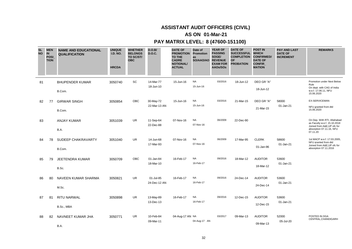# **AS ON 01-Mar-21**

| <b>SL</b><br><b>NO</b> | <b>MEN</b><br><b>IN</b><br>POSI_<br><b>TION</b> | <b>NAME AND EDUCATIONAL</b><br><b>QUALIFICATION</b> | <b>UNIQUE</b><br><b>I.D. NO.</b><br><b>HRCDA</b> | <b>WHETHER</b><br><b>BELONGS</b><br>TO SC/ST/<br><b>OBC</b> | D.O.B/<br><b>D.O.C.</b>   | <b>DATE OF</b><br><b>PROMOTION Promotion</b><br><b>TO THE</b><br><b>CADRE</b><br><b>NOTIONAL/</b><br><b>ACTUAL</b> | Date of<br>as<br>SO/AAO/AO | <b>YEAR OF</b><br><b>PASSING</b><br>SOGE/<br><b>REVENUE</b><br><b>EXAM FOR</b><br>AAOs/SOs | <b>DATE OF</b><br>SUCCESSFUL WHICH<br><b>COMPLETION</b><br><b>OF</b><br><b>PROBATION</b> | <b>POST IN</b><br><b>CONFIRMED/</b><br><b>DATE OF</b><br><b>CONFIR</b><br><b>MATION</b> | <b>PAY AND LAST</b><br><b>DATE OF</b><br><b>INCREMENT</b> | <b>REMARKS</b>                                                                                                                     |
|------------------------|-------------------------------------------------|-----------------------------------------------------|--------------------------------------------------|-------------------------------------------------------------|---------------------------|--------------------------------------------------------------------------------------------------------------------|----------------------------|--------------------------------------------------------------------------------------------|------------------------------------------------------------------------------------------|-----------------------------------------------------------------------------------------|-----------------------------------------------------------|------------------------------------------------------------------------------------------------------------------------------------|
| 81                     |                                                 | <b>BHUPENDER KUMAR</b><br>B.Com.                    | 3050740                                          | <b>SC</b>                                                   | 14-Mar-77<br>18-Jun-10    | 15-Jun-16                                                                                                          | <b>NA</b><br>15-Jun-16     | 03/2016                                                                                    | 18-Jun-12                                                                                | DEO GR "A"<br>18-Jun-12                                                                 |                                                           | Promotion under Next Below<br>Rule<br>On dept. with CAG of India<br>w.e.f. 17.06.11, NFU<br>15.06.2020                             |
| 82                     | 77                                              | <b>GIRWAR SINGH</b><br>B.Com.                       | 3050854                                          | OBC                                                         | 30-May-72<br>22-Mar-13 AN | 15-Jun-16                                                                                                          | <b>NA</b><br>15-Jun-16     | 03/2016                                                                                    | 21-Mar-15                                                                                | DEO GR "A"<br>21-Mar-15                                                                 | 58000<br>01-Jan-21                                        | <b>EX-SERVICEMAN</b><br>NFU granted from dtd<br>15.06.2020                                                                         |
| 83                     |                                                 | <b>ANJAY KUMAR</b><br>B.A.                          | 3051039                                          | <b>UR</b>                                                   | 11-Sep-64<br>22-Dec-88    | 07-Nov-16                                                                                                          | <b>NA</b><br>07-Nov-16     | 06/2009                                                                                    | 22-Dec-90                                                                                |                                                                                         |                                                           | On Dep. With RTI, Allahabad<br>as Faculty w.e.f. 15.10.2018<br>Joined from A&E, UP ofc for<br>absorption 07.11.16, NFU<br>07.11.20 |
| 84                     | 78                                              | SUDEEP CHAKRAVARTY<br>B.Com.                        | 3051040                                          | <b>UR</b>                                                   | 14-Jun-68<br>17-Mar-93    | 07-Nov-16                                                                                                          | <b>NA</b><br>07-Nov-16     | 06/2009                                                                                    | 17-Mar-95                                                                                | <b>CLERK</b><br>01-Jan-96                                                               | 58600<br>01-Jan-21                                        | 1st MACP w.e.f. 17.03.2005,<br>NFU granted from dtd<br>Joined from A&E, UP ofc for<br>absorption 07.11.2016                        |
| 85                     | 79                                              | <b>JEETENDRA KUMAR</b><br>B.Sc.                     | 3050709                                          | OBC                                                         | 01-Jan-84<br>18-Mar-10    | 16-Feb-17                                                                                                          | <b>NA</b><br>16-Feb-17     | 09/2016                                                                                    | 18-Mar-12                                                                                | <b>AUDITOR</b><br>18-Mar-12                                                             | 53600<br>01-Jan-21                                        |                                                                                                                                    |
| 86                     | 80                                              | NAVEEN KUMAR SHARMA<br>M.Sc.                        | 3050821                                          | <b>UR</b>                                                   | 01-Jul-85<br>24-Dec-12 AN | 16-Feb-17                                                                                                          | <b>NA</b><br>16-Feb-17     | 09/2016                                                                                    | 24-Dec-14                                                                                | <b>AUDITOR</b><br>24-Dec-14                                                             | 53600<br>01-Jan-21                                        |                                                                                                                                    |
| 87                     | 81                                              | <b>RITU NARWAL</b><br>B.Sc., MBA                    | 3050898                                          | <b>UR</b>                                                   | 13-May-89<br>13-Dec-13    | 16-Feb-17                                                                                                          | <b>NA</b><br>16-Feb-17     | 09/2016                                                                                    | 12-Dec-15                                                                                | <b>AUDITOR</b><br>12-Dec-15                                                             | 53600<br>01-Jan-21                                        |                                                                                                                                    |
| 88                     | 82                                              | NAVNEET KUMAR JHA<br>B.A.                           | 3050771                                          | UR.                                                         | 10-Feb-84<br>09-Mar-11    | 04-Aug-17 AN NA                                                                                                    | 04-Aug-17 AN               | 03/2017                                                                                    | 09-Mar-13                                                                                | <b>AUDITOR</b><br>09-Mar-13                                                             | 52000<br>05-Jul-20                                        | POSTED IN DGA<br>CENTRAL, CHANDIGARH                                                                                               |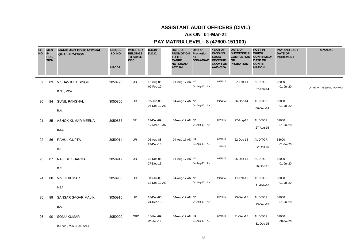# **AS ON 01-Mar-21**

| <b>SL</b><br><b>NO</b> | <b>MEN</b><br>IN<br>POSI_<br><b>TION</b> | <b>NAME AND EDUCATIONAL</b><br><b>QUALIFICATION</b> | <b>UNIQUE</b><br><b>I.D. NO.</b><br><b>HRCDA</b> | <b>WHETHER</b><br><b>BELONGS</b><br>TO SC/ST/<br><b>OBC</b> | D.O.B/<br><b>D.O.C.</b>   | <b>DATE OF</b><br><b>PROMOTION Promotion</b><br><b>TO THE</b><br><b>CADRE</b><br><b>NOTIONAL/</b><br><b>ACTUAL</b> | Date of<br>as<br>SO/AAO/AO | <b>YEAR OF</b><br><b>PASSING</b><br>SOGE/<br><b>REVENUE</b><br><b>EXAM FOR</b><br>AAOs/SOs | <b>DATE OF</b><br><b>SUCCESSFUL</b><br><b>COMPLETION</b><br><b>OF</b><br><b>PROBATION</b> | <b>POST IN</b><br><b>WHICH</b><br><b>CONFIRMED/</b><br><b>DATE OF</b><br><b>CONFIR</b><br><b>MATION</b> | <b>PAY AND LAST</b><br><b>DATE OF</b><br><b>INCREMENT</b> | <b>REMARKS</b>          |
|------------------------|------------------------------------------|-----------------------------------------------------|--------------------------------------------------|-------------------------------------------------------------|---------------------------|--------------------------------------------------------------------------------------------------------------------|----------------------------|--------------------------------------------------------------------------------------------|-------------------------------------------------------------------------------------------|---------------------------------------------------------------------------------------------------------|-----------------------------------------------------------|-------------------------|
| 89                     | 83                                       | <b>VISHAVJEET SINGH</b><br>B.Sc., MCA               | 3050793                                          | UR                                                          | 12-Aug-85<br>02-Feb-12    | 04-Aug-17 AN NA                                                                                                    | 04-Aug-17 AN               | 03/2017                                                                                    | 02-Feb-14                                                                                 | <b>AUDITOR</b><br>02-Feb-14                                                                             | 52000<br>01-Jul-20                                        | On MT WITH SUNIL TANWAR |
| 90                     | 84                                       | <b>SUNIL PANGHAL</b><br>B.A.                        | 3050800                                          | UR                                                          | 15-Jun-88<br>06-Dec-12 AN | 04-Aug-17 AN NA                                                                                                    | 04-Aug-17 AN               | 03/2017                                                                                    | 06-Dec-14                                                                                 | <b>AUDITOR</b><br>06-Dec-14                                                                             | 52000<br>01-Jul-20                                        |                         |
| 91                     | 85                                       | ASHOK KUMAR MEENA<br>B.Sc.                          | 3050867                                          | <b>ST</b>                                                   | 12-Dec-89<br>12-Mar-13 AN | 04-Aug-17 AN NA                                                                                                    | 04-Aug-17 AN               | 03/2017                                                                                    | 27-Aug-15                                                                                 | <b>AUDITOR</b><br>27-Aug-15                                                                             | 52000<br>01-Jul-20                                        |                         |
| 92                     | 86                                       | <b>RAHUL GUPTA</b><br>B.E.                          | 3050914                                          | <b>UR</b>                                                   | 06-Aug-88<br>23-Dec-13    | 04-Aug-17 AN NA                                                                                                    | 04-Aug-17 AN               | 03/2017<br>11/2019                                                                         | 22-Dec-15                                                                                 | <b>AUDITOR</b><br>22-Dec-15                                                                             | 53600<br>01-Jul-20                                        |                         |
| 93                     | 87                                       | RAJESH SHARMA<br>B.E.                               | 3050919                                          | <b>UR</b>                                                   | 22-Dec-85<br>27-Dec-13    | 04-Aug-17 AN NA                                                                                                    | 04-Aug-17 AN               | 03/2017                                                                                    | 26-Dec-15                                                                                 | <b>AUDITOR</b><br>26-Dec-15                                                                             | 52000<br>01-Jul-20                                        |                         |
| 94                     | 88                                       | <b>VIVEK KUMAR</b><br><b>MBA</b>                    | 3050900                                          | <b>UR</b>                                                   | 03-Jul-88<br>12-Dec-13 AN | 04-Aug-17 AN NA                                                                                                    | 04-Aug-17 AN               | 03/2017                                                                                    | 11-Feb-16                                                                                 | <b>AUDITOR</b><br>11-Feb-16                                                                             | 52000<br>01-Jul-20                                        |                         |
| 95                     | 89                                       | SANSAR SAGAR MALIK<br>B.A.                          | 3050916                                          | UR                                                          | 18-Dec-86<br>24-Dec-13    | 04-Aug-17 AN NA                                                                                                    | 04-Aug-17 AN               | 03/2017                                                                                    | 23-Dec-15                                                                                 | <b>AUDITOR</b><br>23-Dec-15                                                                             | 52000<br>01-Jul-20                                        |                         |
| 96                     | 90                                       | <b>SONU KUMAR</b><br>B.Tech., M.A. (Poli. Sci.)     | 3050920                                          | <b>OBC</b>                                                  | 15-Feb-89<br>$01$ -Jan-14 | 04-Aug-17 AN NA                                                                                                    | 04-Aug-17 AN               | 03/2017                                                                                    | 31-Dec-15                                                                                 | <b>AUDITOR</b><br>31-Dec-15                                                                             | 52000<br>08-Jul-20                                        |                         |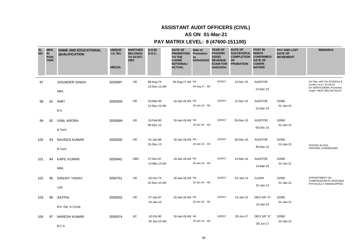# **AS ON 01-Mar-21**

| <b>SL</b><br><b>NO</b> | <b>MEN</b><br><b>IN</b><br>POSI_<br><b>TION</b> | <b>NAME AND EDUCATIONAL</b><br><b>QUALIFICATION</b> | <b>UNIQUE</b><br><b>I.D. NO.</b><br><b>HRCDA</b> | <b>WHETHER</b><br><b>BELONGS</b><br>TO SC/ST/<br><b>OBC</b> | D.O.B/<br><b>D.O.C.</b>   | <b>DATE OF</b><br><b>PROMOTION</b><br><b>TO THE</b><br><b>CADRE</b><br><b>NOTIONAL/</b><br><b>ACTUAL</b> | Date of<br>Promotion<br>as<br>SO/AAO/AO | <b>YEAR OF</b><br><b>PASSING</b><br>SOGE/<br><b>REVENUE</b><br><b>EXAM FOR</b><br>AAOs/SOs | <b>DATE OF</b><br><b>SUCCESSFUL</b><br><b>COMPLETION</b><br><b>OF</b><br><b>PROBATION</b> | <b>POST IN</b><br><b>WHICH</b><br><b>CONFIRMED/</b><br><b>DATE OF</b><br>CONFIR_<br><b>MATION</b> | <b>PAY AND LAST</b><br><b>DATE OF</b><br><b>INCREMENT</b> | <b>REMARKS</b>                                                                                              |
|------------------------|-------------------------------------------------|-----------------------------------------------------|--------------------------------------------------|-------------------------------------------------------------|---------------------------|----------------------------------------------------------------------------------------------------------|-----------------------------------------|--------------------------------------------------------------------------------------------|-------------------------------------------------------------------------------------------|---------------------------------------------------------------------------------------------------|-----------------------------------------------------------|-------------------------------------------------------------------------------------------------------------|
| 97                     |                                                 | <b>JOGINDER SINGH</b><br>MBA                        | 3050897                                          | <b>UR</b>                                                   | 08-Aug-74<br>13-Dec-13 AN | 04-Aug-17 AN NA                                                                                          | 04-Aug-17 AN                            | 03/2017                                                                                    | 13-Dec-15                                                                                 | <b>AUDITOR</b><br>13-Dec-15                                                                       |                                                           | On Dep. with O/o DGA(Post &<br>Comm.) w.e.f. 31.08.16<br>EX-SERVICEMAN, Promoted<br>Under "NEXT BELOW RULE" |
| 98                     | 91                                              | AMIT<br>B.A.                                        | 3050909                                          | UR                                                          | 03-Mar-90<br>12-Dec-13 AN | 18-Jan-18 AN NA                                                                                          | 18-Jan-18 AN                            | 10/2017                                                                                    | 12-Dec-15                                                                                 | <b>AUDITOR</b><br>12-Dec-15                                                                       | 52000<br>01-Jan-21                                        |                                                                                                             |
| 99                     | 92                                              | <b>VINIL ARORA</b><br>B.Tech.                       | 3050899                                          | <b>UR</b>                                                   | 10-Feb-90<br>06-Dec-13    | 18-Jan-18 AN NA                                                                                          | 18-Jan-18 AN                            | 10/2017                                                                                    | 05-Dec-15                                                                                 | <b>AUDITOR</b><br>05-Dec-15                                                                       | 52000<br>01-Jan-21                                        |                                                                                                             |
| 100                    | 93                                              | <b>NAVEEN KUMAR</b><br>B.Tech.                      | 3050930                                          | <b>UR</b>                                                   | 01-Jan-88<br>31-Dec-13    | 18-Jan-18 AN NA                                                                                          | 18-Jan-18 AN                            | 10/2017                                                                                    | 30-Dec-15                                                                                 | <b>AUDITOR</b><br>30-Dec-15                                                                       | 52000<br>01-Jan-21                                        | POSTED IN DGA<br>CENTRAL, CHANDIGARH                                                                        |
| 101                    | 94                                              | <b>KAPIL KUMAR</b><br><b>MBA</b>                    | 3050942                                          | OBC                                                         | 27-Dec-87<br>14-Mar-14 AN | 18-Jan-18 AN NA                                                                                          | 18-Jan-18 AN                            | 10/2017                                                                                    | 14-Mar-16                                                                                 | <b>AUDITOR</b><br>14-Mar-16                                                                       | 52000<br>01-Jan-21                                        |                                                                                                             |
| 102                    | 95                                              | <b>SANJAY YADAV</b><br>12th                         | 3050751                                          | UR                                                          | 02-Oct-74<br>31-Dec-10 AN | 18-Jan-18 AN NA                                                                                          | 18-Jan-18 AN                            | 10/2017                                                                                    | $01$ -Jan-13                                                                              | <b>CLERK</b><br>01-Jan-13                                                                         | 52000<br>01-Jan-21                                        | APPOINTMENT ON<br><b>COMPASSIONATE GROUNDS</b><br>PHYSICALLY HANDICAPPED                                    |
| 103                    | 96                                              | SATPAL<br>B.A. Dip. In Comp.                        | 3050832                                          | UR                                                          | 27-Jan-87<br>14-Jan-13    | 18-Jan-18 AN NA                                                                                          | 18-Jan-18 AN                            | 10/2017                                                                                    | 14-Jan-15                                                                                 | DEO GR "A"<br>13-Jan-15                                                                           | 52000<br>01-Jan-21                                        |                                                                                                             |
| 104                    | 97                                              | <b>NARESH KUMAR</b><br>B.C.A.                       | 3050974                                          | SC                                                          | 10-Oct-90<br>30-Jun-15 AN | 18-Jan-18 AN NA                                                                                          | 18-Jan-18 AN                            | 10/2017                                                                                    | 30-Jun-17                                                                                 | DEO GR "A"<br>30-Jun-17                                                                           | 52000<br>01-Jan-21                                        |                                                                                                             |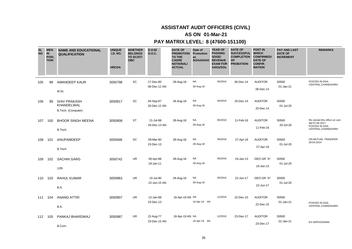# **AS ON 01-Mar-21**

| <b>SL</b><br><b>NO</b> | <b>MEN</b><br><b>IN</b><br>POSI_<br><b>TION</b> | <b>NAME AND EDUCATIONAL</b><br><b>QUALIFICATION</b>     | <b>UNIQUE</b><br><b>I.D. NO.</b><br><b>HRCDA</b> | <b>WHETHER</b><br><b>BELONGS</b><br>TO SC/ST/<br><b>OBC</b> | D.O.B/<br><b>D.O.C.</b>   | <b>DATE OF</b><br><b>PROMOTION</b><br>TO THE<br><b>CADRE</b><br><b>NOTIONAL/</b><br><b>ACTUAL</b> | Date of<br><b>Promotion</b><br>as<br>SO/AAO/AO REVENUE | <b>YEAR OF</b><br><b>PASSING</b><br>SOGE/<br><b>EXAM FOR</b><br>AAOs/SOs | <b>DATE OF</b><br>SUCCESSFUL WHICH<br><b>COMPLETION CONFIRMED/</b><br><b>OF</b><br><b>PROBATION</b> | <b>POST IN</b><br><b>DATE OF</b><br><b>CONFIR</b><br><b>MATION</b> | <b>PAY AND LAST</b><br><b>DATE OF</b><br><b>INCREMENT</b> | <b>REMARKS</b>                                                                          |
|------------------------|-------------------------------------------------|---------------------------------------------------------|--------------------------------------------------|-------------------------------------------------------------|---------------------------|---------------------------------------------------------------------------------------------------|--------------------------------------------------------|--------------------------------------------------------------------------|-----------------------------------------------------------------------------------------------------|--------------------------------------------------------------------|-----------------------------------------------------------|-----------------------------------------------------------------------------------------|
| 105                    | 98                                              | <b>AMANDEEP KAUR</b><br>M.Sc.                           | 3050798                                          | SC                                                          | 17-Dec-80<br>06-Dec-12 AN | 28-Aug-18                                                                                         | <b>NA</b><br>28-Aug-18                                 | 05/2018                                                                  | 06-Dec-14                                                                                           | <b>AUDITOR</b><br>06-Dec-14                                        | 50500<br>01-Jan-21                                        | POSTED IN DGA<br>CENTRAL, CHANDIGARH                                                    |
| 106                    | 99                                              | <b>SHIV PRAKASH</b><br>KHANDELWAL<br>B.Tech. (Computer) | 3050817                                          | SC                                                          | 04-Sep-87<br>20-Dec-12 AN | 28-Aug-18                                                                                         | <b>NA</b><br>28-Aug-18                                 | 05/2018                                                                  | 20-Dec-14                                                                                           | <b>AUDITOR</b><br>20-Dec-14                                        | 50500<br>01-Jul-20                                        |                                                                                         |
| 107                    | 100                                             | <b>BHOOR SINGH MEENA</b><br>B.Tech.                     | 3050908                                          | <b>ST</b>                                                   | 21-Jul-88<br>18-Dec-13 AN | 28-Aug-18                                                                                         | <b>NA</b><br>28-Aug-18                                 | 05/2018                                                                  | 11-Feb-16                                                                                           | <b>AUDITOR</b><br>11-Feb-16                                        | 50500<br>20-Jul-20                                        | Re-Joined this office on Lien<br>dtd 07.06.2017<br>POSTED IN DGA<br>CENTRAL, CHANDIGARH |
| 108                    | 101                                             | ANUPAMDEEP<br>B.Tech.                                   | 3050946                                          | SC                                                          | 09-Mar-90<br>23-Dec-13    | 28-Aug-18                                                                                         | <b>NA</b><br>28-Aug-18                                 | 05/2018                                                                  | 27-Apr-16                                                                                           | <b>AUDITOR</b><br>27-Apr-16                                        | 50500<br>01-Jul-20                                        | ON MUTUAL TRANSFER<br>28.04.2014                                                        |
| 109                    | 102                                             | <b>SACHIN GARG</b><br>12th                              | 3050742                                          | <b>UR</b>                                                   | 06-Apr-88<br>19-Jan-11    | 28-Aug-18                                                                                         | <b>NA</b><br>28-Aug-18                                 | 05/2018                                                                  | 19-Jan-13                                                                                           | DEO GR "A"<br>19-Jan-13                                            | 50500<br>01-Jul-20                                        |                                                                                         |
| 110                    | 103                                             | <b>RAHUL KUMAR</b><br>B.A.                              | 3050963                                          | <b>UR</b>                                                   | 15-Jul-90<br>22-Jun-15 AN | 28-Aug-18                                                                                         | <b>NA</b><br>28-Aug-18                                 | 05/2018                                                                  | 22-Jun-17                                                                                           | DEO GR "A"<br>22-Jun-17                                            | 50500<br>01-Jul-20                                        |                                                                                         |
| 111                    | 104                                             | <b>ANAND ATTRI</b><br>B.A.                              | 3050907                                          | <b>UR</b>                                                   | 12-Jan-89<br>23-Dec-13    | 16-Apr-19 AN NA                                                                                   | 16-Apr-19 AN                                           | 12/2018                                                                  | 22-Dec-15                                                                                           | <b>AUDITOR</b><br>22-Dec-15                                        | 50500<br>01-Jan-21                                        | POSTED IN DGA<br>CENTRAL, CHANDIGARH                                                    |
| 112                    | 105                                             | PANKAJ BHARDWAJ<br>B.Com.                               | 3050987                                          | UR                                                          | 22-Aug-77<br>23-Dec-15 AN | 16-Apr-19 AN NA                                                                                   | 16-Apr-19 AN                                           | 12/2018                                                                  | 23-Dec-17                                                                                           | <b>AUDITOR</b><br>23-Dec-17                                        | 50500<br>01-Jan-21                                        | <b>EX-SERVICEMAN</b>                                                                    |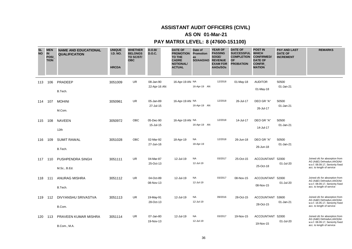# **AS ON 01-Mar-21**

| <b>SL</b><br><b>NO</b> | <b>MEN</b><br><b>IN</b><br><b>POSI</b><br><b>TION</b> | <b>NAME AND EDUCATIONAL</b><br><b>QUALIFICATION</b> | <b>UNIQUE</b><br><b>I.D. NO.</b><br><b>HRCDA</b> | <b>WHETHER</b><br><b>BELONGS</b><br>TO SC/ST/<br><b>OBC</b> | D.O.B/<br><b>D.O.C.</b>   | <b>DATE OF</b><br><b>PROMOTION</b><br>TO THE<br><b>CADRE</b><br><b>NOTIONAL/</b><br><b>ACTUAL</b> | Date of<br>Promotion<br>as<br>SO/AAO/AO REVENUE | <b>YEAR OF</b><br><b>PASSING</b><br>SOGE/<br><b>EXAM FOR</b><br>AAOs/SOs | <b>DATE OF</b><br><b>SUCCESSFUL</b><br><b>COMPLETION</b><br><b>OF</b><br><b>PROBATION</b> | <b>POST IN</b><br><b>WHICH</b><br><b>CONFIRMED/</b><br><b>DATE OF</b><br>CONFIR_<br><b>MATION</b> | <b>PAY AND LAST</b><br><b>DATE OF</b><br><b>INCREMENT</b> | <b>REMARKS</b>                                                                                                                 |
|------------------------|-------------------------------------------------------|-----------------------------------------------------|--------------------------------------------------|-------------------------------------------------------------|---------------------------|---------------------------------------------------------------------------------------------------|-------------------------------------------------|--------------------------------------------------------------------------|-------------------------------------------------------------------------------------------|---------------------------------------------------------------------------------------------------|-----------------------------------------------------------|--------------------------------------------------------------------------------------------------------------------------------|
| 113                    | 106                                                   | PRADEEP<br>B.Tech.                                  | 3051009                                          | <b>UR</b>                                                   | 08-Jan-90<br>22-Apr-16 AN | 16-Apr-19 AN NA                                                                                   | 16-Apr-19 AN                                    | 12/2018                                                                  | 01-May-18                                                                                 | <b>AUDITOR</b><br>01-May-18                                                                       | 50500<br>01-Jan-21                                        |                                                                                                                                |
| 114                    | 107                                                   | <b>MOHINI</b><br>M.Com.                             | 3050961                                          | <b>UR</b>                                                   | 05-Jan-89<br>27-Jul-15    | 16-Apr-19 AN NA                                                                                   | 16-Apr-19 AN                                    | 12/2018                                                                  | 26-Jul-17                                                                                 | DEO GR "A"<br>26-Jul-17                                                                           | 50500<br>01-Jan-21                                        |                                                                                                                                |
| 115                    | 108                                                   | <b>NAVEEN</b><br>12th                               | 3050972                                          | <b>OBC</b>                                                  | 05-Dec-90<br>15-Jul-15    | 16-Apr-19 AN NA                                                                                   | 16-Apr-19 AN                                    | 12/2018                                                                  | 14-Jul-17                                                                                 | DEO GR "A"<br>14-Jul-17                                                                           | 50500<br>01-Jan-21                                        |                                                                                                                                |
| 116                    | 109                                                   | <b>SUMIT RAWAL</b><br>B.Tech.                       | 3051028                                          | <b>OBC</b>                                                  | 02-Mar-92<br>27-Jun-16    | 18-Apr-19                                                                                         | <b>NA</b><br>18-Apr-19                          | 12/2018                                                                  | 26-Jun-18                                                                                 | DEO GR "A"<br>26-Jun-18                                                                           | 50500<br>01-Jan-21                                        |                                                                                                                                |
| 117                    | 110                                                   | PUSHPENDRA SINGH<br>M.Sc., B.Ed.                    | 3051111                                          | UR                                                          | 04-Mar-87<br>25-Oct-13    | 12-Jul-19                                                                                         | <b>NA</b><br>12-Jul-19                          | 03/2017                                                                  | 25-Oct-15                                                                                 | ACCOUNTANT<br>25-Oct-18                                                                           | 52000<br>01-Jul-20                                        | Joined ofc for absorption from<br>AG (A&E) Dehradun, AAO (Ad-<br>w.e.f. 08.09.17, Seniority fixed<br>acc. to length of service |
| 118                    | 111                                                   | <b>ANURAG MISHRA</b><br>B.Tech.                     | 3051112                                          | UR                                                          | 04-Oct-89<br>08-Nov-13    | 12-Jul-19                                                                                         | <b>NA</b><br>12-Jul-19                          | 03/2017                                                                  | 08-Nov-15                                                                                 | ACCOUNTANT 52000<br>08-Nov-15                                                                     | 01-Jul-20                                                 | Joined ofc for absorption from<br>AG (A&E) Dehradun, AAO (Ad-<br>w.e.f. 08.09.17, Seniority fixed<br>acc. to length of service |
| 119                    | 112                                                   | DIVYANSHU SRIVASTVA<br>B.Com.                       | 3051113                                          | UR                                                          | 19-May-91<br>28-Oct-13    | 12-Jul-19                                                                                         | <b>NA</b><br>12-Jul-19                          | 09/2016                                                                  | 28-Oct-15                                                                                 | <b>ACCOUNTANT</b><br>28-Oct-15                                                                    | 53600<br>01-Jan-21                                        | Joined ofc for absorption from<br>AG (A&E) Dehradun, AAO (Ad-<br>w.e.f. 16.05.17, Seniority fixed<br>acc. to length of service |
| 120                    | 113                                                   | PRAVEEN KUMAR MISHRA<br>B.Com., M.A.                | 3051114                                          | <b>UR</b>                                                   | 07-Jan-80<br>19-Nov-13    | 12-Jul-19                                                                                         | <b>NA</b><br>12-Jul-19                          | 03/2017                                                                  | 19-Nov-15                                                                                 | ACCOUNTANT 52000<br>19-Nov-15                                                                     | 01-Jul-20                                                 | Joined ofc for absorption from<br>AG (A&E) Dehradun, AAO (Ad-<br>w.e.f. 08.09.17, Seniority fixed<br>acc. to length of service |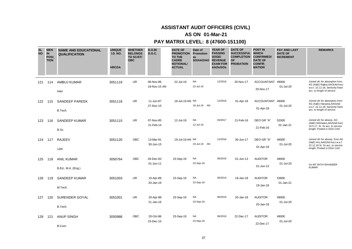## **ASSISTANT AUDIT OFFICERS (CIVIL)**

### **AS ON 01-Mar-21**

| <b>SL</b><br><b>NO</b> | <b>MEN</b><br><b>IN</b><br><b>POSI</b><br><b>TION</b> | <b>NAME AND EDUCATIONAL</b><br><b>QUALIFICATION</b> | <b>UNIQUE</b><br><b>I.D. NO.</b><br><b>HRCDA</b> | <b>WHETHER</b><br><b>BELONGS</b><br>TO SC/ST/<br><b>OBC</b> | D.O.B/<br><b>D.O.C.</b>   | <b>DATE OF</b><br><b>PROMOTION</b><br><b>TO THE</b><br><b>CADRE</b><br><b>NOTIONAL/</b><br><b>ACTUAL</b> | Date of<br>Promotion<br>as<br>SO/AAO/AO | <b>YEAR OF</b><br><b>PASSING</b><br>SOGE/<br><b>REVENUE</b><br><b>EXAM FOR</b><br>AAOs/SOs | <b>DATE OF</b><br>SUCCESSFUL WHICH<br><b>COMPLETION</b><br><b>OF</b><br><b>PROBATION</b> | <b>POST IN</b><br><b>CONFIRMED/</b><br><b>DATE OF</b><br><b>CONFIR</b><br><b>MATION</b> | <b>PAY AND LAST</b><br><b>DATE OF</b><br><b>INCREMENT</b> | <b>REMARKS</b>                                                                                                                     |
|------------------------|-------------------------------------------------------|-----------------------------------------------------|--------------------------------------------------|-------------------------------------------------------------|---------------------------|----------------------------------------------------------------------------------------------------------|-----------------------------------------|--------------------------------------------------------------------------------------------|------------------------------------------------------------------------------------------|-----------------------------------------------------------------------------------------|-----------------------------------------------------------|------------------------------------------------------------------------------------------------------------------------------------|
| 121                    | 114                                                   | <b>AMBUJ KUMAR</b><br>Inter                         | 3051119                                          | UR.                                                         | 06-Nov-86<br>19-Nov-15 AN | 22-Jul-19                                                                                                | <b>NA</b><br>22-Jul-19                  | 12/2018                                                                                    | 20-Nov-17                                                                                | <b>ACCOUNTANT</b><br>20-Nov-17                                                          | 49000<br>01-Jul-20                                        | Joined ofc for absorption from<br>AG (A&E) Rajkot, AAO(Ad-hoc)<br>w.e.f. 22.12.18, Seniority fixed<br>acc. to length of service    |
| 122                    | 115                                                   | <b>SANDEEP PAREEK</b><br>B.Tech.                    | 3051118                                          | UR                                                          | 11-Jun-87<br>27-Nov-15    | 19-Jul-19 AN NA                                                                                          | 19-Jul-19 AN                            | 12/2018                                                                                    | 01-Apr-18                                                                                | <b>ACCOUNTANT</b><br>01-Apr-18                                                          | 49000<br>01-Jul-20                                        | Joined ofc for absorption from<br>AG (A&E) Haryana, AAO (Ad-<br>w.e.f. 22.12.18, Seniority fixed<br>acc. to length of service      |
| 123                    | 116                                                   | <b>SANDEEP KUMAR</b><br>B.Sc.                       | 3051115                                          | UR.                                                         | 07-Nov-85<br>21-Feb-14    | 12-Jul-19                                                                                                | <b>NA</b><br>12-Jul-19                  | 03/2017                                                                                    | 21-Feb-16                                                                                | DEO GR "A"<br>21-Feb-16                                                                 | 52000<br>01-Jan-21                                        | Joined ofc for absorp. AG<br>(A&E) Dehradun.AAO(Ad-hoc)<br>16.5.17, Sr. fix acc. to service<br>length, Posted in DGA Cntrl         |
| 124                    | 117                                                   | <b>RAJEEV</b><br>12th                               | 3051120                                          | OBC                                                         | 13-Mar-91<br>30-Jun-15    | 19-Jul-19 AN NA                                                                                          | 19-Jul-19 AN                            | 12/2018                                                                                    | 30-Jun-17                                                                                | DEO GR "A"<br>01-Apr-18                                                                 | 49000<br>01-Jul-20                                        | Joined ofc for absorp. from AG<br>(A&E) Hry, AAO(Ad-hoc) w.e.f.<br>22.12.18 Sr. fix acc. to service<br>length, Posted in DGA Cntrl |
| 125                    | 118                                                   | <b>ANIL KUMAR</b><br>B.Ed., M.A. (Eng.)             | 3050764                                          | OBC                                                         | 04-Dec-83<br>01-Jun-11    | 23-Sep-19                                                                                                | <b>NA</b><br>23-Sep-19                  | 06/2019                                                                                    | 01-Jun-13                                                                                | <b>AUDITOR</b><br>01-Jun-13                                                             | 49000<br>01-Jul-20                                        | On MT WITH RAVINDER<br><b>KUMAR</b>                                                                                                |
| 126                    | 119                                                   | <b>SANDEEP KUMAR</b><br>M.Tech.                     | 3051003                                          | <b>UR</b>                                                   | 15-Apr-89<br>20-Jan-16    | 23-Sep-19                                                                                                | <b>NA</b><br>23-Sep-19                  | 06/2019                                                                                    | 19-Jan-18                                                                                | <b>AUDITOR</b><br>19-Jan-18                                                             | 53600<br>01-Jan-21                                        |                                                                                                                                    |
| 127                    | 120                                                   | SURENDER GOYAL<br>B.Tech.                           | 3051001                                          | <b>UR</b>                                                   | 20-Apr-88<br>21-Jan-16    | 23-Sep-19                                                                                                | <b>NA</b><br>23-Sep-19                  | 06/2019                                                                                    | 20-Jan-18                                                                                | <b>AUDITOR</b><br>20-Jan-18                                                             | 49000<br>01-Jul-20                                        |                                                                                                                                    |
| 128                    | 121                                                   | <b>ANUP SINGH</b><br>B.Com.                         | 3050988                                          | <b>OBC</b>                                                  | 20-Oct-86<br>23-Dec-15    | 23-Sep-19                                                                                                | <b>NA</b><br>23-Sep-19                  | 06/2019                                                                                    | 22-Dec-17                                                                                | <b>AUDITOR</b><br>22-Dec-17                                                             | 49000<br>01-Jul-20                                        |                                                                                                                                    |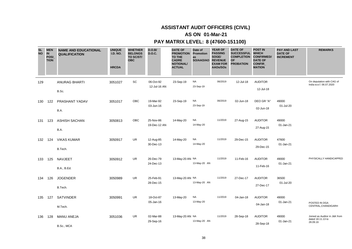## **ASSISTANT AUDIT OFFICERS (CIVIL)**

### **AS ON 01-Mar-21**

| <b>SL</b><br><b>NO</b> | <b>MEN</b><br><b>IN</b><br>POSI_<br><b>TION</b> | <b>NAME AND EDUCATIONAL</b><br><b>QUALIFICATION</b> | <b>UNIQUE</b><br><b>I.D. NO.</b><br><b>HRCDA</b> | <b>WHETHER</b><br><b>BELONGS</b><br>TO SC/ST/<br><b>OBC</b> | D.O.B/<br><b>D.O.C.</b>   | <b>DATE OF</b><br><b>PROMOTION</b><br>TO THE<br><b>CADRE</b><br><b>NOTIONAL/</b><br><b>ACTUAL</b> | Date of<br>Promotion<br>as<br>SO/AAO/AO | <b>YEAR OF</b><br><b>PASSING</b><br>SOGE/<br><b>REVENUE</b><br><b>EXAM FOR</b><br>AAOs/SOs | <b>DATE OF</b><br>SUCCESSFUL WHICH<br><b>COMPLETION</b><br><b>OF</b><br><b>PROBATION</b> | <b>POST IN</b><br><b>CONFIRMED/</b><br><b>DATE OF</b><br><b>CONFIR</b><br><b>MATION</b> | <b>PAY AND LAST</b><br><b>DATE OF</b><br><b>INCREMENT</b> | <b>REMARKS</b>                                                 |
|------------------------|-------------------------------------------------|-----------------------------------------------------|--------------------------------------------------|-------------------------------------------------------------|---------------------------|---------------------------------------------------------------------------------------------------|-----------------------------------------|--------------------------------------------------------------------------------------------|------------------------------------------------------------------------------------------|-----------------------------------------------------------------------------------------|-----------------------------------------------------------|----------------------------------------------------------------|
| 129                    |                                                 | <b>ANURAG BHARTI</b><br>B.Sc.                       | 3051027                                          | SC                                                          | 06-Oct-92<br>12-Jul-16 AN | 23-Sep-19                                                                                         | <b>NA</b><br>23-Sep-19                  | 06/2019                                                                                    | 12-Jul-18                                                                                | <b>AUDITOR</b><br>12-Jul-18                                                             |                                                           | On deputation with CAG of<br>India w.e.f. 06.07.2020           |
| 130                    | 122                                             | PRASHANT YADAV<br>B.A.                              | 3051017                                          | <b>OBC</b>                                                  | 19-Mar-92<br>03-Jun-16    | 23-Sep-19                                                                                         | NA<br>23-Sep-19                         | 06/2019                                                                                    | 02-Jun-18                                                                                | DEO GR "A"<br>02-Jun-18                                                                 | 49000<br>01-Jul-20                                        |                                                                |
| 131                    | 123                                             | <b>ASHISH SACHAN</b><br>B.A.                        | 3050813                                          | OBC                                                         | 25-Nov-86<br>19-Dec-12 AN | 14-May-20                                                                                         | <b>NA</b><br>14-May-20                  | 11/2019                                                                                    | 27-Aug-15                                                                                | <b>AUDITOR</b><br>27-Aug-15                                                             | 49000<br>01-Jan-21                                        |                                                                |
| 132                    | 124                                             | <b>VIKAS KUMAR</b><br>B.Tech.                       | 3050917                                          | <b>UR</b>                                                   | 12-Aug-85<br>30-Dec-13    | 14-May-20                                                                                         | <b>NA</b><br>14-May-20                  | 11/2019                                                                                    | 29-Dec-15                                                                                | <b>AUDITOR</b><br>29-Dec-15                                                             | 47600<br>01-Jan-21                                        |                                                                |
| 133                    | 125                                             | <b>NAVJEET</b><br>B.A., B.Ed.                       | 3050912                                          | <b>UR</b>                                                   | 26-Dec-79<br>24-Dec-13    | 13-May-20 AN NA                                                                                   | 13-May-20 AN                            | 11/2019                                                                                    | 11-Feb-16                                                                                | <b>AUDITOR</b><br>11-Feb-16                                                             | 49000<br>01-Jan-21                                        | PHYSICALLY HANDICAPPED                                         |
| 134                    | 126                                             | <b>JOGENDER</b><br>B.Tech.                          | 3050989                                          | <b>UR</b>                                                   | 25-Feb-91<br>28-Dec-15    | 13-May-20 AN NA                                                                                   | 13-May-20 AN                            | 11/2019                                                                                    | 27-Dec-17                                                                                | <b>AUDITOR</b><br>27-Dec-17                                                             | 36500<br>01-Jul-20                                        |                                                                |
| 135                    | 127                                             | <b>SATVINDER</b><br>M.Tech.                         | 3050991                                          | <b>UR</b>                                                   | 18-Oct-87<br>05-Jan-16    | 13-May-20                                                                                         | <b>NA</b><br>13-May-20                  | 11/2019                                                                                    | 04-Jan-18                                                                                | <b>AUDITOR</b><br>04-Jan-18                                                             | 49000<br>01-Jan-21                                        | POSTED IN DGA<br>CENTRAL, CHANDIGARH                           |
| 136                    | 128                                             | <b>MANU ANEJA</b><br>B.Sc., MCA                     | 3051036                                          | UR                                                          | 02-Mar-88<br>29-Sep-16    | 13-May-20 AN NA                                                                                   | 13-May-20 AN                            | 11/2019                                                                                    | 28-Sep-18                                                                                | <b>AUDITOR</b><br>28-Sep-18                                                             | 49000<br>01-Jan-21                                        | Joined as Auditor in J&K from<br>dated 18.11.13 to<br>28.09.16 |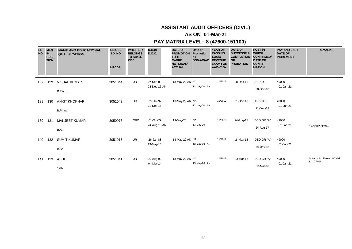# **ASSISTANT AUDIT OFFICERS (CIVIL)**

### **AS ON 01-Mar-21**

### **PAY MATRIX LEVEL: 8 (47600-151100)**

| <b>SL</b><br><b>NO</b> | <b>MEN</b><br>$\overline{\mathsf{I}}$<br>POSI_<br><b>TION</b> | <b>NAME AND EDUCATIONAL</b><br><b>QUALIFICATION</b> | <b>UNIQUE</b><br><b>I.D. NO.</b><br><b>HRCDA</b> | <b>WHETHER</b><br><b>BELONGS</b><br>TO SC/ST/<br><b>OBC</b> | D.O.B/<br><b>D.O.C.</b>   | <b>DATE OF</b><br><b>PROMOTION</b><br><b>TO THE</b><br><b>CADRE</b><br><b>NOTIONAL/</b><br><b>ACTUAL</b> | Date of<br>Promotion<br>as<br>SO/AAO/AO REVENUE | <b>YEAR OF</b><br><b>PASSING</b><br>SOGE/<br><b>EXAM FOR</b><br>AAOs/SOs | <b>DATE OF</b><br>SUCCESSFUL WHICH<br><b>COMPLETION</b><br><b>OF</b><br><b>PROBATION</b> | <b>POST IN</b><br><b>CONFIRMED</b><br><b>DATE OF</b><br><b>CONFIR</b><br><b>MATION</b> | <b>PAY AND LAST</b><br><b>DATE OF</b><br><b>INCREMENT</b> | <b>REMARKS</b>                             |
|------------------------|---------------------------------------------------------------|-----------------------------------------------------|--------------------------------------------------|-------------------------------------------------------------|---------------------------|----------------------------------------------------------------------------------------------------------|-------------------------------------------------|--------------------------------------------------------------------------|------------------------------------------------------------------------------------------|----------------------------------------------------------------------------------------|-----------------------------------------------------------|--------------------------------------------|
| 137                    | 129                                                           | <b>VISHAL KUMAR</b><br>B.Tech.                      | 3051044                                          | UR                                                          | 07-Sep-88<br>28-Dec-16 AN | 13-May-20 AN NA                                                                                          | 13-May-20 AN                                    | 11/2019                                                                  | 28-Dec-18                                                                                | <b>AUDITOR</b><br>28-Dec-18                                                            | 49000<br>01-Jan-21                                        |                                            |
| 138                    | 130                                                           | <b>ANKIT KHOKHAR</b><br>B.Phar.                     | 3051043                                          | UR                                                          | 27-Jul-92<br>22-Dec-16    | 13-May-20 AN NA                                                                                          | 13-May-20 AN                                    | 11/2019                                                                  | 21-Dec-18                                                                                | <b>AUDITOR</b><br>21-Dec-18                                                            | 49000<br>01-Jan-21                                        |                                            |
| 139                    | 131                                                           | <b>MANJEET KUMAR</b><br>B.A.                        | 3050978                                          | <b>OBC</b>                                                  | 01-Oct-79<br>24-Aug-15 AN | 13-May-20                                                                                                | <b>NA</b><br>13-May-20                          | 11/2019                                                                  | 24-Aug-17                                                                                | DEO GR "A"<br>24-Aug-17                                                                | 49000<br>01-Jan-21                                        | <b>EX-SERVICEMAN</b>                       |
| 140                    | 132                                                           | <b>SUMIT KUMAR</b><br>B.Sc.                         | 3051015                                          | <b>UR</b>                                                   | 26-Jan-88<br>19-May-16    | 13-May-20 AN NA                                                                                          | 13-May-20 AN                                    | 11/2019                                                                  | 18-May-18                                                                                | DEO GR "A"<br>18-May-18                                                                | 49000<br>01-Jan-21                                        |                                            |
| 141                    | 133                                                           | ASHU<br>12th                                        | 3051041                                          | UR                                                          | 30-Aug-92<br>04-Mar-14    | 13-May-20 AN NA                                                                                          | 13-May-20 AN                                    | 11/2019                                                                  | 03-Mar-16                                                                                | DEO GR "A"<br>03-Mar-16                                                                | 49000<br>01-Jan-21                                        | Joined this office on MT dtd<br>31.10.2016 |

39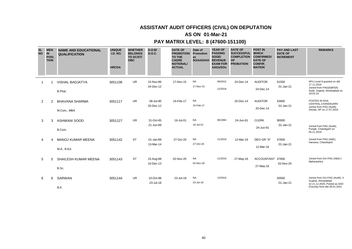# **ASSISTANT AUDIT OFFICERS (CIVIL) ON DEPUTATION**

### **AS ON 01-Mar-21**

| <b>SL</b><br><b>NO</b> | <b>MEN</b><br>IN<br><b>POSI</b><br><b>TION</b> | <b>NAME AND EDUCATIONAL</b><br><b>QUALIFICATION</b> | <b>UNIQUE</b><br><b>I.D. NO.</b><br><b>HRCDA</b> | <b>WHETHER</b><br><b>BELONGS</b><br>TO SC/ST/<br><b>OBC</b> | D.O.B/<br><b>D.O.C.</b> | <b>DATE OF</b><br><b>PROMOTION</b><br><b>TO THE</b><br><b>CADRE</b><br><b>NOTIONAL/</b><br><b>ACTUAL</b> | Date of<br>Promotion<br>as<br>SO/AAO/AO | <b>YEAR OF</b><br><b>PASSING</b><br>SOGE/<br><b>REVENUE</b><br><b>EXAM FOR</b><br>AAOs/SOs | <b>DATE OF</b><br><b>SUCCESSFUL</b><br><b>COMPLETION</b><br><b>OF</b><br><b>PROBATION</b> | <b>POST IN</b><br><b>WHICH</b><br><b>CONFIRMED/</b><br><b>DATE OF</b><br><b>CONFIR</b><br><b>MATION</b> | <b>PAY AND LAST</b><br><b>DATE OF</b><br><b>INCREMENT</b> | <b>REMARKS</b>                                                                                                         |
|------------------------|------------------------------------------------|-----------------------------------------------------|--------------------------------------------------|-------------------------------------------------------------|-------------------------|----------------------------------------------------------------------------------------------------------|-----------------------------------------|--------------------------------------------------------------------------------------------|-------------------------------------------------------------------------------------------|---------------------------------------------------------------------------------------------------------|-----------------------------------------------------------|------------------------------------------------------------------------------------------------------------------------|
| -1                     |                                                | <b>VISHAL BADJATYA</b><br>B.Phar.                   | 3051106                                          | <b>UR</b>                                                   | 15-Nov-86<br>24-Dec-12  | 17-Nov-15                                                                                                | <b>NA</b><br>17-Nov-15                  | 09/2015<br>12/2018                                                                         | 24-Dec-14                                                                                 | <b>AUDITOR</b><br>24-Dec-14                                                                             | 61500<br>01-Jan-21                                        | NFU Level-9 granted on dtd<br>17.11.2019<br>Joined from PAG(E&RSA)<br>Audit, Gujarat, Ahmedabad on<br>18.03.19         |
| $\overline{2}$         | 2                                              | <b>BHAVANA SHARMA</b><br>M.Com., MBA                | 3051117                                          | <b>UR</b>                                                   | 08-Jul-80<br>20-Dec-12  | 16-Feb-17                                                                                                | <b>NA</b><br>16-Feb-17                  |                                                                                            | 20-Dec-14                                                                                 | <b>AUDITOR</b><br>20-Dec-14                                                                             | 53600<br>01-Jan-21                                        | POSTED IN DGA<br>CENTRAL.CHANDIGARH<br>Joined from PAG (Audit),<br>Shimla, HP on 17.07.2019                            |
| 3                      | 3                                              | <b>ASHWANI SOOD</b><br>B.Com.                       | 3051127                                          | UR                                                          | 31-Oct-65<br>21-Jun-89  | 16-Jul-01                                                                                                | <b>NA</b><br>16-Jul-01                  | 06/1994                                                                                    | 24-Jun-91                                                                                 | <b>CLERK</b><br>24-Jun-91                                                                               | 90000<br>01-Jan-21                                        | Joined from PAG (Audit),<br>Punjab, Chandigarh on<br>06.11.2019                                                        |
| 4                      | 4                                              | <b>MANOJ KUMAR MEENA</b><br>M.A., B.Ed.             | 3051142                                          | <b>ST</b>                                                   | 01-Jan-88<br>13-Mar-14  | 27-Oct-20                                                                                                | <b>NA</b><br>27-Oct-20                  | 11/2019                                                                                    | 12-Mar-16                                                                                 | DEO GR "A"<br>12-Mar-16                                                                                 | 47600<br>01-Jan-21                                        | Joined from PAG (A&E),<br>Haryana, Chandigarh                                                                          |
| 5                      | 5                                              | <b>SHAILESH KUMAR MEENA</b><br>B.Sc.                | 3051143                                          | <b>ST</b>                                                   | 15-Aug-88<br>10-Dec-13  | 02-Nov-20                                                                                                | <b>NA</b><br>02-Nov-20                  | 11/2019                                                                                    | 27-May-16                                                                                 | <b>ACCOUNTANT</b><br>27-May-16                                                                          | 47600<br>02-Nov-20                                        | Joined from O/o PAG (A&E)-I<br>Maharashtra                                                                             |
| 6                      | 6                                              | SARWAN<br>B.E.                                      | 3051144                                          | <b>UR</b>                                                   | 10-Oct-88<br>23-Jul-18  | 23-Jul-18                                                                                                | <b>NA</b><br>23-Jul-18                  | 12/2018                                                                                    |                                                                                           |                                                                                                         | 50500<br>01-Jan-21                                        | Joined from O/o PAG (Audit)- II<br>Gujarat, Ahmedabad<br>on 21.12.2020, Posted as AAO<br>(Faculty) from dtd 28.01.2021 |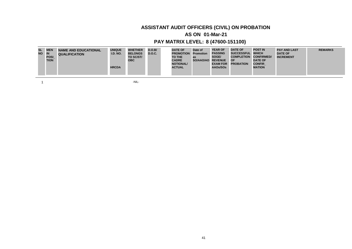# **ASSISTANT AUDIT OFFICERS (CIVIL) ON PROBATION**

### **AS ON 01-Mar-21**

### **PAY MATRIX LEVEL: 8 (47600-151100)**

| <b>SL</b><br>NO IN | <b>MEN</b><br><b>POSI</b><br><b>TION</b> | NAME AND EDUCATIONAL<br><b>QUALIFICATION</b> | <b>UNIQUE</b><br><b>I.D. NO.</b><br><b>HRCDA</b> | <b>WHETHER</b><br><b>BELONGS</b><br>TO SC/ST/<br><b>OBC</b> | D.O.B/<br><b>D.O.C.</b> | <b>DATE OF</b><br><b>PROMOTION Promotion</b><br><b>TO THE</b><br><b>CADRE</b><br><b>NOTIONAL/</b><br><b>ACTUAL</b> | Date of<br>as<br>SO/AAO/AO | <b>YEAR OF</b><br><b>PASSING</b><br>SOGE/<br><b>REVENUE</b><br><b>EXAM FOR</b><br>AAOs/SOs | <b>DATE OF</b><br>SUCCESSFUL WHICH<br><b>COMPLETION</b><br>∣OF<br><b>PROBATION</b> | <b>POST IN</b><br><b>CONFIRMED/</b><br><b>DATE OF</b><br><b>CONFIR</b><br><b>MATION</b> | <b>PAY AND LAST</b><br><b>DATE OF</b><br><b>INCREMENT</b> | <b>REMARKS</b> |
|--------------------|------------------------------------------|----------------------------------------------|--------------------------------------------------|-------------------------------------------------------------|-------------------------|--------------------------------------------------------------------------------------------------------------------|----------------------------|--------------------------------------------------------------------------------------------|------------------------------------------------------------------------------------|-----------------------------------------------------------------------------------------|-----------------------------------------------------------|----------------|
|--------------------|------------------------------------------|----------------------------------------------|--------------------------------------------------|-------------------------------------------------------------|-------------------------|--------------------------------------------------------------------------------------------------------------------|----------------------------|--------------------------------------------------------------------------------------------|------------------------------------------------------------------------------------|-----------------------------------------------------------------------------------------|-----------------------------------------------------------|----------------|

 $1$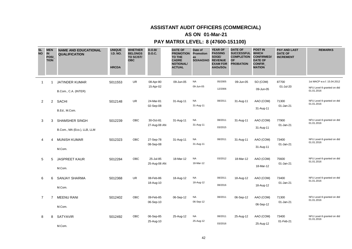### **AS ON 01-Mar-21**

| <b>SL</b><br><b>NO</b> | <b>MEN</b><br><b>IN</b><br><b>POSI</b><br><b>TION</b> | <b>NAME AND EDUCATIONAL</b><br><b>QUALIFICATION</b>  | <b>UNIQUE</b><br><b>I.D. NO.</b><br><b>HRCDA</b> | <b>WHETHER</b><br><b>BELONGS</b><br>TO SC/ST/<br><b>OBC</b> | D.O.B/<br><b>D.O.C.</b>   | <b>DATE OF</b><br><b>PROMOTION</b><br><b>TO THE</b><br><b>CADRE</b><br><b>NOTIONAL/</b><br><b>ACTUAL</b> | Date of<br>Promotion<br>as<br>SO/AAO/AO REVENUE | <b>YEAR OF</b><br><b>PASSING</b><br>SOGE/<br><b>EXAM FOR</b><br>AAOs/SOs | <b>DATE OF</b><br>SUCCESSFUL WHICH<br><b>COMPLETION CONFIRMED/</b><br><b>OF</b><br><b>PROBATION</b> | <b>POST IN</b><br><b>DATE OF</b><br><b>CONFIR</b><br><b>MATION</b> | <b>PAY AND LAST</b><br><b>DATE OF</b><br><b>INCREMENT</b> | <b>REMARKS</b>                                                         |
|------------------------|-------------------------------------------------------|------------------------------------------------------|--------------------------------------------------|-------------------------------------------------------------|---------------------------|----------------------------------------------------------------------------------------------------------|-------------------------------------------------|--------------------------------------------------------------------------|-----------------------------------------------------------------------------------------------------|--------------------------------------------------------------------|-----------------------------------------------------------|------------------------------------------------------------------------|
| $\overline{1}$         | 1                                                     | <b>JATINDER KUMAR</b><br>B.Com., C.A. (INTER)        | 5011553                                          | <b>UR</b>                                                   | 08-Apr-80<br>15-Apr-02    | 09-Jun-05                                                                                                | <b>NA</b><br>09-Jun-05                          | 05/2005<br>12/2006                                                       | 09-Jun-05                                                                                           | SO (COM)<br>09-Jun-05                                              | 87700<br>01-Jul-20                                        | 1st MACP w.e.f. 15.04.2012<br>NFU Level-9 granted on dtd<br>01.01.2016 |
| 2                      | $\overline{2}$                                        | <b>SACHI</b><br>B.Ed., M.Com.                        | 5012148                                          | <b>UR</b>                                                   | 24-Mar-81<br>02-Sep-08    | 31-Aug-11                                                                                                | <b>NA</b><br>31-Aug-11                          | 08/2011                                                                  | 31-Aug-11                                                                                           | AAO (COM)<br>31-Aug-11                                             | 71300<br>01-Jan-21                                        | NFU Level-9 granted on dtd<br>01.01.2016                               |
| 3                      | 3                                                     | <b>SHAMSHER SINGH</b><br>B.Com., MA (Eco.), LLB, LLM | 5012239                                          | <b>OBC</b>                                                  | 30-Oct-81<br>27-Aug-08 AN | 31-Aug-11                                                                                                | <b>NA</b><br>31-Aug-11                          | 08/2011<br>03/2015                                                       | 31-Aug-11                                                                                           | AAO (COM)<br>31-Aug-11                                             | 77900<br>01-Jan-21                                        | NFU Level-9 granted on dtd<br>01.01.2016                               |
| 4                      | 4                                                     | <b>MUNISH KUMAR</b><br>M.Com.                        | 5012323                                          | <b>OBC</b>                                                  | 27-Sep-78<br>08-Sep-08    | 31-Aug-11                                                                                                | <b>NA</b><br>31-Aug-11                          | 08/2011                                                                  | 31-Aug-11                                                                                           | AAO (COM)<br>31-Aug-11                                             | 73400<br>01-Jan-21                                        | NFU Level-9 granted on dtd<br>01.01.2016                               |
| 5                      | 5                                                     | <b>JASPREET KAUR</b><br>M.Com.                       | 5012284                                          | OBC                                                         | 25-Jul-85<br>25-Aug-08 AN | 18-Mar-12                                                                                                | <b>NA</b><br>18-Mar-12                          | 03/2012                                                                  | 18-Mar-12                                                                                           | AAO (COM)<br>18-Mar-12                                             | 75600<br>01-Jan-21                                        | NFU Level-9 granted on dtd<br>01.01.2016                               |
| 6                      | 6                                                     | <b>SANJAY SHARMA</b><br>M.Com.                       | 5012368                                          | <b>UR</b>                                                   | 08-Feb-86<br>18-Aug-10    | 18-Aug-12                                                                                                | <b>NA</b><br>18-Aug-12                          | 08/2011<br>08/2016                                                       | 18-Aug-12                                                                                           | AAO (COM)<br>18-Aug-12                                             | 73400<br>01-Jan-21                                        | NFU Level-9 granted on dtd<br>01.01.2016                               |
| $\overline{7}$         | $\overline{7}$                                        | <b>MEENU RANI</b><br>M.Com.                          | 5012402                                          | <b>OBC</b>                                                  | 09-Feb-85<br>06-Sep-10    | 06-Sep-12                                                                                                | <b>NA</b><br>06-Sep-12                          | 08/2011                                                                  | 06-Sep-12                                                                                           | AAO (COM)<br>06-Sep-12                                             | 71300<br>01-Jan-21                                        | NFU Level-9 granted on dtd<br>01.01.2016                               |
| 8                      | 8                                                     | <b>SATYAVIR</b><br>M.Com.                            | 5012492                                          | OBC                                                         | 06-Sep-85<br>25-Aug-10    | 25-Aug-12                                                                                                | <b>NA</b><br>25-Aug-12                          | 08/2011<br>03/2016                                                       | 25-Aug-12                                                                                           | AAO (COM)<br>25-Aug-12                                             | 73400<br>01-Feb-21                                        | NFU Level-9 granted on dtd<br>01.01.2016                               |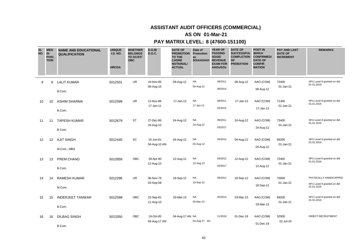### **AS ON 01-Mar-21**

| <b>SL</b><br><b>NO</b> |                   | <b>MEN</b><br><b>IN</b><br><b>POSI</b><br><b>TION</b> | <b>NAME AND EDUCATIONAL</b><br><b>QUALIFICATION</b> | <b>UNIQUE</b><br><b>I.D. NO.</b><br><b>HRCDA</b> | <b>WHETHER</b><br><b>BELONGS</b><br>TO SC/ST/<br><b>OBC</b> | D.O.B/<br><b>D.O.C.</b>   | <b>DATE OF</b><br><b>PROMOTION</b><br>TO THE<br><b>CADRE</b><br><b>NOTIONAL/</b><br><b>ACTUAL</b> | Date of<br>Promotion<br>as<br>SO/AAO/AO | <b>YEAR OF</b><br><b>PASSING</b><br>SOGE/<br><b>REVENUE</b><br><b>EXAM FOR</b><br>AAOs/SOs | <b>DATE OF</b><br>SUCCESSFUL WHICH<br><b>COMPLETION</b><br><b>OF</b><br><b>PROBATION</b> | <b>POST IN</b><br><b>CONFIRMED/</b><br><b>DATE OF</b><br><b>CONFIR</b><br><b>MATION</b> | <b>PAY AND LAST</b><br><b>DATE OF</b><br><b>INCREMENT</b> | <b>REMARKS</b>                                                     |
|------------------------|-------------------|-------------------------------------------------------|-----------------------------------------------------|--------------------------------------------------|-------------------------------------------------------------|---------------------------|---------------------------------------------------------------------------------------------------|-----------------------------------------|--------------------------------------------------------------------------------------------|------------------------------------------------------------------------------------------|-----------------------------------------------------------------------------------------|-----------------------------------------------------------|--------------------------------------------------------------------|
|                        | 9                 | 9                                                     | <b>LALIT KUMAR</b><br>B.Com.                        | 5012501                                          | UR.                                                         | 19-Nov-85<br>09-Aug-10    | 09-Aug-12                                                                                         | <b>NA</b><br>09-Aug-12                  | 08/2011<br>08/2014                                                                         | 09-Aug-12                                                                                | AAO (COM)<br>09-Aug-12                                                                  | 73400<br>01-Jan-21                                        | NFU Level-9 granted on dtd<br>01.01.2016                           |
|                        | 10                | 10                                                    | <b>ASHIM SHARMA</b><br>B.Com.                       | 5012599                                          | <b>UR</b>                                                   | 12-Nov-86<br>17-Jan-11    | 17-Jan-13                                                                                         | <b>NA</b><br>17-Jan-13                  | 08/2011<br>03/2015                                                                         | 17-Jan-13                                                                                | AAO (COM)<br>17-Jan-13                                                                  | 71300<br>01-Jan-21                                        | NFU Level-9 granted on dtd<br>01.01.2016                           |
|                        | 11                | 11                                                    | <b>TAPESH KUMAR</b><br>B.Com.                       | 5012679                                          | <b>ST</b>                                                   | 27-Dec-86<br>24-Aug-10    | 24-Aug-12                                                                                         | <b>NA</b><br>24-Aug-12                  | 08/2011<br>03/2017                                                                         | 24-Aug-12                                                                                | AAO (COM)<br>24-Aug-12                                                                  | 73400<br>01-Jan-21                                        | NFU Level-9 granted on dtd<br>01.01.2016                           |
|                        | $12 \overline{ }$ | 12                                                    | <b>AJIT SINGH</b><br>M.Com., MBA                    | 5012440                                          | SC                                                          | 15-Jun-81<br>04-Aug-10 AN | 04-Aug-12                                                                                         | <b>NA</b><br>04-Aug-12                  | 03/2012                                                                                    | 04-Aug-12                                                                                | AAO (COM)<br>04-Aug-12                                                                  | 69200<br>01-Jan-21                                        | NFU Level-9 granted on dtd<br>01.01.2016                           |
|                        | 13                | 13                                                    | PREM CHAND<br>B.Com.                                | 5012859                                          | OBC                                                         | 28-Apr-80<br>12-Aug-10    | 12-Aug-12                                                                                         | <b>NA</b><br>12-Aug-12                  | 03/2012<br>03/2017                                                                         | 12-Aug-12                                                                                | AAO (COM)<br>12-Aug-12                                                                  | 73400<br>01-Jan-21                                        | NFU Level-9 granted on dtd<br>01.01.2016                           |
|                        | 14                | 14                                                    | <b>RAMESH KUMAR</b><br>M.Com.                       | 5012296                                          | <b>UR</b>                                                   | 06-Nov-79<br>03-Sep-08    | 18-Sep-12                                                                                         | <b>NA</b><br>18-Sep-12                  | 09/2012                                                                                    | 18-Sep-12                                                                                | AAO (COM)<br>18-Sep-12                                                                  | 75600<br>01-Jan-21                                        | PHYSICALLY HANDICAPPED<br>NFU Level-9 granted on dtd<br>01.01.2016 |
|                        | 15                | 15                                                    | <b>INDERJEET TANWAR</b><br>B.Com.                   | 5012598                                          | OBC                                                         | 22-Sep-81<br>11-Aug-10    | 03-Mar-13                                                                                         | <b>NA</b><br>03-Mar-13                  | 02/2013                                                                                    | 03-Mar-13                                                                                | AAO (COM)<br>03-Mar-13                                                                  | 69200<br>01-Jan-21                                        | NFU Level-9 granted on dtd<br>01.01.2016                           |
|                        | 16                | 16                                                    | <b>DILBAG SINGH</b><br>B.Com.                       | 5013350                                          | <b>OBC</b>                                                  | 24-Oct-85<br>04-Aug-17 AN | 04-Aug-17 AN NA                                                                                   | 04-Aug-17 AN                            | 11/2019                                                                                    | 01-Dec-19                                                                                | AAO (COM)<br>01-Dec-19                                                                  | 52000<br>01-Jul-20                                        | DIRECT RECRUITMENT                                                 |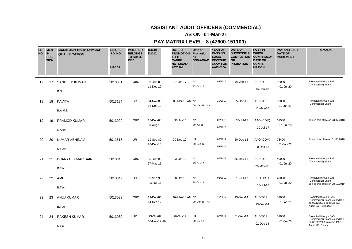### **AS ON 01-Mar-21**

| <b>SL</b><br><b>NO</b> | <b>MEN</b><br><b>IN</b><br><b>POSI</b><br><b>TION</b> | <b>NAME AND EDUCATIONAL</b><br><b>QUALIFICATION</b> | <b>UNIQUE</b><br><b>I.D. NO.</b><br><b>HRCDA</b> | <b>WHETHER</b><br><b>BELONGS</b><br>TO SC/ST/<br><b>OBC</b> | D.O.B/<br><b>D.O.C.</b>   | <b>DATE OF</b><br><b>PROMOTION</b><br><b>TO THE</b><br><b>CADRE</b><br><b>NOTIONAL/</b><br><b>ACTUAL</b> | Date of<br>Promotion<br>as<br>SO/AAO/AO | <b>YEAR OF</b><br><b>PASSING</b><br>SOGE/<br><b>REVENUE</b><br><b>EXAM FOR</b><br>AAOs/SOs | <b>DATE OF</b><br><b>SUCCESSFUL</b><br><b>COMPLETION</b><br>OF<br><b>PROBATION</b> | <b>POST IN</b><br><b>WHICH</b><br><b>CONFIRMED/</b><br><b>DATE OF</b><br><b>CONFIR</b><br><b>MATION</b> | <b>PAY AND LAST</b><br><b>DATE OF</b><br><b>INCREMENT</b> | <b>REMARKS</b>                                                                                              |
|------------------------|-------------------------------------------------------|-----------------------------------------------------|--------------------------------------------------|-------------------------------------------------------------|---------------------------|----------------------------------------------------------------------------------------------------------|-----------------------------------------|--------------------------------------------------------------------------------------------|------------------------------------------------------------------------------------|---------------------------------------------------------------------------------------------------------|-----------------------------------------------------------|-------------------------------------------------------------------------------------------------------------|
| 17                     | 17                                                    | <b>SANDEEP KUMAR</b><br>B.Sc.                       | 5013061                                          | OBC                                                         | 14-Jun-83<br>11-Dec-12    | 27-Oct-17                                                                                                | <b>NA</b><br>27-Oct-17                  | 03/2017                                                                                    | 07-Jan-16                                                                          | <b>AUDITOR</b><br>07-Jan-16                                                                             | 52000<br>01-Jul-20                                        | Promoted through SAS<br>(Commercial) Exam                                                                   |
| 18                     | 18                                                    | KAVITA<br>B.A.M.S.                                  | 5013124                                          | SC                                                          | 04-Nov-83<br>26-Dec-13    | 09-Mar-18 AN NA                                                                                          | 09-Mar-18 AN                            | 10/2017                                                                                    | 25-Dec-15                                                                          | <b>AUDITOR</b><br>12-May-16                                                                             | 52000<br>01-Jan-21                                        | Promoted through SAS<br>(Commercial) Exam                                                                   |
| 19                     | 19                                                    | PRAMOD KUMAR<br>M.Com.                              | 5013000                                          | OBC                                                         | 18-Dec-84<br>31-Aug-10    | 30-Jul-15                                                                                                | <b>NA</b><br>30-Jul-15                  | 03/2015<br>09/2016                                                                         | 30-Jul-17                                                                          | AAO (COM)<br>30-Jul-17                                                                                  | 61500<br>01-Jul-20                                        | Joined this office on 23.07.2018                                                                            |
| 20                     | 20                                                    | <b>KUMAR ABHINAV</b><br>M.Com.                      | 5012615                                          | <b>UR</b>                                                   | 19-Sep-82<br>20-Dec-10    | 20-Dec-12                                                                                                | <b>NA</b><br>20-Dec-12                  | 09/2012<br>03/2016                                                                         | 20-Dec-12                                                                          | AAO (COM)<br>20-Dec-12                                                                                  | 73400<br>01-Jan-21                                        | Joined this office on 01.08.2018                                                                            |
| 21                     | 21                                                    | <b>BHARAT KUMAR SAINI</b><br>B.Tech.                | 5013343                                          | OBC                                                         | 17-Jun-93<br>27-May-16    | 23-Oct-19                                                                                                | <b>NA</b><br>23-Oct-19                  | 06/2019                                                                                    | 26-May-18                                                                          | <b>AUDITOR</b><br>26-May-18                                                                             | 49000<br>01-Jul-20                                        | Promoted through SAS<br>(Commercial) Exam                                                                   |
| 22                     | 22                                                    | AMIT<br>B.Tech.                                     | 5013349                                          | <b>UR</b>                                                   | 02-Sep-90<br>16-Jul-15    | 28-Oct-19                                                                                                | <b>NA</b><br>28-Oct-19                  | 06/2019                                                                                    | 16-Jul-17                                                                          | DEO GR. A<br>16-Jul-17                                                                                  | 49000<br>01-Jul-20                                        | Promoted through SAS<br>(Commercial) Exam<br>Joined this office on 28.10.2019                               |
| 23                     | 23                                                    | <b>ANUJ KUMAR</b><br>B.Tech.                        | 5013099                                          | OBC                                                         | 19-Dec-86<br>14-Dec-12    | 09-Mar-18 AN NA                                                                                          | 09-Mar-18 AN                            | 10/2017                                                                                    | 13-Dec-14                                                                          | <b>AUDITOR</b><br>13-Dec-14                                                                             | 52000<br>01-Jan-21                                        | Promoted through SAS<br>(Commercial) Exam, Joined this<br>on 03.12.2019 from O/o AG<br>Audit, J&K, Srinagar |
| 24                     | 24                                                    | <b>RAKESH KUMAR</b><br>M.Sc.                        | 5013060                                          | <b>UR</b>                                                   | 23-Oct-87<br>30-Nov-12 AN | 20-Oct-17                                                                                                | <b>NA</b><br>20-Oct-17                  | 03/2017                                                                                    | 01-Dec-14                                                                          | <b>AUDITOR</b><br>01-Dec-14                                                                             | 52000<br>01-Jul-20                                        | Promoted through SAS<br>(Commercial) Exam, Joined this<br>on 03.02.2020 from O/o PAG<br>Audit, HP, Shimla   |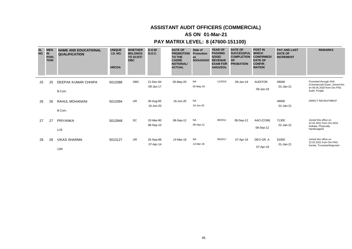### **AS ON 01-Mar-21**

| <b>SL</b><br><b>NO</b> | <b>MEN</b><br><b>IN</b><br><b>POSI</b><br><b>TION</b> | <b>NAME AND EDUCATIONAL</b><br><b>QUALIFICATION</b> | <b>UNIQUE</b><br><b>I.D. NO.</b><br><b>HRCDA</b> | <b>WHETHER</b><br><b>BELONGS</b><br>TO SC/ST/<br><b>OBC</b> | D.O.B/<br><b>D.O.C.</b> | <b>DATE OF</b><br><b>PROMOTION</b><br><b>TO THE</b><br><b>CADRE</b><br><b>NOTIONAL/</b><br><b>ACTUAL</b> | Date of<br><b>Promotion</b><br>as<br>SO/AAO/AO | <b>YEAR OF</b><br><b>PASSING</b><br>SOGE/<br><b>REVENUE</b><br><b>EXAM FOR</b><br>AAOs/SOs | <b>DATE OF</b><br><b>SUCCESSFUL</b><br><b>COMPLETION</b><br><b>OF</b><br><b>PROBATION</b> | <b>POST IN</b><br><b>WHICH</b><br><b>CONFIRMED/</b><br><b>DATE OF</b><br><b>CONFIR</b><br><b>MATION</b> | <b>PAY AND LAST</b><br><b>DATE OF</b><br><b>INCREMENT</b> | <b>REMARKS</b>                                                                                        |
|------------------------|-------------------------------------------------------|-----------------------------------------------------|--------------------------------------------------|-------------------------------------------------------------|-------------------------|----------------------------------------------------------------------------------------------------------|------------------------------------------------|--------------------------------------------------------------------------------------------|-------------------------------------------------------------------------------------------|---------------------------------------------------------------------------------------------------------|-----------------------------------------------------------|-------------------------------------------------------------------------------------------------------|
| 25                     | 25                                                    | DEEPAK KUMAR CHHIPA<br>B.Com.                       | 5013388                                          | OBC                                                         | 21-Dec-94<br>09-Jan-17  | 05-May-20                                                                                                | NA<br>05-May-20                                | 11/2019                                                                                    | 09-Jan-19                                                                                 | <b>AUDITOR</b><br>09-Jan-19                                                                             | 49000<br>01-Jan-21                                        | Promoted through SAS<br>(Commercial) Exam, Joined this<br>on 06.05.2020 from O/o PAG<br>Audit, Punjab |
| 26                     | 26                                                    | <b>RAHUL MOHANANI</b><br>B.Com.                     | 5013394                                          | <b>UR</b>                                                   | 30-Aug-95<br>16-Jun-20  | 16-Jun-20                                                                                                | <b>NA</b><br>16-Jun-20                         |                                                                                            |                                                                                           |                                                                                                         | 49000<br>01-Jan-21                                        | <b>DIRECT RECRUITMENT</b>                                                                             |
| 27                     | 27                                                    | <b>PRIYANKA</b><br><b>LLB</b>                       | 5012848                                          | <b>SC</b>                                                   | 02-Mar-80<br>08-Sep-10  | 08-Sep-12                                                                                                | <b>NA</b><br>08-Sep-12                         | 08/2011                                                                                    | 08-Sep-12                                                                                 | AAO (COM)<br>08-Sep-12                                                                                  | 71300<br>01-Jan-21                                        | Joined this office on<br>22.02.2021 from O/o DGA<br>Kolkata, Physically<br>Handicapped                |
| 28                     | 28                                                    | <b>VIKAS SHARMA</b><br>12th                         | 5013127                                          | <b>UR</b>                                                   | 25-Sep-88<br>07-Apr-14  | 14-Mar-18                                                                                                | <b>NA</b><br>14-Mar-18                         | 09/2017                                                                                    | 07-Apr-16                                                                                 | DEO GR. A<br>07-Apr-16                                                                                  | 52000<br>01-Jan-21                                        | Joined this office on<br>22.02.2021 from O/o PAG<br>Kerala, Tiruvananthapuram                         |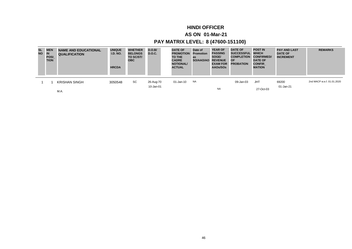## **HINDI OFFICER**

### **AS ON 01-Mar-21**

| <b>SL</b><br><b>NO</b> | <b>MEN</b><br>IN<br><b>POSI</b><br><b>TION</b> | <b>NAME AND EDUCATIONAL</b><br><b>QUALIFICATION</b> | <b>UNIQUE</b><br><b>I.D. NO.</b><br><b>HRCDA</b> | <b>WHETHER</b><br><b>BELONGS</b><br>TO SC/ST/<br><b>OBC</b> | D.O.B/<br><b>D.O.C.</b> | <b>DATE OF</b><br><b>PROMOTION</b><br><b>TO THE</b><br><b>CADRE</b><br><b>NOTIONAL/</b><br><b>ACTUAL</b> | Date of<br><b>Promotion</b><br>as<br>SO/AAO/AO | <b>YEAR OF</b><br><b>PASSING</b><br>SOGE/<br><b>REVENUE</b><br><b>EXAM FOR</b><br>AAOs/SOs | <b>DATE OF</b><br><b>SUCCESSFUL</b><br><b>COMPLETION</b><br><b>OF</b><br><b>PROBATION</b> | <b>POST IN</b><br><b>WHICH</b><br><b>CONFIRMED/</b><br><b>DATE OF</b><br><b>CONFIR</b><br><b>MATION</b> | <b>PAY AND LAST</b><br><b>DATE OF</b><br><b>INCREMENT</b> | <b>REMARKS</b>             |
|------------------------|------------------------------------------------|-----------------------------------------------------|--------------------------------------------------|-------------------------------------------------------------|-------------------------|----------------------------------------------------------------------------------------------------------|------------------------------------------------|--------------------------------------------------------------------------------------------|-------------------------------------------------------------------------------------------|---------------------------------------------------------------------------------------------------------|-----------------------------------------------------------|----------------------------|
|                        |                                                | <b>KRISHAN SINGH</b>                                | 3050548                                          | SC                                                          | 26-Aug-70               | 01-Jan-10                                                                                                | <b>NA</b>                                      |                                                                                            | 09-Jan-03                                                                                 | JHT                                                                                                     | 69200                                                     | 2nd MACP w.e.f. 01.01.2020 |
|                        |                                                | M.A.                                                |                                                  |                                                             | 10-Jan-01               |                                                                                                          |                                                | <b>NA</b>                                                                                  |                                                                                           | 27-Oct-03                                                                                               | 01-Jan-21                                                 |                            |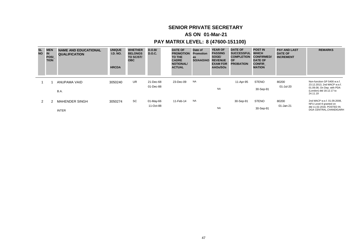## **SENIOR PRIVATE SECRETARY**

### **AS ON 01-Mar-21**

| <b>SL</b><br><b>NO</b> | <b>MEN</b><br>IN<br><b>POSI</b><br><b>TION</b> | <b>NAME AND EDUCATIONAL</b><br><b>QUALIFICATION</b> | <b>UNIQUE</b><br><b>I.D. NO.</b><br><b>HRCDA</b> | <b>WHETHER</b><br><b>BELONGS</b><br>TO SC/ST/<br><b>OBC</b> | D.O.B/<br>D.O.C. | <b>DATE OF</b><br><b>PROMOTION</b><br>TO THE<br><b>CADRE</b><br><b>NOTIONAL/</b><br><b>ACTUAL</b> | Date of<br>Promotion<br>as<br>SO/AAO/AO | <b>YEAR OF</b><br><b>PASSING</b><br>SOGE/<br><b>REVENUE</b><br><b>EXAM FOR</b><br>AAOs/SOs | <b>DATE OF</b><br><b>SUCCESSFUL</b><br><b>COMPLETION</b><br><b>OF</b><br><b>PROBATION</b> | <b>POST IN</b><br><b>WHICH</b><br><b>CONFIRMED/</b><br><b>DATE OF</b><br><b>CONFIR</b><br><b>MATION</b> | <b>PAY AND LAST</b><br><b>DATE OF</b><br><b>INCREMENT</b> | <b>REMARKS</b>                                                     |
|------------------------|------------------------------------------------|-----------------------------------------------------|--------------------------------------------------|-------------------------------------------------------------|------------------|---------------------------------------------------------------------------------------------------|-----------------------------------------|--------------------------------------------------------------------------------------------|-------------------------------------------------------------------------------------------|---------------------------------------------------------------------------------------------------------|-----------------------------------------------------------|--------------------------------------------------------------------|
|                        |                                                | ANUPAMA VAID                                        | 3050240                                          | UR.                                                         | 21-Dec-68        | 23-Dec-09                                                                                         | <b>NA</b>                               |                                                                                            | 11-Apr-95                                                                                 | <b>STENO</b>                                                                                            | 80200                                                     | Non-function GP 5400 w.e.f.<br>23.12.2013, 2nd MACP w.e.f.         |
|                        |                                                | B.A.                                                |                                                  |                                                             | 01-Dec-88        |                                                                                                   |                                         | <b>NA</b>                                                                                  |                                                                                           | 30-Sep-91                                                                                               | 01-Jul-20                                                 | 01.09.08, On Dep. with PDA<br>(London) dtd 18.12.17 to<br>24.11.19 |
| $\mathcal{P} \equiv$   |                                                | <b>MAHENDER SINGH</b>                               | 3050274                                          | <b>SC</b>                                                   | 01-May-66        | 11-Feb-14                                                                                         | <b>NA</b>                               |                                                                                            | 30-Sep-91                                                                                 | <b>STENO</b>                                                                                            | 80200                                                     | 2nd MACP w.e.f. 01.09.2008.<br>NFU Level-9 granted on              |
|                        |                                                | <b>INTER</b>                                        |                                                  |                                                             | 11-Oct-88        |                                                                                                   |                                         | <b>NA</b>                                                                                  |                                                                                           | 30-Sep-91                                                                                               | 01-Jan-21                                                 | dtd 11.02.2018, POSTED IN<br>DGA CENTRAL.CHANDIGARH                |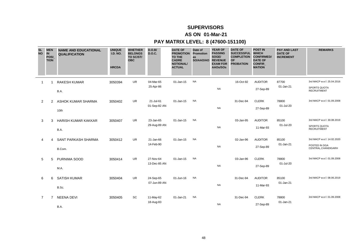## **SUPERVISORS**

### **AS ON 01-Mar-21**

| <b>SL</b><br><b>NO</b> | <b>MEN</b><br><b>IN</b><br><b>POSI</b><br><b>TION</b> | <b>NAME AND EDUCATIONAL</b><br><b>QUALIFICATION</b> | <b>UNIQUE</b><br><b>I.D. NO.</b><br><b>HRCDA</b> | <b>WHETHER</b><br><b>BELONGS</b><br>TO SC/ST/<br><b>OBC</b> | D.O.B/<br><b>D.O.C.</b>   | <b>DATE OF</b><br><b>PROMOTION</b><br><b>TO THE</b><br><b>CADRE</b><br><b>NOTIONAL/</b><br><b>ACTUAL</b> | Date of<br>Promotion<br>as<br>SO/AAO/AO REVENUE | <b>YEAR OF</b><br><b>PASSING</b><br>SOGE/<br><b>EXAM FOR</b><br>AAOs/SOs | <b>DATE OF</b><br>SUCCESSFUL WHICH<br><b>COMPLETION CONFIRMED/</b><br><b>OF</b><br><b>PROBATION</b> | <b>POST IN</b><br><b>DATE OF</b><br><b>CONFIR</b><br><b>MATION</b> | <b>PAY AND LAST</b><br><b>DATE OF</b><br><b>INCREMENT</b> | <b>REMARKS</b>                                                          |
|------------------------|-------------------------------------------------------|-----------------------------------------------------|--------------------------------------------------|-------------------------------------------------------------|---------------------------|----------------------------------------------------------------------------------------------------------|-------------------------------------------------|--------------------------------------------------------------------------|-----------------------------------------------------------------------------------------------------|--------------------------------------------------------------------|-----------------------------------------------------------|-------------------------------------------------------------------------|
| $\mathbf{1}$           | $\mathbf 1$                                           | <b>RAKESH KUMAR</b><br>B.A.                         | 3050394                                          | <b>UR</b>                                                   | 04-Mar-65<br>25-Apr-86    | 01-Jan-15                                                                                                | <b>NA</b>                                       | <b>NA</b>                                                                | 16-Oct-92                                                                                           | <b>AUDITOR</b><br>27-Sep-89                                        | 87700<br>01-Jan-21                                        | 3rd MACP w.e.f. 25.04.2016<br><b>SPORTS QUOTA</b><br><b>RECRUITMENT</b> |
| $\overline{2}$         | 2                                                     | ASHOK KUMAR SHARMA<br>10th                          | 3050402                                          | <b>UR</b>                                                   | 21-Jul-61<br>01-Sep-82 AN | 01-Jan-15                                                                                                | <b>NA</b>                                       | <b>NA</b>                                                                | 31-Dec-94                                                                                           | <b>CLERK</b><br>27-Sep-89                                          | 78800<br>01-Jul-20                                        | 3rd MACP w.e.f. 01.09.2008                                              |
| 3                      | 3                                                     | <b>HARISH KUMAR KAKKAR</b><br>B.A.                  | 3050407                                          | <b>UR</b>                                                   | 23-Jan-65<br>29-Aug-89 AN | $01$ -Jan-15                                                                                             | <b>NA</b>                                       | <b>NA</b>                                                                | 03-Jan-95                                                                                           | <b>AUDITOR</b><br>11-Mar-93                                        | 85100<br>01-Jul-20                                        | 3rd MACP w.e.f. 30.08.2019<br><b>SPORTS QUOTA</b><br><b>RECRUITMENT</b> |
| 4                      | 4                                                     | SANT PARKASH SHARMA<br>B.Com.                       | 3050412                                          | <b>UR</b>                                                   | 21-Jan-66<br>14-Feb-90    | 01-Jan-15                                                                                                | <b>NA</b>                                       | <b>NA</b>                                                                | 02-Jan-96                                                                                           | <b>AUDITOR</b><br>27-Sep-89                                        | 85100<br>01-Jan-21                                        | 3rd MACP w.e.f. 14.02.2020<br>POSTED IN DGA<br>CENTRAL, CHANDIGARH      |
| 5                      | 5                                                     | PURNIMA SOOD<br>M.A.                                | 3050414                                          | <b>UR</b>                                                   | 27-Nov-64<br>13-Dec-85 AN | 01-Jan-15                                                                                                | <b>NA</b>                                       | <b>NA</b>                                                                | 03-Jan-96                                                                                           | <b>CLERK</b><br>27-Sep-89                                          | 78800<br>01-Jul-20                                        | 3rd MACP w.e.f. 01.09.2008                                              |
| 6                      | 6                                                     | <b>SATISH KUMAR</b><br>B.Sc.                        | 3050404                                          | <b>UR</b>                                                   | 24-Sep-65<br>07-Jun-89 AN | 01-Jun-16                                                                                                | <b>NA</b>                                       | <b>NA</b>                                                                | 31-Dec-94                                                                                           | <b>AUDITOR</b><br>11-Mar-93                                        | 85100<br>01-Jan-21                                        | 3rd MACP w.e.f. 08.06.2019                                              |
| 7                      | 7                                                     | <b>NEENA DEVI</b><br>B.A.                           | 3050405                                          | SC                                                          | 11-May-62<br>18-Aug-83    | 01-Jan-21                                                                                                | <b>NA</b>                                       | <b>NA</b>                                                                | 31-Dec-94                                                                                           | <b>CLERK</b><br>27-Sep-89                                          | 78800<br>01-Jan-21                                        | 3rd MACP w.e.f. 01.09.2008                                              |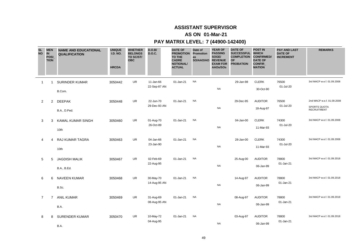### **AS ON 01-Mar-21**

| <b>SL</b><br><b>NO</b> | <b>MEN</b><br><b>IN</b><br>POSI_<br><b>TION</b> | <b>NAME AND EDUCATIONAL</b><br><b>QUALIFICATION</b> | <b>UNIQUE</b><br><b>I.D. NO.</b><br><b>HRCDA</b> | <b>WHETHER</b><br><b>BELONGS</b><br>TO SC/ST/<br><b>OBC</b> | D.O.B/<br><b>D.O.C.</b>   | <b>DATE OF</b><br><b>PROMOTION Promotion</b><br>TO THE<br><b>CADRE</b><br><b>NOTIONAL/</b><br><b>ACTUAL</b> | Date of<br>as<br>SO/AAO/AO | <b>YEAR OF</b><br><b>PASSING</b><br>SOGE/<br><b>REVENUE</b><br><b>EXAM FOR</b><br>AAOs/SOs | <b>DATE OF</b><br>SUCCESSFUL WHICH<br><b>COMPLETION</b><br><b>OF</b><br><b>PROBATION</b> | <b>POST IN</b><br><b>CONFIRMED/</b><br><b>DATE OF</b><br><b>CONFIR</b><br><b>MATION</b> | <b>PAY AND LAST</b><br><b>DATE OF</b><br><b>INCREMENT</b> | <b>REMARKS</b>                                                   |
|------------------------|-------------------------------------------------|-----------------------------------------------------|--------------------------------------------------|-------------------------------------------------------------|---------------------------|-------------------------------------------------------------------------------------------------------------|----------------------------|--------------------------------------------------------------------------------------------|------------------------------------------------------------------------------------------|-----------------------------------------------------------------------------------------|-----------------------------------------------------------|------------------------------------------------------------------|
| $\mathbf{1}$           | -1                                              | <b>SURINDER KUMAR</b><br>B.Com.                     | 3050442                                          | UR.                                                         | 11-Jan-66<br>22-Sep-87 AN | 01-Jan-21                                                                                                   | <b>NA</b>                  | <b>NA</b>                                                                                  | 29-Jan-98                                                                                | <b>CLERK</b><br>30-Oct-90                                                               | 76500<br>01-Jul-20                                        | 3rd MACP w.e.f. 01.09.2008                                       |
| $\overline{2}$         | $\overline{2}$                                  | <b>DEEPAK</b><br>B.A., D.Ped.                       | 3050448                                          | <b>UR</b>                                                   | 22-Jun-70<br>29-Dec-93 AN | 01-Jan-21                                                                                                   | <b>NA</b>                  | <b>NA</b>                                                                                  | 29-Dec-95                                                                                | <b>AUDITOR</b><br>18-Aug-97                                                             | 76500<br>01-Jul-20                                        | 2nd MACP w.e.f. 01.09.2008<br>SPORTS QUOTA<br><b>RECRUITMENT</b> |
| 3                      | 3                                               | <b>KAMAL KUMAR SINGH</b><br>10th                    | 3050460                                          | <b>UR</b>                                                   | 01-Aug-70<br>26-Oct-89    | 01-Jan-21                                                                                                   | <b>NA</b>                  | <b>NA</b>                                                                                  | 04-Jan-00                                                                                | <b>CLERK</b><br>11-Mar-93                                                               | 74300<br>01-Jul-20                                        | 3rd MACP w.e.f. 01.09.2008                                       |
| 4                      | 4                                               | <b>RAJ KUMAR TAGRA</b><br>10th                      | 3050463                                          | <b>UR</b>                                                   | 04-Jan-66<br>23-Jan-90    | 01-Jan-21                                                                                                   | <b>NA</b>                  | <b>NA</b>                                                                                  | 28-Jan-00                                                                                | <b>CLERK</b><br>11-Mar-93                                                               | 74300<br>01-Jul-20                                        | 3rd MACP w.e.f. 01.09.2008                                       |
| 5                      | 5                                               | <b>JAGDISH MALIK</b><br>B.A., B.Ed.                 | 3050467                                          | <b>UR</b>                                                   | 02-Feb-69<br>22-Aug-95    | 01-Jan-21                                                                                                   | <b>NA</b>                  | <b>NA</b>                                                                                  | 25-Aug-00                                                                                | <b>AUDITOR</b><br>06-Jan-99                                                             | 78800<br>01-Jan-21                                        | 3rd MACP w.e.f. 01.09.2018                                       |
| 6                      | 6                                               | <b>NAVEEN KUMAR</b><br>B.Sc.                        | 3050468                                          | <b>UR</b>                                                   | 30-May-70<br>14-Aug-95 AN | 01-Jan-21                                                                                                   | <b>NA</b>                  | <b>NA</b>                                                                                  | 14-Aug-97                                                                                | <b>AUDITOR</b><br>06-Jan-99                                                             | 78800<br>01-Jan-21                                        | 3rd MACP w.e.f. 01.09.2018                                       |
| $\overline{7}$         | $\overline{7}$                                  | <b>ANIL KUMAR</b><br>B.A.                           | 3050469                                          | <b>UR</b>                                                   | 31-Aug-69<br>08-Aug-95 AN | 01-Jan-21                                                                                                   | <b>NA</b>                  | <b>NA</b>                                                                                  | 08-Aug-97                                                                                | <b>AUDITOR</b><br>06-Jan-99                                                             | 78800<br>01-Jan-21                                        | 3rd MACP w.e.f. 01.09.2018                                       |
| 8                      | 8                                               | <b>SURENDER KUMAR</b><br>B.A.                       | 3050470                                          | UR                                                          | 10-May-72<br>04-Aug-95    | 01-Jan-21                                                                                                   | <b>NA</b>                  | <b>NA</b>                                                                                  | 03-Aug-97                                                                                | <b>AUDITOR</b><br>06-Jan-99                                                             | 78800<br>01-Jan-21                                        | 3rd MACP w.e.f. 01.09.2018                                       |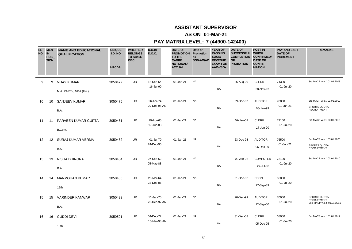### **AS ON 01-Mar-21**

| <b>SL</b><br><b>NO</b> | <b>MEN</b><br><b>IN</b><br>POSI<br><b>TION</b> | <b>NAME AND EDUCATIONAL</b><br><b>QUALIFICATION</b> | <b>UNIQUE</b><br><b>I.D. NO.</b><br><b>HRCDA</b> | <b>WHETHER</b><br><b>BELONGS</b><br>TO SC/ST/<br><b>OBC</b> | D.O.B/<br><b>D.O.C.</b>   | <b>DATE OF</b><br><b>PROMOTION</b><br>TO THE<br><b>CADRE</b><br><b>NOTIONAL/</b><br><b>ACTUAL</b> | Date of<br><b>Promotion</b><br>as<br>SO/AAO/AO | <b>YEAR OF</b><br><b>PASSING</b><br>SOGE/<br><b>REVENUE</b><br><b>EXAM FOR</b><br>AAOs/SOs | <b>DATE OF</b><br>SUCCESSFUL WHICH<br><b>COMPLETION</b><br><b>OF</b><br><b>PROBATION</b> | <b>POST IN</b><br><b>CONFIRMED/</b><br><b>DATE OF</b><br><b>CONFIR</b><br><b>MATION</b> | <b>PAY AND LAST</b><br><b>DATE OF</b><br><b>INCREMENT</b> | <b>REMARKS</b>                                                   |
|------------------------|------------------------------------------------|-----------------------------------------------------|--------------------------------------------------|-------------------------------------------------------------|---------------------------|---------------------------------------------------------------------------------------------------|------------------------------------------------|--------------------------------------------------------------------------------------------|------------------------------------------------------------------------------------------|-----------------------------------------------------------------------------------------|-----------------------------------------------------------|------------------------------------------------------------------|
| 9                      | 9                                              | <b>VIJAY KUMAR</b><br>M.A. PART-I, MBA (Fin.)       | 3050472                                          | <b>UR</b>                                                   | 12-Sep-64<br>16-Jul-90    | 01-Jan-21                                                                                         | <b>NA</b>                                      | <b>NA</b>                                                                                  | 26-Aug-00                                                                                | <b>CLERK</b><br>30-Nov-93                                                               | 74300<br>01-Jul-20                                        | 3rd MACP w.e.f. 01.09.2008                                       |
| 10                     | 10                                             | SANJEEV KUMAR<br>B.A.                               | 3050475                                          | <b>UR</b>                                                   | 26-Apr-74<br>29-Dec-95 AN | 01-Jan-21                                                                                         | <b>NA</b>                                      | <b>NA</b>                                                                                  | 29-Dec-97                                                                                | <b>AUDITOR</b><br>06-Jan-99                                                             | 78800<br>01-Jan-21                                        | 3rd MACP w.e.f. 01.01.2019<br>SPORTS QUOTA<br><b>RECRUITMENT</b> |
| 11                     | 11                                             | PARVEEN KUMAR GUPTA<br>B.Com.                       | 3050481                                          | <b>UR</b>                                                   | 19-Apr-65<br>17-Jun-88    | 01-Jan-21                                                                                         | <b>NA</b>                                      | <b>NA</b>                                                                                  | 02-Jan-02                                                                                | <b>CLERK</b><br>17-Jun-90                                                               | 72100<br>01-Jul-20                                        | 3rd MACP w.e.f. 03.01.2010                                       |
| 12                     | $12 \overline{ }$                              | SURAJ KUMAR VERMA<br>B.A.                           | 3050482                                          | <b>UR</b>                                                   | 01-Jul-70<br>24-Dec-96    | 01-Jan-21                                                                                         | <b>NA</b>                                      | <b>NA</b>                                                                                  | 23-Dec-98                                                                                | <b>AUDITOR</b><br>06-Dec-99                                                             | 76500<br>01-Jan-21                                        | 3rd MACP w.e.f. 03.01.2020<br>SPORTS QUOTA<br><b>RECRUITMENT</b> |
| 13                     | 13                                             | NISHA DHINGRA<br>B.A.                               | 3050484                                          | <b>UR</b>                                                   | 07-Sep-62<br>05-May-88    | 01-Jan-21                                                                                         | <b>NA</b>                                      | <b>NA</b>                                                                                  | 02-Jan-02                                                                                | <b>COMPUTER</b><br>27-Jul-90                                                            | 72100<br>01-Jul-20                                        | 3rd MACP w.e.f. 03.01.2010                                       |
| 14                     | 14                                             | <b>MANMOHAN KUMAR</b><br>12th                       | 3050486                                          | <b>UR</b>                                                   | 20-Mar-64<br>22-Dec-86    | 01-Jan-21                                                                                         | <b>NA</b>                                      | <b>NA</b>                                                                                  | 31-Dec-02                                                                                | <b>PEON</b><br>27-Sep-89                                                                | 66000<br>01-Jul-20                                        |                                                                  |
| 15                     | 15                                             | <b>VARINDER KANWAR</b><br>B.A.                      | 3050493                                          | <b>UR</b>                                                   | 11-Jan-75<br>26-Dec-97 AN | 01-Jan-21                                                                                         | <b>NA</b>                                      | <b>NA</b>                                                                                  | 26-Dec-99                                                                                | <b>AUDITOR</b><br>12-Sep-00                                                             | 70000<br>01-Jul-20                                        | SPORTS QUOTA<br><b>RECRUITMENT</b><br>2nd MACP w.e.f. 01.01.2011 |
| 16                     | 16                                             | <b>GUDDI DEVI</b><br>10th                           | 3050501                                          | UR                                                          | 04-Dec-72<br>16-Mar-93 AN | 01-Jan-21                                                                                         | <b>NA</b>                                      | <b>NA</b>                                                                                  | 31-Dec-03                                                                                | <b>CLERK</b><br>05-Dec-95                                                               | 68000<br>01-Jul-20                                        | 3rd MACP w.e.f. 01.01.2012                                       |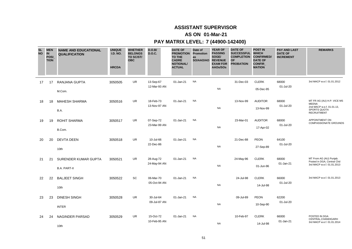### **AS ON 01-Mar-21**

| <b>SL</b><br><b>NO</b> | <b>MEN</b><br><b>IN</b><br><b>POSI</b><br><b>TION</b> | <b>NAME AND EDUCATIONAL</b><br><b>QUALIFICATION</b> | <b>UNIQUE</b><br><b>I.D. NO.</b><br><b>HRCDA</b> | <b>WHETHER</b><br><b>BELONGS</b><br>TO SC/ST/<br><b>OBC</b> | D.O.B/<br><b>D.O.C.</b>   | <b>DATE OF</b><br><b>PROMOTION Promotion</b><br>TO THE<br><b>CADRE</b><br><b>NOTIONAL/</b><br><b>ACTUAL</b> | Date of<br>as<br>SO/AAO/AO | <b>YEAR OF</b><br><b>PASSING</b><br>SOGE/<br><b>REVENUE</b><br><b>EXAM FOR</b><br>AAOs/SOs | <b>DATE OF</b><br>SUCCESSFUL WHICH<br><b>COMPLETION</b><br><b>OF</b><br><b>PROBATION</b> | <b>POST IN</b><br><b>CONFIRMED/</b><br><b>DATE OF</b><br><b>CONFIR</b><br><b>MATION</b> | <b>PAY AND LAST</b><br><b>DATE OF</b><br><b>INCREMENT</b> | <b>REMARKS</b>                                                                                                |
|------------------------|-------------------------------------------------------|-----------------------------------------------------|--------------------------------------------------|-------------------------------------------------------------|---------------------------|-------------------------------------------------------------------------------------------------------------|----------------------------|--------------------------------------------------------------------------------------------|------------------------------------------------------------------------------------------|-----------------------------------------------------------------------------------------|-----------------------------------------------------------|---------------------------------------------------------------------------------------------------------------|
| 17                     | 17                                                    | RANJANA GUPTA<br>M.Com.                             | 3050505                                          | <b>UR</b>                                                   | 13-Sep-67<br>12-Mar-93 AN | 01-Jan-21                                                                                                   | <b>NA</b>                  | <b>NA</b>                                                                                  | 31-Dec-03                                                                                | <b>CLERK</b><br>05-Dec-95                                                               | 68000<br>01-Jul-20                                        | 3rd MACP w.e.f. 01.01.2012                                                                                    |
| 18                     | 18                                                    | <b>MAHESH SHARMA</b><br>B.A.                        | 3050516                                          | <b>UR</b>                                                   | 18-Feb-73<br>13-Nov-97 AN | 01-Jan-21                                                                                                   | <b>NA</b>                  | <b>NA</b>                                                                                  | 13-Nov-99                                                                                | <b>AUDITOR</b><br>13-Nov-99                                                             | 68000<br>01-Jul-20                                        | MT FR AG (AU) H.P. VICE MS<br><b>MEENA</b><br>2nd MACP w.e.f. 01.01.13,<br>SPORTS QUOTA<br><b>RECRUITMENT</b> |
| 19                     | 19                                                    | ROHIT SHARMA<br>B.Com.                              | 3050517                                          | <b>UR</b>                                                   | 07-Sep-72<br>23-Mar-99 AN | 01-Jan-21                                                                                                   | <b>NA</b>                  | <b>NA</b>                                                                                  | 23-Mar-01                                                                                | <b>AUDITOR</b><br>17-Apr-02                                                             | 68000<br>01-Jul-20                                        | APPOINTMENT ON<br><b>COMPASSIONATE GROUNDS</b>                                                                |
| 20                     | 20                                                    | <b>DEVTA DEEN</b><br>10th                           | 3050518                                          | <b>UR</b>                                                   | 10-Jul-66<br>22-Dec-86    | 01-Jan-21                                                                                                   | <b>NA</b>                  | <b>NA</b>                                                                                  | 21-Dec-88                                                                                | PEON<br>27-Sep-89                                                                       | 64100<br>01-Jul-20                                        |                                                                                                               |
| 21                     | 21                                                    | SURENDER KUMAR GUPTA<br><b>B.A. PART-II</b>         | 3050521                                          | <b>UR</b>                                                   | 28-Aug-72<br>24-May-94 AN | 01-Jan-21                                                                                                   | <b>NA</b>                  | <b>NA</b>                                                                                  | 24-May-96                                                                                | <b>CLERK</b><br>01-Jun-96                                                               | 68000<br>01-Jan-21                                        | MT From AG (AU) Punjab.<br>Posted in DGA, Central Chd<br>3rd MACP w.e.f. 01.01.2013                           |
| 22                     | 22                                                    | <b>BALJEET SINGH</b><br>10th                        | 3050522                                          | SC                                                          | 06-Mar-70<br>05-Oct-94 AN | 01-Jan-21                                                                                                   | <b>NA</b>                  | <b>NA</b>                                                                                  | 24-Jul-98                                                                                | <b>CLERK</b><br>14-Jul-98                                                               | 66000<br>01-Jul-20                                        | 3rd MACP w.e.f. 01.01.2013                                                                                    |
| 23                     | 23                                                    | <b>DINESH SINGH</b><br><b>INTER</b>                 | 3050528                                          | <b>UR</b>                                                   | 30-Jul-64<br>09-Jul-87 AN | 01-Jan-21                                                                                                   | <b>NA</b>                  | <b>NA</b>                                                                                  | 09-Jul-89                                                                                | <b>PEON</b><br>10-Sep-90                                                                | 62200<br>01-Jul-20                                        |                                                                                                               |
| 24                     | 24                                                    | NAGINDER PARSAD<br>10th                             | 3050529                                          | UR                                                          | 15-Oct-72<br>10-Feb-95 AN | 01-Jan-21                                                                                                   | <b>NA</b>                  | <b>NA</b>                                                                                  | 10-Feb-97                                                                                | <b>CLERK</b><br>14-Jul-98                                                               | 66000<br>01-Jan-21                                        | POSTED IN DGA<br>CENTRAL, CHANDIGARH<br>3rd MACP w.e.f. 01.01.2014                                            |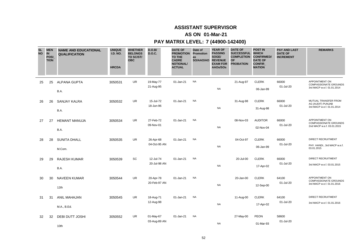### **AS ON 01-Mar-21**

| <b>SL</b><br><b>NO</b> | <b>MEN</b><br>IN<br>POSI_<br><b>TION</b> | <b>NAME AND EDUCATIONAL</b><br><b>QUALIFICATION</b> | <b>UNIQUE</b><br><b>I.D. NO.</b><br><b>HRCDA</b> | <b>WHETHER</b><br><b>BELONGS</b><br>TO SC/ST/<br><b>OBC</b> | D.O.B/<br><b>D.O.C.</b>   | <b>DATE OF</b><br><b>PROMOTION</b><br><b>TO THE</b><br><b>CADRE</b><br><b>NOTIONAL/</b><br><b>ACTUAL</b> | Date of<br>Promotion<br>as<br>SO/AAO/AO | <b>YEAR OF</b><br><b>PASSING</b><br>SOGE/<br><b>REVENUE</b><br><b>EXAM FOR</b><br>AAOs/SOs | <b>DATE OF</b><br><b>SUCCESSFUL</b><br><b>COMPLETION</b><br>OF<br><b>PROBATION</b> | <b>POST IN</b><br><b>WHICH</b><br><b>CONFIRMED/</b><br><b>DATE OF</b><br><b>CONFIR</b><br><b>MATION</b> | <b>PAY AND LAST</b><br><b>DATE OF</b><br><b>INCREMENT</b> | <b>REMARKS</b>                                                               |
|------------------------|------------------------------------------|-----------------------------------------------------|--------------------------------------------------|-------------------------------------------------------------|---------------------------|----------------------------------------------------------------------------------------------------------|-----------------------------------------|--------------------------------------------------------------------------------------------|------------------------------------------------------------------------------------|---------------------------------------------------------------------------------------------------------|-----------------------------------------------------------|------------------------------------------------------------------------------|
| 25                     | 25                                       | <b>ALPANA GUPTA</b><br>B.A.                         | 3050531                                          | <b>UR</b>                                                   | 19-May-77<br>21-Aug-95    | 01-Jan-21                                                                                                | <b>NA</b>                               | <b>NA</b>                                                                                  | 21-Aug-97                                                                          | <b>CLERK</b><br>06-Jan-99                                                                               | 66000<br>01-Jul-20                                        | APPOINTMENT ON<br><b>COMPASSIONATE GROUNDS</b><br>3rd MACP w.e.f. 01.01.2014 |
| 26                     | 26                                       | <b>SANJAY KALRA</b><br>B.A.                         | 3050532                                          | <b>UR</b>                                                   | 15-Jul-72<br>18-Jun-96    | 01-Jan-21                                                                                                | <b>NA</b>                               | <b>NA</b>                                                                                  | 31-Aug-98                                                                          | <b>CLERK</b><br>31-Aug-98                                                                               | 66000<br>01-Jul-20                                        | MUTUAL TRANSFER FROM<br>AG (AUDIT) PUNJAB<br>3rd MACP w.e.f. 01.01.2014      |
| 27                     | 27                                       | <b>HEMANT MANUJA</b><br>B.A.                        | 3050534                                          | <b>UR</b>                                                   | 27-Feb-72<br>09-Nov-01    | 01-Jan-21                                                                                                | <b>NA</b>                               | <b>NA</b>                                                                                  | 08-Nov-03                                                                          | <b>AUDITOR</b><br>02-Nov-04                                                                             | 66000<br>01-Jul-20                                        | APPOINTMENT ON<br><b>COMPASSIONATE GROUNDS</b><br>2nd MACP w.e.f. 03.01.2015 |
| 28                     | 28                                       | <b>SUNITA DHALL</b><br>M.Com.                       | 3050535                                          | <b>UR</b>                                                   | 26-Apr-68<br>04-Oct-95 AN | 01-Jan-21                                                                                                | <b>NA</b>                               | <b>NA</b>                                                                                  | 04-Oct-97                                                                          | <b>CLERK</b><br>06-Jan-99                                                                               | 66000<br>01-Jul-20                                        | <b>DIRECT RECRUITMENT</b><br>PHY. HANDI., 3rd MACP w.e.f.<br>03.01.2015      |
| 29                     | 29                                       | <b>RAJESH KUMAR</b><br>B.A.                         | 3050539                                          | SC                                                          | 12-Jul-74<br>20-Jul-98 AN | 01-Jan-21                                                                                                | <b>NA</b>                               | <b>NA</b>                                                                                  | 20-Jul-00                                                                          | <b>CLERK</b><br>17-Apr-02                                                                               | 66000<br>01-Jul-20                                        | DIRECT RECRUITMENT<br>3rd MACP w.e.f. 03.01.2015                             |
| 30                     | 30                                       | <b>NAVEEN KUMAR</b><br>12th                         | 3050544                                          | <b>UR</b>                                                   | 20-Apr-78<br>20-Feb-97 AN | 01-Jan-21                                                                                                | <b>NA</b>                               | NA                                                                                         | 20-Jan-00                                                                          | <b>CLERK</b><br>12-Sep-00                                                                               | 64100<br>01-Jul-20                                        | APPOINTMENT ON<br><b>COMPASSIONATE GROUNDS</b><br>3rd MACP w.e.f. 01.01.2016 |
| 31                     | 31                                       | <b>ANIL MAHAJAN</b><br>M.A., B.Ed.                  | 3050545                                          | UR                                                          | 18-Aug-71<br>12-Aug-98    | 01-Jan-21                                                                                                | <b>NA</b>                               | NA                                                                                         | 11-Aug-00                                                                          | <b>CLERK</b><br>17-Apr-02                                                                               | 64100<br>01-Jul-20                                        | DIRECT RECRUITMENT<br>3rd MACP w.e.f. 01.01.2016                             |
| 32                     | 32                                       | <b>DEBI DUTT JOSHI</b><br>10th                      | 3050552                                          | UR                                                          | 01-May-67<br>03-Aug-89 AN | 01-Jan-21                                                                                                | NA                                      | <b>NA</b>                                                                                  | 27-May-00                                                                          | <b>PEON</b><br>01-Mar-93                                                                                | 58600<br>01-Jul-20                                        |                                                                              |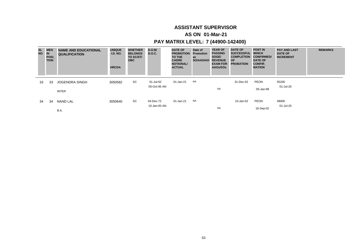### **AS ON 01-Mar-21**

| <b>SL</b><br><b>NO</b> | <b>MEN</b><br><b>IN</b><br>POSI<br><b>TION</b> | <b>NAME AND EDUCATIONAL</b><br><b>QUALIFICATION</b> | <b>UNIQUE</b><br><b>I.D. NO.</b><br><b>HRCDA</b> | <b>WHETHER</b><br><b>BELONGS</b><br>TO SC/ST/<br><b>OBC</b> | D.O.B/<br><b>D.O.C.</b> | <b>DATE OF</b><br><b>PROMOTION</b><br>TO THE<br><b>CADRE</b><br><b>NOTIONAL/</b><br><b>ACTUAL</b> | Date of<br><b>Promotion</b><br>as<br>SO/AAO/AO | <b>YEAR OF</b><br><b>PASSING</b><br>SOGE/<br><b>REVENUE</b><br><b>EXAM FOR</b><br>AAOs/SOs | <b>DATE OF</b><br><b>SUCCESSFUL</b><br><b>COMPLETION</b><br>OF.<br><b>PROBATION</b> | <b>POST IN</b><br><b>WHICH</b><br><b>CONFIRMED/</b><br><b>DATE OF</b><br><b>CONFIR</b><br><b>MATION</b> | <b>PAY AND LAST</b><br><b>DATE OF</b><br><b>INCREMENT</b> | <b>REMARKS</b> |
|------------------------|------------------------------------------------|-----------------------------------------------------|--------------------------------------------------|-------------------------------------------------------------|-------------------------|---------------------------------------------------------------------------------------------------|------------------------------------------------|--------------------------------------------------------------------------------------------|-------------------------------------------------------------------------------------|---------------------------------------------------------------------------------------------------------|-----------------------------------------------------------|----------------|
| 33                     | 33                                             | <b>JOGENDRA SINGH</b>                               | 3050582                                          | SC                                                          | 01-Jul-62               | 01-Jan-21                                                                                         | NA                                             |                                                                                            | 31-Dec-02                                                                           | <b>PEON</b>                                                                                             | 55200                                                     |                |
|                        |                                                | <b>INTER</b>                                        |                                                  |                                                             | 05-Oct-95 AN            |                                                                                                   |                                                | <b>NA</b>                                                                                  |                                                                                     | 05-Jan-99                                                                                               | 01-Jul-20                                                 |                |
| 34                     | 34                                             | <b>NAND LAL</b>                                     | 3050640                                          | SC                                                          | 04-Dec-72               | 01-Jan-21                                                                                         | NA                                             |                                                                                            | 10-Jan-02                                                                           | <b>PEON</b>                                                                                             | 49000                                                     |                |
|                        |                                                | B.A.                                                |                                                  |                                                             | 10-Jan-00 AN            |                                                                                                   |                                                | <b>NA</b>                                                                                  |                                                                                     | 16-Sep-02                                                                                               | 01-Jul-20                                                 |                |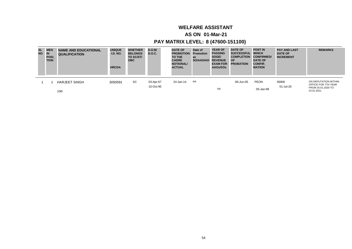## **WELFARE ASSISTANT**

### **AS ON 01-Mar-21**

| <b>SL</b><br><b>NO</b> | <b>MEN</b><br>IN<br><b>POSI</b><br><b>TION</b> | <b>NAME AND EDUCATIONAL</b><br><b>QUALIFICATION</b> | <b>UNIQUE</b><br><b>I.D. NO.</b><br><b>HRCDA</b> | <b>WHETHER</b><br><b>BELONGS</b><br>TO SC/ST/<br><b>OBC</b> | D.O.B/<br><b>D.O.C.</b> | <b>DATE OF</b><br><b>PROMOTION</b><br><b>TO THE</b><br><b>CADRE</b><br><b>NOTIONAL/</b><br><b>ACTUAL</b> | Date of<br><b>Promotion</b><br>as<br>SO/AAO/AO | <b>YEAR OF</b><br><b>PASSING</b><br>SOGE/<br><b>REVENUE</b><br><b>EXAM FOR</b><br>AAOs/SOs | <b>DATE OF</b><br>SUCCESSFUL WHICH<br><b>COMPLETION</b><br><b>OF</b><br><b>PROBATION</b> | <b>POST IN</b><br><b>CONFIRMED/</b><br><b>DATE OF</b><br><b>CONFIR</b><br><b>MATION</b> | <b>PAY AND LAST</b><br><b>DATE OF</b><br><b>INCREMENT</b> | <b>REMARKS</b>                              |
|------------------------|------------------------------------------------|-----------------------------------------------------|--------------------------------------------------|-------------------------------------------------------------|-------------------------|----------------------------------------------------------------------------------------------------------|------------------------------------------------|--------------------------------------------------------------------------------------------|------------------------------------------------------------------------------------------|-----------------------------------------------------------------------------------------|-----------------------------------------------------------|---------------------------------------------|
|                        |                                                | <b>HARJEET SINGH</b>                                | 3050591                                          | SC                                                          | 03-Apr-67               | 24-Jan-14                                                                                                | <b>NA</b>                                      |                                                                                            | 06-Jun-05                                                                                | <b>PEON</b>                                                                             | 56900                                                     | ON DEPUTATION WITHIN<br>OFFICE FOR 7TH YEAR |
|                        |                                                | 10th                                                |                                                  |                                                             | 10-Oct-95               |                                                                                                          |                                                | <b>NA</b>                                                                                  |                                                                                          | 05-Jan-99                                                                               | 01-Jul-20                                                 | FROM 25.01.2020 TO<br>24.01.2021            |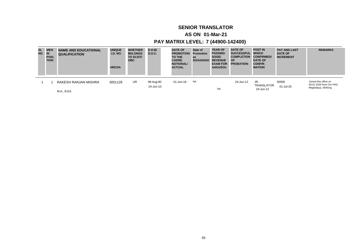## **SENIOR TRANSLATOR**

### **AS ON 01-Mar-21**

| <b>SL</b><br><b>NO</b> | <b>MEN</b><br>IN<br><b>POSI</b><br><b>TION</b> | <b>NAME AND EDUCATIONAL</b><br><b>QUALIFICATION</b> | <b>UNIQUE</b><br><b>I.D. NO.</b><br><b>HRCDA</b> | <b>WHETHER</b><br><b>BELONGS</b><br>TO SC/ST/<br><b>OBC</b> | D.O.B/<br><b>D.O.C.</b> | <b>DATE OF</b><br><b>PROMOTION</b><br><b>TO THE</b><br><b>CADRE</b><br><b>NOTIONAL/</b><br><b>ACTUAL</b> | Date of<br>Promotion<br>as<br><b>SO/AAO/AO</b> | <b>YEAR OF</b><br><b>PASSING</b><br>SOGE/<br><b>REVENUE</b><br><b>EXAM FOR</b><br>AAOs/SOs | <b>DATE OF</b><br>SUCCESSFUL WHICH<br><b>COMPLETION</b><br><b>OF</b><br><b>PROBATION</b> | <b>POST IN</b><br><b>CONFIRMED/</b><br><b>DATE OF</b><br><b>CONFIR</b><br><b>MATION</b> | <b>PAY AND LAST</b><br><b>DATE OF</b><br><b>INCREMENT</b> | <b>REMARKS</b>                                   |
|------------------------|------------------------------------------------|-----------------------------------------------------|--------------------------------------------------|-------------------------------------------------------------|-------------------------|----------------------------------------------------------------------------------------------------------|------------------------------------------------|--------------------------------------------------------------------------------------------|------------------------------------------------------------------------------------------|-----------------------------------------------------------------------------------------|-----------------------------------------------------------|--------------------------------------------------|
|                        |                                                | RAKESH RANJAN MISHRA                                | 3051129                                          | UR.                                                         | 08-Aug-80<br>24-Jun-10  | 01-Jun-18                                                                                                | NA                                             |                                                                                            | 24-Jun-12                                                                                | JR.<br>TRANSLATOR                                                                       | 50500<br>01-Jul-20                                        | Joined this office on<br>09.01.2020 from O/o PAG |
|                        |                                                | M.A., B.Ed.                                         |                                                  |                                                             |                         |                                                                                                          |                                                | <b>NA</b>                                                                                  |                                                                                          | 24-Jun-12                                                                               |                                                           | Meghalaya, Shillong                              |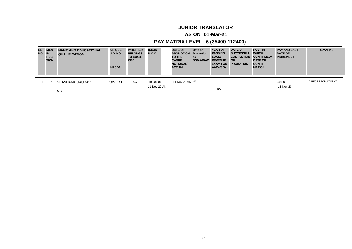## **JUNIOR TRANSLATOR**

### **AS ON 01-Mar-21**

| <b>SL</b><br><b>NO</b> | <b>MEN</b><br>IN<br><b>POSI</b><br><b>TION</b> | <b>NAME AND EDUCATIONAL</b><br><b>QUALIFICATION</b> | <b>UNIQUE</b><br><b>I.D. NO.</b><br><b>HRCDA</b> | <b>WHETHER</b><br><b>BELONGS</b><br>TO SC/ST/<br><b>OBC</b> | D.O.B/<br><b>D.O.C.</b>   | <b>DATE OF</b><br><b>PROMOTION</b><br>TO THE<br><b>CADRE</b><br><b>NOTIONAL/</b><br><b>ACTUAL</b> | Date of<br>Promotion<br>as<br>SO/AAO/AO | <b>YEAR OF</b><br><b>PASSING</b><br>SOGE/<br><b>REVENUE</b><br><b>EXAM FOR</b><br>AAOs/SOs | <b>DATE OF</b><br>SUCCESSFUL WHICH<br><b>COMPLETION</b><br><b>OF</b><br><b>PROBATION</b> | <b>POST IN</b><br><b>CONFIRMED/</b><br><b>DATE OF</b><br><b>CONFIR</b><br><b>MATION</b> | <b>PAY AND LAST</b><br><b>DATE OF</b><br><b>INCREMENT</b> | <b>REMARKS</b>            |
|------------------------|------------------------------------------------|-----------------------------------------------------|--------------------------------------------------|-------------------------------------------------------------|---------------------------|---------------------------------------------------------------------------------------------------|-----------------------------------------|--------------------------------------------------------------------------------------------|------------------------------------------------------------------------------------------|-----------------------------------------------------------------------------------------|-----------------------------------------------------------|---------------------------|
|                        |                                                | <b>SHASHANK GAURAV</b>                              | 3051141                                          | SC                                                          | 19-Oct-86<br>11-Nov-20 AN | 11-Nov-20 AN NA                                                                                   |                                         |                                                                                            |                                                                                          |                                                                                         | 35400<br>11-Nov-20                                        | <b>DIRECT RECRUITMENT</b> |
|                        |                                                | M.A.                                                |                                                  |                                                             |                           |                                                                                                   |                                         | <b>NA</b>                                                                                  |                                                                                          |                                                                                         |                                                           |                           |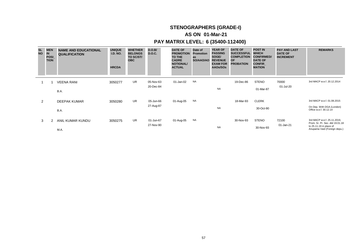## **STENOGRAPHERS (GRADE-I)**

### **AS ON 01-Mar-21**

| <b>SL</b><br><b>NO</b> | <b>MEN</b><br><b>IN</b><br><b>POSI</b><br><b>TION</b> | <b>NAME AND EDUCATIONAL</b><br><b>QUALIFICATION</b> | <b>UNIQUE</b><br><b>I.D. NO.</b><br><b>HRCDA</b> | <b>WHETHER</b><br><b>BELONGS</b><br>TO SC/ST/<br><b>OBC</b> | D.O.B/<br><b>D.O.C.</b> | <b>DATE OF</b><br><b>PROMOTION</b><br>TO THE<br><b>CADRE</b><br><b>NOTIONAL/</b><br><b>ACTUAL</b> | Date of<br><b>Promotion</b><br>as<br>SO/AAO/AO | <b>YEAR OF</b><br><b>PASSING</b><br>SOGE/<br><b>REVENUE</b><br><b>EXAM FOR</b><br>AAOs/SOs | <b>DATE OF</b><br><b>SUCCESSFUL</b><br><b>COMPLETION</b><br><b>OF</b><br><b>PROBATION</b> | <b>POST IN</b><br><b>WHICH</b><br><b>CONFIRMED/</b><br><b>DATE OF</b><br><b>CONFIR</b><br><b>MATION</b> | <b>PAY AND LAST</b><br><b>DATE OF</b><br><b>INCREMENT</b> | <b>REMARKS</b>                                                                             |
|------------------------|-------------------------------------------------------|-----------------------------------------------------|--------------------------------------------------|-------------------------------------------------------------|-------------------------|---------------------------------------------------------------------------------------------------|------------------------------------------------|--------------------------------------------------------------------------------------------|-------------------------------------------------------------------------------------------|---------------------------------------------------------------------------------------------------------|-----------------------------------------------------------|--------------------------------------------------------------------------------------------|
|                        |                                                       | <b>VEENA RANI</b>                                   | 3050277                                          | UR.                                                         | 05-Nov-63               | 01-Jan-02                                                                                         | <b>NA</b>                                      |                                                                                            | 19-Dec-86                                                                                 | <b>STENO</b>                                                                                            | 70000                                                     | 3rd MACP w.e.f. 20.12.2014                                                                 |
|                        |                                                       | B.A.                                                |                                                  |                                                             | 20-Dec-84               |                                                                                                   |                                                | <b>NA</b>                                                                                  |                                                                                           | 01-Mar-87                                                                                               | 01-Jul-20                                                 |                                                                                            |
| 2                      |                                                       | DEEPAK KUMAR                                        | 3050280                                          | UR                                                          | 05-Jun-66               | 01-Aug-05                                                                                         | NA                                             |                                                                                            | 18-Mar-93                                                                                 | <b>CLERK</b>                                                                                            |                                                           | 3rd MACP w.e.f. 01.08.2015                                                                 |
|                        |                                                       | B.A.                                                |                                                  |                                                             | 27-Aug-87               |                                                                                                   |                                                | <b>NA</b>                                                                                  |                                                                                           | 30-Oct-90                                                                                               |                                                           | On Dep. With DGA (London)<br>Office w.e.f. 30.12.14                                        |
| 3                      | 2                                                     | ANIL KUMAR KUNDU                                    | 3050275                                          | UR.                                                         | 01-Jun-67               | 01-Aug-05                                                                                         | <b>NA</b>                                      |                                                                                            | 30-Nov-93                                                                                 | <b>STENO</b>                                                                                            | 72100                                                     | 3rd MACP w.e.f. 25.11.2019,                                                                |
|                        |                                                       | M.A.                                                |                                                  |                                                             | 27-Nov-90               |                                                                                                   |                                                | <b>NA</b>                                                                                  |                                                                                           | 30-Nov-93                                                                                               | 01-Jan-21                                                 | Prom. Sr. Pr. Sec. dtd 19.01.18<br>to 25.11.19 in place of<br>Anupama Vaid (Foreign depu.) |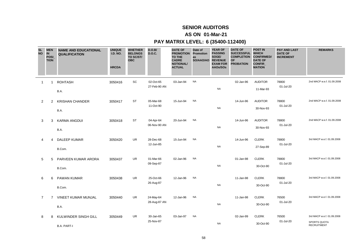### **AS ON 01-Mar-21**

| <b>SL</b><br><b>NO</b> | <b>MEN</b><br><b>IN</b><br><b>POSI</b><br><b>TION</b> | <b>NAME AND EDUCATIONAL</b><br><b>QUALIFICATION</b> | <b>UNIQUE</b><br><b>I.D. NO.</b><br><b>HRCDA</b> | <b>WHETHER</b><br><b>BELONGS</b><br>TO SC/ST/<br><b>OBC</b> | D.O.B/<br><b>D.O.C.</b>   | <b>DATE OF</b><br><b>PROMOTION Promotion</b><br>TO THE<br><b>CADRE</b><br><b>NOTIONAL/</b><br><b>ACTUAL</b> | Date of<br>as<br>SO/AAO/AO REVENUE | <b>YEAR OF</b><br><b>PASSING</b><br>SOGE/<br><b>EXAM FOR</b><br>AAOs/SOs | <b>DATE OF</b><br>SUCCESSFUL WHICH<br><b>COMPLETION</b><br><b>OF</b><br><b>PROBATION</b> | <b>POST IN</b><br><b>CONFIRMED/</b><br><b>DATE OF</b><br>CONFIR<br><b>MATION</b> | <b>PAY AND LAST</b><br><b>DATE OF</b><br><b>INCREMENT</b> | <b>REMARKS</b>                                                   |
|------------------------|-------------------------------------------------------|-----------------------------------------------------|--------------------------------------------------|-------------------------------------------------------------|---------------------------|-------------------------------------------------------------------------------------------------------------|------------------------------------|--------------------------------------------------------------------------|------------------------------------------------------------------------------------------|----------------------------------------------------------------------------------|-----------------------------------------------------------|------------------------------------------------------------------|
| $\overline{1}$         | $\mathbf 1$                                           | <b>ROHTASH</b><br>B.A.                              | 3050416                                          | SC                                                          | 02-Oct-65<br>27-Feb-90 AN | 03-Jan-94                                                                                                   | <b>NA</b>                          | <b>NA</b>                                                                | 02-Jan-96                                                                                | <b>AUDITOR</b><br>11-Mar-93                                                      | 78800<br>01-Jul-20                                        | 2nd MACP w.e.f. 01.09.2008                                       |
| 2                      | $\overline{2}$                                        | <b>KRISHAN CHANDER</b><br>B.A.                      | 3050417                                          | <b>ST</b>                                                   | 05-Mar-68<br>11-Oct-90    | 15-Jun-94                                                                                                   | <b>NA</b>                          | <b>NA</b>                                                                | 14-Jun-96                                                                                | <b>AUDITOR</b><br>30-Nov-93                                                      | 78800<br>01-Jul-20                                        | 2nd MACP w.e.f. 01.09.2008                                       |
| 3                      | 3                                                     | <b>KARMA ANGDUI</b><br>B.A.                         | 3050418                                          | <b>ST</b>                                                   | 04-Apr-64<br>06-Nov-90 AN | 20-Jun-94                                                                                                   | <b>NA</b>                          | <b>NA</b>                                                                | 14-Jun-96                                                                                | <b>AUDITOR</b><br>30-Nov-93                                                      | 78800<br>01-Jul-20                                        | 2nd MACP w.e.f. 01.09.2008                                       |
| 4                      | 4                                                     | <b>DALEEP KUMAR</b><br>B.Com.                       | 3050420                                          | <b>UR</b>                                                   | 28-Dec-68<br>12-Jun-85    | 15-Jun-94                                                                                                   | <b>NA</b>                          | <b>NA</b>                                                                | 14-Jun-96                                                                                | <b>CLERK</b><br>27-Sep-89                                                        | 78800<br>01-Jul-20                                        | 3rd MACP w.e.f. 01.09.2008                                       |
| 5                      | 5                                                     | PARVEEN KUMAR ARORA<br>B.Com.                       | 3050437                                          | <b>UR</b>                                                   | 01-Mar-66<br>09-Sep-87    | 02-Jan-96                                                                                                   | <b>NA</b>                          | <b>NA</b>                                                                | 01-Jan-98                                                                                | <b>CLERK</b><br>30-Oct-90                                                        | 78800<br>01-Jul-20                                        | 3rd MACP w.e.f. 01.09.2008                                       |
| 6                      | 6                                                     | PAWAN KUMAR<br>B.Com.                               | 3050438                                          | UR                                                          | 25-Oct-66<br>26-Aug-87    | 12-Jan-96                                                                                                   | <b>NA</b>                          | <b>NA</b>                                                                | 11-Jan-98                                                                                | <b>CLERK</b><br>30-Oct-90                                                        | 78800<br>01-Jul-20                                        | 3rd MACP w.e.f. 01.09.2008                                       |
| $\overline{7}$         | $\overline{7}$                                        | <b>VINEET KUMAR MUNJAL</b><br>B.A.                  | 3050440                                          | UR                                                          | 24-May-64<br>28-Aug-87 AN | 12-Jan-96                                                                                                   | <b>NA</b>                          | <b>NA</b>                                                                | 11-Jan-98                                                                                | <b>CLERK</b><br>30-Oct-90                                                        | 76500<br>01-Jul-20                                        | 3rd MACP w.e.f. 01.09.2008                                       |
| 8                      | 8                                                     | KULWINDER SINGH GILL<br><b>B.A. PART-I</b>          | 3050449                                          | <b>UR</b>                                                   | 30-Jan-65<br>25-Nov-87    | 03-Jan-97                                                                                                   | <b>NA</b>                          | <b>NA</b>                                                                | 02-Jan-99                                                                                | <b>CLERK</b><br>30-Oct-90                                                        | 76500<br>01-Jul-20                                        | 3rd MACP w.e.f. 01.09.2008<br>SPORTS QUOTA<br><b>RECRUITMENT</b> |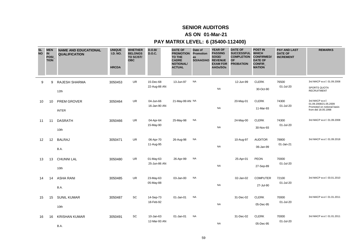### **AS ON 01-Mar-21**

| <b>SL</b><br><b>NO</b> | <b>IN</b> | <b>MEN</b><br>POSI<br><b>TION</b> | <b>NAME AND EDUCATIONAL</b><br><b>QUALIFICATION</b> | <b>UNIQUE</b><br><b>I.D. NO.</b><br><b>HRCDA</b> | <b>WHETHER</b><br><b>BELONGS</b><br>TO SC/ST/<br><b>OBC</b> | D.O.B/<br><b>D.O.C.</b>   | <b>DATE OF</b><br><b>PROMOTION</b><br>TO THE<br><b>CADRE</b><br><b>NOTIONAL/</b><br><b>ACTUAL</b> | Date of<br>Promotion<br>as<br>SO/AAO/AO REVENUE | <b>YEAR OF</b><br><b>PASSING</b><br>SOGE/<br><b>EXAM FOR</b><br>AAOs/SOs | <b>DATE OF</b><br>SUCCESSFUL WHICH<br><b>COMPLETION</b><br><b>OF</b><br><b>PROBATION</b> | <b>POST IN</b><br><b>CONFIRMED/</b><br><b>DATE OF</b><br><b>CONFIR</b><br><b>MATION</b> | <b>PAY AND LAST</b><br><b>DATE OF</b><br><b>INCREMENT</b> | <b>REMARKS</b>                                                                                |
|------------------------|-----------|-----------------------------------|-----------------------------------------------------|--------------------------------------------------|-------------------------------------------------------------|---------------------------|---------------------------------------------------------------------------------------------------|-------------------------------------------------|--------------------------------------------------------------------------|------------------------------------------------------------------------------------------|-----------------------------------------------------------------------------------------|-----------------------------------------------------------|-----------------------------------------------------------------------------------------------|
|                        | 9         | 9                                 | RAJESH SHARMA<br>12th                               | 3050453                                          | <b>UR</b>                                                   | 15-Dec-68<br>22-Aug-88 AN | 13-Jun-97                                                                                         | <b>NA</b>                                       | <b>NA</b>                                                                | 12-Jun-99                                                                                | <b>CLERK</b><br>30-Oct-90                                                               | 76500<br>01-Jul-20                                        | 3rd MACP w.e.f. 01.09.2008<br>SPORTS QUOTA<br><b>RECRUITMENT</b>                              |
|                        | 10        | 10                                | PREM GROVER<br><b>INTER</b>                         | 3050464                                          | <b>UR</b>                                                   | 04-Jun-66<br>16-Jan-90 AN | 21-May-99 AN NA                                                                                   |                                                 | <b>NA</b>                                                                | 20-May-01                                                                                | <b>CLERK</b><br>11-Mar-93                                                               | 74300<br>01-Jul-20                                        | 3rd MACP w.e.f.<br>01.09.2008/21.05.2009<br>Promoted on notional basis<br>from dtd 18.05.1998 |
|                        | 11        | 11                                | <b>DASRATH</b><br>10th                              | 3050466                                          | <b>UR</b>                                                   | 04-Apr-64<br>15-May-90    | 25-May-98                                                                                         | <b>NA</b>                                       | <b>NA</b>                                                                | 24-May-00                                                                                | <b>CLERK</b><br>30-Nov-93                                                               | 74300<br>01-Jul-20                                        | 3rd MACP w.e.f. 01.09.2008                                                                    |
|                        | 12        | 12                                | <b>BALRAJ</b><br>B.A.                               | 3050471                                          | <b>UR</b>                                                   | 06-Apr-70<br>11-Aug-95    | 26-Aug-98                                                                                         | <b>NA</b>                                       | <b>NA</b>                                                                | 10-Aug-97                                                                                | <b>AUDITOR</b><br>06-Jan-99                                                             | 78800<br>01-Jan-21                                        | 3rd MACP w.e.f. 01.09.2018                                                                    |
|                        | 13        | 13                                | <b>CHUNNI LAL</b><br>10th                           | 3050480                                          | <b>UR</b>                                                   | 01-May-63<br>25-Jun-86 AN | 26-Apr-99                                                                                         | <b>NA</b>                                       | <b>NA</b>                                                                | 25-Apr-01                                                                                | <b>PEON</b><br>27-Sep-89                                                                | 70000<br>01-Jul-20                                        |                                                                                               |
|                        | 14        | 14                                | <b>ASHA RANI</b><br>B.A.                            | 3050485                                          | <b>UR</b>                                                   | 23-May-63<br>05-May-88    | 03-Jan-00                                                                                         | <b>NA</b>                                       | <b>NA</b>                                                                | 02-Jan-02                                                                                | <b>COMPUTER</b><br>27-Jul-90                                                            | 72100<br>01-Jul-20                                        | 3rd MACP w.e.f. 03.01.2010                                                                    |
|                        | 15        | 15                                | <b>SUNIL KUMAR</b><br>10th                          | 3050487                                          | SC                                                          | 14-Sep-73<br>18-Feb-92    | 01-Jan-01                                                                                         | <b>NA</b>                                       | <b>NA</b>                                                                | 31-Dec-02                                                                                | <b>CLERK</b><br>05-Dec-95                                                               | 70000<br>01-Jul-20                                        | 3rd MACP w.e.f. 01.01.2011                                                                    |
|                        | 16        | 16                                | <b>KRISHAN KUMAR</b><br>B.A.                        | 3050491                                          | SC                                                          | 10-Jan-63<br>12-Mar-93 AN | 01-Jan-01                                                                                         | <b>NA</b>                                       | <b>NA</b>                                                                | 31-Dec-02                                                                                | <b>CLERK</b><br>05-Dec-95                                                               | 70000<br>01-Jul-20                                        | 3rd MACP w.e.f. 01.01.2011                                                                    |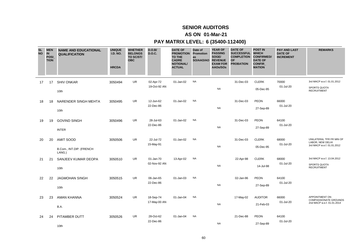### **AS ON 01-Mar-21**

| <b>SL</b><br><b>NO</b> | <b>MEN</b><br><b>IN</b><br>POSI<br><b>TION</b> | <b>NAME AND EDUCATIONAL</b><br><b>QUALIFICATION</b>    | <b>UNIQUE</b><br><b>I.D. NO.</b><br><b>HRCDA</b> | <b>WHETHER</b><br><b>BELONGS</b><br>TO SC/ST/<br><b>OBC</b> | D.O.B/<br><b>D.O.C.</b>   | <b>DATE OF</b><br><b>PROMOTION</b><br>TO THE<br><b>CADRE</b><br><b>NOTIONAL/</b><br><b>ACTUAL</b> | Date of<br>Promotion<br>as<br>SO/AAO/AO | <b>YEAR OF</b><br><b>PASSING</b><br>SOGE/<br><b>REVENUE</b><br><b>EXAM FOR</b><br>AAOs/SOs | <b>DATE OF</b><br><b>SUCCESSFUL</b><br><b>COMPLETION</b><br><b>OF</b><br><b>PROBATION</b> | <b>POST IN</b><br><b>WHICH</b><br><b>CONFIRMED/</b><br><b>DATE OF</b><br>CONFIR<br><b>MATION</b> | <b>PAY AND LAST</b><br><b>DATE OF</b><br><b>INCREMENT</b> | <b>REMARKS</b>                                                               |
|------------------------|------------------------------------------------|--------------------------------------------------------|--------------------------------------------------|-------------------------------------------------------------|---------------------------|---------------------------------------------------------------------------------------------------|-----------------------------------------|--------------------------------------------------------------------------------------------|-------------------------------------------------------------------------------------------|--------------------------------------------------------------------------------------------------|-----------------------------------------------------------|------------------------------------------------------------------------------|
| 17                     | 17                                             | <b>SHIV ONKAR</b><br>10th                              | 3050494                                          | <b>UR</b>                                                   | 02-Apr-72<br>19-Oct-92 AN | 01-Jan-02                                                                                         | <b>NA</b>                               | <b>NA</b>                                                                                  | 31-Dec-03                                                                                 | <b>CLERK</b><br>05-Dec-95                                                                        | 70000<br>01-Jul-20                                        | 3rd MACP w.e.f. 01.01.2012<br><b>SPORTS QUOTA</b><br><b>RECRUITMENT</b>      |
| 18                     | 18                                             | NARENDER SINGH MEHTA<br>10th                           | 3050495                                          | <b>UR</b>                                                   | 12-Jun-62<br>22-Dec-86    | 01-Jan-02                                                                                         | <b>NA</b>                               | <b>NA</b>                                                                                  | 31-Dec-03                                                                                 | <b>PEON</b><br>27-Sep-89                                                                         | 66000<br>01-Jul-20                                        |                                                                              |
| 19                     | 19                                             | <b>GOVIND SINGH</b><br><b>INTER</b>                    | 3050496                                          | <b>UR</b>                                                   | 28-Jul-63<br>22-Dec-86    | 01-Jan-02                                                                                         | <b>NA</b>                               | <b>NA</b>                                                                                  | 31-Dec-03                                                                                 | PEON<br>27-Sep-89                                                                                | 64100<br>01-Jul-20                                        |                                                                              |
| 20                     | 20                                             | <b>AMIT SOOD</b><br>B.Com., INT.DIP. (FRENCH<br>LANG.) | 3050506                                          | <b>UR</b>                                                   | 22-Jul-72<br>15-May-91    | 01-Jan-02                                                                                         | <b>NA</b>                               | <b>NA</b>                                                                                  | 31-Dec-03                                                                                 | <b>CLERK</b><br>05-Dec-95                                                                        | 68000<br>01-Jul-20                                        | UNILATERAL TFR FR MIN OF<br>LABOR, NEW DELHI<br>3rd MACP w.e.f. 01.01.2012   |
| 21                     | 21                                             | SANJEEV KUMAR DEOPA<br>10th                            | 3050510                                          | UR                                                          | 01-Jan-70<br>02-Nov-92 AN | 13-Apr-02                                                                                         | <b>NA</b>                               | <b>NA</b>                                                                                  | 22-Apr-98                                                                                 | <b>CLERK</b><br>14-Jul-98                                                                        | 68000<br>01-Jul-20                                        | 3rd MACP w.e.f. 13.04.2012<br>SPORTS QUOTA<br><b>RECRUITMENT</b>             |
| 22                     | 22                                             | <b>JAGMOHAN SINGH</b><br>10th                          | 3050515                                          | <b>UR</b>                                                   | 06-Jan-65<br>22-Dec-86    | 01-Jan-03                                                                                         | <b>NA</b>                               | <b>NA</b>                                                                                  | 02-Jan-96                                                                                 | <b>PEON</b><br>27-Sep-89                                                                         | 64100<br>01-Jul-20                                        |                                                                              |
| 23                     | 23                                             | <b>AMAN KHANNA</b><br>B.A.                             | 3050524                                          | <b>UR</b>                                                   | 18-Sep-74<br>17-May-00 AN | 01-Jan-04                                                                                         | <b>NA</b>                               | <b>NA</b>                                                                                  | 17-May-02                                                                                 | <b>AUDITOR</b><br>21-Feb-03                                                                      | 66000<br>01-Jul-20                                        | APPOINTMENT ON<br><b>COMPASSIONATE GROUNDS</b><br>2nd MACP w.e.f. 01.01.2014 |
| 24                     | 24                                             | PITAMBER DUTT<br>10th                                  | 3050526                                          | UR                                                          | 28-Oct-62<br>22-Dec-86    | 01-Jan-04                                                                                         | <b>NA</b>                               | <b>NA</b>                                                                                  | 21-Dec-88                                                                                 | <b>PEON</b><br>27-Sep-89                                                                         | 64100<br>01-Jul-20                                        |                                                                              |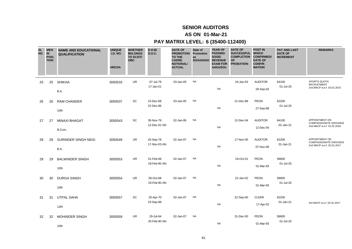### **AS ON 01-Mar-21**

| <b>SL</b><br><b>NO</b> | <b>MEN</b><br><b>IN</b><br>POSI_<br><b>TION</b> | <b>NAME AND EDUCATIONAL</b><br><b>QUALIFICATION</b> | <b>UNIQUE</b><br><b>I.D. NO.</b><br><b>HRCDA</b> | <b>WHETHER</b><br><b>BELONGS</b><br>TO SC/ST/<br><b>OBC</b> | D.O.B/<br><b>D.O.C.</b>   | <b>DATE OF</b><br><b>PROMOTION</b><br><b>TO THE</b><br><b>CADRE</b><br><b>NOTIONAL/</b><br><b>ACTUAL</b> | Date of<br>Promotion<br>as<br>SO/AAO/AO | <b>YEAR OF</b><br><b>PASSING</b><br>SOGE/<br><b>REVENUE</b><br><b>EXAM FOR</b><br>AAOs/SOs | <b>DATE OF</b><br><b>SUCCESSFUL</b><br><b>COMPLETION</b><br><b>OF</b><br><b>PROBATION</b> | <b>POST IN</b><br><b>WHICH</b><br><b>CONFIRMED/</b><br><b>DATE OF</b><br>CONFIR_<br><b>MATION</b> | <b>PAY AND LAST</b><br><b>DATE OF</b><br><b>INCREMENT</b> | <b>REMARKS</b>                                                               |
|------------------------|-------------------------------------------------|-----------------------------------------------------|--------------------------------------------------|-------------------------------------------------------------|---------------------------|----------------------------------------------------------------------------------------------------------|-----------------------------------------|--------------------------------------------------------------------------------------------|-------------------------------------------------------------------------------------------|---------------------------------------------------------------------------------------------------|-----------------------------------------------------------|------------------------------------------------------------------------------|
| 25                     | 25                                              | <b>SHIKHA</b><br>B.A.                               | 3050533                                          | <b>UR</b>                                                   | 07-Jul-79<br>17-Jan-01    | 03-Jan-05                                                                                                | <b>NA</b>                               | <b>NA</b>                                                                                  | 16-Jan-03                                                                                 | <b>AUDITOR</b><br>29-Sep-03                                                                       | 64100<br>01-Jul-20                                        | <b>SPORTS QUOTA</b><br><b>RECRUITMENT</b><br>2nd MACP w.e.f. 03.01.2015      |
| 26                     | 26                                              | <b>RAM CHANDER</b><br>10th                          | 3050537                                          | SC                                                          | 15-Dec-68<br>22-Dec-86    | 03-Jan-05                                                                                                | <b>NA</b>                               | <b>NA</b>                                                                                  | 21-Dec-88                                                                                 | <b>PEON</b><br>27-Sep-89                                                                          | 62200<br>01-Jul-20                                        |                                                                              |
| 27                     | 27                                              | <b>MINAXI BHAGAT</b><br>B.Com.                      | 3050543                                          | SC                                                          | 30-Nov-79<br>12-Dec-02 AN | 02-Jan-06                                                                                                | <b>NA</b>                               | <b>NA</b>                                                                                  | 12-Dec-04                                                                                 | <b>AUDITOR</b><br>12-Dec-04                                                                       | 64100<br>01-Jan-21                                        | APPOINTMENT ON<br><b>COMPASSIONATE GROUNDS</b><br>2nd MACP w.e.f. 01.02.2016 |
| 28                     | 28                                              | SURINDER SINGH NEGI<br>B.A.                         | 3050549                                          | <b>UR</b>                                                   | 20-Sep-78<br>17-Nov-03 AN | 02-Jan-07                                                                                                | <b>NA</b>                               | <b>NA</b>                                                                                  | 17-Nov-05                                                                                 | <b>AUDITOR</b><br>07-Nov-06                                                                       | 62200<br>01-Jan-21                                        | APPOINTMENT ON<br><b>COMPASSIONATE GROUNDS</b><br>2nd MACP w.e.f. 02.01.2017 |
| 29                     | 29                                              | <b>BALWINDER SINGH</b><br>10th                      | 3050553                                          | <b>UR</b>                                                   | 01-Feb-68<br>19-Feb-90 AN | 02-Jan-07                                                                                                | <b>NA</b>                               | <b>NA</b>                                                                                  | 16-Oct-01                                                                                 | <b>PEON</b><br>01-Mar-93                                                                          | 58600<br>01-Jul-20                                        |                                                                              |
| 30                     | 30                                              | <b>DURGA SINGH</b><br>10th                          | 3050554                                          | UR                                                          | 06-Oct-68<br>19-Feb-90 AN | 02-Jan-07                                                                                                | <b>NA</b>                               | <b>NA</b>                                                                                  | 22-Jan-02                                                                                 | PEON<br>01-Mar-93                                                                                 | 58600<br>01-Jul-20                                        |                                                                              |
| 31                     | 31                                              | <b>UTPAL SAHA</b><br>12th                           | 3050557                                          | SC                                                          | 20-Apr-70<br>23-Sep-98    | 02-Jan-07                                                                                                | <b>NA</b>                               | <b>NA</b>                                                                                  | 22-Sep-00                                                                                 | <b>CLERK</b><br>17-Apr-02                                                                         | 62200<br>01-Jan-21                                        | 3rd MACP w.e.f. 02.01.2017                                                   |
| 32                     | 32                                              | <b>MOHINDER SINGH</b><br>10th                       | 3050559                                          | UR                                                          | 29-Jul-64<br>20-Feb-90 AN | 02-Jan-07                                                                                                | <b>NA</b>                               | <b>NA</b>                                                                                  | 31-Dec-00                                                                                 | <b>PEON</b><br>01-Mar-93                                                                          | 58600<br>01-Jul-20                                        |                                                                              |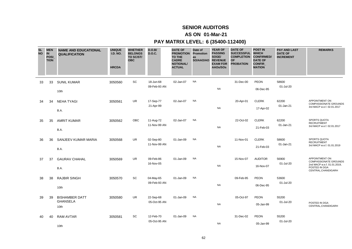### **AS ON 01-Mar-21**

| <b>SL</b><br><b>NO</b> | <b>MEN</b><br><b>IN</b><br>POSI<br><b>TION</b> | <b>NAME AND EDUCATIONAL</b><br><b>QUALIFICATION</b> | <b>UNIQUE</b><br><b>I.D. NO.</b><br><b>HRCDA</b> | <b>WHETHER</b><br><b>BELONGS</b><br>TO SC/ST/<br><b>OBC</b> | D.O.B/<br><b>D.O.C.</b>   | <b>DATE OF</b><br><b>PROMOTION Promotion</b><br>TO THE<br><b>CADRE</b><br><b>NOTIONAL/</b><br><b>ACTUAL</b> | Date of<br>as<br>SO/AAO/AO | <b>YEAR OF</b><br><b>PASSING</b><br>SOGE/<br><b>REVENUE</b><br><b>EXAM FOR</b><br>AAOs/SOs | <b>DATE OF</b><br><b>SUCCESSFUL</b><br><b>COMPLETION</b><br><b>OF</b><br><b>PROBATION</b> | <b>POST IN</b><br><b>WHICH</b><br><b>CONFIRMED/</b><br><b>DATE OF</b><br>CONFIR_<br><b>MATION</b> | <b>PAY AND LAST</b><br><b>DATE OF</b><br><b>INCREMENT</b> | <b>REMARKS</b>                                                                                                        |
|------------------------|------------------------------------------------|-----------------------------------------------------|--------------------------------------------------|-------------------------------------------------------------|---------------------------|-------------------------------------------------------------------------------------------------------------|----------------------------|--------------------------------------------------------------------------------------------|-------------------------------------------------------------------------------------------|---------------------------------------------------------------------------------------------------|-----------------------------------------------------------|-----------------------------------------------------------------------------------------------------------------------|
| 33                     | 33                                             | <b>SUNIL KUMAR</b><br>10th                          | 3050560                                          | SC                                                          | 18-Jun-68<br>09-Feb-93 AN | 02-Jan-07                                                                                                   | <b>NA</b>                  | <b>NA</b>                                                                                  | 31-Dec-00                                                                                 | <b>PEON</b><br>06-Dec-95                                                                          | 58600<br>01-Jul-20                                        |                                                                                                                       |
| 34                     | 34                                             | <b>NEHA TYAGI</b><br>B.A.                           | 3050561                                          | <b>UR</b>                                                   | 17-Sep-77<br>21-Apr-99    | 02-Jan-07                                                                                                   | <b>NA</b>                  | <b>NA</b>                                                                                  | 20-Apr-01                                                                                 | <b>CLERK</b><br>17-Apr-02                                                                         | 62200<br>01-Jan-21                                        | APPOINTMENT ON<br><b>COMPASSIONATE GROUNDS</b><br>3rd MACP w.e.f. 02.01.2017                                          |
| 35                     | 35                                             | <b>AMRIT KUMAR</b><br>B.A.                          | 3050562                                          | OBC                                                         | 11-Aug-72<br>11-Nov-99 AN | 02-Jan-07                                                                                                   | <b>NA</b>                  | <b>NA</b>                                                                                  | 22-Oct-02                                                                                 | <b>CLERK</b><br>21-Feb-03                                                                         | 62200<br>01-Jan-21                                        | SPORTS QUOTA<br><b>RECRUITMENT</b><br>3rd MACP w.e.f. 02.01.2017                                                      |
| 36                     | 36                                             | SANJEEV KUMAR MARIA<br><b>B.A.</b>                  | 3050568                                          | <b>UR</b>                                                   | 02-Sep-80<br>11-Nov-99 AN | 01-Jan-09                                                                                                   | <b>NA</b>                  | <b>NA</b>                                                                                  | 11-Nov-01                                                                                 | <b>CLERK</b><br>21-Feb-03                                                                         | 58600<br>01-Jan-21                                        | SPORTS QUOTA<br><b>RECRUITMENT</b><br>3rd MACP w.e.f. 01.01.2019                                                      |
| 37                     | 37                                             | <b>GAURAV CHAHAL</b><br>B.A.                        | 3050569                                          | UR                                                          | 09-Feb-86<br>16-Nov-05    | 01-Jan-09                                                                                                   | <b>NA</b>                  | <b>NA</b>                                                                                  | 15-Nov-07                                                                                 | <b>AUDITOR</b><br>16-Nov-07                                                                       | 56900<br>01-Jul-20                                        | APPOINTMENT ON<br><b>COMPASSIONATE GROUNDS</b><br>2nd MACP w.e.f. 01.01.2019,<br>POSTED IN DGA<br>CENTRAL, CHANDIGARH |
| 38                     | 38                                             | <b>RAJBIR SINGH</b><br>10th                         | 3050570                                          | SC                                                          | 04-May-65<br>09-Feb-93 AN | 01-Jan-09                                                                                                   | <b>NA</b>                  | <b>NA</b>                                                                                  | 09-Feb-95                                                                                 | <b>PEON</b><br>06-Dec-95                                                                          | 53600<br>01-Jul-20                                        |                                                                                                                       |
| 39                     | 39                                             | <b>BISHAMBER DATT</b><br><b>GHANSELA</b><br>10th    | 3050580                                          | <b>UR</b>                                                   | 22-Sep-68<br>05-Oct-95 AN | 01-Jan-09                                                                                                   | <b>NA</b>                  | NA                                                                                         | 05-Oct-97                                                                                 | <b>PEON</b><br>05-Jan-99                                                                          | 55200<br>01-Jul-20                                        | POSTED IN DGA<br>CENTRAL, CHANDIGARH                                                                                  |
| 40                     | 40                                             | <b>RAM AVTAR</b><br>10th                            | 3050581                                          | SC                                                          | 12-Feb-70<br>05-Oct-95 AN | 01-Jan-09                                                                                                   | <b>NA</b>                  | <b>NA</b>                                                                                  | 31-Dec-02                                                                                 | <b>PEON</b><br>05-Jan-99                                                                          | 55200<br>01-Jul-20                                        |                                                                                                                       |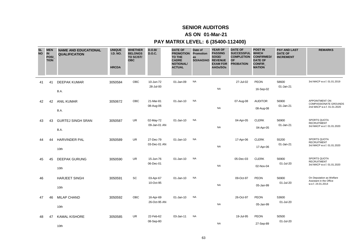### **AS ON 01-Mar-21**

| <b>SL</b><br><b>NO</b> | <b>MEN</b><br><b>IN</b><br>POSI<br><b>TION</b> | <b>NAME AND EDUCATIONAL</b><br><b>QUALIFICATION</b> | <b>UNIQUE</b><br><b>I.D. NO.</b><br><b>HRCDA</b> | <b>WHETHER</b><br><b>BELONGS</b><br>TO SC/ST/<br><b>OBC</b> | D.O.B/<br><b>D.O.C.</b>   | <b>DATE OF</b><br><b>PROMOTION Promotion</b><br>TO THE<br><b>CADRE</b><br><b>NOTIONAL/</b><br><b>ACTUAL</b> | Date of<br>as<br>SO/AAO/AO | <b>YEAR OF</b><br><b>PASSING</b><br>SOGE/<br><b>REVENUE</b><br><b>EXAM FOR</b><br>AAOs/SOs | <b>DATE OF</b><br><b>SUCCESSFUL</b><br><b>COMPLETION</b><br><b>OF</b><br><b>PROBATION</b> | <b>POST IN</b><br><b>WHICH</b><br><b>CONFIRMED/</b><br><b>DATE OF</b><br><b>CONFIR</b><br><b>MATION</b> | <b>PAY AND LAST</b><br><b>DATE OF</b><br><b>INCREMENT</b> | <b>REMARKS</b>                                                               |
|------------------------|------------------------------------------------|-----------------------------------------------------|--------------------------------------------------|-------------------------------------------------------------|---------------------------|-------------------------------------------------------------------------------------------------------------|----------------------------|--------------------------------------------------------------------------------------------|-------------------------------------------------------------------------------------------|---------------------------------------------------------------------------------------------------------|-----------------------------------------------------------|------------------------------------------------------------------------------|
| 41                     | 41                                             | <b>DEEPAK KUMAR</b><br>B.A.                         | 3050584                                          | <b>OBC</b>                                                  | 10-Jun-72<br>28-Jul-00    | 01-Jan-09                                                                                                   | <b>NA</b>                  | <b>NA</b>                                                                                  | 27-Jul-02                                                                                 | <b>PEON</b><br>16-Sep-02                                                                                | 58600<br>01-Jan-21                                        | 3rd MACP w.e.f. 01.01.2019                                                   |
| 42                     | 42                                             | <b>ANIL KUMAR</b><br>B.A.                           | 3050672                                          | OBC                                                         | 21-Mar-81<br>08-Aug-06    | 01-Jan-10                                                                                                   | <b>NA</b>                  | <b>NA</b>                                                                                  | 07-Aug-08                                                                                 | <b>AUDITOR</b><br>08-Aug-08                                                                             | 56900<br>01-Jan-21                                        | APPOINTMENT ON<br><b>COMPASSIONATE GROUNDS</b><br>2nd MACP w.e.f. 01.01.2020 |
| 43                     | 43                                             | <b>GURTEJ SINGH SRAN</b><br>B.A.                    | 3050587                                          | <b>UR</b>                                                   | 02-May-72<br>09-Jan-01 AN | 01-Jan-10                                                                                                   | <b>NA</b>                  | <b>NA</b>                                                                                  | 04-Apr-05                                                                                 | <b>CLERK</b><br>04-Apr-05                                                                               | 56900<br>01-Jan-21                                        | <b>SPORTS QUOTA</b><br><b>RECRUITMENT</b><br>3rd MACP w.e.f. 01.01.2020      |
| 44                     | 44                                             | <b>HARVINDER PAL</b><br>10th                        | 3050589                                          | <b>UR</b>                                                   | 27-Dec-79<br>03-Dec-01 AN | 01-Jan-10                                                                                                   | <b>NA</b>                  | <b>NA</b>                                                                                  | 17-Apr-06                                                                                 | <b>CLERK</b><br>17-Apr-06                                                                               | 55200<br>01-Jan-21                                        | <b>SPORTS QUOTA</b><br><b>RECRUITMENT</b><br>3rd MACP w.e.f. 01.01.2020      |
| 45                     | 45                                             | <b>DEEPAK GURUNG</b><br>10th                        | 3050590                                          | <b>UR</b>                                                   | 15-Jun-76<br>06-Dec-01    | 01-Jan-10                                                                                                   | <b>NA</b>                  | <b>NA</b>                                                                                  | 05-Dec-03                                                                                 | <b>CLERK</b><br>02-Nov-04                                                                               | 56900<br>01-Jul-20                                        | <b>SPORTS QUOTA</b><br><b>RECRUITMENT</b><br>3rd MACP w.e.f. 01.01.2020      |
| 46                     |                                                | <b>HARJEET SINGH</b><br>10th                        | 3050591                                          | SC                                                          | 03-Apr-67<br>10-Oct-95    | 01-Jan-10                                                                                                   | <b>NA</b>                  | <b>NA</b>                                                                                  | 09-Oct-97                                                                                 | <b>PEON</b><br>05-Jan-99                                                                                | 56900<br>01-Jul-20                                        | On Deputation as Welfare<br>Assistant in the Office<br>w.e.f. 24.01.2014     |
| 47                     | 46                                             | <b>MILAP CHAND</b><br>10th                          | 3050592                                          | OBC                                                         | 16-Apr-69<br>26-Oct-95 AN | 01-Jan-10                                                                                                   | <b>NA</b>                  | <b>NA</b>                                                                                  | 26-Oct-97                                                                                 | <b>PEON</b><br>05-Jan-99                                                                                | 53600<br>01-Jul-20                                        |                                                                              |
| 48                     | 47                                             | <b>KAMAL KISHORE</b><br>10th                        | 3050585                                          | UR                                                          | 22-Feb-62<br>08-Sep-80    | 03-Jan-11                                                                                                   | <b>NA</b>                  | <b>NA</b>                                                                                  | 19-Jul-95                                                                                 | <b>PEON</b><br>27-Sep-89                                                                                | 50500<br>01-Jul-20                                        |                                                                              |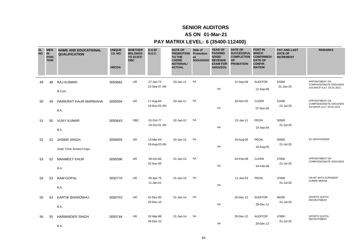### **AS ON 01-Mar-21**

| <b>SL</b><br><b>NO</b> | <b>MEN</b><br>IN<br>POSI_<br><b>TION</b> | <b>NAME AND EDUCATIONAL</b><br><b>QUALIFICATION</b> | <b>UNIQUE</b><br><b>I.D. NO.</b><br><b>HRCDA</b> | <b>WHETHER</b><br><b>BELONGS</b><br>TO SC/ST/<br><b>OBC</b> | D.O.B/<br><b>D.O.C.</b>   | <b>DATE OF</b><br><b>PROMOTION</b><br>TO THE<br><b>CADRE</b><br><b>NOTIONAL/</b><br><b>ACTUAL</b> | Date of<br>Promotion<br>as<br>SO/AAO/AO | <b>YEAR OF</b><br><b>PASSING</b><br>SOGE/<br><b>REVENUE</b><br><b>EXAM FOR</b><br>AAOs/SOs | <b>DATE OF</b><br><b>SUCCESSFUL</b><br><b>COMPLETION</b><br>OF<br><b>PROBATION</b> | <b>POST IN</b><br><b>WHICH</b><br><b>CONFIRMED/</b><br><b>DATE OF</b><br><b>CONFIR</b><br><b>MATION</b> | <b>PAY AND LAST</b><br><b>DATE OF</b><br><b>INCREMENT</b> | <b>REMARKS</b>                                                               |
|------------------------|------------------------------------------|-----------------------------------------------------|--------------------------------------------------|-------------------------------------------------------------|---------------------------|---------------------------------------------------------------------------------------------------|-----------------------------------------|--------------------------------------------------------------------------------------------|------------------------------------------------------------------------------------|---------------------------------------------------------------------------------------------------------|-----------------------------------------------------------|------------------------------------------------------------------------------|
| 49                     | 48                                       | <b>RAJ KUMARI</b><br>B.Com.                         | 3050682                                          | UR                                                          | 27-Jan-73<br>13-Sep-07 AN | 03-Jan-11                                                                                         | <b>NA</b>                               | <b>NA</b>                                                                                  | 12-Sep-09                                                                          | <b>AUDITOR</b><br>12-Sep-09                                                                             | 52000<br>01-Jan-20                                        | APPOINTMENT ON<br><b>COMPASSIONATE GROUNDS</b><br>2nd MACP w.e.f. 03.01.2021 |
| 50                     | 49                                       | HARKIRAT KAUR MARWAHA<br>B.A.                       | 3050594                                          | UR                                                          | 17-Aug-84<br>19-Nov-03 AN | 03-Jan-11                                                                                         | <b>NA</b>                               | <b>NA</b>                                                                                  | 19-Nov-05                                                                          | <b>CLERK</b><br>07-Nov-06                                                                               | 52000<br>01-Jul-20                                        | APPOINTMENT ON<br><b>COMPASSIONATE GROUNDS</b><br>3rd MACP w.e.f. 03.01.2021 |
| 51                     | 50                                       | <b>VIJAY KUMAR</b><br>B.A.                          | 3050643                                          | OBC                                                         | 01-Oct-77<br>24-Oct-01 AN | 02-Jan-12                                                                                         | <b>NA</b>                               | <b>NA</b>                                                                                  | 01-Jan-11                                                                          | PEON<br>14-Sep-04                                                                                       | 50500<br>01-Jul-20                                        |                                                                              |
| 52                     | 51                                       | <b>JASBIR SINGH</b><br>Grad. From Armed Crops.      | 3050655                                          | <b>UR</b>                                                   | 13-Mar-64<br>19-Aug-03 AN | 02-Jan-12                                                                                         | <b>NA</b>                               | <b>NA</b>                                                                                  | 19-Aug-05                                                                          | PEON<br>19-Aug-05                                                                                       | 50500<br>01-Jul-20                                        | EX-SERVICEMAN                                                                |
| 53                     | 52                                       | <b>MANMEET KAUR</b><br>B.A.                         | 3050596                                          | <b>UR</b>                                                   | 06-Oct-66<br>22-Nov-05    | 01-Jan-13                                                                                         | <b>NA</b>                               | <b>NA</b>                                                                                  | 04-Feb-08                                                                          | <b>CLERK</b><br>04-Feb-08                                                                               | 47600<br>01-Jul-20                                        | APPOINTMENT ON<br><b>COMPASSIONATE GROUNDS</b>                               |
| 54                     | 53                                       | RAM GOPAL<br>B.A.                                   | 3050770                                          | <b>UR</b>                                                   | 05-Apr-75<br>11-Jan-01    | 01-Jan-14                                                                                         | <b>NA</b>                               | NA                                                                                         | 11-Jan-03                                                                          | <b>PEON</b>                                                                                             | 47600<br>01-Jul-20                                        | ON MT WITH SURINDER<br><b>KUMAR MEENA</b>                                    |
| 55                     | 54                                       | KARTIK BHARDWAJ<br>B.A.                             | 3050743                                          | UR                                                          | 01-Dec-83<br>29-Dec-10    | 01-Jan-14                                                                                         | <b>NA</b>                               | NA                                                                                         | 29-Dec-12                                                                          | <b>AUDITOR</b><br>29-Dec-12                                                                             | 46200<br>01-Jul-20                                        | <b>SPORTS QUOTA</b><br><b>RECRUITMENT</b>                                    |
| 56                     | 55                                       | <b>HARMINDER SINGH</b><br>B.A.                      | 3050744                                          | UR                                                          | 02-Mar-88<br>29-Dec-10    | 01-Jan-14                                                                                         | <b>NA</b>                               | <b>NA</b>                                                                                  | 29-Dec-12                                                                          | <b>AUDITOR</b><br>29-Dec-12                                                                             | 47600<br>01-Jul-20                                        | SPORTS QUOTA<br><b>RECRUITMENT</b>                                           |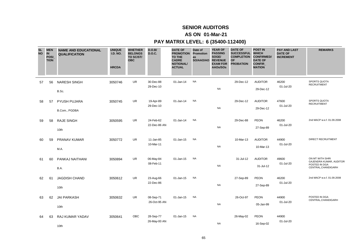### **AS ON 01-Mar-21**

| <b>SL</b><br><b>NO</b> | <b>IN</b> | <b>MEN</b><br>POSI<br><b>TION</b> | <b>NAME AND EDUCATIONAL</b><br><b>QUALIFICATION</b> | <b>UNIQUE</b><br><b>I.D. NO.</b><br><b>HRCDA</b> | <b>WHETHER</b><br><b>BELONGS</b><br>TO SC/ST/<br><b>OBC</b> | D.O.B/<br><b>D.O.C.</b>   | <b>DATE OF</b><br><b>PROMOTION Promotion</b><br>TO THE<br><b>CADRE</b><br><b>NOTIONAL/</b><br><b>ACTUAL</b> | Date of<br>as<br>SO/AAO/AO | <b>YEAR OF</b><br><b>PASSING</b><br>SOGE/<br><b>REVENUE</b><br><b>EXAM FOR</b><br>AAOs/SOs | <b>DATE OF</b><br><b>SUCCESSFUL</b><br><b>COMPLETION</b><br><b>OF</b><br><b>PROBATION</b> | <b>POST IN</b><br><b>WHICH</b><br><b>CONFIRMED/</b><br><b>DATE OF</b><br>CONFIR_<br><b>MATION</b> | <b>PAY AND LAST</b><br><b>DATE OF</b><br><b>INCREMENT</b> | <b>REMARKS</b>                                                                     |
|------------------------|-----------|-----------------------------------|-----------------------------------------------------|--------------------------------------------------|-------------------------------------------------------------|---------------------------|-------------------------------------------------------------------------------------------------------------|----------------------------|--------------------------------------------------------------------------------------------|-------------------------------------------------------------------------------------------|---------------------------------------------------------------------------------------------------|-----------------------------------------------------------|------------------------------------------------------------------------------------|
|                        | 57        | 56                                | <b>NARESH SINGH</b><br>B.Sc.                        | 3050746                                          | UR.                                                         | 30-Dec-88<br>29-Dec-10    | 01-Jan-14                                                                                                   | <b>NA</b>                  | <b>NA</b>                                                                                  | 29-Dec-12                                                                                 | <b>AUDITOR</b><br>29-Dec-12                                                                       | 46200<br>01-Jul-20                                        | SPORTS QUOTA<br><b>RECRUITMENT</b>                                                 |
|                        | 58        | 57                                | PYUSH PUJARA<br>B.Com., PGDBA                       | 3050745                                          | <b>UR</b>                                                   | 19-Apr-89<br>29-Dec-10    | 01-Jan-14                                                                                                   | <b>NA</b>                  | <b>NA</b>                                                                                  | 29-Dec-12                                                                                 | <b>AUDITOR</b><br>29-Dec-12                                                                       | 47600<br>01-Jul-20                                        | SPORTS QUOTA<br><b>RECRUITMENT</b>                                                 |
|                        | 59        | 58                                | <b>RAJE SINGH</b><br>10th                           | 3050595                                          | <b>UR</b>                                                   | 24-Feb-62<br>22-Dec-86 AN | 01-Jan-14                                                                                                   | <b>NA</b>                  | <b>NA</b>                                                                                  | 29-Dec-88                                                                                 | <b>PEON</b><br>27-Sep-89                                                                          | 46200<br>01-Jul-20                                        | 2nd MACP w.e.f. 01.09.2008                                                         |
|                        | 60        | 59                                | <b>PRANAV KUMAR</b><br>M.A.                         | 3050772                                          | <b>UR</b>                                                   | 11-Jan-85<br>10-Mar-11    | 01-Jan-15                                                                                                   | <b>NA</b>                  | <b>NA</b>                                                                                  | 10-Mar-13                                                                                 | <b>AUDITOR</b><br>10-Mar-13                                                                       | 44900<br>01-Jul-20                                        | <b>DIRECT RECRUITMENT</b>                                                          |
|                        | 61        | 60                                | PANKAJ NAITHANI<br>B.A.                             | 3050894                                          | <b>UR</b>                                                   | 06-May-84<br>08-Feb-11    | 01-Jan-15                                                                                                   | <b>NA</b>                  | <b>NA</b>                                                                                  | 31-Jul-12                                                                                 | <b>AUDITOR</b><br>31-Jul-12                                                                       | 49600<br>01-Jul-20                                        | ON MT WITH SHRI<br>GAJENDRA KUMAR, AUDITOR<br>POSTED IN DGA<br>CENTRAL, CHANDIGARH |
|                        | 62        | 61                                | <b>JAGDISH CHAND</b><br>10th                        | 3050612                                          | <b>UR</b>                                                   | 23-Aug-66<br>22-Dec-86    | 01-Jan-15                                                                                                   | <b>NA</b>                  | <b>NA</b>                                                                                  | 27-Sep-89                                                                                 | PEON<br>27-Sep-89                                                                                 | 46200<br>01-Jul-20                                        | 2nd MACP w.e.f. 01.09.2008                                                         |
|                        | 63        | 62                                | <b>JAI PARKASH</b><br>10th                          | 3050632                                          | <b>UR</b>                                                   | 08-Sep-71<br>26-Oct-95 AN | 01-Jan-15                                                                                                   | <b>NA</b>                  | <b>NA</b>                                                                                  | 26-Oct-97                                                                                 | <b>PEON</b><br>05-Jan-99                                                                          | 44900<br>01-Jul-20                                        | POSTED IN DGA<br>CENTRAL, CHANDIGARH                                               |
|                        | 64        | 63                                | RAJ KUMAR YADAV<br>10th                             | 3050641                                          | <b>OBC</b>                                                  | 28-Sep-77<br>26-May-00 AN | 01-Jan-15                                                                                                   | <b>NA</b>                  | <b>NA</b>                                                                                  | 26-May-02                                                                                 | <b>PEON</b><br>16-Sep-02                                                                          | 44900<br>01-Jul-20                                        |                                                                                    |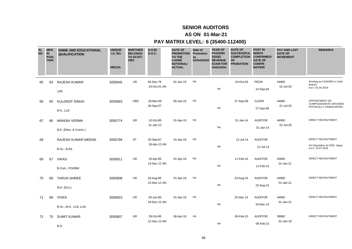### **AS ON 01-Mar-21**

| <b>SL</b><br><b>NO</b> | <b>MEN</b><br><b>IN</b><br>POSI_<br><b>TION</b> | <b>NAME AND EDUCATIONAL</b><br><b>QUALIFICATION</b> | <b>UNIQUE</b><br><b>I.D. NO.</b><br><b>HRCDA</b> | <b>WHETHER</b><br><b>BELONGS</b><br>TO SC/ST/<br><b>OBC</b> | D.O.B/<br><b>D.O.C.</b>   | <b>DATE OF</b><br><b>PROMOTION</b><br><b>TO THE</b><br><b>CADRE</b><br><b>NOTIONAL/</b><br><b>ACTUAL</b> | Date of<br>Promotion<br>as<br>SO/AAO/AO | <b>YEAR OF</b><br><b>PASSING</b><br>SOGE/<br><b>REVENUE</b><br><b>EXAM FOR</b><br>AAOs/SOs | <b>DATE OF</b><br><b>SUCCESSFUL</b><br><b>COMPLETION</b><br><b>OF</b><br><b>PROBATION</b> | <b>POST IN</b><br><b>WHICH</b><br><b>CONFIRMED/</b><br><b>DATE OF</b><br>CONFIR_<br><b>MATION</b> | <b>PAY AND LAST</b><br><b>DATE OF</b><br><b>INCREMENT</b> | <b>REMARKS</b>                                                                  |
|------------------------|-------------------------------------------------|-----------------------------------------------------|--------------------------------------------------|-------------------------------------------------------------|---------------------------|----------------------------------------------------------------------------------------------------------|-----------------------------------------|--------------------------------------------------------------------------------------------|-------------------------------------------------------------------------------------------|---------------------------------------------------------------------------------------------------|-----------------------------------------------------------|---------------------------------------------------------------------------------|
| 65                     | 64                                              | <b>RAJESH KUMAR</b><br>12th                         | 3050645                                          | <b>UR</b>                                                   | 06-Dec-76<br>24-Oct-01 AN | 01-Jan-15                                                                                                | <b>NA</b>                               | <b>NA</b>                                                                                  | 24-Oct-03                                                                                 | <b>PEON</b><br>14-Sep-04                                                                          | 44900<br>01-Jul-20                                        | Working as CASHIER in Cash<br>Branch<br>w.e.f. 01.04.2019                       |
| 66                     | 65                                              | KULDEEP SINGH<br>B.A., LLB                          | 3050683                                          | OBC                                                         | 28-Mar-69<br>28-Sep-07    | 06-Jan-15                                                                                                | <b>NA</b>                               | <b>NA</b>                                                                                  | 27-Sep-09                                                                                 | <b>CLERK</b><br>27-Sep-09                                                                         | 44900<br>01-Jul-20                                        | APPOINTMENT ON<br><b>COMPASSIONATE GROUNDS</b><br>PHYSICALLY HANDICAPPED        |
| 67                     | 66                                              | <b>MANISH VERMA</b><br>B.E. (Elect. & Comm.)        | 3050774                                          | <b>UR</b>                                                   | 10-Oct-85<br>31-Jan-12    | 01-Apr-15                                                                                                | <b>NA</b>                               | <b>NA</b>                                                                                  | 31-Jan-14                                                                                 | <b>AUDITOR</b><br>31-Jan-14                                                                       | 44900<br>01-Jul-20                                        | <b>DIRECT RECRUITMENT</b>                                                       |
| 68                     |                                                 | RAJESH KUMAR MEENA<br><b>B.Sc., B.Ed.</b>           | 3050794                                          | <b>ST</b>                                                   | 20-Sep-87<br>18-Apr-12 AN | 01-Apr-16                                                                                                | <b>NA</b>                               | <b>NA</b>                                                                                  | 12-Jul-14                                                                                 | <b>AUDITOR</b><br>12-Jul-14                                                                       |                                                           | <b>DIRECT RECRUITMENT</b><br>On Deputation at iCED, Jaipur<br>w.e.f. 15.07.2016 |
| 69                     | 67                                              | <b>VIKAS</b><br>B.Com., PGDBM                       | 3050811                                          | UR                                                          | 16-Apr-85<br>14-Dec-12 AN | 01-Apr-16                                                                                                | <b>NA</b>                               | <b>NA</b>                                                                                  | 11-Feb-16                                                                                 | <b>AUDITOR</b><br>11-Feb-16                                                                       | 43600<br>01-Jan-21                                        | <b>DIRECT RECRUITMENT</b>                                                       |
| 70                     | 68                                              | <b>TARUN SHREE</b><br>M.A. (Eco.)                   | 3050808                                          | <b>UR</b>                                                   | 03-Aug-85<br>12-Dec-12 AN | 01-Apr-16                                                                                                | <b>NA</b>                               | <b>NA</b>                                                                                  | 23-Aug-15                                                                                 | <b>AUDITOR</b><br>23-Aug-15                                                                       | 44900<br>01-Jan-21                                        | DIRECT RECRUITMENT                                                              |
| 71                     | 69                                              | <b>VIVEK</b><br>B.Sc., M.A., LLB, LLM               | 3050823                                          | <b>UR</b>                                                   | 29-Jun-85<br>24-Dec-12 AN | 01-Apr-16                                                                                                | <b>NA</b>                               | <b>NA</b>                                                                                  | 24-Dec-14                                                                                 | <b>AUDITOR</b><br>24-Dec-14                                                                       | 44900<br>01-Jan-21                                        | DIRECT RECRUITMENT                                                              |
| 72                     | 70                                              | <b>SUMIT KUMAR</b><br>B.A.                          | 3050807                                          | <b>UR</b>                                                   | 29-Oct-85<br>12-Dec-12 AN | 06-Apr-16                                                                                                | <b>NA</b>                               | <b>NA</b>                                                                                  | 06-Feb-15                                                                                 | <b>AUDITOR</b><br>06-Feb-15                                                                       | 39900<br>01-Jan-18                                        | DIRECT RECRUITMENT                                                              |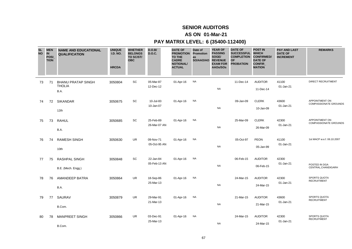### **AS ON 01-Mar-21**

| <b>SL</b><br><b>NO</b> | <b>MEN</b><br><b>IN</b><br>POSI_<br><b>TION</b> | <b>NAME AND EDUCATIONAL</b><br><b>QUALIFICATION</b> | <b>UNIQUE</b><br><b>I.D. NO.</b><br><b>HRCDA</b> | <b>WHETHER</b><br><b>BELONGS</b><br>TO SC/ST/<br><b>OBC</b> | D.O.B/<br><b>D.O.C.</b>   | <b>DATE OF</b><br><b>PROMOTION Promotion</b><br><b>TO THE</b><br><b>CADRE</b><br><b>NOTIONAL/</b><br><b>ACTUAL</b> | Date of<br>as<br>SO/AAO/AO | <b>YEAR OF</b><br><b>PASSING</b><br>SOGE/<br><b>REVENUE</b><br><b>EXAM FOR</b><br>AAOs/SOs | <b>DATE OF</b><br><b>SUCCESSFUL</b><br><b>COMPLETION</b><br><b>OF</b><br><b>PROBATION</b> | <b>POST IN</b><br><b>WHICH</b><br><b>CONFIRMED/</b><br><b>DATE OF</b><br><b>CONFIR</b><br><b>MATION</b> | <b>PAY AND LAST</b><br><b>DATE OF</b><br><b>INCREMENT</b> | <b>REMARKS</b>                                 |
|------------------------|-------------------------------------------------|-----------------------------------------------------|--------------------------------------------------|-------------------------------------------------------------|---------------------------|--------------------------------------------------------------------------------------------------------------------|----------------------------|--------------------------------------------------------------------------------------------|-------------------------------------------------------------------------------------------|---------------------------------------------------------------------------------------------------------|-----------------------------------------------------------|------------------------------------------------|
| 73                     | 71                                              | <b>BHANU PRATAP SINGH</b><br><b>THOLIA</b><br>B.A.  | 3050804                                          | SC                                                          | 05-Mar-87<br>12-Dec-12    | 01-Apr-16                                                                                                          | <b>NA</b>                  | <b>NA</b>                                                                                  | 11-Dec-14                                                                                 | <b>AUDITOR</b><br>11-Dec-14                                                                             | 41100<br>01-Jan-21                                        | <b>DIRECT RECRUITMENT</b>                      |
| 74                     | 72                                              | <b>SIKANDAR</b><br>12th                             | 3050675                                          | SC                                                          | 10-Jul-83<br>10-Jan-07    | 01-Apr-16                                                                                                          | <b>NA</b>                  | <b>NA</b>                                                                                  | 09-Jan-09                                                                                 | <b>CLERK</b><br>10-Jan-09                                                                               | 43600<br>01-Jan-21                                        | APPOINTMENT ON<br><b>COMPASSIONATE GROUNDS</b> |
| 75                     | 73                                              | <b>RAHUL</b><br>B.A.                                | 3050685                                          | SC                                                          | 25-Feb-89<br>26-Mar-07 AN | 01-Apr-16                                                                                                          | <b>NA</b>                  | <b>NA</b>                                                                                  | 25-Mar-09                                                                                 | <b>CLERK</b><br>26-Mar-09                                                                               | 42300<br>01-Jan-21                                        | APPOINTMENT ON<br><b>COMPASSIONATE GROUNDS</b> |
| 76                     | 74                                              | <b>RAMESH SINGH</b><br>10th                         | 3050630                                          | <b>UR</b>                                                   | 09-Nov-71<br>05-Oct-95 AN | 01-Apr-16                                                                                                          | <b>NA</b>                  | <b>NA</b>                                                                                  | 05-Oct-97                                                                                 | PEON<br>05-Jan-99                                                                                       | 41100<br>01-Jan-21                                        | 1st MACP w.e.f. 06.10.2007                     |
| 77                     | 75                                              | RASHPAL SINGH<br>B.E. (Mech. Engg.)                 | 3050848                                          | SC                                                          | 22-Jan-84<br>05-Feb-13 AN | 01-Apr-16                                                                                                          | <b>NA</b>                  | <b>NA</b>                                                                                  | 06-Feb-15                                                                                 | <b>AUDITOR</b><br>06-Feb-15                                                                             | 42300<br>01-Jan-21                                        | POSTED IN DGA<br>CENTRAL, CHANDIGARH           |
| 78                     | 76                                              | <b>AMANDEEP BATRA</b><br>B.A.                       | 3050864                                          | <b>UR</b>                                                   | 18-Sep-86<br>25-Mar-13    | 01-Apr-16                                                                                                          | <b>NA</b>                  | <b>NA</b>                                                                                  | 24-Mar-15                                                                                 | <b>AUDITOR</b><br>24-Mar-15                                                                             | 42300<br>01-Jan-21                                        | SPORTS QUOTA<br><b>RECRUITMENT</b>             |
| 79                     | 77                                              | SAURAV<br>B.Com.                                    | 3050879                                          | UR                                                          | 29-Mar-91<br>21-Mar-13    | 01-Apr-16                                                                                                          | <b>NA</b>                  | <b>NA</b>                                                                                  | 21-Mar-15                                                                                 | <b>AUDITOR</b><br>21-Mar-15                                                                             | 43600<br>01-Jan-21                                        | SPORTS QUOTA<br><b>RECRUITMENT</b>             |
| 80                     | 78                                              | <b>MANPREET SINGH</b><br>B.Com.                     | 3050866                                          | UR                                                          | 03-Dec-91<br>25-Mar-13    | 01-Apr-16                                                                                                          | <b>NA</b>                  | <b>NA</b>                                                                                  | 24-Mar-15                                                                                 | <b>AUDITOR</b><br>24-Mar-15                                                                             | 42300<br>01-Jan-21                                        | SPORTS QUOTA<br><b>RECRUITMENT</b>             |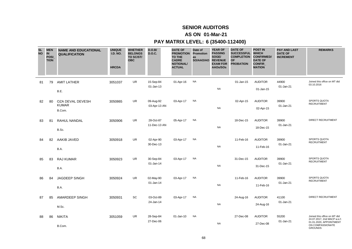### **AS ON 01-Mar-21**

| <b>SL</b><br><b>NO</b> | <b>MEN</b><br>IN<br><b>POSI</b><br><b>TION</b> | <b>NAME AND EDUCATIONAL</b><br><b>QUALIFICATION</b> | <b>UNIQUE</b><br><b>I.D. NO.</b><br><b>HRCDA</b> | <b>WHETHER</b><br><b>BELONGS</b><br>TO SC/ST/<br><b>OBC</b> | D.O.B/<br><b>D.O.C.</b>   | <b>DATE OF</b><br><b>PROMOTION Promotion</b><br><b>TO THE</b><br><b>CADRE</b><br><b>NOTIONAL/</b><br><b>ACTUAL</b> | Date of<br>as<br>SO/AAO/AO | <b>YEAR OF</b><br><b>PASSING</b><br>SOGE/<br><b>REVENUE</b><br><b>EXAM FOR</b><br>AAOs/SOs | <b>DATE OF</b><br>SUCCESSFUL WHICH<br><b>COMPLETION</b><br><b>OF</b><br><b>PROBATION</b> | <b>POST IN</b><br><b>CONFIRMED/</b><br><b>DATE OF</b><br><b>CONFIR</b><br><b>MATION</b> | <b>PAY AND LAST</b><br><b>DATE OF</b><br><b>INCREMENT</b> | <b>REMARKS</b>                                                                                                               |
|------------------------|------------------------------------------------|-----------------------------------------------------|--------------------------------------------------|-------------------------------------------------------------|---------------------------|--------------------------------------------------------------------------------------------------------------------|----------------------------|--------------------------------------------------------------------------------------------|------------------------------------------------------------------------------------------|-----------------------------------------------------------------------------------------|-----------------------------------------------------------|------------------------------------------------------------------------------------------------------------------------------|
| 81                     | 79                                             | <b>AMIT LATHER</b><br>B.E.                          | 3051037                                          | <b>UR</b>                                                   | 15-Sep-84<br>01-Jan-13    | 01-Apr-16                                                                                                          | <b>NA</b>                  | <b>NA</b>                                                                                  | 01-Jan-15                                                                                | <b>AUDITOR</b><br>01-Jan-15                                                             | 44900<br>$01$ -Jan-21                                     | Joined this office on MT dtd<br>03.10.2016                                                                                   |
| 82                     | 80                                             | OZA DEVAL DEVESH<br><b>KUMAR</b><br>B.Com.          | 3050865                                          | <b>UR</b>                                                   | 09-Aug-92<br>03-Apr-13 AN | 03-Apr-17                                                                                                          | <b>NA</b>                  | <b>NA</b>                                                                                  | 02-Apr-15                                                                                | <b>AUDITOR</b><br>02-Apr-15                                                             | 39900<br>01-Jan-21                                        | SPORTS QUOTA<br><b>RECRUITMENT</b>                                                                                           |
| 83                     | 81                                             | RAHUL NANDAL<br>B.Sc.                               | 3050906                                          | <b>UR</b>                                                   | 28-Oct-87<br>11-Dec-13 AN | 05-Apr-17                                                                                                          | <b>NA</b>                  | <b>NA</b>                                                                                  | 18-Dec-15                                                                                | <b>AUDITOR</b><br>18-Dec-15                                                             | 39900<br>01-Jan-21                                        | <b>DIRECT RECRUITMENT</b>                                                                                                    |
| 84                     | 82                                             | AAKIB JAVED<br>B.A.                                 | 3050918                                          | UR                                                          | 02-Apr-90<br>30-Dec-13    | 03-Apr-17                                                                                                          | <b>NA</b>                  | <b>NA</b>                                                                                  | 11-Feb-16                                                                                | <b>AUDITOR</b><br>11-Feb-16                                                             | 39900<br>01-Jan-21                                        | SPORTS QUOTA<br><b>RECRUITMENT</b>                                                                                           |
| 85                     | 83                                             | <b>RAJ KUMAR</b><br>B.A.                            | 3050923                                          | <b>UR</b>                                                   | 30-Sep-84<br>$01$ -Jan-14 | 03-Apr-17                                                                                                          | <b>NA</b>                  | <b>NA</b>                                                                                  | 31-Dec-15                                                                                | <b>AUDITOR</b><br>31-Dec-15                                                             | 39900<br>01-Jan-21                                        | <b>SPORTS QUOTA</b><br><b>RECRUITMENT</b>                                                                                    |
| 86                     | 84                                             | <b>JAGDEEP SINGH</b><br>B.A.                        | 3050924                                          | UR                                                          | 02-May-90<br>01-Jan-14    | 03-Apr-17                                                                                                          | <b>NA</b>                  | <b>NA</b>                                                                                  | 11-Feb-16                                                                                | <b>AUDITOR</b><br>11-Feb-16                                                             | 39900<br>01-Jan-21                                        | SPORTS QUOTA<br><b>RECRUITMENT</b>                                                                                           |
| 87                     | 85                                             | AMARDEEP SINGH<br>M.Sc.                             | 3050931                                          | SC                                                          | 03-Oct-89<br>24-Jan-14    | 03-Apr-17                                                                                                          | <b>NA</b>                  | <b>NA</b>                                                                                  | 24-Aug-16                                                                                | <b>AUDITOR</b><br>24-Aug-16                                                             | 41100<br>01-Jan-21                                        | <b>DIRECT RECRUITMENT</b>                                                                                                    |
| 88                     | 86                                             | <b>NIKITA</b><br>B.Com.                             | 3051059                                          | <b>UR</b>                                                   | 28-Sep-84<br>27-Dec-06    | 01-Jan-10                                                                                                          | <b>NA</b>                  | <b>NA</b>                                                                                  | 27-Dec-08                                                                                | <b>AUDITOR</b><br>27-Dec-08                                                             | 55200<br>01-Jan-21                                        | Joined this office on MT dtd<br>24.07.2017, 2nd MACP w.e.f.<br>01.01.2020, APPOINTMENT<br>ON COMPASSIONATE<br><b>GROUNDS</b> |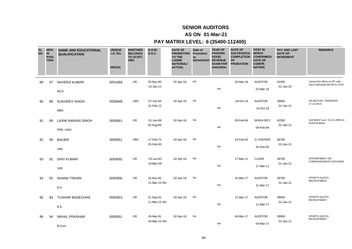### **AS ON 01-Mar-21**

| <b>SL</b><br><b>NO</b> | <b>MEN</b><br><b>IN</b><br>POSI_<br><b>TION</b> | <b>NAME AND EDUCATIONAL</b><br><b>QUALIFICATION</b> | <b>UNIQUE</b><br><b>I.D. NO.</b><br><b>HRCDA</b> | <b>WHETHER</b><br><b>BELONGS</b><br>TO SC/ST/<br><b>OBC</b> | D.O.B/<br><b>D.O.C.</b>   | <b>DATE OF</b><br><b>PROMOTION Promotion</b><br>TO THE<br><b>CADRE</b><br><b>NOTIONAL/</b><br><b>ACTUAL</b> | Date of<br>as<br>SO/AAO/AO | <b>YEAR OF</b><br><b>PASSING</b><br>SOGE/<br><b>REVENUE</b><br><b>EXAM FOR</b><br>AAOs/SOs | <b>DATE OF</b><br><b>SUCCESSFUL</b><br><b>COMPLETION</b><br><b>OF</b><br><b>PROBATION</b> | <b>POST IN</b><br><b>WHICH</b><br><b>CONFIRMED/</b><br><b>DATE OF</b><br>CONFIR_<br><b>MATION</b> | <b>PAY AND LAST</b><br><b>DATE OF</b><br><b>INCREMENT</b> | <b>REMARKS</b>                                                |
|------------------------|-------------------------------------------------|-----------------------------------------------------|--------------------------------------------------|-------------------------------------------------------------|---------------------------|-------------------------------------------------------------------------------------------------------------|----------------------------|--------------------------------------------------------------------------------------------|-------------------------------------------------------------------------------------------|---------------------------------------------------------------------------------------------------|-----------------------------------------------------------|---------------------------------------------------------------|
| 89                     | 87                                              | <b>NAVEEN KUMAR</b><br><b>MCA</b>                   | 3051069                                          | <b>UR</b>                                                   | 20-Dec-85<br>10-Jan-13    | 01-Apr-16                                                                                                   | <b>NA</b>                  | <b>NA</b>                                                                                  | 02-Mar-16                                                                                 | <b>AUDITOR</b><br>02-Mar-16                                                                       | 42300<br>01-Jan-20                                        | Joined this office on MT with<br>Annu Sehrawat dtd 08.01.2018 |
| 90                     | 88                                              | <b>SUKHDEV SINGH</b><br><b>MBA</b>                  | 3050949                                          | OBC                                                         | 07-Jun-84<br>21-Feb-13    | 02-Apr-18                                                                                                   | <b>NA</b>                  | <b>NA</b>                                                                                  | 16-Oct-16                                                                                 | <b>AUDITOR</b><br>16-Oct-16                                                                       | 39900<br>01-Jan-21                                        | ON MUTUAL TRANSFER<br>17.10.2014                              |
| 91                     | 89                                              | <b>LAXMI NARAIN SINGH</b><br>PRE. UNIV.             | 3050661                                          | UR                                                          | 01-Jun-68<br>03-Aug-89    | 02-Apr-18                                                                                                   | <b>NA</b>                  | <b>NA</b>                                                                                  | 09-Feb-94                                                                                 | <b>WASH BOY</b><br>09-Feb-94                                                                      | 42300<br>01-Jan-21                                        | 2nd MACP w.e.f. 01.01.2009 on<br><b>Notional Basis</b>        |
| 92                     | 90                                              | <b>BALBIR</b><br>10th                               | 3050651                                          | OBC                                                         | 17-Feb-72<br>25-Feb-00    | 02-Apr-18                                                                                                   | <b>NA</b>                  | <b>NA</b>                                                                                  | 24-Feb-02                                                                                 | G. KEEPER<br>16-Sep-02                                                                            | 38700<br>01-Jan-21                                        |                                                               |
| 93                     | 91                                              | <b>SHIV KUMAR</b><br>10th                           | 3050692                                          | UR                                                          | 23-Jun-83<br>18-Mar-09    | 02-Apr-18                                                                                                   | <b>NA</b>                  | <b>NA</b>                                                                                  | 17-Mar-11                                                                                 | <b>CLERK</b><br>17-Mar-11                                                                         | 38700<br>01-Jan-21                                        | APPOINTMENT ON<br><b>COMPASSIONATE GROUNDS</b>                |
| 94                     | 92                                              | <b>ANAND TIWARI</b><br>B.A.                         | 3050956                                          | UR                                                          | 15-Nov-92<br>31-Mar-15 AN | 02-Apr-18                                                                                                   | <b>NA</b>                  | <b>NA</b>                                                                                  | 31-Mar-17                                                                                 | <b>AUDITOR</b><br>31-Mar-17                                                                       | 38700<br>01-Jan-21                                        | <b>SPORTS QUOTA</b><br><b>RECRUITMENT</b>                     |
| 95                     | 93                                              | TUSHAR BADECHHA<br>B.E.                             | 3050953                                          | <b>UR</b>                                                   | 21-Sep-91<br>11-Mar-15 AN | 02-Apr-18                                                                                                   | <b>NA</b>                  | <b>NA</b>                                                                                  | 11-Mar-17                                                                                 | <b>AUDITOR</b><br>11-Mar-17                                                                       | 39900<br>01-Jan-21                                        | <b>SPORTS QUOTA</b><br>RECRUITMENT                            |
| 96                     | 94                                              | <b>NIKHIL PRASHAR</b><br>B.Com.                     | 3050951                                          | UR                                                          | 26-Mar-91<br>04-Mar-15 AN | 02-Apr-18                                                                                                   | <b>NA</b>                  | <b>NA</b>                                                                                  | 04-Mar-17                                                                                 | <b>AUDITOR</b><br>04-Mar-17                                                                       | 39900<br>01-Jan-21                                        | SPORTS QUOTA<br><b>RECRUITMENT</b>                            |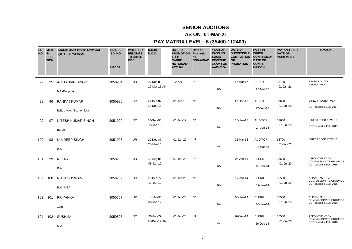### **AS ON 01-Mar-21**

| <b>SL</b><br><b>NO</b> | <b>MEN</b><br><b>IN</b><br>POSI_<br><b>TION</b> | <b>NAME AND EDUCATIONAL</b><br><b>QUALIFICATION</b> | <b>UNIQUE</b><br><b>I.D. NO.</b><br><b>HRCDA</b> | <b>WHETHER</b><br><b>BELONGS</b><br>TO SC/ST/<br><b>OBC</b> | D.O.B/<br><b>D.O.C.</b>   | <b>DATE OF</b><br><b>PROMOTION</b><br><b>TO THE</b><br><b>CADRE</b><br><b>NOTIONAL/</b><br><b>ACTUAL</b> | Date of<br>Promotion<br>as<br>SO/AAO/AO | <b>YEAR OF</b><br><b>PASSING</b><br>SOGE/<br><b>REVENUE</b><br><b>EXAM FOR</b><br>AAOs/SOs | <b>DATE OF</b><br>SUCCESSFUL WHICH<br><b>COMPLETION</b><br><b>OF</b><br><b>PROBATION</b> | <b>POST IN</b><br><b>CONFIRMED/</b><br><b>DATE OF</b><br><b>CONFIR</b><br><b>MATION</b> | <b>PAY AND LAST</b><br><b>DATE OF</b><br><b>INCREMENT</b> | <b>REMARKS</b>                                                            |
|------------------------|-------------------------------------------------|-----------------------------------------------------|--------------------------------------------------|-------------------------------------------------------------|---------------------------|----------------------------------------------------------------------------------------------------------|-----------------------------------------|--------------------------------------------------------------------------------------------|------------------------------------------------------------------------------------------|-----------------------------------------------------------------------------------------|-----------------------------------------------------------|---------------------------------------------------------------------------|
| 97                     | 95                                              | <b>AFFTABVIR SINGH</b><br>MA (Punjabi)              | 3050954                                          | UR.                                                         | 09-Dec-89<br>17-Mar-15 AN | 02-Apr-18                                                                                                | <b>NA</b>                               | <b>NA</b>                                                                                  | 17-Mar-17                                                                                | <b>AUDITOR</b><br>17-Mar-17                                                             | 38700<br>01-Jan-21                                        | <b>SPORTS QUOTA</b><br><b>RECRUITMENT</b>                                 |
| 98                     | 96                                              | PANKAJ KUMAR<br>B.Ed., M.A. (Economics)             | 3050986                                          | SC                                                          | 21-Dec-82<br>18-Dec-15    | 01-Jan-19                                                                                                | <b>NA</b>                               | <b>NA</b>                                                                                  | 17-Dec-17                                                                                | <b>AUDITOR</b><br>17-Dec-17                                                             | 37600<br>01-Jul-20                                        | DIRECT RECRUITMENT<br>DCT passed in Aug. 2017                             |
| 99                     | 97                                              | NITESH KUMAR SINGH<br>B.Tech.                       | 3051000                                          | SC                                                          | 30-Sep-90<br>15-Jan-16    | 01-Jan-19                                                                                                | <b>NA</b>                               | <b>NA</b>                                                                                  | 14-Jan-18                                                                                | <b>AUDITOR</b><br>14-Jan-18                                                             | 37600<br>01-Jul-20                                        | <b>DIRECT RECRUITMENT</b><br>DCT passed in Feb. 2017                      |
| 100                    | 98                                              | <b>KULDEEP SINGH</b><br>B.A.                        | 3051008                                          | <b>UR</b>                                                   | 10-Dec-87<br>23-Mar-16    | 01-Jan-20                                                                                                | <b>NA</b>                               | <b>NA</b>                                                                                  | 22-Mar-18                                                                                | <b>AUDITOR</b><br>22-Mar-18                                                             | 38700<br>01-Jan-21                                        | <b>DIRECT RECRUITMENT</b>                                                 |
| 101                    | 99                                              | <b>REENA</b><br>B.A.                                | 3050765                                          | UR                                                          | 28-Aug-86<br>05-Jan-12    | 01-Jan-20                                                                                                | <b>NA</b>                               | <b>NA</b>                                                                                  | 05-Jan-14                                                                                | <b>CLERK</b><br>05-Jan-14                                                               | 36500<br>01-Jul-20                                        | APPOINTMENT ON<br>COMPASSIONATE GROUNDS<br>DCT passed in Feb. 2015        |
| 102                    | 100                                             | <b>NITIN GOSWAMI</b><br>B.A., MBA                   | 3050769                                          | <b>UR</b>                                                   | 10-Dec-77<br>17-Jan-12    | 01-Jan-20                                                                                                | <b>NA</b>                               | <b>NA</b>                                                                                  | 17-Jan-14                                                                                | <b>CLERK</b><br>17-Jan-14                                                               | 36500<br>01-Jul-20                                        | APPOINTMENT ON<br>COMPASSIONATE GROUNDS<br>DCT passed in Aug. 2015        |
| 103                    | 101                                             | PRIYANKA<br>12th                                    | 3050767                                          | <b>UR</b>                                                   | 14-Jul-93<br>05-Jan-12    | 01-Jan-20                                                                                                | <b>NA</b>                               | <b>NA</b>                                                                                  | 05-Jan-14                                                                                | <b>CLERK</b><br>05-Jan-14                                                               | 36500<br>01-Jul-20                                        | APPOINTMENT ON<br><b>COMPASSIONATE GROUNDS</b><br>DCT passed in Aug. 2015 |
| 104                    | 102                                             | <b>SUSHMA</b><br>M.A.                               | 3050827                                          | SC                                                          | 26-Jun-79<br>26-Dec-12 AN | 01-Jan-20                                                                                                | <b>NA</b>                               | <b>NA</b>                                                                                  | 26-Dec-14                                                                                | <b>CLERK</b><br>26-Dec-14                                                               | 36500<br>01-Jul-20                                        | APPOINTMENT ON<br><b>COMPASSIONATE GROUNDS</b><br>DCT passed in Feb. 2016 |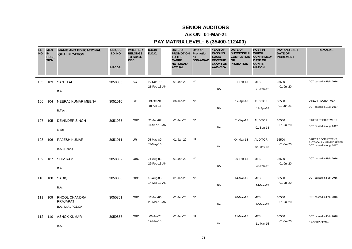### **AS ON 01-Mar-21**

| <b>SL</b><br><b>NO</b> | <b>MEN</b><br><b>IN</b><br>POSI_<br><b>TION</b> | <b>NAME AND EDUCATIONAL</b><br><b>QUALIFICATION</b> | <b>UNIQUE</b><br><b>I.D. NO.</b><br><b>HRCDA</b> | <b>WHETHER</b><br><b>BELONGS</b><br>TO SC/ST/<br><b>OBC</b> | D.O.B/<br><b>D.O.C.</b>   | <b>DATE OF</b><br><b>PROMOTION</b><br>TO THE<br><b>CADRE</b><br><b>NOTIONAL/</b><br><b>ACTUAL</b> | Date of<br>Promotion<br>as<br>SO/AAO/AO REVENUE | <b>YEAR OF</b><br><b>PASSING</b><br>SOGE/<br><b>EXAM FOR</b><br>AAOs/SOs | <b>DATE OF</b><br>SUCCESSFUL WHICH<br><b>COMPLETION CONFIRMED/</b><br><b>OF</b><br><b>PROBATION</b> | <b>POST IN</b><br><b>DATE OF</b><br><b>CONFIR</b><br><b>MATION</b> | <b>PAY AND LAST</b><br><b>DATE OF</b><br><b>INCREMENT</b> | <b>REMARKS</b>                                                           |
|------------------------|-------------------------------------------------|-----------------------------------------------------|--------------------------------------------------|-------------------------------------------------------------|---------------------------|---------------------------------------------------------------------------------------------------|-------------------------------------------------|--------------------------------------------------------------------------|-----------------------------------------------------------------------------------------------------|--------------------------------------------------------------------|-----------------------------------------------------------|--------------------------------------------------------------------------|
| 105                    | 103                                             | <b>SANT LAL</b><br>B.A.                             | 3050833                                          | SC                                                          | 19-Dec-79<br>21-Feb-13 AN | 01-Jan-20                                                                                         | <b>NA</b>                                       | <b>NA</b>                                                                | 21-Feb-15                                                                                           | <b>MTS</b><br>21-Feb-15                                            | 36500<br>01-Jul-20                                        | DCT passed in Feb. 2016                                                  |
| 106                    | 104                                             | NEERAJ KUMAR MEENA<br>B.Tech.                       | 3051010                                          | <b>ST</b>                                                   | 13-Oct-91<br>18-Apr-16    | 06-Jan-20                                                                                         | <b>NA</b>                                       | <b>NA</b>                                                                | 17-Apr-18                                                                                           | <b>AUDITOR</b><br>17-Apr-18                                        | 36500<br>01-Jan-21                                        | DIRECT RECRUITMENT<br>DCT passed in Aug. 2017                            |
| 107                    | 105                                             | <b>DEVINDER SINGH</b><br>M.Sc.                      | 3051035                                          | OBC                                                         | 21-Jan-87<br>01-Sep-16 AN | 01-Jan-20                                                                                         | <b>NA</b>                                       | <b>NA</b>                                                                | 01-Sep-18                                                                                           | <b>AUDITOR</b><br>01-Sep-18                                        | 36500<br>01-Jul-20                                        | <b>DIRECT RECRUITMENT</b><br>DCT passed in Aug. 2017                     |
| 108                    | 106                                             | <b>RAJESH KUMAR</b><br>B.A. (Hons.)                 | 3051011                                          | <b>UR</b>                                                   | 05-May-89<br>05-May-16    | 01-Jan-20                                                                                         | <b>NA</b>                                       | <b>NA</b>                                                                | 04-May-18                                                                                           | <b>AUDITOR</b><br>04-May-18                                        | 36500<br>01-Jul-20                                        | DIRECT RECRUITMENT,<br>PHYSICALLY HANDICAPPED<br>DCT passed in Aug. 2017 |
| 109                    | 107                                             | <b>SHIV RAM</b><br>B.A.                             | 3050852                                          | OBC                                                         | 24-Aug-83<br>26-Feb-13 AN | 01-Jan-20                                                                                         | <b>NA</b>                                       | <b>NA</b>                                                                | 26-Feb-15                                                                                           | <b>MTS</b><br>26-Feb-15                                            | 36500<br>01-Jul-20                                        | DCT passed in Feb. 2016                                                  |
| 110                    | 108                                             | SADIQ<br>B.A.                                       | 3050858                                          | OBC                                                         | 16-Aug-83<br>14-Mar-13 AN | 01-Jan-20                                                                                         | <b>NA</b>                                       | <b>NA</b>                                                                | 14-Mar-15                                                                                           | <b>MTS</b><br>14-Mar-15                                            | 36500<br>01-Jul-20                                        | DCT passed in Feb. 2016                                                  |
| 111                    | 109                                             | PHOOL CHANDRA<br>PRAJAPATI<br>B.A., M.A., PGDCA     | 3050861                                          | OBC                                                         | 12-Jun-86<br>20-Mar-13 AN | 01-Jan-20                                                                                         | <b>NA</b>                                       | <b>NA</b>                                                                | 20-Mar-15                                                                                           | <b>MTS</b><br>20-Mar-15                                            | 36500<br>01-Jul-20                                        | DCT passed in Feb. 2016                                                  |
| 112                    | 110                                             | <b>ASHOK KUMAR</b><br>B.A.                          | 3050857                                          | <b>OBC</b>                                                  | 06-Jul-74<br>12-Mar-13    | 01-Jan-20                                                                                         | <b>NA</b>                                       | <b>NA</b>                                                                | 11-Mar-15                                                                                           | <b>MTS</b><br>11-Mar-15                                            | 36500<br>01-Jul-20                                        | DCT passed in Feb. 2016<br><b>EX-SERVICEMAN</b>                          |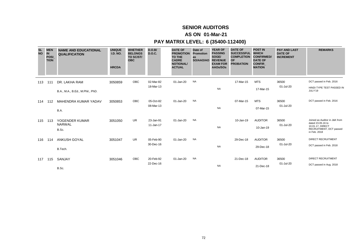### **AS ON 01-Mar-21**

### **PAY MATRIX LEVEL: 6 (35400-112400)**

| <b>SL</b><br><b>NO</b> | <b>MEN</b><br>$\overline{\mathbf{N}}$<br><b>POSI</b><br><b>TION</b> | <b>NAME AND EDUCATIONAL</b><br><b>QUALIFICATION</b> | <b>UNIQUE</b><br><b>I.D. NO.</b><br><b>HRCDA</b> | <b>WHETHER</b><br><b>BELONGS</b><br>TO SC/ST/<br><b>OBC</b> | D.O.B/<br><b>D.O.C.</b> | <b>DATE OF</b><br><b>PROMOTION</b><br><b>TO THE</b><br><b>CADRE</b><br><b>NOTIONAL/</b><br><b>ACTUAL</b> | Date of<br>Promotion<br>as<br>SO/AAO/AO | <b>YEAR OF</b><br><b>PASSING</b><br>SOGE/<br><b>REVENUE</b><br><b>EXAM FOR</b><br>AAOs/SOs | <b>DATE OF</b><br><b>SUCCESSFUL</b><br><b>COMPLETION</b><br><b>OF</b><br><b>PROBATION</b> | <b>POST IN</b><br><b>WHICH</b><br><b>CONFIRMED/</b><br><b>DATE OF</b><br><b>CONFIR</b><br><b>MATION</b> | <b>PAY AND LAST</b><br><b>DATE OF</b><br><b>INCREMENT</b> | <b>REMARKS</b>                                                                                                    |
|------------------------|---------------------------------------------------------------------|-----------------------------------------------------|--------------------------------------------------|-------------------------------------------------------------|-------------------------|----------------------------------------------------------------------------------------------------------|-----------------------------------------|--------------------------------------------------------------------------------------------|-------------------------------------------------------------------------------------------|---------------------------------------------------------------------------------------------------------|-----------------------------------------------------------|-------------------------------------------------------------------------------------------------------------------|
| 113                    | 111                                                                 | DR. LAKHA RAM<br>B.A., M.A., B.Ed., M.Phil., PhD.   | 3050859                                          | OBC                                                         | 02-Mar-82<br>18-Mar-13  | 01-Jan-20                                                                                                | <b>NA</b>                               | <b>NA</b>                                                                                  | 17-Mar-15                                                                                 | <b>MTS</b><br>17-Mar-15                                                                                 | 36500<br>01-Jul-20                                        | DCT passed in Feb. 2016<br>HINDI TYPE TEST PASSED IN<br>JULY'19                                                   |
| 114                    | 112                                                                 | <b>MAHENDRA KUMAR YADAV</b><br>B.A.                 | 3050853                                          | OBC                                                         | 05-Oct-82<br>08-Mar-13  | 01-Jan-20                                                                                                | <b>NA</b>                               | <b>NA</b>                                                                                  | 07-Mar-15                                                                                 | <b>MTS</b><br>07-Mar-15                                                                                 | 36500<br>01-Jul-20                                        | DCT passed in Feb. 2016                                                                                           |
| 115                    | 113                                                                 | YOGENDER KUMAR<br><b>NARWAL</b><br>B.Sc.            | 3051050                                          | <b>UR</b>                                                   | 23-Jan-91<br>11-Jan-17  | 01-Jan-20                                                                                                | <b>NA</b>                               | <b>NA</b>                                                                                  | 10-Jan-19                                                                                 | <b>AUDITOR</b><br>10-Jan-19                                                                             | 36500<br>01-Jul-20                                        | Joined as Auditor in J&K from<br>dated 23.05.16 to<br>10.01.17, DIRECT<br>RECRUITMENT, DCT passed<br>in Feb. 2018 |
| 116                    | 114                                                                 | <b>ANKUSH GOYAL</b><br>B.Tech.                      | 3051047                                          | UR.                                                         | 05-Feb-90<br>30-Dec-16  | 01-Jan-20                                                                                                | <b>NA</b>                               | <b>NA</b>                                                                                  | 29-Dec-18                                                                                 | <b>AUDITOR</b><br>29-Dec-18                                                                             | 36500<br>01-Jul-20                                        | <b>DIRECT RECRUITMENT</b><br>DCT passed in Feb. 2018                                                              |
| 117                    | 115                                                                 | SANJAY<br>D <sub>D</sub>                            | 3051046                                          | OBC                                                         | 20-Feb-92<br>22-Dec-16  | 01-Jan-20                                                                                                | <b>NA</b>                               | <b>NA</b>                                                                                  | 21-Dec-18                                                                                 | <b>AUDITOR</b><br>21-Dec-18                                                                             | 36500<br>01-Jul-20                                        | <b>DIRECT RECRUITMENT</b><br>DCT passed in Aug. 2018                                                              |

B.Sc.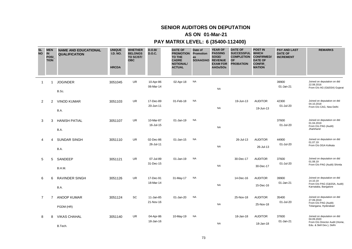# **SENIOR AUDITORS ON DEPUTATION**

### **AS ON 01-Mar-21**

### **PAY MATRIX LEVEL: 6 (35400-112400)**

| <b>SL</b><br><b>NO</b> | <b>MEN</b><br>IN<br>POSI_<br><b>TION</b> | <b>NAME AND EDUCATIONAL</b><br><b>QUALIFICATION</b> | <b>UNIQUE</b><br><b>I.D. NO.</b><br><b>HRCDA</b> | <b>WHETHER</b><br><b>BELONGS</b><br>TO SC/ST/<br><b>OBC</b> | D.O.B/<br><b>D.O.C.</b> | <b>DATE OF</b><br><b>PROMOTION Promotion</b><br><b>TO THE</b><br><b>CADRE</b><br><b>NOTIONAL/</b><br><b>ACTUAL</b> | Date of<br>as<br>SO/AAO/AO | <b>YEAR OF</b><br><b>PASSING</b><br>SOGE/<br><b>REVENUE</b><br><b>EXAM FOR</b><br>AAOs/SOs | <b>DATE OF</b><br><b>SUCCESSFUL</b><br><b>COMPLETION</b><br><b>OF</b><br><b>PROBATION</b> | <b>POST IN</b><br><b>WHICH</b><br><b>CONFIRMED/</b><br><b>DATE OF</b><br><b>CONFIR</b><br><b>MATION</b> | <b>PAY AND LAST</b><br><b>DATE OF</b><br><b>INCREMENT</b> | <b>REMARKS</b>                                                                                           |
|------------------------|------------------------------------------|-----------------------------------------------------|--------------------------------------------------|-------------------------------------------------------------|-------------------------|--------------------------------------------------------------------------------------------------------------------|----------------------------|--------------------------------------------------------------------------------------------|-------------------------------------------------------------------------------------------|---------------------------------------------------------------------------------------------------------|-----------------------------------------------------------|----------------------------------------------------------------------------------------------------------|
| -1                     | 1                                        | <b>JOGINDER</b><br>B.Sc.                            | 3051045                                          | UR                                                          | 10-Apr-86<br>06-Mar-14  | 02-Apr-18                                                                                                          | <b>NA</b>                  | <b>NA</b>                                                                                  |                                                                                           |                                                                                                         | 39900<br>01-Jan-21                                        | Joined on deputation on dtd<br>22.08.2016<br>From O/o AG (G&SSA) Gujarat                                 |
| $\overline{2}$         | 2                                        | <b>VINOD KUMAR</b><br>B.A.                          | 3051103                                          | <b>UR</b>                                                   | 17-Dec-89<br>20-Jun-11  | 01-Feb-18                                                                                                          | <b>NA</b>                  | <b>NA</b>                                                                                  | 19-Jun-13                                                                                 | <b>AUDITOR</b><br>19-Jun-13                                                                             | 42300<br>01-Jul-20                                        | Joined on deputation on dtd<br>04.10.2018<br>From O/o CAG, New Delhi                                     |
| 3                      | 3                                        | <b>HANISH PATIAL</b><br>B.A.                        | 3051107                                          | UR                                                          | 10-Mar-87<br>16-Jul-15  | 01-Jan-19                                                                                                          | <b>NA</b>                  | <b>NA</b>                                                                                  |                                                                                           |                                                                                                         | 37600<br>01-Jul-20                                        | Joined on deputation on dtd<br>01.04.2019<br>From O/o PAG (Audit)<br>Jharkhand                           |
| 4                      | 4                                        | SUNDAR SINGH<br>B.A.                                | 3051110                                          | UR                                                          | 02-Dec-86<br>26-Jul-11  | 01-Jan-15                                                                                                          | <b>NA</b>                  | <b>NA</b>                                                                                  | 26-Jul-13                                                                                 | <b>AUDITOR</b><br>26-Jul-13                                                                             | 44900<br>01-Jul-20                                        | Joined on deputation on dtd<br>01.07.19<br>From O/o DGA Kolkata                                          |
| 5                      | 5                                        | SANDEEP<br>B.H.M.                                   | 3051121                                          | UR.                                                         | 07-Jul-89<br>31-Dec-15  | 01-Jan-19                                                                                                          | <b>NA</b>                  | <b>NA</b>                                                                                  | 30-Dec-17                                                                                 | <b>AUDITOR</b><br>30-Dec-17                                                                             | 37600<br>01-Jul-20                                        | Joined on deputation on dtd<br>01.08.19<br>From O/o PAG (Audit) Shimla                                   |
| 6                      | 6                                        | RAVINDER SINGH<br>B.A.                              | 3051126                                          | <b>UR</b>                                                   | 17-Dec-91<br>18-Mar-14  | 31-May-17                                                                                                          | <b>NA</b>                  | <b>NA</b>                                                                                  | 14-Dec-16                                                                                 | <b>AUDITOR</b><br>15-Dec-16                                                                             | 39900<br>01-Jan-21                                        | Joined on deputation on dtd<br>14.10.19<br>From O/o PAG (G&SSA, Audit)<br>Karnataka, Bangalore           |
| $\overline{7}$         | $\overline{7}$                           | <b>ANOOP KUMAR</b><br>PGDM (HR)                     | 3051124                                          | SC                                                          | 11-Jan-85<br>21-Nov-16  | 01-Jan-20                                                                                                          | <b>NA</b>                  | <b>NA</b>                                                                                  | 25-Nov-18                                                                                 | <b>AUDITOR</b><br>25-Nov-18                                                                             | 35400<br>01-Jul-20                                        | Joined on deputation on dtd<br>27.09.2019<br>From O/o PAG (Audit)<br>Telangana, Hyderabad                |
| 8                      | 8                                        | <b>VIKAS CHAHAL</b><br>B.Tech.                      | 3051140                                          | UR                                                          | 04-Apr-86<br>18-Jan-16  | 10-May-19                                                                                                          | <b>NA</b>                  | <b>NA</b>                                                                                  | 18-Jan-18                                                                                 | <b>AUDITOR</b><br>18-Jan-18                                                                             | 37600<br>01-Jan-21                                        | Joined on deputation on dtd<br>04.09.2020<br>From O/o Director Audit (Home,<br>Edu. & Skill Dev.), Delhi |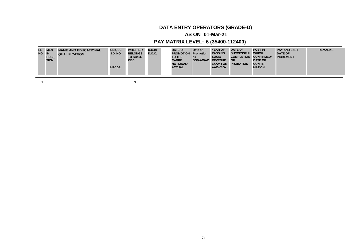### **AS ON 01-Mar-21**

### **PAY MATRIX LEVEL: 6 (35400-112400)**

| <b>SL</b><br>NO IN | <b>MEN</b><br><b>POSI</b><br><b>TION</b> | <b>NAME AND EDUCATIONAL</b><br><b>QUALIFICATION</b> | <b>UNIQUE</b><br><b>I.D. NO.</b><br><b>HRCDA</b> | <b>WHETHER</b><br><b>BELONGS</b><br>TO SC/ST/<br><b>OBC</b> | D.O.B/<br><b>D.O.C.</b> | <b>DATE OF</b><br><b>PROMOTION Promotion</b><br><b>TO THE</b><br><b>CADRE</b><br><b>NOTIONAL/</b><br><b>ACTUAL</b> | Date of<br>as<br>SO/AAO/AO | <b>YEAR OF</b><br><b>PASSING</b><br>SOGE/<br><b>REVENUE</b><br><b>EXAM FOR</b><br>AAOs/SOs | <b>DATE OF</b><br>SUCCESSFUL WHICH<br><b>COMPLETION</b><br><b>OF</b><br><b>PROBATION</b> | <b>POST IN</b><br><b>CONFIRMED/</b><br><b>DATE OF</b><br><b>CONFIR</b><br><b>MATION</b> | <b>PAY AND LAST</b><br><b>DATE OF</b><br><b>INCREMENT</b> | <b>REMARKS</b> |
|--------------------|------------------------------------------|-----------------------------------------------------|--------------------------------------------------|-------------------------------------------------------------|-------------------------|--------------------------------------------------------------------------------------------------------------------|----------------------------|--------------------------------------------------------------------------------------------|------------------------------------------------------------------------------------------|-----------------------------------------------------------------------------------------|-----------------------------------------------------------|----------------|
|--------------------|------------------------------------------|-----------------------------------------------------|--------------------------------------------------|-------------------------------------------------------------|-------------------------|--------------------------------------------------------------------------------------------------------------------|----------------------------|--------------------------------------------------------------------------------------------|------------------------------------------------------------------------------------------|-----------------------------------------------------------------------------------------|-----------------------------------------------------------|----------------|

 $1$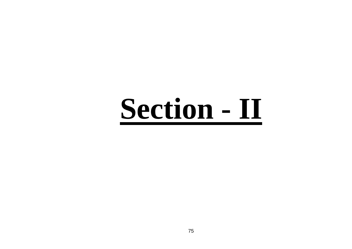# **Section - II**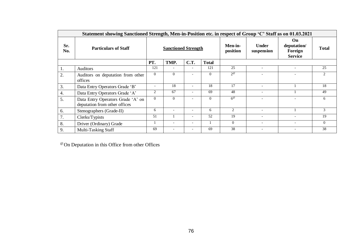|            | Statement showing Sanctioned Strength, Men-in-Position etc. in respect of Group 'C' Staff as on 01.03.2021 |                                                      |                            |                          |                          |                          |                            |                                                |              |
|------------|------------------------------------------------------------------------------------------------------------|------------------------------------------------------|----------------------------|--------------------------|--------------------------|--------------------------|----------------------------|------------------------------------------------|--------------|
| Sr.<br>No. | <b>Particulars of Staff</b>                                                                                |                                                      | <b>Sanctioned Strength</b> |                          |                          | Men-in-<br>position      | <b>Under</b><br>suspension | On<br>deputation/<br>Foreign<br><b>Service</b> | <b>Total</b> |
|            |                                                                                                            | PT.                                                  | TMP.                       | <b>C.T.</b>              | <b>Total</b>             |                          |                            |                                                |              |
| 1.         | <b>Auditors</b>                                                                                            | 121                                                  | $\overline{a}$             | $\overline{\phantom{a}}$ | 121                      | 25                       | $\overline{a}$             | $\overline{\phantom{0}}$                       | 25           |
| 2.         | Auditors on deputation from other<br>offices                                                               | $\Omega$                                             | $\Omega$                   |                          | $\Omega$                 | $2^\omega$               |                            |                                                | 2            |
| 3.         | Data Entry Operators Grade 'B'                                                                             | $\overline{\phantom{a}}$                             | 18                         | $\overline{\phantom{a}}$ | 18                       | 17                       | $\overline{\phantom{a}}$   |                                                | 18           |
| 4.         | Data Entry Operators Grade 'A'                                                                             | $\overline{c}$                                       | 67                         |                          | 69                       | 48                       |                            |                                                | 49           |
| 5.         | Data Entry Operators Grade 'A' on<br>deputation from other offices                                         | $\Omega$                                             | $\Omega$                   |                          | $\Omega$                 | $6^\circ$                |                            |                                                | 6            |
| 6.         | Stenographers (Grade-II)                                                                                   | 6                                                    |                            |                          | 6                        | $\overline{c}$           |                            |                                                | 3            |
| 7.         | Clerks/Typists                                                                                             | 51                                                   |                            | $\overline{\phantom{a}}$ | 52                       | 19                       | $\overline{\phantom{a}}$   |                                                | 19           |
| 8.         | Driver (Ordinary) Grade                                                                                    | $\overline{\phantom{0}}$<br>$\overline{\phantom{0}}$ |                            | $\Omega$                 | $\overline{\phantom{a}}$ | $\overline{\phantom{a}}$ | $\mathbf{0}$               |                                                |              |
| 9.         | Multi-Tasking Staff                                                                                        | 69                                                   |                            |                          | 69                       | 38                       |                            |                                                | 38           |

@ On Deputation in this Office from other Offices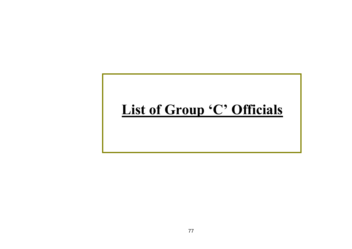# **List of Group 'C' Officials**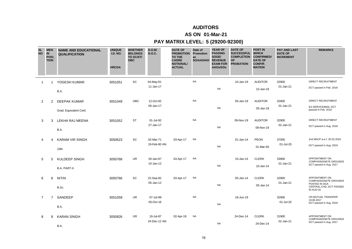### **AS ON 01-Mar-21**

| <b>SL</b><br><b>NO</b> | <b>MEN</b><br><b>IN</b><br>POSI_<br><b>TION</b> | <b>NAME AND EDUCATIONAL</b><br><b>QUALIFICATION</b> | <b>UNIQUE</b><br><b>I.D. NO.</b><br><b>HRCDA</b> | <b>WHETHER</b><br><b>BELONGS</b><br>TO SC/ST/<br><b>OBC</b> | D.O.B/<br><b>D.O.C.</b>   | <b>DATE OF</b><br><b>PROMOTION Promotion</b><br><b>TO THE</b><br><b>CADRE</b><br><b>NOTIONAL/</b><br><b>ACTUAL</b> | Date of<br>as<br>SO/AAO/AO | <b>YEAR OF</b><br><b>PASSING</b><br>SOGE/<br><b>REVENUE</b><br><b>EXAM FOR</b><br>AAOs/SOs | <b>DATE OF</b><br><b>SUCCESSFUL</b><br><b>COMPLETION</b><br><b>OF</b><br><b>PROBATION</b> | <b>POST IN</b><br><b>WHICH</b><br><b>CONFIRMED/</b><br><b>DATE OF</b><br>CONFIR<br><b>MATION</b> | <b>PAY AND LAST</b><br><b>DATE OF</b><br><b>INCREMENT</b> | <b>REMARKS</b>                                                                                           |
|------------------------|-------------------------------------------------|-----------------------------------------------------|--------------------------------------------------|-------------------------------------------------------------|---------------------------|--------------------------------------------------------------------------------------------------------------------|----------------------------|--------------------------------------------------------------------------------------------|-------------------------------------------------------------------------------------------|--------------------------------------------------------------------------------------------------|-----------------------------------------------------------|----------------------------------------------------------------------------------------------------------|
| $\overline{1}$         | -1                                              | YOGESH KUMAR<br>B.A.                                | 3051051                                          | <b>SC</b>                                                   | 04-May-91<br>11-Jan-17    |                                                                                                                    | <b>NA</b>                  | <b>NA</b>                                                                                  | 10-Jan-19                                                                                 | <b>AUDITOR</b><br>10-Jan-19                                                                      | 32900<br>01-Jan-21                                        | <b>DIRECT RECRUITMENT</b><br>DCT passed in Feb. 2018                                                     |
| $\overline{2}$         | 2                                               | <b>DEEPAK KUMAR</b><br>Grad. Equivalent Certi.      | 3051049                                          | OBC                                                         | 12-Oct-82<br>06-Jan-17    |                                                                                                                    | <b>NA</b>                  | <b>NA</b>                                                                                  | 05-Jan-19                                                                                 | <b>AUDITOR</b><br>05-Jan-19                                                                      | 32900<br>01-Jan-21                                        | <b>DIRECT RECRUITMENT</b><br>EX-SERVICEMAN, DCT<br>passed in Feb. 2018                                   |
| 3                      | 3                                               | LEKHA RAJ MEENA<br>B.A.                             | 3051052                                          | <b>ST</b>                                                   | 01-Jul-92<br>27-Jan-17    |                                                                                                                    | <b>NA</b>                  | <b>NA</b>                                                                                  | 09-Nov-19                                                                                 | <b>AUDITOR</b><br>09-Nov-19                                                                      | 32900<br>01-Jan-21                                        | <b>DIRECT RECRUITMENT</b><br>DCT passed in Aug. 2018                                                     |
| 4                      | 4                                               | <b>KARAM VIR SINGH</b><br>10th                      | 3050623                                          | SC                                                          | 02-Mar-71<br>19-Feb-90 AN | 03-Apr-17                                                                                                          | <b>NA</b>                  | <b>NA</b>                                                                                  | 01-Jan-14                                                                                 | <b>PEON</b><br>01-Mar-93                                                                         | 37000<br>01-Jul-20                                        | 2nd MACP w.e.f. 20.02.2010<br>DCT passed in Aug. 2019                                                    |
| 5                      | 5                                               | <b>KULDEEP SINGH</b><br><b>B.A. PART-II</b>         | 3050768                                          | <b>UR</b>                                                   | 26-Jan-87<br>10-Jan-12    | 03-Apr-17                                                                                                          | <b>NA</b>                  | <b>NA</b>                                                                                  | 10-Jan-14                                                                                 | <b>CLERK</b><br>10-Jan-14                                                                        | 33900<br>01-Jan-21                                        | APPOINTMENT ON<br><b>COMPASSIONATE GROUNDS</b><br>DCT passed in Aug. 2017                                |
| 6                      | 6                                               | <b>NITIN</b><br>B.Sc.                               | 3050766                                          | SC                                                          | 22-Sep-82<br>05-Jan-12    | 03-Apr-17                                                                                                          | <b>NA</b>                  | <b>NA</b>                                                                                  | 05-Jan-14                                                                                 | <b>CLERK</b><br>05-Jan-14                                                                        | 32900<br>01-Jan-21                                        | APPOINTMENT ON<br><b>COMPASSIONATE GROUNDS</b><br>POSTED IN DGA<br>CENTRAL, CHD, DCT PASSED<br>IN AUG'16 |
| $\overline{7}$         | $\overline{7}$                                  | SANDEEP<br>B.A.                                     | 3051058                                          | UR                                                          | 07-Jul-89<br>05-Oct-16    |                                                                                                                    | <b>NA</b>                  | <b>NA</b>                                                                                  | 18-Jun-19                                                                                 |                                                                                                  | 32900<br>01-Jul-20                                        | ON MUTUAL TRANSFER<br>19.06.2017<br>DCT passed in Aug. 2018                                              |
| 8                      | 8                                               | <b>KARAN SINGH</b><br>B.A.                          | 3050826                                          | UR                                                          | 19-Jul-87<br>24-Dec-12 AN | 02-Apr-18                                                                                                          | <b>NA</b>                  | <b>NA</b>                                                                                  | 24-Dec-14                                                                                 | <b>CLERK</b><br>24-Dec-14                                                                        | 31900<br>01-Jan-21                                        | APPOINTMENT ON<br><b>COMPASSIONATE GROUNDS</b><br>DCT passed in Aug. 2017                                |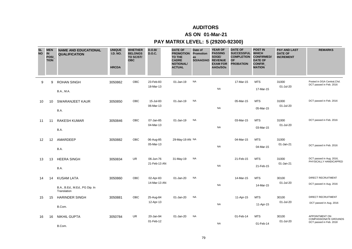### **AS ON 01-Mar-21**

| <b>SL</b><br><b>NO</b> | <b>MEN</b><br><b>IN</b><br><b>POSI</b><br><b>TION</b> | <b>NAME AND EDUCATIONAL</b><br><b>QUALIFICATION</b>                | <b>UNIQUE</b><br><b>I.D. NO.</b><br><b>HRCDA</b> | <b>WHETHER</b><br><b>BELONGS</b><br>TO SC/ST/<br><b>OBC</b> | D.O.B/<br><b>D.O.C.</b>   | <b>DATE OF</b><br><b>PROMOTION</b><br><b>TO THE</b><br><b>CADRE</b><br><b>NOTIONAL/</b><br><b>ACTUAL</b> | Date of<br>Promotion<br>as<br>SO/AAO/AO | <b>YEAR OF</b><br><b>PASSING</b><br>SOGE/<br><b>REVENUE</b><br><b>EXAM FOR</b><br>AAOs/SOs | <b>DATE OF</b><br><b>SUCCESSFUL</b><br><b>COMPLETION</b><br><b>OF</b><br><b>PROBATION</b> | <b>POST IN</b><br><b>WHICH</b><br><b>CONFIRMED/</b><br><b>DATE OF</b><br><b>CONFIR</b><br><b>MATION</b> | <b>PAY AND LAST</b><br><b>DATE OF</b><br><b>INCREMENT</b> | <b>REMARKS</b>                                                            |
|------------------------|-------------------------------------------------------|--------------------------------------------------------------------|--------------------------------------------------|-------------------------------------------------------------|---------------------------|----------------------------------------------------------------------------------------------------------|-----------------------------------------|--------------------------------------------------------------------------------------------|-------------------------------------------------------------------------------------------|---------------------------------------------------------------------------------------------------------|-----------------------------------------------------------|---------------------------------------------------------------------------|
| 9                      | 9                                                     | <b>ROHAN SINGH</b><br><b>B.A., M.A.</b>                            | 3050862                                          | <b>OBC</b>                                                  | 23-Feb-83<br>18-Mar-13    | 01-Jan-19                                                                                                | <b>NA</b>                               | <b>NA</b>                                                                                  | 17-Mar-15                                                                                 | <b>MTS</b><br>17-Mar-15                                                                                 | 31000<br>01-Jul-20                                        | Posted in DGA Central, Chd.<br>DCT passed in Feb. 2016                    |
| 10                     | 10                                                    | <b>SWARANJEET KAUR</b><br>B.A.                                     | 3050850                                          | OBC                                                         | 15-Jul-83<br>06-Mar-13    | 01-Jan-19                                                                                                | <b>NA</b>                               | <b>NA</b>                                                                                  | 05-Mar-15                                                                                 | <b>MTS</b><br>05-Mar-15                                                                                 | 31000<br>01-Jul-20                                        | DCT passed in Feb. 2016                                                   |
| 11                     | 11                                                    | <b>RAKESH KUMAR</b><br>B.A.                                        | 3050846                                          | OBC                                                         | 07-Jan-85<br>04-Mar-13    | 01-Jan-19                                                                                                | <b>NA</b>                               | <b>NA</b>                                                                                  | 03-Mar-15                                                                                 | <b>MTS</b><br>03-Mar-15                                                                                 | 31000<br>01-Jul-20                                        | DCT passed in Feb. 2016                                                   |
| 12                     | $12 \overline{ }$                                     | AMARDEEP<br>B.A.                                                   | 3050882                                          | OBC                                                         | 06-Aug-85<br>05-Mar-13    | 29-May-19 AN NA                                                                                          |                                         | <b>NA</b>                                                                                  | 04-Mar-15                                                                                 | <b>MTS</b><br>04-Mar-15                                                                                 | 31000<br>01-Jan-21                                        | DCT passed in Feb. 2016                                                   |
| 13                     | 13                                                    | <b>HEERA SINGH</b><br>B.A.                                         | 3050834                                          | UR                                                          | 06-Jun-76<br>21-Feb-13 AN | 31-May-19                                                                                                | <b>NA</b>                               | <b>NA</b>                                                                                  | 21-Feb-15                                                                                 | <b>MTS</b><br>21-Feb-15                                                                                 | 31000<br>01-Jan-21                                        | DCT passed in Aug. 2016,<br>PHYSICALLY HANDICAPPED                        |
| 14                     | 14                                                    | <b>KUSAM LATA</b><br>B.A., B.Ed., M.Ed., PG Dip. In<br>Translation | 3050860                                          | OBC                                                         | 02-Apr-83<br>14-Mar-13 AN | 01-Jan-20                                                                                                | <b>NA</b>                               | <b>NA</b>                                                                                  | 14-Mar-15                                                                                 | <b>MTS</b><br>14-Mar-15                                                                                 | 30100<br>01-Jul-20                                        | DIRECT RECRUITMENT<br>DCT passed in Aug. 2016                             |
| 15                     | 15                                                    | <b>HARINDER SINGH</b><br>B.Com.                                    | 3050881                                          | OBC                                                         | 25-Aug-84<br>12-Apr-13    | 01-Jan-20                                                                                                | <b>NA</b>                               | <b>NA</b>                                                                                  | 11-Apr-15                                                                                 | <b>MTS</b><br>11-Apr-15                                                                                 | 30100<br>01-Jul-20                                        | DIRECT RECRUITMENT<br>DCT passed in Aug. 2016                             |
| 16                     | 16                                                    | <b>NIKHIL GUPTA</b><br>B.Com.                                      | 3050784                                          | UR                                                          | 20-Jan-94<br>01-Feb-12    | 01-Jan-20                                                                                                | <b>NA</b>                               | <b>NA</b>                                                                                  | 01-Feb-14                                                                                 | <b>MTS</b><br>01-Feb-14                                                                                 | 30100<br>01-Jul-20                                        | APPOINTMENT ON<br><b>COMPASSIONATE GROUNDS</b><br>DCT passed in Feb. 2018 |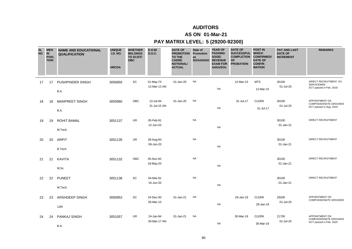### **AS ON 01-Mar-21**

| <b>SL</b><br><b>NO</b> | <b>MEN</b><br><b>IN</b><br>POSI<br><b>TION</b> | <b>NAME AND EDUCATIONAL</b><br><b>QUALIFICATION</b> | <b>UNIQUE</b><br><b>I.D. NO.</b><br><b>HRCDA</b> | <b>WHETHER</b><br><b>BELONGS</b><br>TO SC/ST/<br><b>OBC</b> | D.O.B/<br><b>D.O.C.</b>   | <b>DATE OF</b><br><b>PROMOTION Promotion</b><br><b>TO THE</b><br><b>CADRE</b><br><b>NOTIONAL/</b><br><b>ACTUAL</b> | Date of<br>as<br>SO/AAO/AO | <b>YEAR OF</b><br><b>PASSING</b><br>SOGE/<br><b>REVENUE</b><br><b>EXAM FOR</b><br>AAOs/SOs | <b>DATE OF</b><br><b>SUCCESSFUL</b><br><b>COMPLETION</b><br><b>OF</b><br><b>PROBATION</b> | <b>POST IN</b><br><b>WHICH</b><br><b>CONFIRMED/</b><br><b>DATE OF</b><br>CONFIR_<br><b>MATION</b> | <b>PAY AND LAST</b><br><b>DATE OF</b><br><b>INCREMENT</b> | <b>REMARKS</b>                                                            |
|------------------------|------------------------------------------------|-----------------------------------------------------|--------------------------------------------------|-------------------------------------------------------------|---------------------------|--------------------------------------------------------------------------------------------------------------------|----------------------------|--------------------------------------------------------------------------------------------|-------------------------------------------------------------------------------------------|---------------------------------------------------------------------------------------------------|-----------------------------------------------------------|---------------------------------------------------------------------------|
| 17                     | 17                                             | PUSHPINDER SINGH<br>B.A.                            | 3050855                                          | SC                                                          | 31-May-73<br>12-Mar-13 AN | 01-Jan-20                                                                                                          | <b>NA</b>                  | <b>NA</b>                                                                                  | 12-Mar-15                                                                                 | <b>MTS</b><br>12-Mar-15                                                                           | 30100<br>01-Jul-20                                        | DIRECT RECRUITMENT, EX-<br><b>SERVICEMAN</b><br>DCT passed in Feb. 2018   |
| 18                     | 18                                             | <b>MANPREET SINGH</b><br>B.A.                       | 3050960                                          | OBC                                                         | 13-Jul-94<br>31-Jul-15 AN | 01-Jan-20                                                                                                          | <b>NA</b>                  | <b>NA</b>                                                                                  | 31-Jul-17                                                                                 | <b>CLERK</b><br>31-Jul-17                                                                         | 30100<br>01-Jul-20                                        | APPOINTMENT ON<br><b>COMPASSIONATE GROUNDS</b><br>DCT passed in Aug. 2019 |
| 19                     | 19                                             | <b>ROHIT BAMAL</b><br>M.Tech.                       | 3051137                                          | <b>UR</b>                                                   | 05-Feb-91<br>12-Jun-20    |                                                                                                                    | <b>NA</b>                  | <b>NA</b>                                                                                  |                                                                                           |                                                                                                   | 30100<br>01-Jan-21                                        | <b>DIRECT RECRUITMENT</b>                                                 |
| 20                     | 20                                             | <b>ARPIT</b><br>B.Tech.                             | 3051135                                          | <b>UR</b>                                                   | 28-Aug-93<br>09-Jun-20    |                                                                                                                    | <b>NA</b>                  | <b>NA</b>                                                                                  |                                                                                           |                                                                                                   | 30100<br>01-Jan-21                                        | <b>DIRECT RECRUITMENT</b>                                                 |
| 21                     | 21                                             | <b>KAVITA</b><br>M.Sc.                              | 3051132                                          | OBC                                                         | 05-Nov-92<br>18-May-20    |                                                                                                                    | <b>NA</b>                  | <b>NA</b>                                                                                  |                                                                                           |                                                                                                   | 30100<br>01-Jan-21                                        | <b>DIRECT RECRUITMENT</b>                                                 |
| 22                     | 22                                             | <b>PUNEET</b><br>M.Tech.                            | 3051136                                          | SC                                                          | 04-Mar-91<br>16-Jun-20    |                                                                                                                    | <b>NA</b>                  | <b>NA</b>                                                                                  |                                                                                           |                                                                                                   | 30100<br>01-Jan-21                                        | DIRECT RECRUITMENT                                                        |
| 23                     | 23                                             | ARSHDEEP SINGH<br>12th                              | 3050952                                          | SC                                                          | 24-Dec-93<br>05-Mar-15    | 01-Jan-21                                                                                                          | <b>NA</b>                  | <b>NA</b>                                                                                  | 29-Jan-19                                                                                 | <b>CLERK</b><br>29-Jan-19                                                                         | 29200<br>01-Jul-20                                        | APPOINTMENT ON<br><b>COMPASSIONATE GROUNDS</b>                            |
| 24                     | 24                                             | PANKAJ SINGH<br>B.A.                                | 3051057                                          | UR                                                          | 24-Jan-94<br>30-Mar-17 AN | 01-Jan-21                                                                                                          | <b>NA</b>                  | <b>NA</b>                                                                                  | 30-Mar-19                                                                                 | <b>CLERK</b><br>30-Mar-19                                                                         | 21700<br>01-Jul-20                                        | APPOINTMENT ON<br><b>COMPASSIONATE GROUNDS</b><br>DCT passed in Feb. 2020 |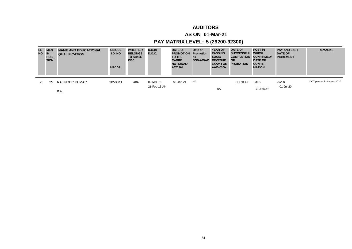### **AS ON 01-Mar-21**

| SL.<br><b>NO</b> | <b>MEN</b><br><b>IN</b><br><b>POSI</b><br><b>TION</b> | <b>NAME AND EDUCATIONAL</b><br><b>QUALIFICATION</b> | <b>UNIQUE</b><br><b>I.D. NO.</b><br><b>HRCDA</b> | <b>WHETHER</b><br><b>BELONGS</b><br>TO SC/ST/<br><b>OBC</b> | D.O.B/<br><b>D.O.C.</b> | <b>DATE OF</b><br><b>PROMOTION</b><br>TO THE<br><b>CADRE</b><br><b>NOTIONAL/</b><br><b>ACTUAL</b> | Date of<br><b>Promotion</b><br>as<br>SO/AAO/AO | <b>YEAR OF</b><br><b>PASSING</b><br>SOGE/<br><b>REVENUE</b><br><b>EXAM FOR</b><br>AAOs/SOs | <b>DATE OF</b><br><b>SUCCESSFUL</b><br><b>COMPLETION</b><br><b>OF</b><br><b>PROBATION</b> | <b>POST IN</b><br><b>WHICH</b><br><b>CONFIRMED/</b><br><b>DATE OF</b><br><b>CONFIR</b><br><b>MATION</b> | <b>PAY AND LAST</b><br><b>DATE OF</b><br><b>INCREMENT</b> | <b>REMARKS</b>            |
|------------------|-------------------------------------------------------|-----------------------------------------------------|--------------------------------------------------|-------------------------------------------------------------|-------------------------|---------------------------------------------------------------------------------------------------|------------------------------------------------|--------------------------------------------------------------------------------------------|-------------------------------------------------------------------------------------------|---------------------------------------------------------------------------------------------------------|-----------------------------------------------------------|---------------------------|
| 25               | 25                                                    | RAJINDER KUMAR                                      | 3050841                                          | <b>OBC</b>                                                  | 02-Mar-78               | 01-Jan-21                                                                                         | NA                                             |                                                                                            | 21-Feb-15                                                                                 | <b>MTS</b>                                                                                              | 29200                                                     | DCT passed in August 2020 |
|                  |                                                       | B.A.                                                |                                                  |                                                             | 21-Feb-13 AN            |                                                                                                   |                                                | <b>NA</b>                                                                                  |                                                                                           | 21-Feb-15                                                                                               | 01-Jul-20                                                 |                           |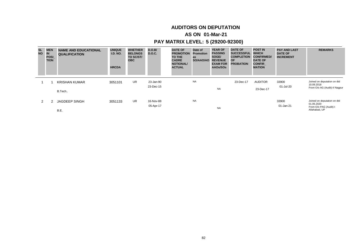# **AUDITORS ON DEPUTATION**

### **AS ON 01-Mar-21**

| <b>SL</b><br><b>NO</b> | <b>MEN</b><br><b>IN</b><br>POSI<br><b>TION</b> | <b>NAME AND EDUCATIONAL</b><br><b>QUALIFICATION</b> | <b>UNIQUE</b><br><b>I.D. NO.</b><br><b>HRCDA</b> | <b>WHETHER</b><br><b>BELONGS</b><br>TO SC/ST/<br><b>OBC</b> | D.O.B/<br>D.O.C. | <b>DATE OF</b><br><b>PROMOTION</b><br>TO THE<br><b>CADRE</b><br><b>NOTIONAL/</b><br><b>ACTUAL</b> | Date of<br><b>Promotion</b><br>as<br>SO/AAO/AO | <b>YEAR OF</b><br><b>PASSING</b><br>SOGE/<br><b>REVENUE</b><br><b>EXAM FOR</b><br>AAOs/SOs | <b>DATE OF</b><br><b>SUCCESSFUL</b><br><b>COMPLETION</b><br><b>OF</b><br><b>PROBATION</b> | <b>POST IN</b><br><b>WHICH</b><br><b>CONFIRMED/</b><br><b>DATE OF</b><br><b>CONFIR</b><br><b>MATION</b> | <b>PAY AND LAST</b><br><b>DATE OF</b><br><b>INCREMENT</b> | <b>REMARKS</b>                            |
|------------------------|------------------------------------------------|-----------------------------------------------------|--------------------------------------------------|-------------------------------------------------------------|------------------|---------------------------------------------------------------------------------------------------|------------------------------------------------|--------------------------------------------------------------------------------------------|-------------------------------------------------------------------------------------------|---------------------------------------------------------------------------------------------------------|-----------------------------------------------------------|-------------------------------------------|
|                        |                                                | <b>KRISHAN KUMAR</b>                                | 3051101                                          | <b>UR</b>                                                   | 23-Jan-90        |                                                                                                   | <b>NA</b>                                      |                                                                                            | 23-Dec-17                                                                                 | <b>AUDITOR</b>                                                                                          | 33900                                                     | Joined on deputation on dtd<br>10.09.2018 |
|                        |                                                | B.Tech                                              |                                                  |                                                             | 23-Dec-15        |                                                                                                   |                                                | <b>NA</b>                                                                                  |                                                                                           | 23-Dec-17                                                                                               | 01-Jul-20                                                 | From O/o AG (Audit)-II Nagpur             |
| 2                      |                                                | <b>JAGDEEP SINGH</b>                                | 3051133                                          | UR.                                                         | 16-Nov-88        |                                                                                                   | <b>NA</b>                                      |                                                                                            |                                                                                           |                                                                                                         | 33900                                                     | Joined on deputation on dtd<br>01.06.2020 |
|                        |                                                | B.E.                                                |                                                  |                                                             | 05-Apr-17        |                                                                                                   |                                                | <b>NA</b>                                                                                  |                                                                                           |                                                                                                         | 01-Jan-21                                                 | From O/o PAG (Audit)-I<br>Allahabad, UP   |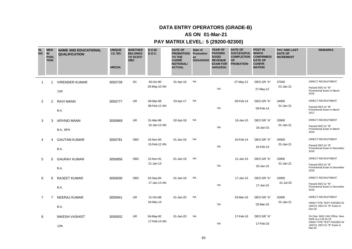### **AS ON 01-Mar-21**

| <b>SL</b><br><b>NO</b> | <b>MEN</b><br>IN<br>POSI_<br><b>TION</b> | <b>NAME AND EDUCATIONAL</b><br><b>QUALIFICATION</b> | <b>UNIQUE</b><br><b>I.D. NO.</b><br><b>HRCDA</b> | <b>WHETHER</b><br><b>BELONGS</b><br>TO SC/ST/<br><b>OBC</b> | D.O.B/<br><b>D.O.C.</b>   | <b>DATE OF</b><br><b>PROMOTION</b><br><b>TO THE</b><br><b>CADRE</b><br><b>NOTIONAL/</b><br><b>ACTUAL</b> | Date of<br>Promotion<br>as<br>SO/AAO/AO REVENUE | <b>YEAR OF</b><br><b>PASSING</b><br>SOGE/<br><b>EXAM FOR</b><br>AAOs/SOs | <b>DATE OF</b><br><b>SUCCESSFUL</b><br><b>COMPLETION</b><br><b>OF</b><br><b>PROBATION</b> | <b>POST IN</b><br><b>WHICH</b><br><b>CONFIRMED/</b><br><b>DATE OF</b><br><b>CONFIR</b><br><b>MATION</b> | <b>PAY AND LAST</b><br><b>DATE OF</b><br><b>INCREMENT</b> | <b>REMARKS</b>                                                                    |
|------------------------|------------------------------------------|-----------------------------------------------------|--------------------------------------------------|-------------------------------------------------------------|---------------------------|----------------------------------------------------------------------------------------------------------|-------------------------------------------------|--------------------------------------------------------------------------|-------------------------------------------------------------------------------------------|---------------------------------------------------------------------------------------------------------|-----------------------------------------------------------|-----------------------------------------------------------------------------------|
| -1                     | 1                                        | <b>VIRENDER KUMAR</b>                               | 3050739                                          | SC                                                          | 30-Oct-80                 | 01-Apr-16                                                                                                | <b>NA</b>                                       |                                                                          | 27-May-12                                                                                 | DEO GR "A"                                                                                              | 37000                                                     | <b>DIRECT RECRUITMENT</b>                                                         |
|                        |                                          | 12th                                                |                                                  |                                                             | 26-May-10 AN              |                                                                                                          |                                                 | <b>NA</b>                                                                |                                                                                           | 27-May-12                                                                                               | 01-Jan-21                                                 | Passed DEO Gr "B"<br>Promotional Exam in March<br>2016                            |
| 2                      | 2                                        | <b>RAVI MANN</b>                                    | 3050777                                          | UR.                                                         | 08-Mar-89                 | 03-Apr-17                                                                                                | NA                                              |                                                                          | 09-Feb-14                                                                                 | DEO GR "A"                                                                                              | 34900                                                     | <b>DIRECT RECRUITMENT</b>                                                         |
|                        |                                          | B.A.                                                |                                                  |                                                             | 08-Feb-12 AN              |                                                                                                          |                                                 | <b>NA</b>                                                                |                                                                                           | 09-Feb-14                                                                                               | 01-Jan-21                                                 | Passed DEO Gr "B"<br>Promotional Exam in March<br>2017                            |
| 3                      | 3                                        | <b>ARVIND MANN</b>                                  | 3050869                                          | <b>UR</b>                                                   | 01-Mar-86                 | 02-Apr-18                                                                                                | <b>NA</b>                                       |                                                                          | 16-Jan-15                                                                                 | DEO GR "A"                                                                                              | 33900                                                     | <b>DIRECT RECRUITMENT</b>                                                         |
|                        |                                          | B.A., BPA                                           |                                                  |                                                             | 16-Jan-13 AN              |                                                                                                          |                                                 | <b>NA</b>                                                                |                                                                                           | 16-Jan-15                                                                                               | 01-Jan-21                                                 | Passed DEO Gr "B"<br>Promotional Exam in March<br>2018                            |
| 4                      | 4                                        | <b>GAUTAM KUMAR</b>                                 | 3050781                                          | OBC                                                         | 16-Nov-83                 | 01-Jan-19                                                                                                | <b>NA</b>                                       |                                                                          | 16-Feb-14                                                                                 | DEO GR "A"                                                                                              | 34900                                                     | DIRECT RECRUITMENT                                                                |
|                        |                                          | B.A.                                                |                                                  |                                                             | 15-Feb-12 AN              |                                                                                                          |                                                 | <b>NA</b>                                                                |                                                                                           | 16-Feb-14                                                                                               | 01-Jan-21                                                 | Passed DEO Gr "B"<br>Promotional Exam in December<br>2018                         |
| 5                      | 5                                        | <b>GAURAV KUMAR</b>                                 | 3050856                                          | OBC                                                         | 15-Nov-91                 | 01-Jan-19                                                                                                | <b>NA</b>                                       |                                                                          | 21-Jan-15                                                                                 | DEO GR "A"                                                                                              | 33900                                                     | <b>DIRECT RECRUITMENT</b>                                                         |
|                        |                                          | B.A.                                                |                                                  |                                                             | 21-Jan-13                 |                                                                                                          |                                                 | <b>NA</b>                                                                |                                                                                           | 20-Jan-15                                                                                               | 01-Jan-21                                                 | Passed DEO Gr "B"<br>Promotional Exam in December<br>2018                         |
| 6                      | 6                                        | <b>RAJEET KUMAR</b>                                 | 3050830                                          | OBC                                                         | 03-Sep-84                 | 01-Jan-19                                                                                                | <b>NA</b>                                       |                                                                          | 17-Jan-15                                                                                 | DEO GR "A"                                                                                              | 32900                                                     | DIRECT RECRUITMENT                                                                |
|                        |                                          | B.A.                                                |                                                  |                                                             | 17-Jan-13 AN              |                                                                                                          |                                                 | <b>NA</b>                                                                |                                                                                           | 17-Jan-15                                                                                               | 01-Jul-20                                                 | Passed DEO Gr "B"<br>Promotional Exam in December<br>2018                         |
| $\overline{7}$         | 7                                        | NEERAJ KUMAR                                        | 3050941                                          | UR                                                          | 21-Oct-88                 | 01-Jan-20                                                                                                | <b>NA</b>                                       |                                                                          | 03-Mar-16                                                                                 | DEO GR "A"                                                                                              | 32900                                                     | DIRECT RECRUITMENT                                                                |
|                        |                                          | B.A.                                                |                                                  |                                                             | 04-Mar-14                 |                                                                                                          |                                                 | <b>NA</b>                                                                |                                                                                           | 03-Mar-16                                                                                               | 01-Jan-21                                                 | HINDI TYPE TEST PASSED IN<br>JAN'16, DEO Gr "B" Exam in<br>Dec'18                 |
| 8                      |                                          | <b>NIKESH VASHIST</b>                               | 3050932                                          | UR                                                          | 04-May-92<br>17-Feb-14 AN | 01-Jan-20                                                                                                | <b>NA</b>                                       |                                                                          | 17-Feb-16                                                                                 | DEO GR "A"                                                                                              |                                                           | On Dep. With CAG Office, New<br>Delhi w.e.f.28.10.16<br>HINDI TYPE TEST PASSED IN |
|                        |                                          | 12th                                                |                                                  |                                                             |                           |                                                                                                          |                                                 | <b>NA</b>                                                                |                                                                                           | 17-Feb-16                                                                                               |                                                           | JAN'15, DEO Gr "B" Exam in<br>Mar'18                                              |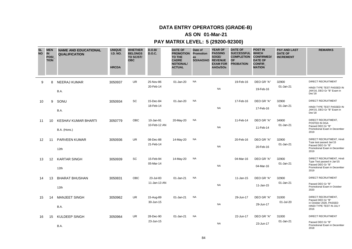### **AS ON 01-Mar-21**

| <b>SL</b><br><b>NO</b> | <b>MEN</b><br>IN<br><b>POSI</b><br><b>TION</b> | <b>NAME AND EDUCATIONAL</b><br><b>QUALIFICATION</b> | <b>UNIQUE</b><br><b>I.D. NO.</b><br><b>HRCDA</b> | <b>WHETHER</b><br><b>BELONGS</b><br>TO SC/ST/<br><b>OBC</b> | D.O.B/<br><b>D.O.C.</b> | <b>DATE OF</b><br><b>PROMOTION Promotion</b><br>TO THE<br><b>CADRE</b><br><b>NOTIONAL/</b><br><b>ACTUAL</b> | Date of<br>as<br>SO/AAO/AO | <b>YEAR OF</b><br><b>PASSING</b><br>SOGE/<br><b>REVENUE</b><br><b>EXAM FOR</b><br>AAOs/SOs | <b>DATE OF</b><br><b>SUCCESSFUL</b><br><b>COMPLETION</b><br>OF<br><b>PROBATION</b> | <b>POST IN</b><br><b>WHICH</b><br><b>CONFIRMED/</b><br><b>DATE OF</b><br><b>CONFIR</b><br><b>MATION</b> | <b>PAY AND LAST</b><br><b>DATE OF</b><br><b>INCREMENT</b> | <b>REMARKS</b>                                                    |
|------------------------|------------------------------------------------|-----------------------------------------------------|--------------------------------------------------|-------------------------------------------------------------|-------------------------|-------------------------------------------------------------------------------------------------------------|----------------------------|--------------------------------------------------------------------------------------------|------------------------------------------------------------------------------------|---------------------------------------------------------------------------------------------------------|-----------------------------------------------------------|-------------------------------------------------------------------|
| 9                      | 8                                              | <b>NEERAJ KUMAR</b>                                 | 3050937                                          | <b>UR</b>                                                   | 25-Nov-86               | 01-Jan-20                                                                                                   | <b>NA</b>                  |                                                                                            | 19-Feb-16                                                                          | DEO GR "A"                                                                                              | 32900                                                     | DIRECT RECRUITMENT                                                |
|                        |                                                | B.A.                                                |                                                  |                                                             | 20-Feb-14               |                                                                                                             |                            | <b>NA</b>                                                                                  |                                                                                    | 19-Feb-16                                                                                               | 01-Jan-21                                                 | HINDI TYPE TEST PASSED IN<br>JAN'16, DEO Gr "B" Exam in<br>Dec'18 |
| 10                     | 9                                              | SONU                                                | 3050934                                          | SC                                                          | 15-Dec-84               | 01-Jan-20                                                                                                   | <b>NA</b>                  |                                                                                            | 17-Feb-16                                                                          | DEO GR "A"                                                                                              | 32900                                                     | DIRECT RECRUITMENT                                                |
|                        |                                                | B.A.                                                |                                                  |                                                             | 18-Feb-14               |                                                                                                             |                            | <b>NA</b>                                                                                  |                                                                                    | 17-Feb-16                                                                                               | 01-Jan-21                                                 | HINDI TYPE TEST PASSED IN<br>JAN'15, DEO Gr "B" Exam in<br>Dec'18 |
| 11                     | 10                                             | <b>KESHAV KUMAR BHARTI</b>                          | 3050779                                          | OBC                                                         | 10-Jan-91               | 20-May-20                                                                                                   | <b>NA</b>                  |                                                                                            | 11-Feb-14                                                                          | DEO GR "A"                                                                                              | 34900                                                     | DIRECT RECRUITMENT,<br>POSTED IN DGA                              |
|                        |                                                | B.A. (Hons.)                                        |                                                  |                                                             | 10-Feb-12 AN            |                                                                                                             |                            | <b>NA</b>                                                                                  |                                                                                    | 11-Feb-14                                                                                               | 01-Jan-21                                                 | Passed DEO Gr "B"<br>Promotional Exam in December<br>2019         |
| 12                     | 11                                             | PARVEEN KUMAR                                       | 3050936                                          | UR                                                          | 08-Dec-88               | 14-May-20                                                                                                   | <b>NA</b>                  |                                                                                            | 20-Feb-16                                                                          | DEO GR "A"                                                                                              | 32900                                                     | DIRECT RECRUITMENT, Hindi<br>Type test passed Jan'15              |
|                        |                                                | 12th                                                |                                                  |                                                             | 21-Feb-14               |                                                                                                             |                            | <b>NA</b>                                                                                  |                                                                                    | 20-Feb-16                                                                                               | 01-Jan-21                                                 | Passed DEO Gr "B"<br>Promotional Exam in December<br>2019         |
| 13                     | 12                                             | <b>KARTAR SINGH</b>                                 | 3050939                                          | SC                                                          | 15-Feb-94               | 14-May-20                                                                                                   | <b>NA</b>                  |                                                                                            | 04-Mar-16                                                                          | DEO GR "A"                                                                                              | 32900                                                     | DIRECT RECRUITMENT, Hindi<br>Type Test passed in Jan'15           |
|                        |                                                | 12th                                                |                                                  |                                                             | 05-Mar-14               |                                                                                                             |                            | <b>NA</b>                                                                                  |                                                                                    | 04-Mar-16                                                                                               | 01-Jan-21                                                 | Passed DEO Gr "B"<br>Promotional Exam in December<br>2019         |
| 14                     | 13                                             | <b>BHARAT BHUSHAN</b>                               | 3050831                                          | <b>OBC</b>                                                  | 23-Jul-83               | 01-Jan-21                                                                                                   | <b>NA</b>                  |                                                                                            | 11-Jan-15                                                                          | DEO GR "A"                                                                                              | 32900                                                     | DIRECT RECRUITMENT                                                |
|                        |                                                | 12th                                                |                                                  |                                                             | 11-Jan-13 AN            |                                                                                                             |                            | <b>NA</b>                                                                                  |                                                                                    | 11-Jan-15                                                                                               | 01-Jan-21                                                 | Passed DEO Gr "B"<br>Promotional Exam in October<br>2020          |
| 15                     | 14                                             | <b>MANJEET SINGH</b>                                | 3050962                                          | UR                                                          | 15-Aug-89               | 01-Jan-21                                                                                                   | <b>NA</b>                  |                                                                                            | 29-Jun-17                                                                          | DEO GR "A"                                                                                              | 31000                                                     | DIRECT RECRUITMENT,<br>Passed DEO Gr "B"                          |
|                        |                                                | B.A.                                                |                                                  |                                                             | 30-Jun-15               |                                                                                                             |                            | <b>NA</b>                                                                                  |                                                                                    | 29-Jun-17                                                                                               | 01-Jul-20                                                 | in October 2020. PASSED<br>HINDI TYPE TEST IN JULY<br>2016        |
| 16                     | 15                                             | <b>KULDEEP SINGH</b>                                | 3050964                                          | UR                                                          | 28-Dec-90               | 01-Jan-21                                                                                                   | <b>NA</b>                  |                                                                                            | 22-Jun-17                                                                          | DEO GR "A"                                                                                              | 31000                                                     | <b>DIRECT RECRUITMENT</b>                                         |
|                        |                                                | B.A.                                                |                                                  |                                                             | 23-Jun-15               |                                                                                                             |                            | <b>NA</b>                                                                                  |                                                                                    | 23-Jun-17                                                                                               | 01-Jan-21                                                 | Passed DEO Gr "B"<br>Promotional Exam in December<br>2018         |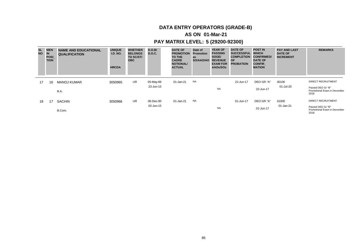### **AS ON 01-Mar-21**

| SL<br><b>NO</b> | <b>MEN</b><br><b>IN</b><br><b>POSI</b><br><b>TION</b> | <b>NAME AND EDUCATIONAL</b><br><b>QUALIFICATION</b> | <b>UNIQUE</b><br><b>I.D. NO.</b><br><b>HRCDA</b> | <b>WHETHER</b><br><b>BELONGS</b><br>TO SC/ST/<br><b>OBC</b> | D.O.B/<br><b>D.O.C.</b> | <b>DATE OF</b><br><b>PROMOTION</b><br><b>TO THE</b><br><b>CADRE</b><br><b>NOTIONAL/</b><br><b>ACTUAL</b> | Date of<br><b>Promotion</b><br>as<br>SO/AAO/AO | <b>YEAR OF</b><br><b>PASSING</b><br>SOGE/<br><b>REVENUE</b><br><b>EXAM FOR</b><br>AAOs/SOs | <b>DATE OF</b><br><b>SUCCESSFUL</b><br><b>COMPLETION</b><br><b>OF</b><br><b>PROBATION</b> | <b>POST IN</b><br><b>WHICH</b><br><b>CONFIRMED/</b><br><b>DATE OF</b><br><b>CONFIR</b><br><b>MATION</b> | <b>PAY AND LAST</b><br><b>DATE OF</b><br><b>INCREMENT</b> | <b>REMARKS</b>                                            |
|-----------------|-------------------------------------------------------|-----------------------------------------------------|--------------------------------------------------|-------------------------------------------------------------|-------------------------|----------------------------------------------------------------------------------------------------------|------------------------------------------------|--------------------------------------------------------------------------------------------|-------------------------------------------------------------------------------------------|---------------------------------------------------------------------------------------------------------|-----------------------------------------------------------|-----------------------------------------------------------|
| 17              | 16                                                    | <b>MANOJ KUMAR</b>                                  | 3050965                                          | UR                                                          | 05-May-88               | 01-Jan-21                                                                                                | <b>NA</b>                                      |                                                                                            | 22-Jun-17                                                                                 | DEO GR "A"                                                                                              | 30100                                                     | <b>DIRECT RECRUITMENT</b>                                 |
|                 |                                                       | B.A.                                                |                                                  |                                                             | 23-Jun-15               |                                                                                                          |                                                | <b>NA</b>                                                                                  |                                                                                           | 22-Jun-17                                                                                               | 01-Jul-20                                                 | Passed DEO Gr "B"<br>Promotional Exam in December<br>2018 |
| 18              | 17                                                    | <b>SACHIN</b>                                       | 3050966                                          | <b>UR</b>                                                   | 06-Dec-90               | 01-Jan-21                                                                                                | <b>NA</b>                                      |                                                                                            | 01-Jun-17                                                                                 | DEO GR "A"                                                                                              | 31000                                                     | <b>DIRECT RECRUITMENT</b>                                 |
|                 |                                                       | B.Com.                                              |                                                  |                                                             | 02-Jun-15               |                                                                                                          |                                                | <b>NA</b>                                                                                  |                                                                                           | 01-Jun-17                                                                                               | 01-Jan-21                                                 | Passed DEO Gr "B"<br>Promotional Exam in December<br>2018 |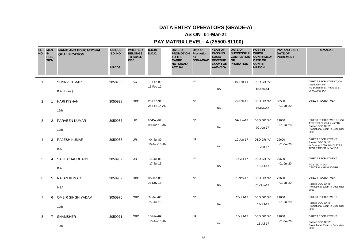### **AS ON 01-Mar-21**

| <b>SL</b><br><b>NO</b> | <b>MEN</b><br>IN<br><b>POSI</b><br><b>TION</b> | <b>NAME AND EDUCATIONAL</b><br><b>QUALIFICATION</b> | <b>UNIQUE</b><br><b>I.D. NO.</b><br><b>HRCDA</b> | <b>WHETHER</b><br><b>BELONGS</b><br>TO SC/ST/<br><b>OBC</b> | D.O.B/<br><b>D.O.C.</b>   | <b>DATE OF</b><br><b>PROMOTION</b><br><b>TO THE</b><br><b>CADRE</b><br><b>NOTIONAL/</b><br><b>ACTUAL</b> | Date of<br>Promotion<br>as<br>SO/AAO/AO | <b>YEAR OF</b><br><b>PASSING</b><br>SOGE/<br><b>REVENUE</b><br><b>EXAM FOR</b><br>AAOs/SOs | <b>DATE OF</b><br><b>SUCCESSFUL</b><br><b>COMPLETION</b><br><b>OF</b><br><b>PROBATION</b> | <b>POST IN</b><br><b>WHICH</b><br><b>CONFIRMED/</b><br><b>DATE OF</b><br><b>CONFIR</b><br><b>MATION</b> | <b>PAY AND LAST</b><br><b>DATE OF</b><br><b>INCREMENT</b> | <b>REMARKS</b>                                                                                               |
|------------------------|------------------------------------------------|-----------------------------------------------------|--------------------------------------------------|-------------------------------------------------------------|---------------------------|----------------------------------------------------------------------------------------------------------|-----------------------------------------|--------------------------------------------------------------------------------------------|-------------------------------------------------------------------------------------------|---------------------------------------------------------------------------------------------------------|-----------------------------------------------------------|--------------------------------------------------------------------------------------------------------------|
| $\overline{1}$         |                                                | <b>SUNNY KUMAR</b><br>B.A. (Hons.)                  | 3050783                                          | SC                                                          | 18-Feb-90<br>15-Feb-12    |                                                                                                          | <b>NA</b>                               | <b>NA</b>                                                                                  | 16-Feb-14                                                                                 | DEO GR "A"<br>16-Feb-14                                                                                 |                                                           | DIRECT RECRUITMENT, On<br>Deputation with<br>AG (A&E) Bihar, Patna w.e.f.<br>06.09.2019 (AN)                 |
| 2                      |                                                | <b>HARI KISHAN</b><br>12th                          | 3050938                                          | OBC                                                         | 25-Feb-91<br>25-Feb-14 AN |                                                                                                          | <b>NA</b>                               | <b>NA</b>                                                                                  | 25-Feb-16                                                                                 | DEO GR "A"<br>25-Feb-16                                                                                 | 30500<br>01-Jul-20                                        | <b>DIRECT RECRUITMENT</b>                                                                                    |
| 3                      | 2                                              | <b>PARVEEN KUMAR</b><br>12th                        | 3050967                                          | <b>UR</b>                                                   | 20-Dec-92<br>09-Jun-15 AN |                                                                                                          | <b>NA</b>                               | <b>NA</b>                                                                                  | 09-Jun-17                                                                                 | DEO GR "A"<br>09-Jun-17                                                                                 | 29600<br>01-Jul-20                                        | DIRECT RECRUITMENT, Hindi<br>Type Test passed in Jan'16<br>Passed DEO Gr "B"<br>Promotional Exam in December |
| 4                      | 3                                              | <b>RAJESH KUMAR</b><br>B.A.                         | 3050968                                          | <b>UR</b>                                                   | 04-Jul-89<br>10-Jun-15 AN |                                                                                                          | <b>NA</b>                               | <b>NA</b>                                                                                  | 10-Jun-17                                                                                 | DEO GR "A"<br>10-Jun-17                                                                                 | 29600<br>01-Jul-20                                        | 2019<br>DIRECT RECRUITMENT,<br>Passed DEO Gr "B"<br>in October 2020, HINDI TYPE<br>TEST PASSED IN JAN'16     |
| 5                      | 4                                              | SALIL CHAUDHARY<br>B.A.                             | 3050969                                          | UR                                                          | 11-Jul-88<br>17-Jul-15    |                                                                                                          | <b>NA</b>                               | <b>NA</b>                                                                                  | 16-Jul-17                                                                                 | DEO GR "A"<br>16-Jul-17                                                                                 | 29600<br>01-Jul-20                                        | <b>DIRECT RECRUITMENT</b><br>POSTED IN DGA<br>CENTRAL, CHANDIGARH                                            |
| 6                      | 5                                              | <b>RAJAN KUMAR</b><br><b>MBA</b>                    | 3050982                                          | OBC                                                         | 05-Jan-86<br>02-Nov-15    |                                                                                                          | <b>NA</b>                               | <b>NA</b>                                                                                  | 01-Nov-17                                                                                 | DEO GR "A"<br>01-Nov-17                                                                                 | 29600<br>01-Jul-20                                        | DIRECT RECRUITMENT<br>Passed DEO Gr "B"<br>Promotional Exam in December<br>2019                              |
| 7                      | 6                                              | OMBIR SINGH YADAV<br>12th                           | 3050970                                          | <b>OBC</b>                                                  | 24-Jan-85<br>27-Jul-15    |                                                                                                          | <b>NA</b>                               | <b>NA</b>                                                                                  | 26-Jul-17                                                                                 | DEO GR "A"<br>26-Jul-17                                                                                 | 29600<br>01-Jul-20                                        | <b>DIRECT RECRUITMENT</b><br>Passed DEO Gr "B"<br>Promotional Exam in December<br>2018                       |
| 8                      | $\overline{7}$                                 | <b>SHAMSHER</b><br>12th                             | 3050971                                          | OBC                                                         | 10-Mar-89<br>15-Jul-15 AN |                                                                                                          | <b>NA</b>                               | <b>NA</b>                                                                                  | 15-Jul-17                                                                                 | DEO GR "A"<br>15-Jul-17                                                                                 | 29600<br>01-Jul-20                                        | <b>DIRECT RECRUITMENT</b><br>Passed DEO Gr "B"<br>Promotional Exam in December<br>2018                       |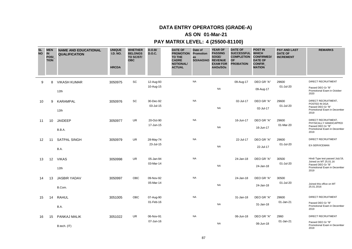### **AS ON 01-Mar-21**

| <b>SL</b><br><b>NO</b> | <b>MEN</b><br><b>IN</b><br><b>POSI</b><br><b>TION</b> | <b>NAME AND EDUCATIONAL</b><br><b>QUALIFICATION</b> | <b>UNIQUE</b><br><b>I.D. NO.</b><br><b>HRCDA</b> | <b>WHETHER</b><br><b>BELONGS</b><br>TO SC/ST/<br><b>OBC</b> | D.O.B/<br><b>D.O.C.</b> | <b>DATE OF</b><br><b>PROMOTION</b><br>TO THE<br><b>CADRE</b><br><b>NOTIONAL/</b><br><b>ACTUAL</b> | Date of<br>Promotion<br>as<br>SO/AAO/AO | <b>YEAR OF</b><br><b>PASSING</b><br>SOGE/<br><b>REVENUE</b><br><b>EXAM FOR</b><br>AAOs/SOs | <b>DATE OF</b><br><b>SUCCESSFUL</b><br><b>COMPLETION</b><br><b>OF</b><br><b>PROBATION</b> | <b>POST IN</b><br><b>WHICH</b><br><b>CONFIRMED/</b><br><b>DATE OF</b><br><b>CONFIR</b><br><b>MATION</b> | <b>PAY AND LAST</b><br><b>DATE OF</b><br><b>INCREMENT</b> | <b>REMARKS</b>                                                                      |
|------------------------|-------------------------------------------------------|-----------------------------------------------------|--------------------------------------------------|-------------------------------------------------------------|-------------------------|---------------------------------------------------------------------------------------------------|-----------------------------------------|--------------------------------------------------------------------------------------------|-------------------------------------------------------------------------------------------|---------------------------------------------------------------------------------------------------------|-----------------------------------------------------------|-------------------------------------------------------------------------------------|
| 9                      | 8                                                     | <b>VIKASH KUMAR</b>                                 | 3050975                                          | SC                                                          | 12-Aug-93               |                                                                                                   | <b>NA</b>                               |                                                                                            | 09-Aug-17                                                                                 | DEO GR "A"                                                                                              | 29600                                                     | <b>DIRECT RECRUITMENT</b>                                                           |
|                        |                                                       | 12th                                                |                                                  |                                                             | 10-Aug-15               |                                                                                                   |                                         | <b>NA</b>                                                                                  |                                                                                           | 09-Aug-17                                                                                               | 01-Jul-20                                                 | Passed DEO Gr "B"<br>Promotional Exam in October<br>2020                            |
| 10                     | 9                                                     | KARAMPAL                                            | 3050976                                          | SC                                                          | 30-Dec-92               |                                                                                                   | <b>NA</b>                               |                                                                                            | 02-Jul-17                                                                                 | DEO GR "A"                                                                                              | 29600                                                     | DIRECT RECRUITMENT,                                                                 |
|                        |                                                       | 12th                                                |                                                  |                                                             | 03-Jul-15               |                                                                                                   |                                         | <b>NA</b>                                                                                  |                                                                                           | 02-Jul-17                                                                                               | 01-Jul-20                                                 | POSTED IN DGA<br>Passed DEO Gr "B"<br>Promotional Exam in December<br>2019          |
| 11                     | 10                                                    | <b>JAIDEEP</b>                                      | 3050977                                          | <b>UR</b>                                                   | 20-Oct-90               |                                                                                                   | <b>NA</b>                               |                                                                                            | 16-Jun-17                                                                                 | DEO GR "A"                                                                                              | 29600                                                     | DIRECT RECRUITMENT,                                                                 |
|                        |                                                       | B.B.A.                                              |                                                  |                                                             | 17-Jun-15               |                                                                                                   |                                         | <b>NA</b>                                                                                  |                                                                                           | 16-Jun-17                                                                                               | 01-Mar-20                                                 | PHYSICALLY HANDICAPPED<br>Passed DEO Gr "B"<br>Promotional Exam in December<br>2019 |
| $12 \overline{ }$      | 11                                                    | <b>SATPAL SINGH</b>                                 | 3050979                                          | <b>UR</b>                                                   | 28-May-74               |                                                                                                   | <b>NA</b>                               |                                                                                            | 22-Jul-17                                                                                 | DEO GR "A"                                                                                              | 29600                                                     | <b>DIRECT RECRUITMENT</b>                                                           |
|                        |                                                       | B.A.                                                |                                                  |                                                             | 23-Jul-15               |                                                                                                   |                                         | <b>NA</b>                                                                                  |                                                                                           | 22-Jul-17                                                                                               | 01-Jul-20                                                 | <b>EX-SERVICEMAN</b>                                                                |
| 13                     | 12                                                    | <b>VIKAS</b>                                        | 3050998                                          | <b>UR</b>                                                   | 05-Jan-94               |                                                                                                   | <b>NA</b>                               |                                                                                            | 24-Jan-18                                                                                 | DEO GR "A"                                                                                              | 30500                                                     | Hindi Type test passed July'19,                                                     |
|                        |                                                       | 12th                                                |                                                  |                                                             | 03-Mar-14               |                                                                                                   |                                         | <b>NA</b>                                                                                  |                                                                                           | 24-Jan-18                                                                                               | 01-Jul-20                                                 | Joined on MT 25.01.16<br>Passed DEO Gr "B"<br>Promotional Exam in December<br>2019  |
| 14                     | 13                                                    | <b>JASBIR YADAV</b>                                 | 3050997                                          | <b>OBC</b>                                                  | 09-Nov-92               |                                                                                                   | <b>NA</b>                               |                                                                                            | 24-Jan-18                                                                                 | DEO GR "A"                                                                                              | 30500                                                     |                                                                                     |
|                        |                                                       | B.Com.                                              |                                                  |                                                             | 05-Mar-14               |                                                                                                   |                                         | <b>NA</b>                                                                                  |                                                                                           | 24-Jan-18                                                                                               | 01-Jul-20                                                 | Joined this office on MT<br>25.01.2016                                              |
| 15                     | 14                                                    | <b>RAHUL</b>                                        | 3051005                                          | OBC                                                         | 07-Aug-90               |                                                                                                   | <b>NA</b>                               |                                                                                            | 31-Jan-18                                                                                 | DEO GR "A"                                                                                              | 29600                                                     | <b>DIRECT RECRUITMENT</b>                                                           |
|                        |                                                       | B.A.                                                |                                                  |                                                             | 01-Feb-16               |                                                                                                   |                                         | <b>NA</b>                                                                                  |                                                                                           | 31-Jan-18                                                                                               | 01-Jan-21                                                 | Passed DEO Gr "B"<br>Promotional Exam in December<br>2019                           |
| 16                     | 15                                                    | PANKAJ MALIK                                        | 3051022                                          | <b>UR</b>                                                   | 06-Nov-91               |                                                                                                   | <b>NA</b>                               |                                                                                            | 06-Jun-18                                                                                 | DEO GR "A"                                                                                              | 2960                                                      | DIRECT RECRUITMENT                                                                  |
|                        |                                                       | B.tech. (IT)                                        |                                                  |                                                             | 07-Jun-16               |                                                                                                   |                                         | <b>NA</b>                                                                                  |                                                                                           | 06-Jun-18                                                                                               | 01-Jan-21                                                 | Passed DEO Gr "B"<br>Promotional Exam in December<br>2019                           |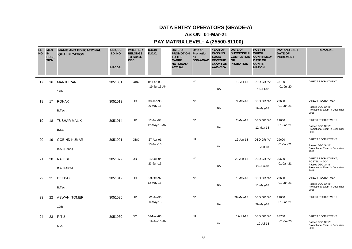### **AS ON 01-Mar-21**

| <b>SL</b><br><b>NO</b> | <b>MEN</b><br><b>IN</b><br><b>POSI</b><br><b>TION</b> | <b>NAME AND EDUCATIONAL</b><br><b>QUALIFICATION</b> | <b>UNIQUE</b><br><b>I.D. NO.</b><br><b>HRCDA</b> | <b>WHETHER</b><br><b>BELONGS</b><br>TO SC/ST/<br><b>OBC</b> | D.O.B/<br><b>D.O.C.</b> | <b>DATE OF</b><br><b>PROMOTION</b><br>TO THE<br><b>CADRE</b><br><b>NOTIONAL/</b><br><b>ACTUAL</b> | Date of<br>Promotion<br>as<br>SO/AAO/AO | <b>YEAR OF</b><br><b>PASSING</b><br>SOGE/<br><b>REVENUE</b><br><b>EXAM FOR</b><br>AAOs/SOs | <b>DATE OF</b><br><b>SUCCESSFUL</b><br><b>COMPLETION</b><br><b>OF</b><br><b>PROBATION</b> | <b>POST IN</b><br><b>WHICH</b><br><b>CONFIRMED/</b><br><b>DATE OF</b><br><b>CONFIR</b><br><b>MATION</b> | <b>PAY AND LAST</b><br><b>DATE OF</b><br><b>INCREMENT</b> | <b>REMARKS</b>                                            |
|------------------------|-------------------------------------------------------|-----------------------------------------------------|--------------------------------------------------|-------------------------------------------------------------|-------------------------|---------------------------------------------------------------------------------------------------|-----------------------------------------|--------------------------------------------------------------------------------------------|-------------------------------------------------------------------------------------------|---------------------------------------------------------------------------------------------------------|-----------------------------------------------------------|-----------------------------------------------------------|
| 17                     | 16                                                    | <b>MANJU RANI</b>                                   | 3051031                                          | OBC                                                         | 05-Feb-93               |                                                                                                   | <b>NA</b>                               |                                                                                            | 19-Jul-18                                                                                 | DEO GR "A"                                                                                              | 28700                                                     | <b>DIRECT RECRUITMENT</b>                                 |
|                        |                                                       | 12th                                                |                                                  |                                                             | 19-Jul-16 AN            |                                                                                                   |                                         | <b>NA</b>                                                                                  |                                                                                           | 19-Jul-18                                                                                               | 01-Jul-20                                                 |                                                           |
| 18                     | 17                                                    | <b>RONAK</b>                                        | 3051013                                          | UR                                                          | 30-Jan-90               |                                                                                                   | <b>NA</b>                               |                                                                                            | 19-May-18                                                                                 | DEO GR "A"                                                                                              | 29600                                                     | <b>DIRECT RECRUITMENT</b>                                 |
|                        |                                                       | B.Tech.                                             |                                                  |                                                             | 20-May-16               |                                                                                                   |                                         | <b>NA</b>                                                                                  |                                                                                           | 19-May-18                                                                                               | 01-Jan-21                                                 | Passed DEO Gr "B"<br>Promotional Exam in December<br>2018 |
| 19                     | 18                                                    | <b>TUSHAR MALIK</b>                                 | 3051014                                          | UR                                                          | 12-Jun-93               |                                                                                                   | <b>NA</b>                               |                                                                                            | 12-May-18                                                                                 | DEO GR "A"                                                                                              | 29600                                                     | DIRECT RECRUITMENT                                        |
|                        |                                                       | B.Sc.                                               |                                                  |                                                             | 12-May-16 AN            |                                                                                                   |                                         | <b>NA</b>                                                                                  |                                                                                           | 12-May-18                                                                                               | 01-Jan-21                                                 | Passed DEO Gr "B"<br>Promotional Exam in December<br>2018 |
| 20                     | 19                                                    | <b>GOBIND KUMAR</b>                                 | 3051021                                          | OBC                                                         | 27-Apr-91               |                                                                                                   | <b>NA</b>                               |                                                                                            | 12-Jun-18                                                                                 | DEO GR "A"                                                                                              | 29600                                                     | DIRECT RECRUITMENT                                        |
|                        |                                                       | B.A. (Hons.)                                        |                                                  |                                                             | 13-Jun-16               |                                                                                                   |                                         | <b>NA</b>                                                                                  |                                                                                           | 12-Jun-18                                                                                               | 01-Jan-21                                                 | Passed DEO Gr "B"<br>Promotional Exam in December<br>2019 |
| 21                     | 20                                                    | <b>RAJESH</b>                                       | 3051029                                          | <b>UR</b>                                                   | 12-Jul-94               |                                                                                                   | <b>NA</b>                               |                                                                                            | 22-Jun-18                                                                                 | DEO GR "A"                                                                                              | 29600                                                     | DIRECT RECRUITMENT,<br>POSTED IN DGA                      |
|                        |                                                       | <b>B.A. PART-I</b>                                  |                                                  |                                                             | 23-Jun-16               |                                                                                                   |                                         | <b>NA</b>                                                                                  |                                                                                           | 22-Jun-18                                                                                               | 01-Jan-21                                                 | Passed DEO Gr "B"<br>Promotional Exam in December<br>2019 |
| 22                     | 21                                                    | <b>DEEPAK</b>                                       | 3051012                                          | <b>UR</b>                                                   | 23-Oct-92               |                                                                                                   | <b>NA</b>                               |                                                                                            | 11-May-18                                                                                 | DEO GR "A"                                                                                              | 29600                                                     | DIRECT RECRUITMENT                                        |
|                        |                                                       | B.Tech.                                             |                                                  |                                                             | 12-May-16               |                                                                                                   |                                         | <b>NA</b>                                                                                  |                                                                                           | $11-May-18$                                                                                             | 01-Jan-21                                                 | Passed DEO Gr "B"<br>Promotional Exam in December<br>2018 |
| 23                     | 22                                                    | <b>ASWANI TOMER</b>                                 | 3051020                                          | <b>UR</b>                                                   | 01-Jul-95               |                                                                                                   | <b>NA</b>                               |                                                                                            | 29-May-18                                                                                 | DEO GR "A"                                                                                              | 29600                                                     | <b>DIRECT RECRUITMENT</b>                                 |
|                        |                                                       | 12th                                                |                                                  |                                                             | 30-May-16               |                                                                                                   |                                         | <b>NA</b>                                                                                  |                                                                                           | 29-May-18                                                                                               | 01-Jan-21                                                 |                                                           |
| 24                     | 23                                                    | <b>RITU</b>                                         | 3051030                                          | SC                                                          | 03-Nov-86               |                                                                                                   | <b>NA</b>                               |                                                                                            | 19-Jul-18                                                                                 | DEO GR "A"                                                                                              | 28700                                                     | DIRECT RECRUITMENT                                        |
|                        |                                                       | M.A.                                                |                                                  |                                                             | 19-Jul-16 AN            |                                                                                                   |                                         | <b>NA</b>                                                                                  |                                                                                           | 19-Jul-18                                                                                               | 01-Jul-20                                                 | Passed DEO Gr "B"<br>Promotional Exam in December<br>2018 |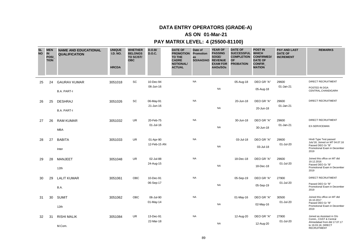### **AS ON 01-Mar-21**

| <b>SL</b><br><b>NO</b> | <b>MEN</b><br><b>IN</b><br><b>POSI</b><br><b>TION</b> | <b>NAME AND EDUCATIONAL</b><br><b>QUALIFICATION</b> | <b>UNIQUE</b><br><b>I.D. NO.</b><br><b>HRCDA</b> | <b>WHETHER</b><br><b>BELONGS</b><br>TO SC/ST/<br><b>OBC</b> | D.O.B/<br><b>D.O.C.</b> | <b>DATE OF</b><br><b>PROMOTION</b><br><b>TO THE</b><br><b>CADRE</b><br><b>NOTIONAL/</b><br><b>ACTUAL</b> | Date of<br>Promotion<br>as<br>SO/AAO/AO | <b>YEAR OF</b><br><b>PASSING</b><br>SOGE/<br><b>REVENUE</b><br><b>EXAM FOR</b><br>AAOs/SOs | <b>DATE OF</b><br><b>SUCCESSFUL</b><br><b>COMPLETION</b><br><b>OF</b><br><b>PROBATION</b> | <b>POST IN</b><br><b>WHICH</b><br><b>CONFIRMED/</b><br><b>DATE OF</b><br><b>CONFIR</b><br><b>MATION</b> | <b>PAY AND LAST</b><br><b>DATE OF</b><br><b>INCREMENT</b> | <b>REMARKS</b>                                                           |
|------------------------|-------------------------------------------------------|-----------------------------------------------------|--------------------------------------------------|-------------------------------------------------------------|-------------------------|----------------------------------------------------------------------------------------------------------|-----------------------------------------|--------------------------------------------------------------------------------------------|-------------------------------------------------------------------------------------------|---------------------------------------------------------------------------------------------------------|-----------------------------------------------------------|--------------------------------------------------------------------------|
| 25                     | 24                                                    | <b>GAURAV KUMAR</b>                                 | 3051018                                          | SC                                                          | 10-Dec-94               |                                                                                                          | <b>NA</b>                               |                                                                                            | 05-Aug-18                                                                                 | DEO GR "A"                                                                                              | 29600                                                     | DIRECT RECRUITMENT                                                       |
|                        |                                                       | <b>B.A. PART-I</b>                                  |                                                  |                                                             | 06-Jun-16               |                                                                                                          |                                         | <b>NA</b>                                                                                  |                                                                                           | 05-Aug-18                                                                                               | 01-Jan-21                                                 | POSTED IN DGA<br>CENTRAL, CHANDIGARH                                     |
| 26                     | 25                                                    | <b>DESHRAJ</b>                                      | 3051026                                          | SC                                                          | 06-May-91<br>21-Jun-16  |                                                                                                          | <b>NA</b>                               |                                                                                            | 20-Jun-18                                                                                 | DEO GR "A"                                                                                              | 29600<br>01-Jan-21                                        | DIRECT RECRUITMENT                                                       |
|                        |                                                       | <b>B.A. PART-I</b>                                  |                                                  |                                                             |                         |                                                                                                          |                                         | <b>NA</b>                                                                                  |                                                                                           | 20-Jun-18                                                                                               |                                                           |                                                                          |
| 27                     | 26                                                    | <b>RAM KUMAR</b>                                    | 3051032                                          | UR.                                                         | 20-Feb-75               |                                                                                                          | <b>NA</b>                               |                                                                                            | 30-Jun-18                                                                                 | DEO GR "A"                                                                                              | 29600                                                     | <b>DIRECT RECRUITMENT</b>                                                |
|                        |                                                       | <b>MBA</b>                                          |                                                  |                                                             | 01-Jul-16               |                                                                                                          |                                         | <b>NA</b>                                                                                  |                                                                                           | 30-Jun-18                                                                                               | 01-Jan-21                                                 | <b>EX-SERVICEMAN</b>                                                     |
| 28                     | 27                                                    | <b>BABITA</b>                                       | 3051033                                          | UR.                                                         | 01-Apr-90               |                                                                                                          | <b>NA</b>                               |                                                                                            | 03-Jul-18                                                                                 | DEO GR "A"                                                                                              | 29600                                                     | Hindi Type Test passed<br>July'18, Joined on MT 04.07.16                 |
|                        |                                                       | Inter                                               |                                                  |                                                             | 12-Feb-15 AN            |                                                                                                          |                                         | <b>NA</b>                                                                                  |                                                                                           | 03-Jul-18                                                                                               | 01-Jul-20                                                 | Passed DEO Gr "B"<br>Promotional Exam in December<br>2019                |
| 29                     | 28                                                    | <b>MANJEET</b>                                      | 3051048                                          | <b>UR</b>                                                   | 02-Jul-88               |                                                                                                          | <b>NA</b>                               |                                                                                            | 18-Dec-18                                                                                 | DEO GR "A"                                                                                              | 29600                                                     | Joined this office on MT dtd<br>19.12.2016                               |
|                        |                                                       | 12th                                                |                                                  |                                                             | 24-Aug-15               |                                                                                                          |                                         | <b>NA</b>                                                                                  |                                                                                           | 18-Dec-18                                                                                               | 01-Jul-20                                                 | Passed DEO Gr "B"<br>Promotional Exam in December<br>2019                |
| 30                     | 29                                                    | <b>LALIT KUMAR</b>                                  | 3051061                                          | <b>OBC</b>                                                  | 10-Dec-91               |                                                                                                          | <b>NA</b>                               |                                                                                            | 05-Sep-19                                                                                 | DEO GR "A"                                                                                              | 27900                                                     | <b>DIRECT RECRUITMENT</b>                                                |
|                        |                                                       | B.A.                                                |                                                  |                                                             | 06-Sep-17               |                                                                                                          |                                         | <b>NA</b>                                                                                  |                                                                                           | 05-Sep-19                                                                                               | 01-Jul-20                                                 | Passed DEO Gr "B"<br>Promotional Exam in December<br>2019                |
| 31                     | 30                                                    | <b>SUMIT</b>                                        | 3051062                                          | OBC                                                         | 06-Jul-90               |                                                                                                          | <b>NA</b>                               |                                                                                            | 01-May-16                                                                                 | DEO GR "A"                                                                                              | 30500                                                     | Joined this office on MT dtd<br>16.10.2017                               |
|                        |                                                       | 12th                                                |                                                  |                                                             | 01-May-14               |                                                                                                          |                                         | <b>NA</b>                                                                                  |                                                                                           | 02-May-16                                                                                               | 01-Jul-20                                                 | Passed DEO Gr "B"<br>Promotional Exam in December<br>2019                |
| 32                     | 31                                                    | <b>RISHI MALIK</b>                                  | 3051084                                          | <b>UR</b>                                                   | 13-Dec-91               |                                                                                                          | <b>NA</b>                               |                                                                                            | 12-Aug-20                                                                                 | DEO GR "A"                                                                                              | 27900                                                     | Joined as Assistant in O/o<br>Comm., CGST & Central                      |
|                        |                                                       | M.Com.                                              |                                                  |                                                             | 22-Mar-18               |                                                                                                          |                                         | <b>NA</b>                                                                                  |                                                                                           | 12-Aug-20                                                                                               | 01-Jul-20                                                 | Ahmedabad from dtd 17.07.17<br>to 19.03.18, DIRECT<br><b>RECRUITMENT</b> |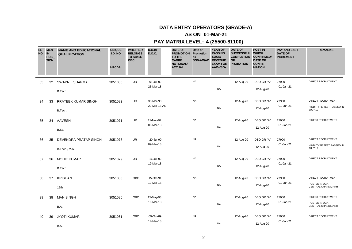### **AS ON 01-Mar-21**

| <b>SL</b><br><b>NO</b> | <b>MEN</b><br><b>IN</b><br>POSI_<br><b>TION</b> | <b>NAME AND EDUCATIONAL</b><br><b>QUALIFICATION</b> | <b>UNIQUE</b><br><b>I.D. NO.</b><br><b>HRCDA</b> | <b>WHETHER</b><br><b>BELONGS</b><br>TO SC/ST/<br><b>OBC</b> | D.O.B/<br><b>D.O.C.</b>   | <b>DATE OF</b><br><b>PROMOTION</b><br>TO THE<br><b>CADRE</b><br><b>NOTIONAL/</b><br><b>ACTUAL</b> | Date of<br>Promotion<br>as<br>SO/AAO/AO | <b>YEAR OF</b><br><b>PASSING</b><br>SOGE/<br><b>REVENUE</b><br><b>EXAM FOR</b><br>AAOs/SOs | <b>DATE OF</b><br><b>SUCCESSFUL</b><br><b>COMPLETION</b><br><b>OF</b><br><b>PROBATION</b> | <b>POST IN</b><br><b>WHICH</b><br><b>CONFIRMED/</b><br><b>DATE OF</b><br>CONFIR_<br><b>MATION</b> | <b>PAY AND LAST</b><br><b>DATE OF</b><br><b>INCREMENT</b> | <b>REMARKS</b>                                                    |
|------------------------|-------------------------------------------------|-----------------------------------------------------|--------------------------------------------------|-------------------------------------------------------------|---------------------------|---------------------------------------------------------------------------------------------------|-----------------------------------------|--------------------------------------------------------------------------------------------|-------------------------------------------------------------------------------------------|---------------------------------------------------------------------------------------------------|-----------------------------------------------------------|-------------------------------------------------------------------|
| 33                     | 32                                              | <b>SWAPNIL SHARMA</b><br>B.Tech.                    | 3051086                                          | <b>UR</b>                                                   | 01-Jul-92<br>23-Mar-18    |                                                                                                   | <b>NA</b>                               | <b>NA</b>                                                                                  | 12-Aug-20                                                                                 | DEO GR "A"<br>12-Aug-20                                                                           | 27900<br>01-Jan-21                                        | <b>DIRECT RECRUITMENT</b>                                         |
| 34                     | 33                                              | PRATEEK KUMAR SINGH<br>B.Tech.                      | 3051082                                          | <b>UR</b>                                                   | 30-Mar-90<br>22-Mar-18 AN |                                                                                                   | <b>NA</b>                               | <b>NA</b>                                                                                  | 12-Aug-20                                                                                 | DEO GR "A"<br>12-Aug-20                                                                           | 27900<br>01-Jan-21                                        | <b>DIRECT RECRUITMENT</b><br>HINDI TYPE TEST PASSED IN<br>JULY'19 |
| 35                     | 34                                              | AAVESH<br>B.Sc.                                     | 3051071                                          | UR                                                          | 21-Nov-92<br>06-Mar-18    |                                                                                                   | <b>NA</b>                               | <b>NA</b>                                                                                  | 12-Aug-20                                                                                 | DEO GR "A"<br>12-Aug-20                                                                           | 27900<br>01-Jan-21                                        | DIRECT RECRUITMENT                                                |
| 36                     | 35                                              | <b>DEVENDRA PRATAP SINGH</b><br>B.Tech., M.A.       | 3051073                                          | UR                                                          | 20-Jul-90<br>09-Mar-18    |                                                                                                   | <b>NA</b>                               | <b>NA</b>                                                                                  | 12-Aug-20                                                                                 | DEO GR "A"<br>12-Aug-20                                                                           | 27900<br>01-Jan-21                                        | DIRECT RECRUITMENT<br>HINDI TYPE TEST PASSED IN<br>JULY'19        |
| 37                     | 36                                              | <b>MOHIT KUMAR</b><br>B.Tech.                       | 3051079                                          | <b>UR</b>                                                   | 16-Jul-92<br>12-Mar-18    |                                                                                                   | <b>NA</b>                               | <b>NA</b>                                                                                  | 12-Aug-20                                                                                 | DEO GR "A"<br>12-Aug-20                                                                           | 27900<br>01-Jan-21                                        | <b>DIRECT RECRUITMENT</b>                                         |
| 38                     | 37                                              | <b>KRISHAN</b><br>12th                              | 3051083                                          | OBC                                                         | 15-Oct-91<br>19-Mar-18    |                                                                                                   | <b>NA</b>                               | <b>NA</b>                                                                                  | 12-Aug-20                                                                                 | DEO GR "A"<br>12-Aug-20                                                                           | 27900<br>01-Jan-21                                        | <b>DIRECT RECRUITMENT</b><br>POSTED IN DGA<br>CENTRAL, CHANDIGARH |
| 39                     | 38                                              | <b>MAN SINGH</b><br>B.A.                            | 3051080                                          | OBC                                                         | 15-May-93<br>16-Mar-18    |                                                                                                   | <b>NA</b>                               | <b>NA</b>                                                                                  | 12-Aug-20                                                                                 | DEO GR "A"<br>12-Aug-20                                                                           | 27900<br>01-Jan-21                                        | DIRECT RECRUITMENT<br>POSTED IN DGA<br>CENTRAL, CHANDIGARH        |
| 40                     | 39                                              | <b>JYOTI KUMARI</b><br>B.A.                         | 3051081                                          | OBC                                                         | 09-Oct-89<br>14-Mar-18    |                                                                                                   | <b>NA</b>                               | <b>NA</b>                                                                                  | 12-Aug-20                                                                                 | DEO GR "A"<br>12-Aug-20                                                                           | 27900<br>01-Jan-21                                        | DIRECT RECRUITMENT                                                |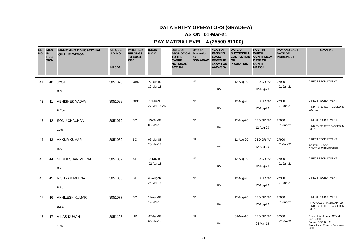### **AS ON 01-Mar-21**

| <b>SL</b><br><b>NO</b> | <b>MEN</b><br>IN<br><b>POSI</b><br><b>TION</b> | <b>NAME AND EDUCATIONAL</b><br><b>QUALIFICATION</b> | <b>UNIQUE</b><br><b>I.D. NO.</b><br><b>HRCDA</b> | <b>WHETHER</b><br><b>BELONGS</b><br>TO SC/ST/<br><b>OBC</b> | D.O.B/<br><b>D.O.C.</b>   | <b>DATE OF</b><br><b>PROMOTION</b><br><b>TO THE</b><br><b>CADRE</b><br><b>NOTIONAL/</b><br><b>ACTUAL</b> | Date of<br>Promotion<br>as<br>SO/AAO/AO | <b>YEAR OF</b><br><b>PASSING</b><br>SOGE/<br><b>REVENUE</b><br><b>EXAM FOR</b><br>AAOs/SOs | <b>DATE OF</b><br><b>SUCCESSFUL</b><br><b>COMPLETION</b><br><b>OF</b><br><b>PROBATION</b> | <b>POST IN</b><br><b>WHICH</b><br><b>CONFIRMED/</b><br><b>DATE OF</b><br><b>CONFIR</b><br><b>MATION</b> | <b>PAY AND LAST</b><br><b>DATE OF</b><br><b>INCREMENT</b> | <b>REMARKS</b>                                                                                          |
|------------------------|------------------------------------------------|-----------------------------------------------------|--------------------------------------------------|-------------------------------------------------------------|---------------------------|----------------------------------------------------------------------------------------------------------|-----------------------------------------|--------------------------------------------------------------------------------------------|-------------------------------------------------------------------------------------------|---------------------------------------------------------------------------------------------------------|-----------------------------------------------------------|---------------------------------------------------------------------------------------------------------|
| 41                     | 40                                             | <b>JYOTI</b><br>B.Sc.                               | 3051078                                          | OBC                                                         | 27-Jun-92<br>12-Mar-18    |                                                                                                          | <b>NA</b>                               | <b>NA</b>                                                                                  | 12-Aug-20                                                                                 | DEO GR "A"<br>12-Aug-20                                                                                 | 27900<br>01-Jan-21                                        | <b>DIRECT RECRUITMENT</b>                                                                               |
| 42                     | 41                                             | <b>ABHISHEK YADAV</b><br>B.Tech.                    | 3051088                                          | <b>OBC</b>                                                  | 19-Jul-93<br>27-Mar-18 AN |                                                                                                          | <b>NA</b>                               | <b>NA</b>                                                                                  | 12-Aug-20                                                                                 | DEO GR "A"<br>12-Aug-20                                                                                 | 27900<br>01-Jan-21                                        | <b>DIRECT RECRUITMENT</b><br>HINDI TYPE TEST PASSED IN<br>JULY'19                                       |
| 43                     | 42                                             | SONU CHAUHAN<br>12th                                | 3051072                                          | SC                                                          | 15-Oct-92<br>08-Mar-18    |                                                                                                          | <b>NA</b>                               | <b>NA</b>                                                                                  | 12-Aug-20                                                                                 | DEO GR "A"<br>12-Aug-20                                                                                 | 27900<br>01-Jan-21                                        | <b>DIRECT RECRUITMENT</b><br>HINDI TYPE TEST PASSED IN<br>JULY'19                                       |
| 44                     | 43                                             | <b>ANKUR KUMAR</b><br>B.A.                          | 3051089                                          | SC                                                          | 06-Mar-88<br>28-Mar-18    |                                                                                                          | <b>NA</b>                               | <b>NA</b>                                                                                  | 12-Aug-20                                                                                 | DEO GR "A"<br>12-Aug-20                                                                                 | 27900<br>01-Jan-21                                        | DIRECT RECRUITMENT<br>POSTED IN DGA<br>CENTRAL, CHANDIGARH                                              |
| 45                     | 44                                             | SHRI KISHAN MEENA<br>B.A.                           | 3051087                                          | <b>ST</b>                                                   | 12-Nov-91<br>02-Apr-18    |                                                                                                          | <b>NA</b>                               | <b>NA</b>                                                                                  | 12-Aug-20                                                                                 | DEO GR "A"<br>12-Aug-20                                                                                 | 27900<br>01-Jan-21                                        | <b>DIRECT RECRUITMENT</b>                                                                               |
| 46                     | 45                                             | <b>VISHRAM MEENA</b><br>B.Sc.                       | 3051085                                          | ST                                                          | 28-Aug-94<br>26-Mar-18    |                                                                                                          | <b>NA</b>                               | <b>NA</b>                                                                                  | 12-Aug-20                                                                                 | DEO GR "A"<br>12-Aug-20                                                                                 | 27900<br>01-Jan-21                                        | DIRECT RECRUITMENT                                                                                      |
| 47                     | 46                                             | <b>AKHILESH KUMAR</b><br>B.Sc.                      | 3051077                                          | SC                                                          | 01-Aug-92<br>12-Mar-18    |                                                                                                          | <b>NA</b>                               | <b>NA</b>                                                                                  | 12-Aug-20                                                                                 | DEO GR "A"<br>12-Aug-20                                                                                 | 27900<br>01-Jan-21                                        | <b>DIRECT RECRUITMENT</b><br>PHYSICALLY HANDICAPPED,<br>HINDI TYPE TEST PASSED IN<br>JULY'19            |
| 48                     | 47                                             | <b>VIKAS DUHAN</b><br>12th                          | 3051105                                          | <b>UR</b>                                                   | 07-Jan-92<br>04-Mar-14    |                                                                                                          | <b>NA</b>                               | <b>NA</b>                                                                                  | 04-Mar-16                                                                                 | DEO GR "A"<br>04-Mar-16                                                                                 | 30500<br>01-Jul-20                                        | Joined this office on MT dtd<br>24.12.2018<br>Passed DEO Gr "B"<br>Promotional Exam in December<br>2019 |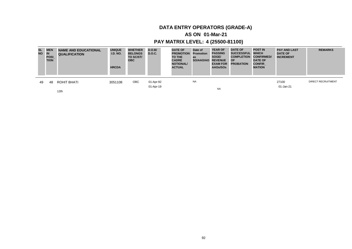### **AS ON 01-Mar-21**

### **PAY MATRIX LEVEL: 4 (25500-81100)**

| <b>NO</b> | SL MEN<br><b>IN</b><br><b>POSI</b><br><b>TION</b> | <b>NAME AND EDUCATIONAL</b><br><b>QUALIFICATION</b> | <b>UNIQUE</b><br><b>I.D. NO.</b><br><b>HRCDA</b> | <b>WHETHER</b><br><b>BELONGS</b><br>TO SC/ST/<br><b>OBC</b> | D.O.B/<br><b>D.O.C.</b> | <b>DATE OF</b><br><b>PROMOTION</b><br>TO THE<br><b>CADRE</b><br><b>NOTIONAL/</b><br><b>ACTUAL</b> | Date of<br><b>Promotion</b><br>as<br>SO/AAO/AO | <b>YEAR OF</b><br><b>PASSING</b><br>SOGE/<br><b>REVENUE</b><br><b>EXAM FOR</b><br>AAOs/SOs | <b>DATE OF</b><br><b>SUCCESSFUL</b><br><b>COMPLETION</b><br><b>OF</b><br><b>PROBATION</b> | <b>POST IN</b><br><b>WHICH</b><br><b>CONFIRMED/</b><br><b>DATE OF</b><br><b>CONFIR</b><br><b>MATION</b> | <b>PAY AND LAST</b><br><b>DATE OF</b><br><b>INCREMENT</b> | <b>REMARKS</b>            |
|-----------|---------------------------------------------------|-----------------------------------------------------|--------------------------------------------------|-------------------------------------------------------------|-------------------------|---------------------------------------------------------------------------------------------------|------------------------------------------------|--------------------------------------------------------------------------------------------|-------------------------------------------------------------------------------------------|---------------------------------------------------------------------------------------------------------|-----------------------------------------------------------|---------------------------|
| 49        | 48                                                | ROHIT BHATI                                         | 3051108                                          | ОВС                                                         | 01-Apr-92               |                                                                                                   | <b>NA</b>                                      |                                                                                            |                                                                                           |                                                                                                         | 27100                                                     | <b>DIRECT RECRUITMENT</b> |
|           |                                                   | 12th                                                |                                                  |                                                             | 01-Apr-19               |                                                                                                   |                                                | <b>NA</b>                                                                                  |                                                                                           |                                                                                                         | 01-Jan-21                                                 |                           |

92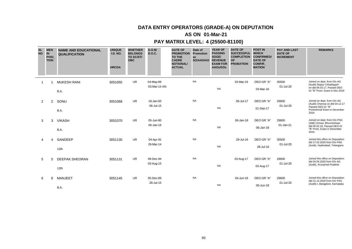# **DATA ENTRY OPERATORS (GRADE-A) ON DEPUTATION**

### **AS ON 01-Mar-21**

| <b>SL</b><br><b>NO</b> | <b>MEN</b><br>IN<br><b>TION</b> | <b>POSI</b>    | <b>NAME AND EDUCATIONAL</b><br><b>QUALIFICATION</b> | <b>UNIQUE</b><br><b>I.D. NO.</b><br><b>HRCDA</b> | <b>WHETHER</b><br><b>BELONGS</b><br>TO SC/ST/<br><b>OBC</b> | D.O.B/<br><b>D.O.C.</b>   | <b>DATE OF</b><br><b>PROMOTION</b><br><b>TO THE</b><br><b>CADRE</b><br><b>NOTIONAL/</b><br><b>ACTUAL</b> | Date of<br>Promotion<br>as<br>SO/AAO/AO | <b>YEAR OF</b><br><b>PASSING</b><br>SOGE/<br><b>REVENUE</b><br><b>EXAM FOR</b><br>AAOs/SOs | <b>DATE OF</b><br><b>SUCCESSFUL</b><br><b>COMPLETION</b><br><b>OF</b><br><b>PROBATION</b> | <b>POST IN</b><br><b>WHICH</b><br><b>CONFIRMED/</b><br><b>DATE OF</b><br><b>CONFIR</b><br><b>MATION</b> | <b>PAY AND LAST</b><br><b>DATE OF</b><br><b>INCREMENT</b> | <b>REMARKS</b>                                                    |
|------------------------|---------------------------------|----------------|-----------------------------------------------------|--------------------------------------------------|-------------------------------------------------------------|---------------------------|----------------------------------------------------------------------------------------------------------|-----------------------------------------|--------------------------------------------------------------------------------------------|-------------------------------------------------------------------------------------------|---------------------------------------------------------------------------------------------------------|-----------------------------------------------------------|-------------------------------------------------------------------|
|                        |                                 |                | <b>MUKESH RANI</b>                                  | 3051055                                          | <b>UR</b>                                                   | 04-May-88<br>03-Mar-14 AN |                                                                                                          | <b>NA</b>                               |                                                                                            | 03-Mar-16                                                                                 | DEO GR "A"                                                                                              | 30500<br>01-Jul-20                                        | Joined on dept. from O/o AG<br>(Audit) Raipur Chhatisgarh         |
|                        |                                 |                | B.A.                                                |                                                  |                                                             |                           |                                                                                                          |                                         | <b>NA</b>                                                                                  |                                                                                           | 03-Mar-16                                                                                               |                                                           | on dtd 06.03.17, Passed DEO<br>Gr "B" Prom. Exam in Dec 2019      |
| 2                      |                                 | $\overline{2}$ | SONU                                                | 3051068                                          | UR                                                          | 18-Jan-93                 |                                                                                                          | <b>NA</b>                               |                                                                                            | 05-Jul-17                                                                                 | DEO GR "A"                                                                                              | 29600                                                     | Joined on dept. from O/o AG<br>(Audit) Chennai on dtd 04.12.17    |
|                        |                                 |                | B.A.                                                |                                                  |                                                             | 06-Jul-15                 |                                                                                                          |                                         | <b>NA</b>                                                                                  |                                                                                           | 01-Sep-17                                                                                               | 01-Jul-20                                                 | Passed DEO Gr "B"<br>Promotional Exam in December<br>2019         |
| 3                      |                                 | 3              | <b>VIKASH</b>                                       | 3051070                                          | <b>UR</b>                                                   | 05-Jun-90                 |                                                                                                          | <b>NA</b>                               |                                                                                            | 06-Jan-18                                                                                 | DEO GR "A"                                                                                              | 29600                                                     | Joined on dept. from O/o PAG<br>(A&E) Orissa, Bhuvneshwar         |
|                        |                                 |                | B.A.                                                |                                                  |                                                             | 06-Jan-16                 |                                                                                                          |                                         | <b>NA</b>                                                                                  |                                                                                           | 06-Jan-18                                                                                               | 01-Jan-21                                                 | dtd 05.02.18, Passed DEO Gr<br>"B" Prom. Exam in December<br>2019 |
| 4                      |                                 | 4              | SANDEEP                                             | 3051130                                          | <b>UR</b>                                                   | 04-Apr-91<br>28-Mar-14    |                                                                                                          | <b>NA</b>                               |                                                                                            | 29-Jul-16                                                                                 | DEO GR "A"                                                                                              | 30500<br>01-Jul-20                                        | Joined this office on Deputation<br>dtd 17.02.2020 from O/o PAG   |
|                        |                                 |                | 12th                                                |                                                  |                                                             |                           |                                                                                                          |                                         | <b>NA</b>                                                                                  |                                                                                           | 28-Jul-16                                                                                               |                                                           | (Audit), Hyderabad, Telangana                                     |
| 5                      |                                 | 5              | <b>DEEPAK SHEORAN</b>                               | 3051131                                          | <b>UR</b>                                                   | 09-Dec-94                 |                                                                                                          | <b>NA</b>                               |                                                                                            | 03-Aug-17                                                                                 | DEO GR "A"                                                                                              | 29600                                                     | Joined this office on Deputation<br>dtd 04.05.2020 from O/o AG    |
|                        |                                 |                | 12th                                                |                                                  |                                                             | 03-Aug-15                 |                                                                                                          |                                         | <b>NA</b>                                                                                  |                                                                                           | 03-Aug-17                                                                                               | 01-Jul-20                                                 | (Audit), Arunachal Pradesh                                        |
| 6                      |                                 | 6              | <b>MANJEET</b>                                      | 3051145                                          | <b>UR</b>                                                   | 05-Dec-89                 |                                                                                                          | <b>NA</b>                               |                                                                                            | 04-Jun-18                                                                                 | DEO GR "A"                                                                                              | 29600                                                     | Joined this office on Deputation<br>dtd 21.12.2020 from O/o PAG   |
|                        |                                 |                | B.A.                                                |                                                  |                                                             | 28-Jul-15                 |                                                                                                          |                                         | <b>NA</b>                                                                                  |                                                                                           | 05-Jun-18                                                                                               | 01-Jul-20                                                 | (Audit)-I, Bangalore, Karnataka                                   |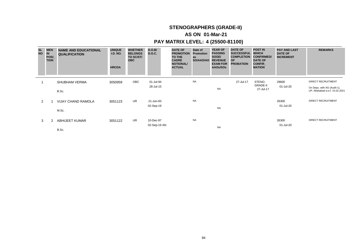# **STENOGRAPHERS (GRADE-II)**

### **AS ON 01-Mar-21**

| <b>SL</b><br><b>NO</b> | <b>MEN</b><br><b>IN</b><br>POSI_<br><b>TION</b> | <b>NAME AND EDUCATIONAL</b><br><b>QUALIFICATION</b> | <b>UNIQUE</b><br><b>I.D. NO.</b><br><b>HRCDA</b> | <b>WHETHER</b><br><b>BELONGS</b><br>TO SC/ST/<br><b>OBC</b> | D.O.B/<br><b>D.O.C.</b>   | <b>DATE OF</b><br><b>PROMOTION</b><br>TO THE<br><b>CADRE</b><br><b>NOTIONAL/</b><br><b>ACTUAL</b> | Date of<br><b>Promotion</b><br>as<br>SO/AAO/AO | <b>YEAR OF</b><br><b>PASSING</b><br>SOGE/<br><b>REVENUE</b><br><b>EXAM FOR</b><br>AAOs/SOs | <b>DATE OF</b><br><b>SUCCESSFUL</b><br><b>COMPLETION</b><br><b>OF</b><br><b>PROBATION</b> | <b>POST IN</b><br><b>WHICH</b><br><b>CONFIRMED/</b><br><b>DATE OF</b><br><b>CONFIR</b><br><b>MATION</b> | <b>PAY AND LAST</b><br><b>DATE OF</b><br><b>INCREMENT</b> | <b>REMARKS</b>                                                                              |
|------------------------|-------------------------------------------------|-----------------------------------------------------|--------------------------------------------------|-------------------------------------------------------------|---------------------------|---------------------------------------------------------------------------------------------------|------------------------------------------------|--------------------------------------------------------------------------------------------|-------------------------------------------------------------------------------------------|---------------------------------------------------------------------------------------------------------|-----------------------------------------------------------|---------------------------------------------------------------------------------------------|
|                        |                                                 | <b>SHUBHAM VERMA</b><br>B.Sc.                       | 3050959                                          | OBC                                                         | 01-Jul-94<br>28-Jul-15    |                                                                                                   | <b>NA</b>                                      | <b>NA</b>                                                                                  | 27-Jul-17                                                                                 | STENO.<br><b>GRADE-II</b><br>27-Jul-17                                                                  | 29600<br>01-Jul-20                                        | <b>DIRECT RECRUITMENT</b><br>On Depu. with AG (Audit-1),<br>UP, Allahabad w.e.f. 15.02.2021 |
| $\overline{2}$         |                                                 | <b>VIJAY CHAND RAMOLA</b><br>M.Sc.                  | 3051123                                          | UR                                                          | 21-Jun-93<br>02-Sep-19    |                                                                                                   | <b>NA</b>                                      | <b>NA</b>                                                                                  |                                                                                           |                                                                                                         | 26300<br>01-Jul-20                                        | <b>DIRECT RECRUITMENT</b>                                                                   |
| 3                      | 2                                               | <b>ABHIJEET KUMAR</b><br>B.Sc.                      | 3051122                                          | <b>UR</b>                                                   | 10-Dec-97<br>02-Sep-19 AN |                                                                                                   | <b>NA</b>                                      | <b>NA</b>                                                                                  |                                                                                           |                                                                                                         | 26300<br>01-Jul-20                                        | <b>DIRECT RECRUITMENT</b>                                                                   |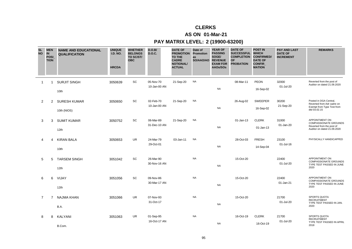# **CLERKS**

### **AS ON 01-Mar-21**

### **PAY MATRIX LEVEL: 2 (19900-63200)**

| <b>SL</b><br><b>NO</b> | <b>MEN</b><br>IN<br><b>POSI</b><br><b>TION</b> | <b>NAME AND EDUCATIONAL</b><br><b>QUALIFICATION</b> | <b>UNIQUE</b><br><b>I.D. NO.</b><br><b>HRCDA</b> | <b>WHETHER</b><br><b>BELONGS</b><br>TO SC/ST/<br><b>OBC</b> | D.O.B/<br><b>D.O.C.</b>   | <b>DATE OF</b><br><b>PROMOTION</b><br><b>TO THE</b><br><b>CADRE</b><br><b>NOTIONAL/</b><br><b>ACTUAL</b> | Date of<br>Promotion<br>as<br>SO/AAO/AO | <b>YEAR OF</b><br><b>PASSING</b><br>SOGE/<br><b>REVENUE</b><br><b>EXAM FOR</b><br>AAOs/SOs | <b>DATE OF</b><br><b>SUCCESSFUL</b><br><b>COMPLETION</b><br><b>OF</b><br><b>PROBATION</b> | <b>POST IN</b><br><b>WHICH</b><br><b>CONFIRMED/</b><br><b>DATE OF</b><br><b>CONFIR</b><br><b>MATION</b> | <b>PAY AND LAST</b><br><b>DATE OF</b><br><b>INCREMENT</b> | <b>REMARKS</b>                                                                                             |
|------------------------|------------------------------------------------|-----------------------------------------------------|--------------------------------------------------|-------------------------------------------------------------|---------------------------|----------------------------------------------------------------------------------------------------------|-----------------------------------------|--------------------------------------------------------------------------------------------|-------------------------------------------------------------------------------------------|---------------------------------------------------------------------------------------------------------|-----------------------------------------------------------|------------------------------------------------------------------------------------------------------------|
| $\overline{1}$         | 1                                              | <b>SURJIT SINGH</b><br>10th                         | 3050639                                          | SC                                                          | 05-Nov-70<br>10-Jan-00 AN | 21-Sep-20                                                                                                | <b>NA</b>                               | <b>NA</b>                                                                                  | 08-Mar-11                                                                                 | <b>PEON</b><br>16-Sep-02                                                                                | 32000<br>01-Jul-20                                        | Reverted from the post of<br>Auditor on dated 21.09.2020                                                   |
| 2                      | $\overline{2}$                                 | <b>SURESH KUMAR</b><br>10th (NIOS)                  | 3050650                                          | SC                                                          | 02-Feb-70<br>10-Jan-00 AN | 21-Sep-20                                                                                                | <b>NA</b>                               | <b>NA</b>                                                                                  | 26-Aug-02                                                                                 | <b>SWEEPER</b><br>16-Sep-02                                                                             | 30200<br>21-Sep-20                                        | Posted in DGA Central.<br>Reverted from Adr cadre on<br>Exempt from Type Test from<br>dtd 03.02.15         |
| 3                      | 3                                              | <b>SUMIT KUMAR</b><br>12th                          | 3050752                                          | SC                                                          | 06-Mar-89<br>31-Dec-10 AN | 21-Sep-20                                                                                                | <b>NA</b>                               | <b>NA</b>                                                                                  | 01-Jan-13                                                                                 | <b>CLERK</b><br>$01$ -Jan-13                                                                            | 31000<br>01-Jan-20                                        | APPOINTMENT ON<br><b>COMPASSIONATE GROUNDS</b><br>Reverted from the post of<br>Auditor on dated 21.09.2020 |
| 4                      | 4                                              | <b>KIRAN BALA</b><br>10th                           | 3050653                                          | <b>UR</b>                                                   | 24-Mar-79<br>29-Oct-01    | 03-Jan-11                                                                                                | <b>NA</b>                               | <b>NA</b>                                                                                  | 28-Oct-03                                                                                 | <b>FRESH</b><br>14-Sep-04                                                                               | 23100<br>01-Jul-16                                        | PHYSICALLY HANDICAPPED                                                                                     |
| 5                      | 5                                              | <b>TARSEM SINGH</b><br>12th                         | 3051042                                          | SC                                                          | 26-Mar-90<br>30-Nov-16 AN |                                                                                                          | <b>NA</b>                               | <b>NA</b>                                                                                  | 15-Oct-20                                                                                 |                                                                                                         | 22400<br>01-Jul-20                                        | APPOINTMENT ON<br>COMPASSIONATE GROUNDS<br>TYPE TEST PASSED IN JUNE<br>2020                                |
| 6                      | 6                                              | VIJAY<br>12th                                       | 3051056                                          | SC                                                          | 09-Nov-86<br>30-Mar-17 AN |                                                                                                          | <b>NA</b>                               | <b>NA</b>                                                                                  | 15-Oct-20                                                                                 |                                                                                                         | 22400<br>01-Jan-21                                        | APPOINTMENT ON<br><b>COMPASSIONATE GROUNDS</b><br>TYPE TEST PASSED IN JUNE<br>2020                         |
| $\overline{7}$         | $\overline{7}$                                 | <b>NAJMA KHAN</b><br>B.A.                           | 3051066                                          | <b>UR</b>                                                   | 07-Nov-93<br>31-Oct-17    |                                                                                                          | <b>NA</b>                               | <b>NA</b>                                                                                  | 15-Oct-20                                                                                 |                                                                                                         | 21700<br>01-Jul-20                                        | <b>SPORTS QUOTA</b><br><b>RECRUITMENT</b><br>TYPE TEST PASSED IN JAN.<br>2020                              |
| 8                      | 8                                              | <b>KALYANI</b><br>B.Com.                            | 3051063                                          | UR                                                          | 01-Sep-95<br>16-Oct-17 AN |                                                                                                          | <b>NA</b>                               | <b>NA</b>                                                                                  | 16-Oct-19                                                                                 | <b>CLERK</b><br>16-Oct-19                                                                               | 21700<br>01-Jul-20                                        | <b>SPORTS QUOTA</b><br><b>RECRUITMENT</b><br>TYPE TEST PASSED IN APRIL<br>2018                             |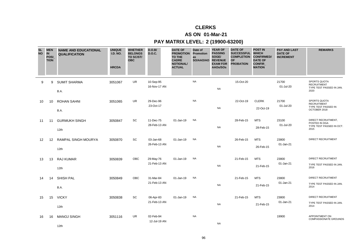# **CLERKS**

### **AS ON 01-Mar-21**

### **PAY MATRIX LEVEL: 2 (19900-63200)**

| <b>SL</b><br><b>NO</b> | <b>MEN</b><br><b>IN</b><br><b>POSI</b><br><b>TION</b> | <b>NAME AND EDUCATIONAL</b><br><b>QUALIFICATION</b> | <b>UNIQUE</b><br><b>I.D. NO.</b><br><b>HRCDA</b> | <b>WHETHER</b><br><b>BELONGS</b><br>TO SC/ST/<br><b>OBC</b> | D.O.B/<br><b>D.O.C.</b>   | <b>DATE OF</b><br><b>PROMOTION Promotion</b><br><b>TO THE</b><br><b>CADRE</b><br><b>NOTIONAL/</b><br><b>ACTUAL</b> | Date of<br>as<br>SO/AAO/AO | <b>YEAR OF</b><br><b>PASSING</b><br>SOGE/<br><b>REVENUE</b><br><b>EXAM FOR</b><br>AAOs/SOs | <b>DATE OF</b><br><b>SUCCESSFUL</b><br><b>COMPLETION</b><br><b>OF</b><br><b>PROBATION</b> | <b>POST IN</b><br><b>WHICH</b><br><b>CONFIRMED/</b><br><b>DATE OF</b><br>CONFIR_<br><b>MATION</b> | <b>PAY AND LAST</b><br><b>DATE OF</b><br><b>INCREMENT</b> | <b>REMARKS</b>                                                            |
|------------------------|-------------------------------------------------------|-----------------------------------------------------|--------------------------------------------------|-------------------------------------------------------------|---------------------------|--------------------------------------------------------------------------------------------------------------------|----------------------------|--------------------------------------------------------------------------------------------|-------------------------------------------------------------------------------------------|---------------------------------------------------------------------------------------------------|-----------------------------------------------------------|---------------------------------------------------------------------------|
| 9                      | 9                                                     | <b>SUMIT SHARMA</b><br>B.A.                         | 3051067                                          | <b>UR</b>                                                   | 10-Sep-95<br>16-Nov-17 AN |                                                                                                                    | <b>NA</b>                  | <b>NA</b>                                                                                  | 15-Oct-20                                                                                 |                                                                                                   | 21700<br>01-Jul-20                                        | SPORTS QUOTA<br><b>RECRUITMENT</b><br>TYPE TEST PASSED IN JAN.<br>2020    |
| 10                     | 10                                                    | <b>ROHAN SAHNI</b><br>B.A.                          | 3051065                                          | UR                                                          | 29-Dec-96<br>23-Oct-17    |                                                                                                                    | <b>NA</b>                  | <b>NA</b>                                                                                  | 22-Oct-19                                                                                 | <b>CLERK</b><br>22-Oct-19                                                                         | 21700<br>01-Jul-20                                        | SPORTS QUOTA<br><b>RECRUITMENT</b><br>TYPE TEST PASSED IN<br>OCTOBER 2018 |
| 11                     | 11                                                    | <b>GURMUKH SINGH</b><br>12 <sub>th</sub>            | 3050847                                          | SC                                                          | 11-Dec-75<br>28-Feb-13 AN | 01-Jan-19                                                                                                          | <b>NA</b>                  | <b>NA</b>                                                                                  | 28-Feb-15                                                                                 | <b>MTS</b><br>28-Feb-15                                                                           | 23100<br>01-Jul-20                                        | DIRECT RECRUITMENT,<br>POSTED IN DGA<br>TYPE TEST PASSED IN OCT.<br>2015  |
| 12                     | 12                                                    | <b>RAMPAL SINGH MOURYA</b><br>12th                  | 3050870                                          | SC                                                          | 03-Jan-68<br>26-Feb-13 AN | 01-Jan-19                                                                                                          | <b>NA</b>                  | <b>NA</b>                                                                                  | 26-Feb-15                                                                                 | <b>MTS</b><br>26-Feb-15                                                                           | 23800<br>01-Jan-21                                        | DIRECT RECRUITMENT                                                        |
| 13                     | 13                                                    | RAJ KUMAR<br>12th                                   | 3050839                                          | <b>OBC</b>                                                  | 29-May-76<br>21-Feb-13 AN | 01-Jan-19                                                                                                          | <b>NA</b>                  | <b>NA</b>                                                                                  | 21-Feb-15                                                                                 | <b>MTS</b><br>21-Feb-15                                                                           | 23800<br>01-Jan-21                                        | DIRECT RECRUITMENT<br>TYPE TEST PASSED IN JAN.<br>2016                    |
| 14                     | 14                                                    | SHISH PAL<br>B.A.                                   | 3050849                                          | <b>OBC</b>                                                  | 31-Mar-84<br>21-Feb-13 AN | 01-Jan-19                                                                                                          | <b>NA</b>                  | <b>NA</b>                                                                                  | 21-Feb-15                                                                                 | <b>MTS</b><br>21-Feb-15                                                                           | 23800<br>01-Jan-21                                        | <b>DIRECT RECRUITMENT</b><br>TYPE TEST PASSED IN JAN.<br>2014             |
| 15                     | 15                                                    | <b>VICKY</b><br>12th                                | 3050838                                          | SC                                                          | 06-Apr-83<br>21-Feb-13 AN | 01-Jan-19                                                                                                          | <b>NA</b>                  | <b>NA</b>                                                                                  | 21-Feb-15                                                                                 | <b>MTS</b><br>21-Feb-15                                                                           | 23800<br>01-Jan-21                                        | DIRECT RECRUITMENT<br>TYPE TEST PASSED IN JAN.<br>2014                    |
| 16                     | 16                                                    | <b>MANOJ SINGH</b><br>12th                          | 3051116                                          | UR                                                          | 02-Feb-94<br>12-Jul-19 AN |                                                                                                                    | <b>NA</b>                  | <b>NA</b>                                                                                  |                                                                                           |                                                                                                   | 19900                                                     | APPOINTMENT ON<br><b>COMPASSIONATE GROUNDS</b>                            |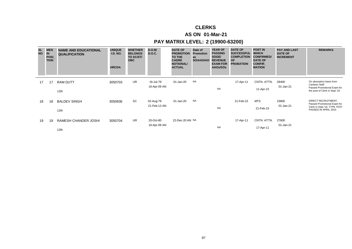# **CLERKS**

### **AS ON 01-Mar-21**

### **PAY MATRIX LEVEL: 2 (19900-63200)**

| <b>SL</b><br><b>NO</b> | <b>MEN</b><br>IN<br><b>POSI</b><br><b>TION</b> | <b>NAME AND EDUCATIONAL</b><br><b>QUALIFICATION</b> | <b>UNIQUE</b><br><b>I.D. NO.</b><br><b>HRCDA</b> | <b>WHETHER</b><br><b>BELONGS</b><br>TO SC/ST/<br><b>OBC</b> | D.O.B/<br>D.O.C.          | <b>DATE OF</b><br><b>PROMOTION</b><br>TO THE<br><b>CADRE</b><br><b>NOTIONAL/</b><br><b>ACTUAL</b> | Date of<br><b>Promotion</b><br>as<br>SO/AAO/AO | <b>YEAR OF</b><br><b>PASSING</b><br>SOGE/<br><b>REVENUE</b><br><b>EXAM FOR</b><br>AAOs/SOs | <b>DATE OF</b><br><b>SUCCESSFUL</b><br><b>COMPLETION</b><br><b>OF</b><br><b>PROBATION</b> | <b>POST IN</b><br><b>WHICH</b><br><b>CONFIRMED/</b><br><b>DATE OF</b><br><b>CONFIR</b><br><b>MATION</b> | <b>PAY AND LAST</b><br><b>DATE OF</b><br><b>INCREMENT</b> | <b>REMARKS</b>                                                                                             |
|------------------------|------------------------------------------------|-----------------------------------------------------|--------------------------------------------------|-------------------------------------------------------------|---------------------------|---------------------------------------------------------------------------------------------------|------------------------------------------------|--------------------------------------------------------------------------------------------|-------------------------------------------------------------------------------------------|---------------------------------------------------------------------------------------------------------|-----------------------------------------------------------|------------------------------------------------------------------------------------------------------------|
| 17                     | 17                                             | <b>RAM DUTT</b><br>12 <sub>th</sub>                 | 3050703                                          | <b>UR</b>                                                   | 16-Jul-79<br>16-Apr-09 AN | 01-Jan-20                                                                                         | NA                                             | <b>NA</b>                                                                                  | 17-Apr-11                                                                                 | CNTN. ATTN.<br>11-Apr-15                                                                                | 28400<br>01-Jan-21                                        | On absorption basis from<br>Canteen Staff<br>Passed Promotional Exam for<br>the post of Clerk in Sept.'19  |
| 18                     | 18                                             | <b>BALDEV SINGH</b><br>12 <sub>th</sub>             | 3050836                                          | SC                                                          | 02-Aug-79<br>21-Feb-13 AN | 01-Jan-20                                                                                         | <b>NA</b>                                      | <b>NA</b>                                                                                  | 21-Feb-15                                                                                 | <b>MTS</b><br>21-Feb-15                                                                                 | 23800<br>01-Jan-21                                        | DIRECT RECRUITMENT,<br>Passed Promotional Exam for<br>Clerk in Sept.'19, TYPE TEST<br>PASSED IN APRIL 2015 |
| 19                     | 19                                             | RAMESH CHANDER JOSHI<br>12th                        | 3050704                                          | <b>UR</b>                                                   | 20-Oct-80<br>16-Apr-09 AN | 22-Dec-20 AN NA                                                                                   |                                                | <b>NA</b>                                                                                  | 17-Apr-11                                                                                 | CNTN. ATTN.<br>17-Apr-11                                                                                | 27600<br>01-Jan-21                                        |                                                                                                            |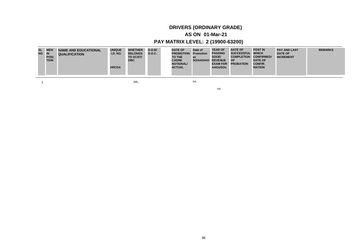# **DRIVERS (ORDINARY GRADE)**

### **AS ON 01-Mar-21**

## **PAY MATRIX LEVEL: 2 (19900-63200)**

| <b>SL</b><br>NO IN | <b>MEN</b><br><b>POSI</b><br><b>TION</b> | <b>NAME AND EDUCATIONAL</b><br><b>QUALIFICATION</b> | <b>UNIQUE</b><br><b>I.D. NO.</b><br><b>HRCDA</b> | <b>WHETHER</b><br><b>BELONGS</b><br>TO SC/ST/<br><b>OBC</b> | D.O.B/<br><b>D.O.C.</b> | <b>DATE OF</b><br><b>PROMOTION</b><br><b>TO THE</b><br><b>CADRE</b><br><b>NOTIONAL/</b><br><b>ACTUAL</b> | Date of<br><b>Promotion</b><br>as<br>SO/AAO/AO REVENUE | <b>YEAR OF</b><br><b>PASSING</b><br>SOGE/<br><b>EXAM FOR</b><br>AAOs/SOs | <b>DATE OF</b><br>SUCCESSFUL WHICH<br><b>COMPLETION</b><br>OF<br><b>PROBATION</b> | <b>POST IN</b><br><b>CONFIRMED/</b><br><b>DATE OF</b><br><b>CONFIR</b><br><b>MATION</b> | <b>PAY AND LAST</b><br><b>DATE OF</b><br><b>INCREMENT</b> | <b>REMARKS</b> |
|--------------------|------------------------------------------|-----------------------------------------------------|--------------------------------------------------|-------------------------------------------------------------|-------------------------|----------------------------------------------------------------------------------------------------------|--------------------------------------------------------|--------------------------------------------------------------------------|-----------------------------------------------------------------------------------|-----------------------------------------------------------------------------------------|-----------------------------------------------------------|----------------|
|--------------------|------------------------------------------|-----------------------------------------------------|--------------------------------------------------|-------------------------------------------------------------|-------------------------|----------------------------------------------------------------------------------------------------------|--------------------------------------------------------|--------------------------------------------------------------------------|-----------------------------------------------------------------------------------|-----------------------------------------------------------------------------------------|-----------------------------------------------------------|----------------|

 $1$ 

NA

NA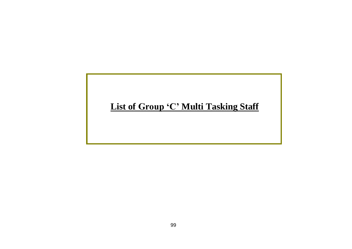# List of Group 'C' Multi Tasking Staff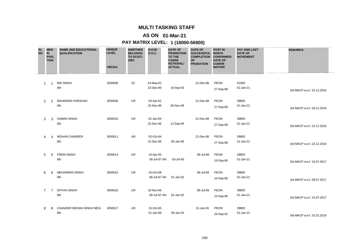# **AS ON 01-Mar-21**

| <b>SL</b><br><b>NO</b> | <b>MEN</b><br>$\overline{\mathbb{N}}$<br>POSI_<br><b>TION</b> | <b>NAME AND EDUCATIONAL</b><br><b>QUALIFICATION</b> | <b>UNIQUE</b><br>I.D.NO.<br><b>HRCDA</b> | <b>WHETHER</b><br><b>BELONGS</b><br>TO SC/ST/<br><b>OBC</b> | D.O.B/<br><b>D.O.C.</b>   | <b>DATE OF</b><br><b>PROMOTION</b><br><b>TO THE</b><br><b>CADRE</b><br><b>NOTIONAL/</b><br><b>ACTUAL</b> | <b>DATE OF</b><br><b>SUCCESSFUL</b><br><b>COMPLETION</b><br><b>OF</b><br><b>PROBATION</b> | <b>POST IN</b><br><b>WHICH</b><br><b>CONFIRMED/</b><br><b>DATE OF</b><br>CONFIR_<br><b>MATION</b> | <b>PAY AND LAST</b><br><b>DATE OF</b><br><b>INCREMENT</b> | <b>REMARKS</b>             |
|------------------------|---------------------------------------------------------------|-----------------------------------------------------|------------------------------------------|-------------------------------------------------------------|---------------------------|----------------------------------------------------------------------------------------------------------|-------------------------------------------------------------------------------------------|---------------------------------------------------------------------------------------------------|-----------------------------------------------------------|----------------------------|
| 1                      | $\mathbf 1$                                                   | <b>BIR SINGH</b><br>8th                             | 3050608                                  | SC                                                          | 24-May-62<br>22-Dec-86    | 16-Sep-03                                                                                                | 21-Dec-88                                                                                 | PEON<br>27-Sep-89                                                                                 | 41000<br>01-Jan-21                                        | 3rd MACP w.e.f. 22.12.2016 |
| 2                      | 2                                                             | MAHINDER PARSHAD<br>8th                             | 3050609                                  | <b>UR</b>                                                   | 03-Apr-62<br>22-Dec-86    | 05-Nov-08                                                                                                | 21-Dec-88                                                                                 | PEON<br>27-Sep-89                                                                                 | 39800<br>01-Jan-21                                        | 3rd MACP w.e.f. 29.12.2016 |
| 3                      | 3                                                             | <b>SAMAN SINGH</b><br>8th                           | 3050610                                  | <b>UR</b>                                                   | 01-Jan-64<br>22-Dec-86    | 12-Sep-94                                                                                                | 21-Dec-88                                                                                 | PEON<br>27-Sep-89                                                                                 | 39800<br>01-Jan-21                                        | 3rd MACP w.e.f. 22.12.2016 |
| 4                      | 4                                                             | <b>MOHAN CHANDER</b><br>8th                         | 3050611                                  | <b>UR</b>                                                   | 02-Oct-64<br>22-Dec-86    | 05-Jan-95                                                                                                | 21-Dec-88                                                                                 | PEON<br>27-Sep-89                                                                                 | 39800<br>01-Jan-21                                        | 3rd MACP w.e.f. 22.12.2016 |
| 5                      | 5                                                             | PREM SINGH<br>8th                                   | 3050614                                  | <b>UR</b>                                                   | 15-Apr-65<br>09-Jul-87 AN | 03-Jul-00                                                                                                | 09-Jul-89                                                                                 | PEON<br>10-Sep-90                                                                                 | 39800<br>01-Jan-21                                        | 3rd MACP w.e.f. 10.07.2017 |
| 6                      | 6                                                             | <b>MEHARBAN SINGH</b><br>8th                        | 3050615                                  | <b>UR</b>                                                   | 10-Oct-68<br>08-Jul-87 AN | 01-Jan-02                                                                                                | 08-Jul-89                                                                                 | PEON<br>10-Sep-90                                                                                 | 39800<br>01-Jan-21                                        | 3rd MACP w.e.f. 09.07.2017 |
| 7                      | $\overline{7}$                                                | <b>DHYAN SINGH</b><br>8th                           | 3050616                                  | <b>UR</b>                                                   | 10-Nov-66<br>08-Jul-87 AN | 01-Jan-02                                                                                                | 08-Jul-89                                                                                 | PEON<br>10-Sep-90                                                                                 | 39800<br>01-Jan-21                                        | 3rd MACP w.e.f. 15.07.2017 |
| 8                      | 8                                                             | CHANDER MOHAN SINGH NEGI<br>8th                     | 3050617                                  | <b>UR</b>                                                   | 15-Oct-65<br>31-Jan-89    | 28-Jan-03                                                                                                | 31-Jan-91                                                                                 | PEON<br>26-Sep-91                                                                                 | 39800<br>01-Jan-21                                        | 3rd MACP w.e.f. 31.01.2019 |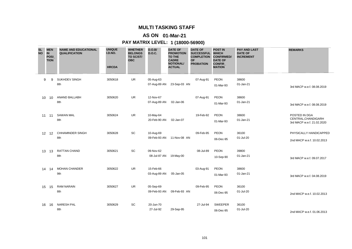# **AS ON 01-Mar-21**

| <b>SL</b><br><b>NO</b> | <b>MEN</b><br><b>IN</b><br><b>POSI</b><br><b>TION</b> | <b>NAME AND EDUCATIONAL</b><br><b>QUALIFICATION</b> | <b>UNIQUE</b><br>I.D.NO.<br><b>HRCDA</b> | <b>WHETHER</b><br><b>BELONGS</b><br>TO SC/ST/<br><b>OBC</b> | D.O.B/<br><b>D.O.C.</b>   | <b>DATE OF</b><br><b>PROMOTION</b><br><b>TO THE</b><br><b>CADRE</b><br><b>NOTIONAL/</b><br><b>ACTUAL</b> | <b>DATE OF</b><br><b>SUCCESSFUL</b><br><b>COMPLETION</b><br><b>OF</b><br><b>PROBATION</b> | <b>POST IN</b><br><b>WHICH</b><br><b>CONFIRMED/</b><br><b>DATE OF</b><br><b>CONFIR</b><br><b>MATION</b> | <b>PAY AND LAST</b><br><b>DATE OF</b><br><b>INCREMENT</b> | <b>REMARKS</b>                                                     |
|------------------------|-------------------------------------------------------|-----------------------------------------------------|------------------------------------------|-------------------------------------------------------------|---------------------------|----------------------------------------------------------------------------------------------------------|-------------------------------------------------------------------------------------------|---------------------------------------------------------------------------------------------------------|-----------------------------------------------------------|--------------------------------------------------------------------|
| 9                      | 9                                                     | <b>SUKHDEV SINGH</b><br>8th                         | 3050618                                  | <b>UR</b>                                                   | 05-Aug-63<br>07-Aug-89 AN | 23-Sep-03 AN                                                                                             | 07-Aug-91                                                                                 | <b>PEON</b><br>01-Mar-93                                                                                | 38600<br>01-Jan-21                                        | 3rd MACP w.e.f. 08.08.2019                                         |
| 10                     | 10                                                    | ANAND BALLABH<br>8th                                | 3050620                                  | <b>UR</b>                                                   | 12-Nov-67<br>07-Aug-89 AN | 02-Jan-06                                                                                                | 07-Aug-91                                                                                 | PEON<br>01-Mar-93                                                                                       | 38600<br>01-Jan-21                                        | 3rd MACP w.e.f. 08.08.2019                                         |
| 11                     | 11                                                    | <b>SAWAN MAL</b><br>8th                             | 3050624                                  | <b>UR</b>                                                   | 10-May-64<br>20-Feb-90 AN | 02-Jan-07                                                                                                | 19-Feb-92                                                                                 | PEON<br>01-Mar-93                                                                                       | 38600<br>01-Jan-21                                        | POSTED IN DGA<br>CENTRAL, CHANDIGARH<br>3rd MACP w.e.f. 21.02.2020 |
| $12 \overline{ }$      | 12                                                    | <b>CHHAMINDER SINGH</b><br>8th                      | 3050628                                  | SC                                                          | 10-Aug-69<br>09-Feb-93 AN | 11-Nov-08 AN                                                                                             | 09-Feb-95                                                                                 | PEON<br>06-Dec-95                                                                                       | 36100<br>01-Jul-20                                        | PHYSICALLY HANDICAPPED<br>2nd MACP w.e.f. 10.02.2013               |
| 13                     | 13                                                    | <b>RATTAN CHAND</b><br>8th                          | 3050621                                  | SC                                                          | 09-Nov-62<br>08-Jul-87 AN | 19-May-00                                                                                                | 08-Jul-89                                                                                 | PEON<br>10-Sep-90                                                                                       | 39800<br>01-Jan-21                                        | 3rd MACP w.e.f. 09.07.2017                                         |
| 14                     | -14                                                   | <b>MOHAN CHANDER</b><br>9th                         | 3050622                                  | <b>UR</b>                                                   | 15-Feb-66<br>03-Aug-89 AN | 05-Jan-05                                                                                                | 03-Aug-91                                                                                 | PEON<br>01-Mar-93                                                                                       | 38600<br>01-Jan-21                                        | 3rd MACP w.e.f. 04.08.2019                                         |
| 15                     | 15                                                    | <b>RAM NARAIN</b><br>8th                            | 3050627                                  | <b>UR</b>                                                   | 05-Sep-69<br>09-Feb-93 AN | 09-Feb-93 AN                                                                                             | 09-Feb-95                                                                                 | PEON<br>06-Dec-95                                                                                       | 36100<br>01-Jul-20                                        | 2nd MACP w.e.f. 10.02.2013                                         |
| 16                     | 16                                                    | <b>NARESH PAL</b><br>8th                            | 3050629                                  | SC                                                          | 20-Jun-70<br>27-Jul-92    | 29-Sep-95                                                                                                | 27-Jul-94                                                                                 | <b>SWEEPER</b><br>06-Dec-95                                                                             | 36100<br>01-Jul-20                                        | 2nd MACP w.e.f. 01.06.2013                                         |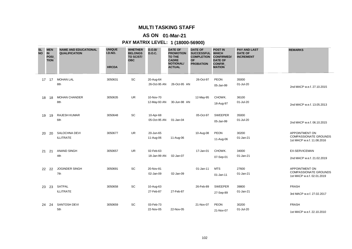# **AS ON 01-Mar-21**

| <b>SL</b><br><b>NO</b> | <b>MEN</b><br><b>IN</b><br><b>POSI</b><br><b>TION</b> | <b>NAME AND EDUCATIONAL</b><br><b>QUALIFICATION</b> | <b>UNIQUE</b><br>I.D.NO.<br><b>HRCDA</b> | <b>WHETHER</b><br><b>BELONGS</b><br>TO SC/ST/<br><b>OBC</b> | D.O.B/<br><b>D.O.C.</b>   | <b>DATE OF</b><br><b>PROMOTION</b><br><b>TO THE</b><br><b>CADRE</b><br><b>NOTIONAL/</b><br><b>ACTUAL</b> | <b>DATE OF</b><br><b>SUCCESSFUL</b><br><b>COMPLETION</b><br><b>OF</b><br><b>PROBATION</b> | <b>POST IN</b><br><b>WHICH</b><br><b>CONFIRMED/</b><br><b>DATE OF</b><br><b>CONFIR</b><br><b>MATION</b> | <b>PAY AND LAST</b><br><b>DATE OF</b><br><b>INCREMENT</b> | <b>REMARKS</b>                                                                      |
|------------------------|-------------------------------------------------------|-----------------------------------------------------|------------------------------------------|-------------------------------------------------------------|---------------------------|----------------------------------------------------------------------------------------------------------|-------------------------------------------------------------------------------------------|---------------------------------------------------------------------------------------------------------|-----------------------------------------------------------|-------------------------------------------------------------------------------------|
|                        | 17 17                                                 | <b>MOHAN LAL</b><br>8th                             | 3050631                                  | SC                                                          | 20-Aug-64<br>26-Oct-95 AN | 26-Oct-95 AN                                                                                             | 26-Oct-97                                                                                 | <b>PEON</b><br>05-Jan-99                                                                                | 35000<br>01-Jul-20                                        | 2nd MACP w.e.f. 27.10.2015                                                          |
| 18                     | 18                                                    | <b>MOHAN CHANDER</b><br>8th                         | 3050635                                  | <b>UR</b>                                                   | 10-Nov-70<br>12-May-93 AN | 30-Jun-98 AN                                                                                             | 12-May-95                                                                                 | CHOWK.<br>18-Aug-97                                                                                     | 36100<br>01-Jul-20                                        | 2nd MACP w.e.f. 13.05.2013                                                          |
| 19                     | 19                                                    | <b>RAJESH KUMAR</b><br>6th                          | 3050648                                  | SC                                                          | 10-Apr-68<br>05-Oct-95 AN | 01-Jan-04                                                                                                | 05-Oct-97                                                                                 | <b>SWEEPER</b><br>05-Jan-99                                                                             | 35000<br>01-Jul-20                                        | 2nd MACP w.e.f. 06.10.2015                                                          |
| 20                     | 20                                                    | SALOCHNA DEVI<br><b>ILLITRATE</b>                   | 3050677                                  | <b>UR</b>                                                   | 20-Jun-65<br>11-Aug-06    | 11-Aug-06                                                                                                | 10-Aug-08                                                                                 | PEON<br>11-Aug-06                                                                                       | 30200<br>01-Jan-21                                        | <b>APPOINTMENT ON</b><br><b>COMPASSIONATE GROUNDS</b><br>1st MACP w.e.f. 11.08.2016 |
| 21                     | 21                                                    | <b>ANAND SINGH</b><br>4th                           | 3050657                                  | <b>UR</b>                                                   | 02-Feb-63<br>18-Jan-99 AN | 02-Jan-07                                                                                                | 17-Jan-01                                                                                 | CHOWK.<br>07-Sep-01                                                                                     | 34000<br>01-Jan-21                                        | <b>EX-SERVICEMAN</b><br>2nd MACP w.e.f. 21.02.2019                                  |
| 22                     | 22                                                    | <b>JOGINDER SINGH</b><br>7th                        | 3050691                                  | SC                                                          | 20-Nov-81<br>02-Jan-09    | 02-Jan-09                                                                                                | 01-Jan-11                                                                                 | <b>MTS</b><br>01-Jan-11                                                                                 | 27600<br>01-Jan-21                                        | <b>APPOINTMENT ON</b><br><b>COMPASSIONATE GROUNDS</b><br>1st MACP w.e.f. 02.01.2019 |
| 23                     | 23                                                    | SATPAL<br><b>ILLITRATE</b>                          | 3050658                                  | SC                                                          | 10-Aug-63<br>27-Feb-87    | 27-Feb-87                                                                                                | 26-Feb-89                                                                                 | <b>SWEEPER</b><br>27-Sep-89                                                                             | 39800<br>01-Jan-21                                        | <b>FRASH</b><br>3rd MACP w.e.f. 27.02.2017                                          |
| 24                     | 24                                                    | SANTOSH DEVI<br>5th                                 | 3050659                                  | SC                                                          | 03-Feb-73<br>22-Nov-05    | 22-Nov-05                                                                                                | 21-Nov-07                                                                                 | <b>PEON</b><br>21-Nov-07                                                                                | 30200<br>01-Jul-20                                        | <b>FRASH</b><br>1st MACP w.e.f. 22.10.2010                                          |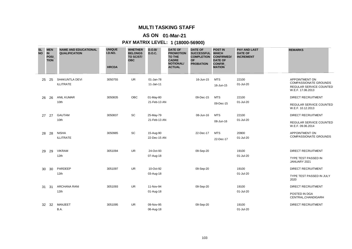# **AS ON 01-Mar-21**

| <b>SL</b><br><b>NO</b> | <b>MEN</b><br><b>IN</b><br>POSI<br><b>TION</b> | <b>NAME AND EDUCATIONAL</b><br><b>QUALIFICATION</b> | <b>UNIQUE</b><br>I.D.NO.<br><b>HRCDA</b> | <b>WHETHER</b><br><b>BELONGS</b><br>TO SC/ST/<br><b>OBC</b> | D.O.B/<br><b>D.O.C.</b>   | <b>DATE OF</b><br><b>PROMOTION</b><br><b>TO THE</b><br><b>CADRE</b><br><b>NOTIONAL/</b><br><b>ACTUAL</b> | <b>DATE OF</b><br><b>SUCCESSFUL</b><br><b>COMPLETION</b><br><b>OF</b><br><b>PROBATION</b> | <b>POST IN</b><br><b>WHICH</b><br><b>CONFIRMED/</b><br><b>DATE OF</b><br><b>CONFIR</b><br><b>MATION</b> | <b>PAY AND LAST</b><br><b>DATE OF</b><br><b>INCREMENT</b> | <b>REMARKS</b>                                                                                        |
|------------------------|------------------------------------------------|-----------------------------------------------------|------------------------------------------|-------------------------------------------------------------|---------------------------|----------------------------------------------------------------------------------------------------------|-------------------------------------------------------------------------------------------|---------------------------------------------------------------------------------------------------------|-----------------------------------------------------------|-------------------------------------------------------------------------------------------------------|
| 25                     | 25                                             | SHAKUNTLA DEVI<br><b>ILLITRATE</b>                  | 3050755                                  | <b>UR</b>                                                   | 01-Jan-78<br>11-Jan-11    |                                                                                                          | 16-Jun-15                                                                                 | <b>MTS</b><br>16-Jun-15                                                                                 | 22100<br>01-Jul-20                                        | <b>APPOINTMENT ON</b><br><b>COMPASSIONATE GROUNDS</b><br>REGULAR SERVICE COUNTED<br>W.E.F. 17.06.2013 |
| 26                     | 26                                             | <b>ANIL KUMAR</b><br>10th                           | 3050835                                  | <b>OBC</b>                                                  | 01-May-80<br>21-Feb-13 AN |                                                                                                          | 09-Dec-15                                                                                 | <b>MTS</b><br>09-Dec-15                                                                                 | 22100<br>01-Jul-20                                        | <b>DIRECT RECRUITMENT</b><br>REGULAR SERVICE COUNTED<br>W.E.F. 10.12.2013                             |
| 27                     | 27                                             | <b>GAUTAM</b><br>10th                               | 3050837                                  | SC                                                          | 25-May-79<br>21-Feb-13 AN |                                                                                                          | 08-Jun-16                                                                                 | <b>MTS</b><br>08-Jun-16                                                                                 | 22100<br>01-Jul-20                                        | <b>DIRECT RECRUITMENT</b><br><b>REGULAR SERVICE COUNTED</b><br>W.E.F. 09.06.2014                      |
| 28                     | 28                                             | <b>NISHA</b><br><b>ILLITRATE</b>                    | 3050985                                  | SC                                                          | 15-Aug-90<br>22-Dec-15 AN |                                                                                                          | 22-Dec-17                                                                                 | <b>MTS</b><br>22-Dec-17                                                                                 | 20900<br>01-Jul-20                                        | <b>APPOINTMENT ON</b><br><b>COMPASSIONATE GROUNDS</b>                                                 |
| 29                     | 29                                             | <b>VIKRAM</b><br>12th                               | 3051094                                  | <b>UR</b>                                                   | 24-Oct-93<br>07-Aug-18    |                                                                                                          | 09-Sep-20                                                                                 |                                                                                                         | 19100<br>01-Jul-20                                        | <b>DIRECT RECRUITMENT</b><br>TYPE TEST PASSED IN<br>JANUARY 2021                                      |
| 30                     | 30                                             | PARDEEP<br>12 <sub>th</sub>                         | 3051097                                  | <b>UR</b>                                                   | 10-Oct-92<br>03-Aug-18    |                                                                                                          | 09-Sep-20                                                                                 |                                                                                                         | 19100<br>01-Jul-20                                        | <b>DIRECT RECRUITMENT</b><br>TYPE TEST PASSED IN JULY<br>2020                                         |
| 31                     | 31                                             | <b>ARCHANA RANI</b><br>12th                         | 3051093                                  | <b>UR</b>                                                   | 11-Nov-94<br>01-Aug-18    |                                                                                                          | 09-Sep-20                                                                                 |                                                                                                         | 19100<br>01-Jul-20                                        | <b>DIRECT RECRUITMENT</b><br>POSTED IN DGA<br>CENTRAL, CHANDIGARH                                     |
| 32                     | 32                                             | <b>MANJEET</b><br>B.A.                              | 3051095                                  | <b>UR</b>                                                   | 09-Nov-95<br>06-Aug-18    |                                                                                                          | 09-Sep-20                                                                                 |                                                                                                         | 19100<br>01-Jul-20                                        | <b>DIRECT RECRUITMENT</b>                                                                             |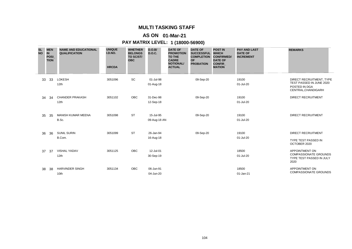# **AS ON 01-Mar-21**

| <b>SL</b><br><b>NO</b> | <b>IN</b> | <b>MEN</b><br><b>POSI</b><br><b>TION</b> | <b>NAME AND EDUCATIONAL</b><br><b>QUALIFICATION</b> | <b>UNIQUE</b><br>I.D.NO.<br><b>HRCDA</b> | <b>WHETHER</b><br><b>BELONGS</b><br>TO SC/ST/<br><b>OBC</b> | D.O.B/<br><b>D.O.C.</b>   | <b>DATE OF</b><br><b>PROMOTION</b><br><b>TO THE</b><br><b>CADRE</b><br><b>NOTIONAL/</b><br><b>ACTUAL</b> | <b>DATE OF</b><br><b>SUCCESSFUL</b><br><b>COMPLETION</b><br><b>OF</b><br><b>PROBATION</b> | <b>POST IN</b><br><b>WHICH</b><br><b>CONFIRMED/</b><br><b>DATE OF</b><br><b>CONFIR</b><br><b>MATION</b> | <b>PAY AND LAST</b><br><b>DATE OF</b><br><b>INCREMENT</b> | <b>REMARKS</b>                                                                               |
|------------------------|-----------|------------------------------------------|-----------------------------------------------------|------------------------------------------|-------------------------------------------------------------|---------------------------|----------------------------------------------------------------------------------------------------------|-------------------------------------------------------------------------------------------|---------------------------------------------------------------------------------------------------------|-----------------------------------------------------------|----------------------------------------------------------------------------------------------|
|                        | 33        | 33                                       | LOKESH<br>12 <sub>th</sub>                          | 3051096                                  | SC                                                          | 01-Jul-98<br>01-Aug-18    |                                                                                                          | 09-Sep-20                                                                                 |                                                                                                         | 19100<br>01-Jul-20                                        | DIRECT RECRUITMENT, TYPE<br>TEST PASSED IN JUNE 2020<br>POSTED IN DGA<br>CENTRAL, CHANDIGARH |
|                        | 34        | 34                                       | <b>CHANDER PRAKASH</b><br>12th                      | 3051102                                  | OBC                                                         | 31-Dec-98<br>12-Sep-18    |                                                                                                          | 09-Sep-20                                                                                 |                                                                                                         | 19100<br>01-Jul-20                                        | <b>DIRECT RECRUITMENT</b>                                                                    |
|                        | 35        | 35                                       | <b>MANISH KUMAR MEENA</b><br>B.Sc.                  | 3051098                                  | <b>ST</b>                                                   | 15-Jul-95<br>09-Aug-18 AN |                                                                                                          | 09-Sep-20                                                                                 |                                                                                                         | 19100<br>01-Jul-20                                        | <b>DIRECT RECRUITMENT</b>                                                                    |
|                        | 36        | 36                                       | <b>SUNIL SURIN</b><br>B.Com.                        | 3051099                                  | <b>ST</b>                                                   | 26-Jan-94<br>16-Aug-18    |                                                                                                          | 09-Sep-20                                                                                 |                                                                                                         | 19100<br>01-Jul-20                                        | <b>DIRECT RECRUITMENT</b><br><b>TYPE TEST PASSED IN</b><br>OCTOBER 2020                      |
|                        | 37        | 37                                       | <b>VISHAL YADAV</b><br>12th                         | 3051125                                  | <b>OBC</b>                                                  | 12-Jul-01<br>30-Sep-19    |                                                                                                          |                                                                                           |                                                                                                         | 18500<br>01-Jul-20                                        | <b>APPOINTMENT ON</b><br><b>COMPASSIONATE GROUNDS</b><br>TYPE TEST PASSED IN JULY<br>2020    |
|                        | 38        | 38                                       | <b>HARVINDER SINGH</b><br>10th                      | 3051134                                  | OBC                                                         | 06-Jun-91<br>04-Jun-20    |                                                                                                          |                                                                                           |                                                                                                         | 18500<br>01-Jan-21                                        | <b>APPOINTMENT ON</b><br><b>COMPASSIONATE GROUNDS</b>                                        |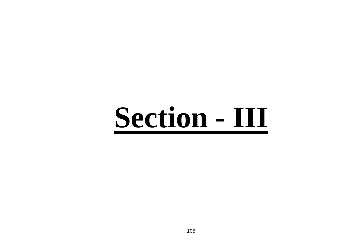# **Section - III**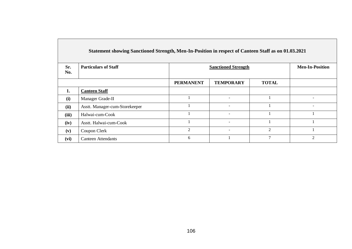|            | Statement showing Sanctioned Strength, Men-In-Position in respect of Canteen Staff as on 01.03.2021 |                            |                          |                |                |
|------------|-----------------------------------------------------------------------------------------------------|----------------------------|--------------------------|----------------|----------------|
| Sr.<br>No. | <b>Particulars of Staff</b>                                                                         | <b>Sanctioned Strength</b> | <b>Men-In-Position</b>   |                |                |
|            |                                                                                                     | <b>PERMANENT</b>           | <b>TEMPORARY</b>         | <b>TOTAL</b>   |                |
| 1.         | <b>Canteen Staff</b>                                                                                |                            |                          |                |                |
| (i)        | Manager Grade-II                                                                                    |                            | $\overline{\phantom{a}}$ |                |                |
| (ii)       | Asstt. Manager-cum-Storekeeper                                                                      |                            | $\overline{\phantom{0}}$ |                |                |
| (iii)      | Halwai-cum-Cook                                                                                     |                            | $\overline{\phantom{0}}$ |                |                |
| (iv)       | Asstt. Halwai-cum-Cook                                                                              |                            | $\overline{\phantom{a}}$ |                |                |
| (v)        | Coupon Clerk                                                                                        | $\overline{2}$             | $\sim$                   | $\mathfrak{D}$ |                |
| (vi)       | <b>Canteen Attendants</b>                                                                           | 6                          |                          | 7              | $\mathfrak{D}$ |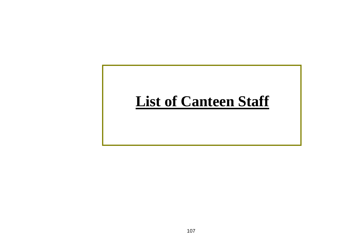# **List of Canteen Staff**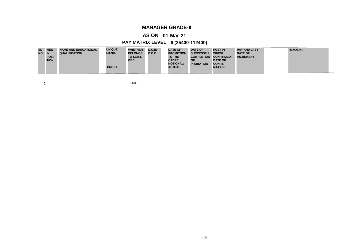# **MANAGER GRADE-II**

# **AS ON 01-Mar-21**

# **PAY MATRIX LEVEL: 6 (35400-112400)**

 $1 - NIL$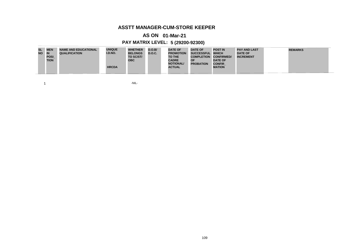#### **ASSTT MANAGER-CUM-STORE KEEPER**

#### **AS ON 01-Mar-21**

# **PAY MATRIX LEVEL: 5 (29200-92300)**

| <b>SL</b> | <b>MEN</b>  | <b>NAME AND EDUCATIONAL</b> | <b>UNIQUE</b> | <b>WHETHER</b> | <b>D.O.B/</b> | <b>DATE OF</b>   | <b>DATE OF</b>    | <b>POST IN</b>    | <b>PAY AND LAST</b> | <b>REMARKS</b> |
|-----------|-------------|-----------------------------|---------------|----------------|---------------|------------------|-------------------|-------------------|---------------------|----------------|
| <b>NO</b> | <b>IN</b>   | <b>QUALIFICATION</b>        | I.D.NO.       | <b>BELONGS</b> | D.O.C.        | <b>PROMOTION</b> | SUCCESSFUL WHICH  |                   | <b>DATE OF</b>      |                |
|           | <b>POSI</b> |                             |               | TO SC/ST/      |               | TO THE           | <b>COMPLETION</b> | <b>CONFIRMED/</b> | <b>INCREMENT</b>    |                |
|           | <b>TION</b> |                             |               | <b>OBC</b>     |               | <b>CADRE</b>     | <b>OF</b>         | <b>DATE OF</b>    |                     |                |
|           |             |                             |               |                |               | <b>NOTIONAL/</b> | <b>PROBATION</b>  | <b>CONFIR</b>     |                     |                |
|           |             |                             | <b>HRCDA</b>  |                |               | <b>ACTUAL</b>    |                   | <b>MATION</b>     |                     |                |
|           |             |                             |               |                |               |                  |                   |                   |                     |                |

 $1 - NIL$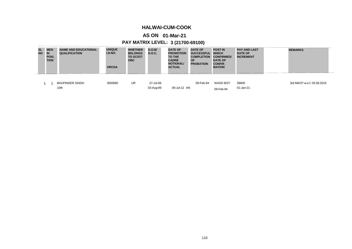#### **HALWAI-CUM-COOK**

# **AS ON 01-Mar-21**

# **PAY MATRIX LEVEL: 3 (21700-69100)**

| <b>SL</b><br><b>NO</b> | <b>MEN</b><br><b>IN</b><br><b>POSI</b><br><b>TION</b> | <b>NAME AND EDUCATIONAL</b><br><b>QUALIFICATION</b> | <b>UNIQUE</b><br>I.D.NO.<br><b>HRCDA</b> | <b>WHETHER</b><br><b>BELONGS</b><br>TO SC/ST/<br><b>OBC</b> | D.O.B/<br><b>D.O.C.</b> | <b>DATE OF</b><br><b>PROMOTION</b><br><b>TO THE</b><br><b>CADRE</b><br><b>NOTIONAL/</b><br><b>ACTUAL</b> | <b>DATE OF</b><br><b>SUCCESSFUL</b><br><b>COMPLETION</b><br><b>OF</b><br><b>PROBATION</b> | <b>POST IN</b><br><b>WHICH</b><br><b>CONFIRMED/</b><br><b>DATE OF</b><br><b>CONFIR</b><br><b>MATION</b> | <b>PAY AND LAST</b><br><b>DATE OF</b><br><b>INCREMENT</b> | <b>REMARKS</b>             |
|------------------------|-------------------------------------------------------|-----------------------------------------------------|------------------------------------------|-------------------------------------------------------------|-------------------------|----------------------------------------------------------------------------------------------------------|-------------------------------------------------------------------------------------------|---------------------------------------------------------------------------------------------------------|-----------------------------------------------------------|----------------------------|
|                        |                                                       | <b>BHUPINDER SINGH</b><br>10th                      | 3050660                                  | <b>UR</b>                                                   | 27-Jul-66<br>03-Aug-89  | 06-Jul-12 AN                                                                                             | 09-Feb-94                                                                                 | <b>WASH BOY</b><br>09-Feb-94                                                                            | 38600<br>01-Jan-21                                        | 3rd MACP w.e.f. 03.08.2019 |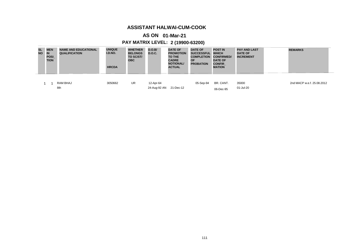#### **ASSISTANT HALWAI-CUM-COOK**

# **AS ON 01-Mar-21**

# **PAY MATRIX LEVEL: 2 (19900-63200)**

| <b>SL</b><br><b>NO</b> | <b>MEN</b><br>IN<br><b>POSI</b><br><b>TION</b> | <b>NAME AND EDUCATIONAL</b><br><b>QUALIFICATION</b> | <b>UNIQUE</b><br>I.D.NO.<br><b>HRCDA</b> | <b>WHETHER</b><br><b>BELONGS</b><br>TO SC/ST/<br><b>OBC</b> | D.O.B/<br><b>D.O.C.</b>   | <b>DATE OF</b><br><b>PROMOTION</b><br><b>TO THE</b><br><b>CADRE</b><br><b>NOTIONAL/</b><br><b>ACTUAL</b> | <b>DATE OF</b><br><b>SUCCESSFUL</b><br><b>COMPLETION</b><br><b>OF</b><br><b>PROBATION</b> | <b>POST IN</b><br><b>WHICH</b><br><b>CONFIRMED/</b><br><b>DATE OF</b><br><b>CONFIR</b><br><b>MATION</b> | <b>PAY AND LAST</b><br><b>DATE OF</b><br><b>INCREMENT</b> | <b>REMARKS</b>             |
|------------------------|------------------------------------------------|-----------------------------------------------------|------------------------------------------|-------------------------------------------------------------|---------------------------|----------------------------------------------------------------------------------------------------------|-------------------------------------------------------------------------------------------|---------------------------------------------------------------------------------------------------------|-----------------------------------------------------------|----------------------------|
|                        |                                                | RAM BHAJ<br>8th                                     | 3050662                                  | <b>UR</b>                                                   | 12-Apr-64<br>24-Aug-92 AN | 21-Dec-12                                                                                                | 05-Sep-94                                                                                 | BR. CANT.<br>06-Dec-95                                                                                  | 35000<br>01-Jul-20                                        | 2nd MACP w.e.f. 25.08.2012 |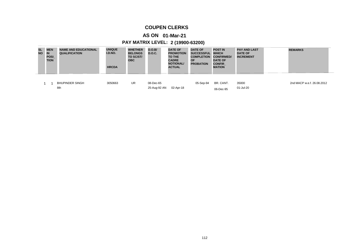#### **COUPEN CLERKS**

# **AS ON 01-Mar-21**

# **PAY MATRIX LEVEL: 2 (19900-63200)**

| <b>SL</b><br><b>NO</b> | <b>MEN</b><br>IN<br><b>POSI</b><br><b>TION</b> | <b>NAME AND EDUCATIONAL</b><br><b>QUALIFICATION</b> | <b>UNIQUE</b><br>I.D.NO.<br><b>HRCDA</b> | <b>WHETHER</b><br><b>BELONGS</b><br>TO SC/ST/<br><b>OBC</b> | D.O.B/<br><b>D.O.C.</b>   | <b>DATE OF</b><br><b>PROMOTION</b><br><b>TO THE</b><br><b>CADRE</b><br><b>NOTIONAL/</b><br><b>ACTUAL</b> | <b>DATE OF</b><br><b>SUCCESSFUL</b><br><b>COMPLETION</b><br><b>OF</b><br><b>PROBATION</b> | <b>POST IN</b><br><b>WHICH</b><br><b>CONFIRMED/</b><br><b>DATE OF</b><br><b>CONFIR</b><br><b>MATION</b> | <b>PAY AND LAST</b><br><b>DATE OF</b><br><b>INCREMENT</b> | <b>REMARKS</b>             |
|------------------------|------------------------------------------------|-----------------------------------------------------|------------------------------------------|-------------------------------------------------------------|---------------------------|----------------------------------------------------------------------------------------------------------|-------------------------------------------------------------------------------------------|---------------------------------------------------------------------------------------------------------|-----------------------------------------------------------|----------------------------|
|                        |                                                | <b>BHUPINDER SINGH</b><br>8th                       | 3050663                                  | <b>UR</b>                                                   | 08-Dec-65<br>25-Aug-92 AN | 02-Apr-18                                                                                                | 05-Sep-94                                                                                 | BR. CANT.<br>06-Dec-95                                                                                  | 35000<br>01-Jul-20                                        | 2nd MACP w.e.f. 26.08.2012 |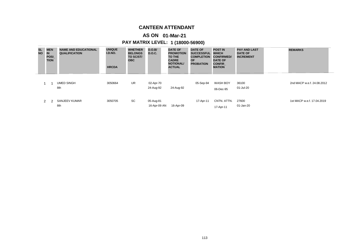#### **CANTEEN ATTENDANT**

# **AS ON 01-Mar-21**

# **PAY MATRIX LEVEL: 1 (18000-56900)**

| <b>SL</b><br><b>NO</b> | <b>MEN</b><br><b>IN</b><br><b>POSI</b><br><b>TION</b> | <b>NAME AND EDUCATIONAL</b><br><b>QUALIFICATION</b> | <b>UNIQUE</b><br>I.D.NO.<br><b>HRCDA</b> | <b>WHETHER</b><br><b>BELONGS</b><br>TO SC/ST/<br><b>OBC</b> | D.O.B/<br><b>D.O.C.</b>   | <b>DATE OF</b><br><b>PROMOTION</b><br><b>TO THE</b><br><b>CADRE</b><br><b>NOTIONAL/</b><br><b>ACTUAL</b> | <b>DATE OF</b><br><b>SUCCESSFUL</b><br><b>COMPLETION</b><br><b>OF</b><br><b>PROBATION</b> | <b>POST IN</b><br><b>WHICH</b><br><b>CONFIRMED/</b><br><b>DATE OF</b><br><b>CONFIR</b><br><b>MATION</b> | <b>PAY AND LAST</b><br><b>DATE OF</b><br><b>INCREMENT</b> | <b>REMARKS</b>             |
|------------------------|-------------------------------------------------------|-----------------------------------------------------|------------------------------------------|-------------------------------------------------------------|---------------------------|----------------------------------------------------------------------------------------------------------|-------------------------------------------------------------------------------------------|---------------------------------------------------------------------------------------------------------|-----------------------------------------------------------|----------------------------|
|                        |                                                       | <b>UMED SINGH</b><br>8th                            | 3050664                                  | UR                                                          | 02-Apr-70<br>24-Aug-92    | 24-Aug-92                                                                                                | 05-Sep-94                                                                                 | <b>WASH BOY</b><br>06-Dec-95                                                                            | 36100<br>01-Jul-20                                        | 2nd MACP w.e.f. 24.08.2012 |
|                        | 2                                                     | SANJEEV KUMAR<br>8th                                | 3050705                                  | SC                                                          | 05-Aug-81<br>16-Apr-09 AN | 16-Apr-09                                                                                                | 17-Apr-11                                                                                 | CNTN. ATTN.<br>17-Apr-11                                                                                | 27600<br>01-Jan-20                                        | 1st MACP w.e.f. 17.04.2019 |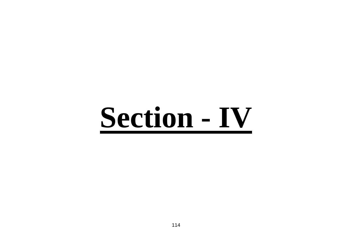# **Section - IV**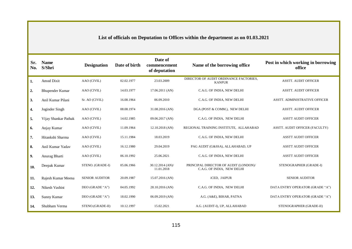**List of officials on Deputation to Offices within the department as on 01.03.2021**

| Sr.<br>No. | <b>Name</b><br>S/Shri  | <b>Designation</b>    | Date of birth | Date of<br>commencement<br>of deputation | Name of the borrowing office                                        | Post in which working in borrowing<br>office |
|------------|------------------------|-----------------------|---------------|------------------------------------------|---------------------------------------------------------------------|----------------------------------------------|
| 1.         | <b>Amod Dixit</b>      | AAO (CIVIL)           | 02.02.1977    | 23.03.2009                               | DIRECTOR OF AUDIT ORDINANCE FACTORIES,<br><b>KANPUR</b>             | <b>ASSTT. AUDIT OFFICER</b>                  |
| 2.         | <b>Bhupender Kumar</b> | AAO (CIVIL)           | 14.03.1977    | $17.06.2011$ (AN)                        | C.A.G. OF INDIA, NEW DELHI                                          | <b>ASSTT. AUDIT OFFICER</b>                  |
| 3.         | Anil Kumar Pilani      | Sr. AO (CIVIL)        | 16.08.1964    | 06.09.2010                               | C.A.G. OF INDIA, NEW DELHI                                          | ASSTT. ADMINISTRATIVE OFFICER                |
| 4.         | Joginder Singh         | AAO (CIVIL)           | 08.08.1974    | 31.08.2016 (AN)                          | DGA (POST & COMM.), NEW DELHI                                       | <b>ASSTT. AUDIT OFFICER</b>                  |
| 5.         | Vijay Shankar Pathak   | AAO (CIVIL)           | 14.02.1985    | 09.06.2017 (AN)                          | C.A.G. OF INDIA, NEW DELHI                                          | <b>ASSTT AUDIT OFFICER</b>                   |
| 6.         | Anjay Kumar            | AAO (CIVIL)           | 11.09.1964    | 12.10.2018 (AN)                          | REGIONAL TRAINING INSTITUTE, ALLAHABAD                              | ASSTT. AUDIT OFFICER (FACULTY)               |
| 7.         | Hitankshi Sharma       | AAO (CIVIL)           | 15.11.1984    | 18.03.2019                               | C.A.G. OF INDIA, NEW DELHI                                          | <b>ASSTT AUDIT OFFICER</b>                   |
| 8.         | Anil Kumar Yadav       | AAO (CIVIL)           | 16.12.1980    | 29.04.2019                               | PAG AUDIT (G&SSA), ALLAHABAD, UP                                    | <b>ASSTT AUDIT OFFICER</b>                   |
| 9.         | Anurag Bharti          | AAO (CIVIL)           | 06.10.1992    | 25.06.2021                               | C.A.G. OF INDIA, NEW DELHI                                          | <b>ASSTT AUDIT OFFICER</b>                   |
| 10.        | Deepak Kumar           | STENO. (GRADE-I)      | 05.06.1966    | $30.12.2014$ (AN)/<br>11.01.2018         | PRINCIPAL DIRECTOR OF AUDIT (LONDON)/<br>C.A.G. OF INDIA, NEW DELHI | STENOGRAPHER (GRADE-I)                       |
| 11.        | Rajesh Kumar Meena     | <b>SENIOR AUDITOR</b> | 20.09.1987    | 15.07.2016 (AN)                          | iCED, JAIPUR                                                        | <b>SENIOR AUDITOR</b>                        |
| 12.        | Nikesh Vashist         | DEO (GRADE "A")       | 04.05.1992    | 28.10.2016 (AN)                          | C.A.G. OF INDIA, NEW DELHI                                          | DATA ENTRY OPERATOR (GRADE "A")              |
| 13.        | Sunny Kumar            | DEO (GRADE "A")       | 18.02.1990    | $06.09.2019$ (AN)                        | A.G. (A&E), BIHAR, PATNA                                            | DATA ENTRY OPERATOR (GRADE "A")              |
| 14.        | Shubham Verma          | STENO.(GRADE-II)      | 10.12.1997    | 15.02.2021                               | A.G. (AUDIT-I), UP, ALLAHABAD                                       | STENOGRAPHER (GRADE-II)                      |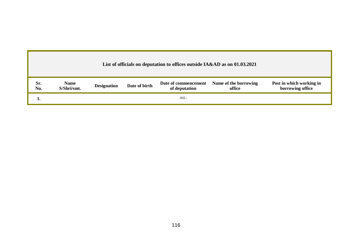|            |                            |                    |               | List of officials on deputation to offices outside IA&AD as on 01.03.2021 |                                 |                                              |
|------------|----------------------------|--------------------|---------------|---------------------------------------------------------------------------|---------------------------------|----------------------------------------------|
| Sr.<br>No. | <b>Name</b><br>S/Shri/smt. | <b>Designation</b> | Date of birth | Date of commencement<br>of deputation                                     | Name of the borrowing<br>office | Post in which working in<br>borrowing office |
|            |                            |                    |               | -NIL-                                                                     |                                 |                                              |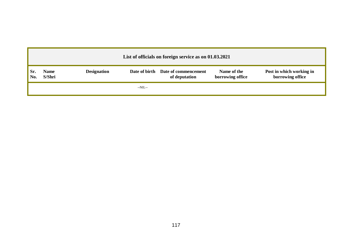|     |                       |                    | List of officials on foreign service as on 01.03.2021 |                                 |                                              |
|-----|-----------------------|--------------------|-------------------------------------------------------|---------------------------------|----------------------------------------------|
| Sr. | <b>Name</b><br>S/Shri | <b>Designation</b> | Date of birth Date of commencement<br>of deputation   | Name of the<br>borrowing office | Post in which working in<br>borrowing office |
|     |                       | $-NIL-$            |                                                       |                                 |                                              |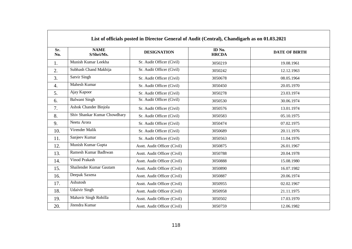|                    |                              |                              | List of officials posted in Director General of Audit (Central), Chandigarh as on 01.03.2021 |                      |
|--------------------|------------------------------|------------------------------|----------------------------------------------------------------------------------------------|----------------------|
| Sr.<br>No.         | <b>NAME</b><br>S/Shri/Ms.    | <b>DESIGNATION</b>           | ID No.<br><b>HRCDA</b>                                                                       | <b>DATE OF BIRTH</b> |
| 1.                 | Munish Kumar Leekha          | Sr. Audit Officer (Civil)    | 3050219                                                                                      | 19.08.1961           |
| 2.                 | Subhash Chand Makhija        | Sr. Audit Officer (Civil)    | 3050242                                                                                      | 12.12.1963           |
| 3.                 | Satvir Singh                 | Sr. Audit Officer (Civil)    | 3050678                                                                                      | 08.05.1964           |
| $\boldsymbol{4}$ . | Mahesh Kumar                 | Sr. Audit Officer (Civil)    | 3050450                                                                                      | 20.05.1970           |
| 5.                 | Ajay Kapoor                  | Sr. Audit Officer (Civil)    | 3050278                                                                                      | 23.03.1974           |
| 6.                 | <b>Balwant Singh</b>         | Sr. Audit Officer (Civil)    | 3050530                                                                                      | 30.06.1974           |
| 7.                 | Ashok Chander Binjola        | Sr. Audit Officer (Civil)    | 3050576                                                                                      | 13.01.1974           |
| 8.                 | Shiv Shankar Kumar Chowdhary | Sr. Audit Officer (Civil)    | 3050583                                                                                      | 05.10.1975           |
| 9.                 | Neetu Arora                  | Sr. Audit Officer (Civil)    | 3050474                                                                                      | 07.02.1975           |
| 10.                | Virender Malik               | Sr. Audit Officer (Civil)    | 3050689                                                                                      | 20.11.1976           |
| 11.                | Sanjeev Kumar                | Sr. Audit Officer (Civil)    | 3050563                                                                                      | 11.04.1976           |
| 12.                | Munish Kumar Gupta           | Asstt. Audit Officer (Civil) | 3050875                                                                                      | 26.01.1967           |
| 13.                | Ramesh Kumar Badhwan         | Asstt. Audit Officer (Civil) | 3050788                                                                                      | 20.04.1978           |
| 14.                | Vinod Prakash                | Asstt. Audit Officer (Civil) | 3050888                                                                                      | 15.08.1980           |
| 15.                | Shailender Kumar Gautam      | Asstt. Audit Officer (Civil) | 3050890                                                                                      | 16.07.1982           |
| 16.                | Deepak Saxena                | Asstt. Audit Officer (Civil) | 3050887                                                                                      | 20.06.1974           |
| 17.                | Ashutosh                     | Asstt. Audit Officer (Civil) | 3050955                                                                                      | 02.02.1967           |
| 18.                | <b>Udaivir Singh</b>         | Asstt. Audit Officer (Civil) | 3050958                                                                                      | 21.11.1975           |
| 19.                | Mahavir Singh Rohilla        | Asstt. Audit Officer (Civil) | 3050502                                                                                      | 17.03.1970           |
| 20.                | Jitendra Kumar               | Asstt. Audit Officer (Civil) | 3050759                                                                                      | 12.06.1982           |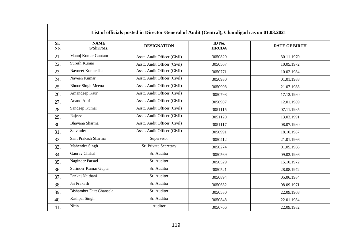| Sr.<br>No. | <b>NAME</b><br>S/Shri/Ms.      | <b>DESIGNATION</b>           | ID No.<br><b>HRCDA</b> | <b>DATE OF BIRTH</b> |
|------------|--------------------------------|------------------------------|------------------------|----------------------|
| 21.        | Manoj Kumar Gautam             | Asstt. Audit Officer (Civil) | 3050820                | 30.11.1970           |
| 22.        | Suresh Kumar                   | Asstt. Audit Officer (Civil) | 3050507                | 10.05.1972           |
| 23.        | Navneet Kumar Jha              | Asstt. Audit Officer (Civil) | 3050771                | 10.02.1984           |
| 24.        | Naveen Kumar                   | Asstt. Audit Officer (Civil) | 3050930                | 01.01.1988           |
| 25.        | <b>Bhoor Singh Meena</b>       | Asstt. Audit Officer (Civil) | 3050908                | 21.07.1988           |
| 26.        | Amandeep Kaur                  | Asstt. Audit Officer (Civil) | 3050798                | 17.12.1980           |
| 27.        | Anand Attri                    | Asstt. Audit Officer (Civil) | 3050907                | 12.01.1989           |
| 28.        | Sandeep Kumar                  | Asstt. Audit Officer (Civil) | 3051115                | 07.11.1985           |
| 29.        | Rajeev                         | Asstt. Audit Officer (Civil) | 3051120                | 13.03.1991           |
| 30.        | Bhavana Sharma                 | Asstt. Audit Officer (Civil) | 3051117                | 08.07.1980           |
| 31.        | Satvinder                      | Asstt. Audit Officer (Civil) | 3050991                | 18.10.1987           |
| 32.        | Sant Prakash Sharma            | Supervisor                   | 3050412                | 21.01.1966           |
| 33.        | Mahender Singh                 | Sr. Private Secretary        | 3050274                | 01.05.1966           |
| 34.        | Gaurav Chahal                  | Sr. Auditor                  | 3050569                | 09.02.1986           |
| 35.        | Naginder Parsad                | Sr. Auditor                  | 3050529                | 15.10.1972           |
| 36.        | Surinder Kumar Gupta           | Sr. Auditor                  | 3050521                | 28.08.1972           |
| 37.        | Pankaj Naithani                | Sr. Auditor                  | 3050894                | 05.06.1984           |
| 38.        | Jai Prakash                    | Sr. Auditor                  | 3050632                | 08.09.1971           |
| 39.        | <b>Bishamber Dutt Ghansela</b> | Sr. Auditor                  | 3050580                | 22.09.1968           |
| 40.        | Rashpal Singh                  | Sr. Auditor                  | 3050848                | 22.01.1984           |
| 41.        | Nitin                          | Auditor                      | 3050766                | 22.09.1982           |

 $\mathbf{I}$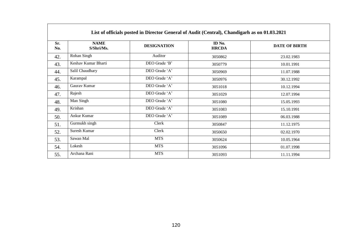|            |                           | List of officials posted in Director General of Audit (Central), Chandigarh as on 01.03.2021 |                        |                      |
|------------|---------------------------|----------------------------------------------------------------------------------------------|------------------------|----------------------|
| Sr.<br>No. | <b>NAME</b><br>S/Shri/Ms. | <b>DESIGNATION</b>                                                                           | ID No.<br><b>HRCDA</b> | <b>DATE OF BIRTH</b> |
| 42.        | Rohan Singh               | Auditor                                                                                      | 3050862                | 23.02.1983           |
| 43.        | Keshav Kumar Bharti       | DEO Grade 'B'                                                                                | 3050779                | 10.01.1991           |
| 44.        | Salil Chaudhary           | DEO Grade 'A'                                                                                | 3050969                | 11.07.1988           |
| 45.        | Karampal                  | DEO Grade 'A'                                                                                | 3050976                | 30.12.1992           |
| 46.        | Gaurav Kumar              | DEO Grade 'A'                                                                                | 3051018                | 10.12.1994           |
| 47.        | Rajesh                    | DEO Grade 'A'                                                                                | 3051029                | 12.07.1994           |
| 48.        | Man Singh                 | DEO Grade 'A'                                                                                | 3051080                | 15.05.1993           |
| 49.        | Krishan                   | DEO Grade 'A'                                                                                | 3051083                | 15.10.1991           |
| 50.        | Ankur Kumar               | DEO Grade 'A'                                                                                | 3051089                | 06.03.1988           |
| 51.        | Gurmukh singh             | Clerk                                                                                        | 3050847                | 11.12.1975           |
| 52.        | Suresh Kumar              | Clerk                                                                                        | 3050650                | 02.02.1970           |
| 53.        | Sawan Mal                 | <b>MTS</b>                                                                                   | 3050624                | 10.05.1964           |
| 54.        | Lokesh                    | <b>MTS</b>                                                                                   | 3051096                | 01.07.1998           |
| 55.        | Archana Rani              | <b>MTS</b>                                                                                   | 3051093                | 11.11.1994           |

# 120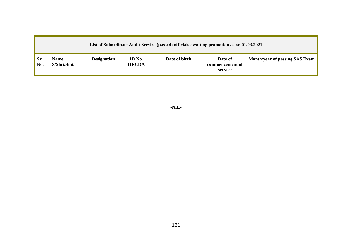|            | List of Subordinate Audit Service (passed) officials awaiting promotion as on 01.03.2021 |                    |                        |               |                                       |                                |  |  |  |  |  |
|------------|------------------------------------------------------------------------------------------|--------------------|------------------------|---------------|---------------------------------------|--------------------------------|--|--|--|--|--|
| Sr.<br>No. | <b>Name</b><br>S/Shri/Smt.                                                               | <b>Designation</b> | ID No.<br><b>HRCDA</b> | Date of birth | Date of<br>commencement of<br>service | Month/year of passing SAS Exam |  |  |  |  |  |

**-NIL-**